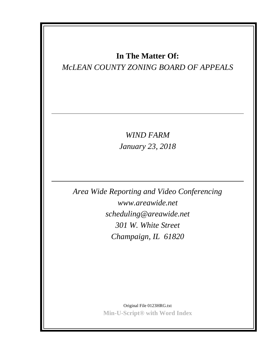# **In The Matter Of:**

# *McLEAN COUNTY ZONING BOARD OF APPEALS*

*WIND FARM January 23, 2018*

*Area Wide Reporting and Video Conferencing www.areawide.net scheduling@areawide.net 301 W. White Street Champaign, IL 61820*

> Original File 0123HRG.txt **Min-U-Script® with Word Index**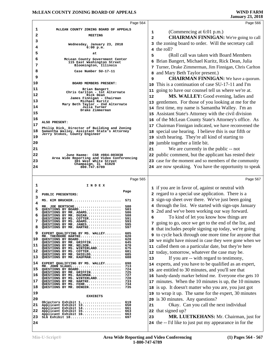|    | Page 564                                                                                    | Page 566                                                                             |
|----|---------------------------------------------------------------------------------------------|--------------------------------------------------------------------------------------|
| 1  | MCLEAN COUNTY ZONING BOARD OF APPEALS                                                       |                                                                                      |
| 2  | <b>MEETING</b>                                                                              | (Commencing at 6:01 p.m.)<br>1<br><b>CHAIRMAN FINNIGAN:</b> We're going to call<br>2 |
| 3  |                                                                                             | the zoning board to order. Will the secretary call<br>3                              |
| 4  | Wednesday, January 23, 2018<br>$6:00$ p.m.                                                  | 4 the roll?                                                                          |
| 5  | at                                                                                          | (Roll call was taken with Board Members)<br>5                                        |
| 6  | McLean County Government Center                                                             | Brian Bangert, Michael Kuritz, Rick Dean, Julia<br>6                                 |
| 7  | 115 East Washington Street<br>Bloomington, Illinois                                         | Turner, Drake Zimmerman, Jim Finnigan, Chris Carlton                                 |
| 8  | Case Number SU-17-11                                                                        | and Mary Beth Taylor present.)<br>8                                                  |
| 9  |                                                                                             | <b>CHAIRMAN FINNIGAN:</b> We have a quorum.<br>9                                     |
| 10 | BOARD MEMBERS PRESENT:                                                                      | This is a continuation of case SU-17-11 and I'm<br>10                                |
| 11 | Brian Bangert                                                                               | 11 going to have our counsel tell us where we're at.                                 |
| 12 | Chris Carlton - 1st Alternate<br>Rick Dean                                                  | MS. WALLEY: Good evening, ladies and<br>12                                           |
| 13 | James Finnigan - Chairman<br>Michael Kuritz                                                 | 13 gentlemen. For those of you looking at me for the                                 |
| 14 | Mary Beth Taylor - 2nd Alternate<br>Julia Turner                                            | 14 first time, my name is Samantha Walley. I'm an                                    |
| 15 | Drake Zimmerman                                                                             | 15 Assistant State's Attorney with the civil division                                |
| 16 |                                                                                             | 16 of the McLean County State's Attorney's office. As                                |
| 17 | ALSO PRESENT:                                                                               | 17 Chairman Finnigan indicated, we have reconvened the                               |
| 18 | Philip Dick, Director of Building and Zoning<br>Samantha Walley, Assistant State's Attorney | 18 special use hearing. I believe this is our fifth or                               |
| 19 | Jerry Stokes, County Engineer                                                               | 19 sixth hearing. They're all kind of starting to                                    |
| 20 |                                                                                             | 20 jumble together a little bit.                                                     |
| 21 |                                                                                             | We are currently in the public -- not<br>21                                          |
| 22 | June Haeme: CSR #084-003038                                                                 | 22 public comment, but the applicant has rested their                                |
| 23 | Area Wide Reporting and Video Conferencing<br>301 West White Street                         | 23 case for the moment and so members of the community                               |
| 24 | Champaign, IL 61820<br>800.747.6789                                                         | 24 are now speaking. You have the opportunity to speak                               |
|    |                                                                                             |                                                                                      |
|    | Page 565                                                                                    | Page 567                                                                             |
| 1  | I N D E X                                                                                   |                                                                                      |
|    |                                                                                             |                                                                                      |
| 2  | Page                                                                                        | 1 if you are in favor of, against or neutral with                                    |
| 3  | PUBLIC PRESENTERS:                                                                          | 2 regard to a special use application. There is a                                    |
| 4  | 571<br>MS. KIM BRUCKER                                                                      | 3 sign-up sheet over there. We've just been going                                    |
| 5  | MR. JOE BERTSCHE<br>580<br>QUESTIONS BY BOARD<br>583                                        | 4 through the list. We started with sign-ups January                                 |
| 6  | QUESTIONS BY MR. ADAMS<br>586<br>QUESTIONS BY MR. DUZAN<br>588                              | 5 2nd and we've been working our way forward.                                        |
|    | QUESTIONS BY MS. COTTER<br>591<br>QUESTIONS BY MS. ADAMS<br>593                             | To kind of let you know how things are<br>6                                          |
| 8  | 595<br>QUESTIONS BY MR. JANES<br>QUESTIONS BY MR. HARTKE<br>597                             | 7 going to go, once we get to the end of the list, and                               |
| 9  | EXPERT QUALIFYING BY MS. WALLEY<br>605                                                      | 8 that includes people signing up today, we're going                                 |
| 10 | MR. THEODORE HARTKE<br>620<br>OUESTIONS BY BOARD<br>628                                     | <b>9</b> to cycle back through one more time for anyone that                         |
| 11 | QUESTIONS BY MR. GRIFFIN<br>645<br>670<br>QUESTIONS BY MR. NELSON                           | 10 we might have missed in case they were gone when we                               |
| 12 | QUESTIONS BY MS. WINTERLAND<br>675<br>QUESTIONS BY MS. COTTER<br>681                        | 11 called them on a particular date, but they're here                                |
| 13 | QUESTIONS BY MR. SHIELDS<br>685<br>QUESTIONS BY MR. KAUFMAN<br>688                          | 12 today, tomorrow, whatever the case may be.                                        |
| 14 | EXPERT QUALIFYING BY MS. WALLEY<br>698                                                      | If you are -- with regard to testimony,<br>13                                        |
| 15 | MR. JOHN SLAGEL<br>713<br>QUESTIONS BY BOARD<br>724                                         | 14 experts, and you have to be qualified as an expert,                               |
| 16 | QUESTIONS BY MR. GRIFFIN<br>725<br>QUESTIONS BY MS. BACHMAN<br>727                          | 15 are entitled to 30 minutes, and you'll see that                                   |
| 17 | QUESTIONS BY MS. WINTERLAND<br>728<br>QUESTIONS BY MR. HARTKE<br>733                        | 16 handy-dandy marker behind me. Everyone else gets 10                               |
| 18 | 734<br>QUESTIONS BY MS. FEHR<br>QUESTIONS BY MR. DENEEN<br>735                              | 17 minutes. When the 10 minutes is up, the 10 minutes                                |
|    |                                                                                             | 18 is up. It doesn't matter who you are, you just got                                |
| 19 | <b>EXHIBITS</b>                                                                             | 19 to wrap it up. The same for the expert, 30 minutes                                |
| 20 | Objectors Exhibit 1<br>619                                                                  | 20 is 30 minutes. Any questions?                                                     |
| 21 | Applicant Exhibit 13<br>650<br>Applicant Exhibit 14<br>661                                  | Okay. Can you call the next individual<br>21                                         |
| 22 | Applicant Exhibit 15<br>663<br>Applicant Exhibit 16<br>663                                  | 22 that signed up?                                                                   |
| 23 | SLG Exhibit 18<br>697                                                                       | MR. LUETKEHANS: Mr. Chairman, just for<br>23                                         |
| 24 |                                                                                             | 24 the -- I'd like to just put my appearance in for the                              |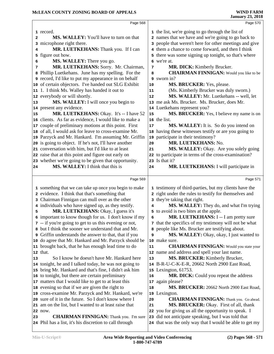|    | Page 568                                                                                                      |    | Page 570                                                                                                       |  |
|----|---------------------------------------------------------------------------------------------------------------|----|----------------------------------------------------------------------------------------------------------------|--|
|    | 1 record.                                                                                                     |    | 1 the list, we're going to go through the list of                                                              |  |
| 2  | MS. WALLEY: You'll have to turn on that                                                                       |    | 2 names that we have and we're going to go back to                                                             |  |
|    | 3 microphone right there.                                                                                     |    | 3 people that weren't here for other meetings and give                                                         |  |
| 4  | MR. LUETKEHANS: Thank you. If I can                                                                           |    | 4 them a chance to come forward, and then I think                                                              |  |
| 5  | figure out how.                                                                                               |    | 5 there was some signing up tonight, so that's where                                                           |  |
| 6  | MS. WALLEY: There you go.                                                                                     |    | 6 we're at.                                                                                                    |  |
| 7  | MR. LUETKEHANS: Sorry. Mr. Chairman,                                                                          | 7  | MR. DICK: Kimberly Brucker.                                                                                    |  |
|    | 8 Phillip Luetkehans. June has my spelling. For the                                                           | 8  | <b>CHAIRMAN FINNIGAN:</b> Would you like to be                                                                 |  |
|    | 9 record, I'd like to put my appearance in on behalf                                                          |    | 9 sworn in?                                                                                                    |  |
|    | 10 of certain objectors. I've handed out SLG Exhibit                                                          | 10 | MS. BRUCKER: Yes, please.                                                                                      |  |
|    | 11 1. I think Ms. Walley has handed it out to                                                                 | 11 | (Ms. Kimberly Brucker was duly sworn.)                                                                         |  |
|    | 12 everybody or will shortly.                                                                                 | 12 | MS. WALLEY: Mr. Luetkehans -- well, let                                                                        |  |
| 13 | MS. WALLEY: I will once you begin to                                                                          |    | 13 me ask Ms. Brucker. Ms. Brucker, does Mr.                                                                   |  |
|    | 14 present any evidence.                                                                                      |    | 14 Luetkehans represent you?                                                                                   |  |
| 15 | MR. LUETKEHANS: Okay. It's -- I have 52                                                                       | 15 | MS. BRUCKER: Yes, I believe my name is on                                                                      |  |
|    | 16 clients. As far as evidence, I would like to make a                                                        |    | 16 the list.                                                                                                   |  |
|    | 17 couple of preliminary motions at this point. First                                                         | 17 | MS. WALLEY: It is. So do you intend on                                                                         |  |
|    | 18 of all, I would ask for leave to cross-examine Mr.                                                         |    | 18 having these witnesses testify or are you going to                                                          |  |
|    | 19 Parzyck and Mr. Hankard. I'm assuming Mr. Griffin                                                          |    | 19 participate in their testimony?                                                                             |  |
|    | 20 is going to object. If he's not, I'll have another                                                         | 20 | MR. LUETKEHANS: No.                                                                                            |  |
|    | 21 conversation with him, but I'd like to at least                                                            | 21 | MS. WALLEY: Okay. Are you solely going                                                                         |  |
|    | 22 raise that at this point and figure out early on                                                           |    | 22 to participate in terms of the cross-examination?                                                           |  |
|    | 23 whether we're going to be given that opportunity.                                                          |    | 23 Is that it?                                                                                                 |  |
| 24 | MS. WALLEY: I think that this is                                                                              | 24 | MR. LUETKEHANS: I will participate in                                                                          |  |
|    |                                                                                                               |    |                                                                                                                |  |
|    | Page 569                                                                                                      |    |                                                                                                                |  |
|    |                                                                                                               |    | Page 571                                                                                                       |  |
|    |                                                                                                               |    |                                                                                                                |  |
|    | 1 something that we can take up once you begin to make                                                        |    | 1 testimony of third-parties, but my clients have the                                                          |  |
|    | 2 evidence. I think that that's something that                                                                |    | 2 right under the rules to testify for themselves and                                                          |  |
|    | 3 Chairman Finnigan can mull over as the other                                                                | 4  | 3 they're taking that right.                                                                                   |  |
| 5  | 4 individuals who have signed up, as they testify.                                                            |    | MS. WALLEY: They do, and what I'm trying                                                                       |  |
|    | MR. LUETKEHANS: Okay, I guess it's                                                                            | 6  | 5 to avoid is two bites at the apple.                                                                          |  |
|    | 6 important to know though for us. I don't know if my                                                         |    | MR. LUETKEHANS: I -- I am pretty sure                                                                          |  |
|    | 7 -- if you're going to get to us this evening or not,                                                        |    | 7 that the specifics of my testimony will not be what                                                          |  |
|    | 8 but I think the sooner we understand that and Mr.                                                           | 9  | 8 people like Ms. Brucker are testifying about.                                                                |  |
|    | 9 Griffin understands the answer to that, that if you                                                         |    | MS. WALLEY: Okay, okay, I just wanted to<br>10 make sure.                                                      |  |
|    | 10 do agree that Mr. Hankard and Mr. Parzyck should be<br>11 brought back, that he has enough lead time to do | 11 | <b>CHAIRMAN FINNIGAN:</b> Would you state your                                                                 |  |
|    | 12 that.                                                                                                      |    | 12 name and address and spell your last name.                                                                  |  |
| 13 | So I know he doesn't have Mr. Hankard here                                                                    | 13 | MS. BRUCKER: Kimberly Brucker,                                                                                 |  |
|    | 14 tonight, he and I talked today, he was not going to                                                        |    | 14 B-R-U-C-K-E-R, 20662 North 2900 East Road,                                                                  |  |
|    | 15 bring Mr. Hankard and that's fine, I didn't ask him                                                        |    | 15 Lexington, 61753.                                                                                           |  |
|    | 16 to tonight, but there are certain preliminary                                                              | 16 | MR. DICK: Could you repeat the address                                                                         |  |
|    | 17 matters that I would like to get to at least this                                                          | 17 | again please?                                                                                                  |  |
|    | 18 evening so that if we are given the right to                                                               | 18 | MS. BRUCKER: 20662 North 2900 East Road,                                                                       |  |
|    | 19 cross-examine Mr. Parzyck and Mr. Hankard, we're                                                           | 19 | Lexington.                                                                                                     |  |
|    | 20 sure of it in the future. So I don't know where I                                                          | 20 | <b>CHAIRMAN FINNIGAN:</b> Thank you. Go ahead.                                                                 |  |
|    | 21 am on the list, but I wanted to at least raise that                                                        | 21 | MS. BRUCKER: Okay. First of all, thank                                                                         |  |
|    | 22 now.                                                                                                       |    | 22 you for giving us all the opportunity to speak. I                                                           |  |
| 23 | <b>CHAIRMAN FINNIGAN:</b> Thank you. I'm sure<br>24 Phil has a list, it's his discretion to call through      |    | 23 did not anticipate speaking, but I was told that<br>24 that was the only way that I would be able to get my |  |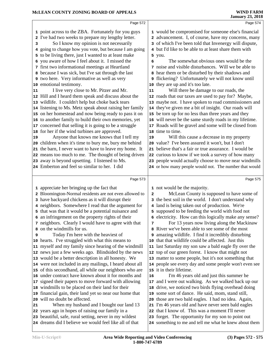|    | Page 572                                                                                                         |              | Page 574                                                                                                     |
|----|------------------------------------------------------------------------------------------------------------------|--------------|--------------------------------------------------------------------------------------------------------------|
|    | 1 point across to the ZBA. Fortunately for you guys                                                              |              | 1 would be compromised for someone else's financial                                                          |
|    | 2 I've had two weeks to prepare my lengthy letter.                                                               |              | 2 advancement. I, of course, have my concerns, many                                                          |
| 3  | So I know my opinion is not necessarily                                                                          |              | 3 of which I've been told that Invenergy will dispute,                                                       |
|    | 4 going to change how you vote, but because I am going                                                           |              | 4 but I'd like to be able to at least share them with                                                        |
|    | 5 to be living there, just I wanted to at least make                                                             |              | 5 you.                                                                                                       |
|    | you aware of how I feel about it. I missed the                                                                   | 6            | The somewhat obvious ones would be the                                                                       |
|    | 7 first two informational meetings at Heartland                                                                  | 7            | noise and visible disturbances. Will we be able to                                                           |
|    | 8 because I was sick, but I've sat through the last                                                              |              | 8 hear them or be disturbed by their shadows and                                                             |
|    | <b>9</b> two here. Very informative as well as very                                                              |              | 9 flickering? Unfortunately we will not know until                                                           |
|    | 10 emotional testimony.                                                                                          |              | 10 they are up and it's too late.                                                                            |
| 11 | I live very close to Mr. Pitzer and Mr.                                                                          | 11           | Will there be damage to our roads, the                                                                       |
|    | 12 Hill and I heard them speak and discuss about the                                                             |              | 12 roads that our taxes are used to pay for? Maybe,                                                          |
|    | 13 wildlife. I couldn't help but choke back tears                                                                |              | 13 maybe not. I have spoken to road commissioners and                                                        |
|    | 14 listening to Ms. Metz speak about raising her family                                                          |              | 14 they've given me a bit of insight. Our roads will                                                         |
|    | 15 on her homestead and now being ready to pass it on                                                            |              | 15 be torn up for no less than three years and they                                                          |
|    | 16 to another family to build their own memories, yet                                                            |              | 16 will never be the same sturdy roads in my lifetime.                                                       |
|    | 17 concerned that selling it is going to be a struggle                                                           |              | 17 Roads will be gravel and some will be closed from                                                         |
|    | 18 for her if the wind turbines are approved.                                                                    |              | 18 time to time.                                                                                             |
| 19 | Anyone that knows me knows that I tell my                                                                        | 19           | Will this cause a decrease in my property                                                                    |
|    | 20 children when it's time to bury me, bury me behind                                                            |              | 20 value? I've been assured it won't, but I don't                                                            |
|    | 21 the barn, I never want to have to leave my home. It                                                           |              | 21 believe that's a fair or true assurance. I would be                                                       |
|    | 22 means too much to me. The thought of being driven                                                             |              | 22 curious to know if we took a survey of how many                                                           |
|    | 23 away is beyond upsetting. I listened to Ms.                                                                   |              | 23 people would actually choose to move near windmills                                                       |
|    | 24 Emberton and feel so similar to her. I did                                                                    |              | 24 or how many people would not. The number that would                                                       |
|    |                                                                                                                  |              | Page 575                                                                                                     |
|    |                                                                                                                  |              |                                                                                                              |
|    | Page 573                                                                                                         |              |                                                                                                              |
|    | 1 appreciate her bringing up the fact that                                                                       |              | 1 not would be the majority.                                                                                 |
|    | 2 Bloomington-Normal residents are not even allowed to                                                           | $\mathbf{2}$ | McLean County is supposed to have some of                                                                    |
|    | 3 have backyard chickens as it will disrupt their                                                                |              | 3 the best soil in the world. I don't understand why                                                         |
|    | 4 neighbors. Somewhere I read that the argument for                                                              |              | 4 land is being taken out of production. We're                                                               |
|    | 5 that was that it would be a potential nuisance and                                                             |              | 5 supposed to be feeding the world with food not                                                             |
|    | 6 an infringement on the property rights of their                                                                |              | 6 electricity. How can this logically make any sense?                                                        |
|    | 7 neighbors. Clearly I would have to agree with that                                                             | 7            | For 13 years now living along the Mackinaw                                                                   |
|    | on the windmills for us.                                                                                         |              | River we've been able to see some of the most                                                                |
| 9  | Today I'm here with the heaviest of                                                                              |              | <b>9</b> amazing wildlife. I find it incredibly disturbing                                                   |
|    | 10 hearts. I've struggled with what this means to                                                                |              | 10 that that wildlife could be affected. Just this                                                           |
|    | 11 myself and my family since hearing of the windmill                                                            | 11           | last Saturday my son saw a bald eagle fly over the                                                           |
|    | 12 news just a few weeks ago. Blindsided by the news                                                             |              | 12 top of our green forest. I know that might not                                                            |
|    | 13 would be a better description in all honesty. We<br>14 were not included in any mailings, I heard about all   |              | 13 matter to some people, but it's not something that                                                        |
|    | 15 of this second hand, all while our neighbors who are                                                          |              | 14 people see every day and some people won't even see<br>15 it in their lifetime.                           |
|    | 16 under contract have known about it for months and                                                             | 16           | I'm 46 years old and just this summer he                                                                     |
|    | 17 signed their papers to move forward with allowing                                                             |              | 17 and I were out walking. As we walked back up our                                                          |
|    | 18 windmills to be placed on their land for their                                                                |              | 18 drive, we noticed two birds flying overhead doing                                                         |
|    | 19 financial gain, their land yet so near our home that                                                          |              | 19 some sort of dance. He said, mom, stand still,                                                            |
|    | 20 will no doubt be affected.                                                                                    |              | 20 those are two bald eagles. I had no idea. Again,                                                          |
| 21 | When my husband and I bought our land 13                                                                         |              | 21 I'm 46 years old and have never seen bald eagles                                                          |
|    | 22 years ago in hopes of raising our family in a                                                                 |              | 22 that I know of. This was a moment I'll never                                                              |
|    | 23 beautiful, safe, rural setting, never in my wildest<br>24 dreams did I believe we would feel like all of that |              | 23 forget. The opportunity for my son to point out<br>24 something to me and tell me what he knew about them |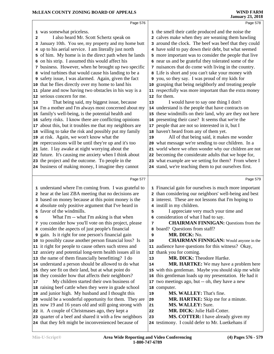|                 | Page 576                                                                                                        |          | Page 578                                                                                |  |
|-----------------|-----------------------------------------------------------------------------------------------------------------|----------|-----------------------------------------------------------------------------------------|--|
|                 | 1 was somewhat priceless.                                                                                       |          | 1 the smell their cattle produced and the noise the                                     |  |
| $\mathbf{2}$    | I also heard Mr. Scott Schertz speak on                                                                         |          | 2 calves make when they are weaning them bawling                                        |  |
| 3               | January 10th. You see, my property and my home butt                                                             |          | 3 around the clock. The beef was beef that they could                                   |  |
|                 | 4 up to his aerial service. I am literally just north                                                           |          | 4 have sold to pay down their debt, but what seemed                                     |  |
|                 | 5 of him. My home is in the direct path when he lands                                                           |          | 5 more important was to consider the people that live                                   |  |
|                 | 6 on his strip. I assumed this would affect his                                                                 |          | 6 near us and be grateful they tolerated some of the                                    |  |
|                 | 7 business. However, when he brought up two specific                                                            |          | 7 nuisances that do come with living in the country.                                    |  |
|                 | 8 wind turbines that would cause his landing to be a                                                            |          | 8 Life is short and you can't take your money with                                      |  |
|                 | 9 safety issue, I was alarmed. Again, given the fact                                                            |          | 9 you, so they say. I was proud of my kids for                                          |  |
|                 | 10 that he flies directly over my home to land his                                                              |          | 10 grasping that being neighborly and treating people                                   |  |
|                 | 11 plane and now having two obstacles in his way is a                                                           |          | 11 respectfully was more important than the extra money                                 |  |
|                 | 12 serious concern for me.                                                                                      |          | 12 for them.                                                                            |  |
| 13              | That being said, my biggest issue, because                                                                      | 13       | I would have to say one thing I don't                                                   |  |
|                 | 14 I'm a mother and I'm always most concerned about my                                                          |          | 14 understand is the people that have contracts on                                      |  |
|                 | 15 family's well-being, is the potential health and                                                             |          | 15 these windmills on their land, why are they not here                                 |  |
|                 | 16 safety risks. I know there are conflicting opinions                                                          |          | 16 presenting their case? It seems that we're the                                       |  |
|                 | about this, but it troubles me that my neighbors are                                                            |          | 17 people that are not so interested in it, but I                                       |  |
| 17 <sub>2</sub> | 18 willing to take the risk and possibly put my family                                                          |          | 18 haven't heard from any of them yet.                                                  |  |
|                 | 19 at risk. Again, we won't know what the                                                                       | 19       | All of that being said, it makes me wonder                                              |  |
|                 | 20 repercussions will be until they're up and it's too                                                          |          | 20 what message we're sending to our children. In a                                     |  |
|                 | 21 late. I lay awake at night worrying about the                                                                |          | 21 world where we often wonder why our children are not                                 |  |
|                 | 22 future. It's causing me anxiety when I think about                                                           |          | 22 becoming the considerate adults that we hope for,                                    |  |
|                 | 23 the project and the outcome. To people in the                                                                |          | 23 what example are we setting for them? From where I                                   |  |
|                 | 24 business of making money, I imagine they cannot                                                              |          | 24 stand, we're teaching them to put ourselves first.                                   |  |
|                 |                                                                                                                 |          |                                                                                         |  |
|                 |                                                                                                                 |          |                                                                                         |  |
|                 | Page 577                                                                                                        |          | Page 579                                                                                |  |
|                 |                                                                                                                 |          |                                                                                         |  |
|                 | 1 understand where I'm coming from. I was grateful to                                                           |          | 1 Financial gain for ourselves is much more important                                   |  |
|                 | 2 hear at the last ZBA meeting that no decisions are                                                            |          | 2 than considering our neighbors' well-being and best                                   |  |
|                 | 3 based on money because at this point money is the                                                             |          | 3 interest. These are not lessons that I'm hoping to                                    |  |
|                 | 4 absolute only positive argument that I've heard in                                                            |          | 4 instill in my children.                                                               |  |
|                 | 5 favor of the windmills.                                                                                       | 5        | I appreciate very much your time and                                                    |  |
| 6               | What I'm -- what I'm asking is that when                                                                        |          | 6 consideration of what I had to say.                                                   |  |
|                 | 7 you consider how you'll vote on this project, please                                                          | 7        | <b>CHAIRMAN FINNIGAN: Questions from the</b>                                            |  |
|                 | 8 consider the aspects of just people's financial                                                               |          | 8 board? Questions from staff?                                                          |  |
|                 | 9 gain. Is it right for one person's financial gain                                                             | 9        | MR. DICK: No.                                                                           |  |
|                 | 10 to possibly cause another person financial loss? Is                                                          | 10       | <b>CHAIRMAN FINNIGAN:</b> Would anyone in the                                           |  |
|                 | 11 it right for people to cause others such stress and                                                          |          | 11 audience have questions for this witness? Okay,                                      |  |
|                 | 12 anxiety and potential long-term health issues all in                                                         |          | 12 thank you for coming.                                                                |  |
|                 | 13 the name of them financially benefitting? I do                                                               | 13       | MR. DICK: Theodore Hartke.                                                              |  |
|                 | 14 understand a person should be allowed to do what                                                             | 14       | <b>MR. HARTKE:</b> We may have a problem here                                           |  |
|                 | 15 they see fit on their land, but at what point do                                                             |          | 15 with this gentleman. Maybe you should skip me while                                  |  |
|                 | 16 they consider how that affects their neighbors?                                                              |          | 16 this gentleman loads up my presentation. He had it                                   |  |
| 17              | My children started their own business of                                                                       | 17       | two meetings ago, but -- oh, they have a new                                            |  |
|                 | 18 raising beef cattle when they were in grade school                                                           |          | 18 computer.                                                                            |  |
|                 | 19 and junior high. My husband and I thought this                                                               | 19       | MS. WALLEY: That's fine.                                                                |  |
|                 | 20 would be a wonderful opportunity for them. They are                                                          | 20       | <b>MR. HARTKE:</b> Skip me for a minute.                                                |  |
|                 | 21 now 19 and 16 years old and still going strong with                                                          | 21       | MS. WALLEY: Sure.                                                                       |  |
|                 | 22 it. A couple of Christmases ago, they kept a                                                                 | 22<br>23 | MR. DICK: Julie Hall-Cotter.                                                            |  |
|                 | 23 quarter of a beef and shared it with a few neighbors<br>24 that they felt might be inconvenienced because of |          | MS. COTTER: I have already given my<br>24 testimony. I could defer to Mr. Luetkehans if |  |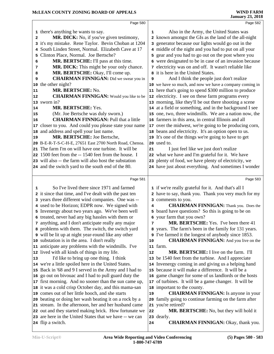|                         | Page 580                                                                                                 |    | Page 582                                                                       |  |
|-------------------------|----------------------------------------------------------------------------------------------------------|----|--------------------------------------------------------------------------------|--|
|                         | 1 there's anything he wants to say.                                                                      | 1  | Also in the Army, the United States was                                        |  |
| $\overline{\mathbf{2}}$ | MR. DICK: No, if you've given testimony,                                                                 |    | 2 known amongst the GIs as the land of the all-night                           |  |
|                         | 3 it's my mistake. Rene Taylor. Bevin Choban at 1204                                                     |    | 3 generator because our lights would go out in the                             |  |
|                         | South Linden Street, Normal. Elizabeth Cave at 17                                                        |    | 4 middle of the night and you had to put on all your                           |  |
| 5                       | Clinton Place, Normal. Joe Bertsche?                                                                     |    | 5 gear and you had to go out on the post where you                             |  |
| 6                       | MR. BERTSCHE: I'll pass at this time.                                                                    |    | 6 were designated to be in case of an invasion because                         |  |
| 7                       | MR. DICK: This might be your only chance.                                                                |    | 7 electricity was on and off. It wasn't reliable like                          |  |
|                         | MR. BERTSCHE: Okay, I'll come up.                                                                        |    | 8 it is here in the United States.                                             |  |
| 8<br>9                  | <b>CHAIRMAN FINNIGAN:</b> Did we swear you in                                                            | 9  | And I think the people just don't realize                                      |  |
|                         | 10 the other night?                                                                                      |    | 10 we have so much, and now we have a company coming in                        |  |
| 11                      | MR. BERTSCHE: No.                                                                                        |    | 11 here that's going to spend \$300 million to produce                         |  |
| 12                      | <b>CHAIRMAN FINNIGAN:</b> Would you like to be                                                           |    | 12 electricity. I see on these farm programs every                             |  |
|                         | 13 sworn in?                                                                                             |    | 13 morning, like they'll be out there shooting a scene                         |  |
| 14                      | MR. BERTSCHE: Yes.                                                                                       |    | 14 at a field or something, and in the background I see                        |  |
| 15                      | (Mr. Joe Bertsche was duly sworn.)                                                                       |    | 15 one, two, three windmills. We are a nation now, the                         |  |
| 16                      | <b>CHAIRMAN FINNIGAN: Pull that a little</b>                                                             |    | 16 farmers in this area, in central Illinois and all                           |  |
|                         | 17 closer to you. And could you please state your name                                                   |    | 17 over the midwest, we're going to be producing corn,                         |  |
|                         | 18 and address and spell your last name.                                                                 |    | 18 beans and electricity. It's an option open to us.                           |  |
| 19                      | MR. BERTSCHE: Joe Bertsche,                                                                              |    | 19 It's one of the things we're going to have to get                           |  |
|                         | 20 B-E-R-T-S-C-H-E, 27651 East 2700 North Road, Chenoa.                                                  |    | 20 used to.                                                                    |  |
|                         | 21 The farm I'm on will have one turbine. It will be                                                     | 21 | I just feel like we just don't realize                                         |  |
|                         | 22 1500 feet from the -- 1540 feet from the house. I                                                     |    | 22 what we have and I'm grateful for it. We have                               |  |
|                         | 23 will also -- the farm will also host the substation                                                   |    | 23 plenty of food, we have plenty of electricity, we                           |  |
|                         | 24 and the switch yard to the south end of the 80.                                                       |    | 24 have just about everything. And sometimes I wonder                          |  |
|                         |                                                                                                          |    |                                                                                |  |
|                         |                                                                                                          |    |                                                                                |  |
|                         | Page 581                                                                                                 |    | Page 583                                                                       |  |
|                         |                                                                                                          |    |                                                                                |  |
| 1                       | So I've lived there since 1971 and farmed                                                                |    | 1 if we're really grateful for it. And that's all I                            |  |
|                         | 2 it since that time, and I've dealt with the past ten                                                   |    | 2 have to say, thank you. Thank you very much for my                           |  |
|                         | 3 years three different wind companies. One was --                                                       | 4  | 3 comments to you.                                                             |  |
|                         | 4 used to be Horizon; EDPR now. We signed with                                                           |    | <b>CHAIRMAN FINNIGAN:</b> Thank you. Does the                                  |  |
|                         | 5 Invenergy about two years ago. We've been well                                                         |    | 5 board have questions? So this is going to be on<br>6 your farm that you own? |  |
|                         | 6 treated, never had any big hassles with them or                                                        | 7  | MR. BERTSCHE: Yes. I've been there 41                                          |  |
|                         | 7 anything, and I don't anticipate really any major<br>8 problems with them. The switch, the switch yard |    | 8 years. The farm's been in the family for 131 years.                          |  |
|                         | 9 will be lit up at night year-round like any other                                                      |    | I've farmed it the longest of anybody since 1853.                              |  |
|                         | 10 substation is in the area. I don't really                                                             | 10 | <b>CHAIRMAN FINNIGAN:</b> And you live on the                                  |  |
|                         | 11 anticipate any problems with the windmills. I've                                                      |    | 11 farm.                                                                       |  |
|                         | 12 lived with all kinds of things in my life.                                                            | 12 | MR. BERTSCHE: I live on the farm. I'll                                         |  |
| 13                      | I'd like to bring up one thing. I think                                                                  |    | 13 be 1540 feet from the turbine. And I appreciate                             |  |
|                         | 14 we're a little spoiled here in the United States.                                                     |    | 14 Invenergy coming in and giving us a helping hand                            |  |
|                         | 15 Back in '68 and 9 I served in the Army and I had to                                                   |    | 15 because it will make a difference. It will be a                             |  |
|                         | 16 go out on bivouac and I had to pull guard duty the                                                    |    | 16 game changer for some of us landlords or the hosts                          |  |
|                         | 17 first morning. And no sooner than the sun came up,                                                    |    | 17 of turbines. It will be a game changer. It will be                          |  |
|                         | 18 it was a cold crisp October day, and this mama-san                                                    |    | 18 important to the county.                                                    |  |
|                         | 19 comes out of her little hooch, and she starts                                                         | 19 | <b>CHAIRMAN FINNIGAN:</b> Is anyone in your                                    |  |
|                         | 20 beating or doing her wash beating it on a rock by a                                                   |    | 20 family going to continue farming on the farm after                          |  |
|                         | 21 stream. In the afternoon, her and her husband came                                                    |    | 21 you're retired?                                                             |  |
|                         | 22 out and they started making brick. How fortunate we                                                   | 22 | MR. BERTSCHE: No, but they will hold it                                        |  |
|                         | 23 are here in the United States that we have -- we can<br>24 flip a switch.                             | 24 | 23 dearly.<br><b>CHAIRMAN FINNIGAN: Okay, thank you.</b>                       |  |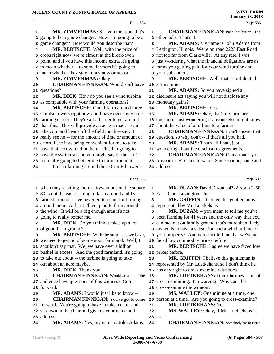|    | Page 584                                                                            |    | Page 586                                                                                                 |
|----|-------------------------------------------------------------------------------------|----|----------------------------------------------------------------------------------------------------------|
| 1  | MR. ZIMMERMAN: Sir, you mentioned it's                                              | 1  | <b>CHAIRMAN FINNIGAN:</b> Push that button. The                                                          |
|    | 2 going to be a game changer. How is it going to be a                               |    | 2 other side. That's it.                                                                                 |
| 3  | game changer? How would you describe that?                                          | 3  | MR. ADAMS: My name is John Adams from                                                                    |
| 4  | MR. BERTSCHE: Well, with the price of                                               |    | 4 Lexington, Illinois. We're on road 2225 East Road                                                      |
| 5  | crops right now, we're almost at the break-even                                     |    | 5 not too far from Clarksville. At any rate, I was                                                       |
| 6  | point, and if you have this income extra, it's going                                |    | 6 just wondering what the financial obligations are as                                                   |
|    | 7 to mean whether -- to some farmers it's going to                                  |    | 7 far as you getting paid for your wind turbine and                                                      |
|    | 8 mean whether they stay in business or not or --                                   |    | 8 your substation?                                                                                       |
| 9  | MR. ZIMMERMAN: Okay.                                                                | 9  | MR. BERTSCHE: Well, that's confidential                                                                  |
| 10 | <b>CHAIRMAN FINNIGAN: Would staff have</b>                                          |    | 10 at this time.                                                                                         |
|    | 11 questions?                                                                       | 11 | MR. ADAMS: So you have signed a                                                                          |
| 12 | MR. DICK: How do you see a wind turbine                                             |    | 12 disclosure act saying you will not disclose any                                                       |
|    | 13 as compatible with your farming operations?                                      |    | 13 monetary gains?                                                                                       |
| 14 | MR. BERTSCHE: One, I farm around three                                              | 14 | MR. BERTSCHE: Yes.                                                                                       |
|    | 15 ComEd towers right now and I have over my whole                                  | 15 | MR. ADAMS: Okay, that's my primary                                                                       |
|    | 16 farming career. They're a lot harder to get around                               |    | 16 question. Just wondering if anyone else might know                                                    |
|    | 17 than this. This will provide an access road. I can                               |    | 17 about the value of a turbine to a farmer.                                                             |
|    | 18 take corn and beans off the field much easier. I                                 | 18 | <b>CHAIRMAN FINNIGAN:</b> I can't answer that                                                            |
|    | 19 really see no -- for the amount of time or amount of                             |    | 19 question, so why don't -- if that's all you had.                                                      |
|    | 20 effort, I see it as being convenient for me to take,                             | 20 | MR. ADAMS: That's all I had, just                                                                        |
|    | 21 have that access road in there. Plus I'm going to                                |    | 21 wondering about the disclosure agreements.                                                            |
|    | 22 have the switch station you might say or the -- it's                             | 22 | <b>CHAIRMAN FINNIGAN: Okay, thank you.</b>                                                               |
|    | 23 not really going to bother me to farm around it.                                 |    | 23 Anyone else? Come forward. Same routine, name and                                                     |
| 24 | I mean farming around those ComEd towers                                            |    | 24 address.                                                                                              |
|    |                                                                                     |    |                                                                                                          |
|    | Page 585                                                                            |    | Page 587                                                                                                 |
|    | 1 when they're sitting there cattywampus on the square                              | 1  | MR. DUZAN: David Duzan, 24322 North 2250                                                                 |
|    | 2 80 is not the easiest thing to farm around and I've                               |    | 2 East Road, Lexington. Joe --                                                                           |
|    | 3 farmed around -- I've never gotten paid for farming                               | 3  | MR. GRIFFIN: I believe this gentleman is                                                                 |
|    | 4 around them. At least I'll get paid to farm around                                |    | 4 represented by Mr. Luetkehans.                                                                         |
|    | 5 the wind. It will be a big enough area it's not                                   | 5  | MR. DUZAN: -- you mean to tell me you've                                                                 |
| 6  | going to really bother me.                                                          |    | 6 been farming for 41 years and the only way that you                                                    |
| 7  | <b>MR. DICK:</b> Do you think it takes up a lot                                     |    | 7 can make it on family ground that's more than likely                                                   |
|    | 8 of good farm ground?                                                              |    | 8 owned is to have a substation and a wind turbine on                                                    |
| 9  | MR. BERTSCHE: With the surpluses we have,                                           |    | 9 your property? And you can't tell me that we've not                                                    |
|    | 10 we need to get rid of some good farmland. Well, I                                |    | 10 faced low commodity prices before.                                                                    |
|    | 11 shouldn't say that. We, we have over a billion                                   | 11 | MR. BERTSCHE: I agree we have faced low                                                                  |
|    |                                                                                     |    | 12 prices before.                                                                                        |
|    | 12 bushel in excess. And the good farmland, it's going                              |    |                                                                                                          |
|    |                                                                                     | 13 |                                                                                                          |
|    | 13 to take out about -- the turbine is going to take<br>14 out about an acre maybe. |    | <b>MR. GRIFFIN:</b> I believe this gentleman is<br>14 represented by Mr. Luetkehans, so I don't think he |
| 15 | MR. DICK: Thank you.                                                                |    | 15 has any right to cross-examine witnesses.                                                             |
| 16 | <b>CHAIRMAN FINNIGAN:</b> Would anyone in the                                       | 16 | MR. LUETKEHANS: I think he does. I'm not                                                                 |
|    | 17 audience have questions of this witness? Come                                    |    | 17 cross-examining. I'm waiving. Why can't he                                                            |
|    | 18 forward.                                                                         |    | 18 cross-examine the witness?                                                                            |
| 19 | <b>MR. ADAMS:</b> I would just like to know --                                      | 19 | <b>MS. WALLEY:</b> One minute at a time, one                                                             |
| 20 | <b>CHAIRMAN FINNIGAN:</b> You've got to come                                        |    | 20 person at a time. Are you going to cross-examine?                                                     |
|    | 21 forward. You're going to have to take a chair and                                | 21 | MR. LUETKEHANS: No.                                                                                      |
|    | 22 sit down in the chair and give us your name and                                  | 22 | MS. WALLEY: Okay, if Mr. Luetkehans is                                                                   |
|    | 23 address.                                                                         |    | $23 \; \text{not}$ --                                                                                    |
| 24 | MR. ADAMS: Yes, my name is John Adams.                                              | 24 | <b>CHAIRMAN FINNIGAN:</b> Somebody has to turn a                                                         |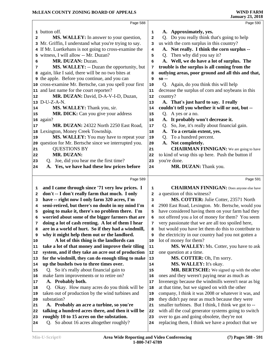|          | Page 588                                                                              |             | Page 590                                                                                         |
|----------|---------------------------------------------------------------------------------------|-------------|--------------------------------------------------------------------------------------------------|
|          | 1 button off.                                                                         | 1           | A. Approximately, yes.                                                                           |
| 2        | MS. WALLEY: In answer to your question,                                               | 2           | Q. Do you really think that's going to help                                                      |
|          | 3 Mr. Griffin, I understand what you're trying to say.                                | 3           | us with the corn surplus in this country?                                                        |
|          | 4 If Mr. Luetkehans is not going to cross-examine the                                 | 4           | A. Not really. I think the corn surplus --                                                       |
|          | 5 witness, I will allow -- Mr. Duzan?                                                 | 5           | Q. Then why did you say it?                                                                      |
| 6        | MR. DUZAN: Duzan.                                                                     | 6           | A. Well, we do have a lot of surplus. The                                                        |
| 7        | MS. WALLEY: -- Duzan the opportunity, but                                             | 7           | trouble is the surplus is all coming from the                                                    |
|          | 8 again, like I said, there will be no two bites at                                   | 8           | outlying areas, poor ground and all this and that,                                               |
|          | <b>9</b> the apple. Before you continue, and you can                                  | 9           | $so -$                                                                                           |
|          | 10 cross-examine Mr. Bertsche, can you spell your first                               | 10          | Q. Again, do you think this will help                                                            |
|          | 11 and last name for the court reporter?                                              | 11          | decrease the surplus of corn and soybeans in this                                                |
| 12       | MR. DUZAN: David, D-A-V-I-D, Duzan,                                                   | 12          | country?                                                                                         |
|          | 13 D-U-Z-A-N.                                                                         | 13          | A. That's just hard to say. I really                                                             |
| 14       | MS. WALLEY: Thank you, sir.                                                           | 14          | couldn't tell you whether it will or not, but --                                                 |
| 15       | MR. DICK: Can you give your address                                                   | 15          | Q. A yes or a no.                                                                                |
|          | 16 again?                                                                             | 16          | A. It probably won't decrease it.                                                                |
| 17       | MR. DUZAN: 24322 North 2250 East Road,                                                | 17          | Q. So, Joe, it's really about financial gain.                                                    |
|          | 18 Lexington, Money Creek Township.                                                   | 18          | A. To a certain extent, yes.                                                                     |
| 19       | MS. WALLEY: You may have to repeat your                                               | 19          | Q. To a hundred percent.                                                                         |
|          | 20 question for Mr. Bertsche since we interrupted you.                                | 20          | A. Not completely.                                                                               |
| 21       | <b>QUESTIONS BY</b>                                                                   | 21          | <b>CHAIRMAN FINNIGAN:</b> We are going to have                                                   |
| 22       | <b>MR. DUZAN:</b>                                                                     | 22          | to kind of wrap this up here. Push the button if                                                 |
| 23       | Q. Joe, did you hear me the first time?                                               | 23          | you're done.                                                                                     |
| 24       | A. Yes, we have had these low prices before                                           | 24          | MR. DUZAN: Thank you.                                                                            |
|          |                                                                                       |             |                                                                                                  |
|          |                                                                                       |             |                                                                                                  |
|          | Page 589                                                                              |             | Page 591                                                                                         |
| 1        | and I came through since '71 very low prices. I                                       | $\mathbf 1$ | <b>CHAIRMAN FINNIGAN:</b> Does anyone else have                                                  |
| 2        | don't -- I don't really farm that much. I only                                        | 2           | a question of this witness?                                                                      |
| з        | have -- right now I only farm 320 acres, I'm                                          | 3           | MS. COTTER: Julie Cotter, 23571 North                                                            |
| 4        | semi-retired, but there's no doubt in my mind I'm                                     | 4           | 2900 East Road, Lexington. Mr. Bertsche, would you                                               |
| 5        | going to make it, there's no problem there. I'm                                       | 5           | have considered having them on your farm had they                                                |
| 6        | worried about some of the bigger farmers that are                                     | 6           | not offered you a lot of money for them? You seem                                                |
| 7        | doing a lot of cash renting. A lot of them I hear                                     | 7           | very passionate that we are all too spoiled here,                                                |
| 8        | are in a world of hurt. So if they had a windmill,                                    | 8           | but would you have let them do this to contribute to                                             |
| 9        | why it might help them out or the landlord.                                           | 9           | the electricity in our country had you not gotten a                                              |
| 10       | A lot of this thing is the landlords can                                              | 10          | lot of money for them?                                                                           |
| 11       | take a lot of that money and improve their tiling                                     | 11          | MS. WALLEY: Ms. Cotter, you have to ask                                                          |
|          | system, and if they take an acre out of production                                    | 12          | one question at a time.                                                                          |
| 13       | for the windmill, they can do enough tiling to make                                   | 13          | MS. COTTER: Oh, I'm sorry.                                                                       |
| 12<br>14 | up the bushels two to three times over.                                               | 14          | MS. WALLEY: It's okay.                                                                           |
| 15       | Q. So it's really about financial gain to                                             | 15          | MR. BERTSCHE: We signed up with the other                                                        |
| 16       | make farm improvements or to retire on?                                               | 16          | ones and they weren't paying near as much as                                                     |
| 17       | A. Probably both.                                                                     | 17          | Invenergy because the windmills weren't near as big                                              |
| 18       | Q. Okay. How many acres do you think will be                                          | 18          | at that time, but we signed on with the other                                                    |
| 19       | taken out of production by the wind turbines and                                      | 19          | company, I think it was 2008 or whatever it was, and                                             |
| 20       | substation?                                                                           | 20          | they didn't pay near as much because they were                                                   |
| 21       | A. Probably an acre a turbine, so you're                                              | 21          | smaller turbines. But I think, I think we got to --                                              |
| 22       | talking a hundred acres there, and then it will be                                    | 22          | with all the coal generator systems going to switch                                              |
| 23<br>24 | roughly 10 to 15 acres on the substation.<br>Q. So about 16 acres altogether roughly? | 23<br>24    | over to gas and going obsolete, they're not<br>replacing them, I think we have a product that we |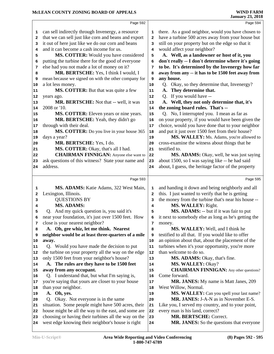|    |                                                      |              | January 23, 2018                                       |
|----|------------------------------------------------------|--------------|--------------------------------------------------------|
|    | Page 592                                             |              | Page 594                                               |
| 1  | can sell indirectly through Invenergy, a resource    | 1            | there. As a good neighbor, would you have chosen to    |
| 2  | that we can sell just like corn and beans and export | $\mathbf{2}$ | have a turbine 500 acres away from your house but      |
| з  | it out of here just like we do our corn and beans    | 3            | still on your property but on the edge so that it      |
| 4  | and it can become a cash income for us.              | 4            | would affect your neighbor?                            |
| 5  | MS. COTTER: Would you have considered                | 5            | A. Well, as a landowner or host of it, you             |
| 6  | putting the turbine there for the good of everyone   | 6            | don't really -- I don't determine where it's going     |
| 7  | else had you not made a lot of money on it?          | 7            | to be. It's determined by the Invenergy how far        |
| 8  | MR. BERTSCHE: Yes, I think I would, I                | 8            | away from any -- it has to be 1500 feet away from      |
| 9  | mean because we signed on with the other company for | 9            | any house.                                             |
| 10 | a lot less money.                                    | 10           | Q. Okay, so they determine that, Invenergy?            |
| 11 | MS. COTTER: But that was quite a few                 | 11           | A. They determine that.                                |
| 12 | years ago.                                           | 12           | Q. If you would have --                                |
| 13 | MR. BERTSCHE: Not that -- well, it was               | 13           | A. Well, they not only determine that, it's            |
| 14 | 2008 or '10.                                         | 14           | the zoning board rules. That's --                      |
| 15 | MS. COTTER: Eleven years or nine years.              | 15           | Q. No, I interrupted you. I mean as far as             |
| 16 | MR. BERTSCHE: Yeah, they didn't go                   | 16           | on your property, if you would have been given the     |
| 17 | through with their deal.                             | $17\,$       | choice, would you have done that to your neighbor      |
| 18 | MS. COTTER: Do you live in your house 365            | 18           | and put it just over 1500 feet from their house?       |
| 19 | days a year?                                         | 19           | MS. WALLEY: Ms. Adams, you're allowed to               |
| 20 | MR. BERTSCHE: Yes, I do.                             | 20           | cross-examine the witness about things that he         |
| 21 | MS. COTTER: Okay, that's all I had.                  | 21           | testified to.                                          |
| 22 | <b>CHAIRMAN FINNIGAN:</b> Anyone else want to        | 22           | MS. ADAMS: Okay, well, he was just saying              |
| 23 | ask questions of this witness? State your name and   | 23           | about 1500, so I was saying like -- he had said        |
| 24 | address.                                             | 24           | about, I guess, the heritage factor of the property    |
|    |                                                      |              |                                                        |
|    | Page 593                                             |              | Page 595                                               |
| 1  | MS. ADAMS: Katie Adams, 322 West Main,               | 1            | and handing it down and being neighborly and all       |
| 2  | Lexington, Illinois.                                 | $\mathbf{2}$ | this. I just wanted to verify that he is getting       |
| 3  | <b>QUESTIONS BY</b>                                  | 3            | the money from the turbine that's near his house --    |
| 4  | <b>MS. ADAMS:</b>                                    | 4            | MS. WALLEY: Right.                                     |
| 5  | Q. And my quick question is, you said it's           | 5            | MS. ADAMS: -- but if it was fair to put                |
|    | near your foundation, it's just over 1500 feet. How  |              | 6 it next to somebody else as long as he's getting the |
| 7  | close is your nearest neighbor?                      | 7            | money.                                                 |
| 8  | A. Oh, gee whiz, let me think. Nearest               | 8            | MS. WALLEY: Well, and I think he                       |
| 9  | neighbor would be at least three-quarters of a mile  | 9            | testified to all that. If you would like to offer      |
| 10 | away.                                                | ${\bf 10}$   | an opinion about that, about the placement of the      |
| 11 | Q. Would you have made the decision to put           | 11           | turbines when it's your opportunity, you're more       |
| 12 | the turbine on your property all the way on the edge | 12           | than welcome to do so.                                 |
| 13 | only 1500 feet from your neighbor's house?           | 13           | MS. ADAMS: Okay, that's fine.                          |
| 14 | A. The rules are they have to be 1500 feet           | 14           | MS. WALLEY: Okay?                                      |
| 15 | away from any occupant.                              | 15           | <b>CHAIRMAN FINNIGAN:</b> Any other questions?         |
| 16 | Q. I understand that, but what I'm saying is,        | 16           | Come forward.                                          |
| 17 | you're saying that yours are closer to your house    | $17\,$       | MR. JANES: My name is Matt Janes, 209                  |
| 18 | than your neighbor.                                  | 18           | West Willow, Normal.                                   |
| 19 | A. Oh, yes.                                          | 19           | MS. WALLEY: Can you spell your last name?              |
| 20 | Q. Okay. Not everyone is in the same                 | 20           | MR. JANES: J-A-N as in November E-S.                   |
| 21 | situation. Some people might have 500 acres, their   | 21           | Like you, I served my country, and to your point,      |
| 22 | house might be all the way to the east, and some are | 22           | every man is his land, correct?                        |
| 23 | choosing or having their turbines all the way on the | 23           | <b>MR. BERTSCHE: Correct.</b>                          |
| 24 | west edge knowing their neighbor's house is right    | 24           | MR. JANES: So the questions that everyone              |
|    |                                                      |              |                                                        |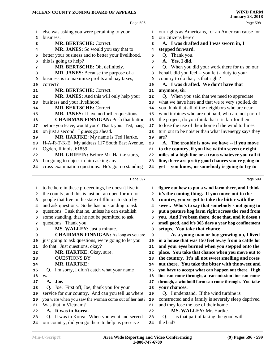|              | Page 596                                             |                | Page 598                                             |
|--------------|------------------------------------------------------|----------------|------------------------------------------------------|
| 1            | else was asking you were pertaining to your          | 1              | our rights as Americans, for an American cause for   |
| $\mathbf{2}$ | business.                                            | $\overline{a}$ | our citizens here?                                   |
| 3            | <b>MR. BERTSCHE: Correct.</b>                        | 3              | A. I was drafted and I was sworn in, I               |
| 4            | MR. JANES: So would you say that to                  | 4              | stepped forward.                                     |
| 5            | better your business and to better your livelihood,  | 5              | Q. Thank you.                                        |
| 6            | this is going to help?                               | 6              | A. Yes, I did.                                       |
| 7            | MR. BERTSCHE: Oh, definitely.                        | 7              | Q. When you did your work there for us on our        |
| 8            | MR. JANES: Because the purpose of a                  | 8              | behalf, did you feel -- you felt a duty to your      |
| 9            | business is to maximize profits and pay taxes,       | 9              | country to do that; is that right?                   |
| 10           | correct?                                             | 10             | A. I was drafted. We don't have that                 |
| 11           | MR. BERTSCHE: Correct.                               | 11             | anymore, sir.                                        |
| 12           | MR. JANES: And this will only help your              | 12             | Q. When you said that we need to appreciate          |
| 13           | business and your livelihood.                        | 13             | what we have here and that we're very spoiled, do    |
| 14           | <b>MR. BERTSCHE: Correct.</b>                        | 14             | you think that all of the neighbors who are near     |
|              | MR. JANES: I have no further questions.              | 15             | wind turbines who are not paid, who are not part of  |
| 15           | <b>CHAIRMAN FINNIGAN: Push that button</b>           |                | the project, do you think that it is fair for them   |
| 16           | before you leave, would you? Thank you. Ted, hang    | 16<br>17       | to lose the use of their home if the wind turbines   |
| 17           | on just a second. I guess go ahead.                  |                | turn out to be noisier than what Invenergy says they |
| 18           | MR. HARTKE: My name is Ted Hartke,                   | 18<br>19       | are?                                                 |
| 19           | H-A-R-T-K-E. My address 117 South East Avenue,       |                | A. The trouble is now we have -- if you move         |
| 20<br>21     | Ogden, Illinois, 61859.                              | 20<br>21       | to the country, if you live within seven or eight    |
| 22           | MR. GRIFFIN: Before Mr. Hartke starts,               | 22             | miles of a high line or a trans whatever you call it |
| 23           | I'm going to object to him asking any                | 23             | line, there are pretty good chances you're going to  |
| 24           | cross-examination questions. He's got no standing    | 24             | get -- you know, or somebody is going to try to      |
|              |                                                      |                |                                                      |
|              | Page 597                                             |                | Page 599                                             |
| 1            | to be here in these proceedings, he doesn't live in  | 1              | figure out how to put a wind farm there, and I think |
| 2            | the county, and this is just not an open forum for   | 2              | it's the coming thing. If you move out to the        |
| 3            | people that live in the state of Illinois to stop by | 3              | country, you've got to take the bitter with the      |
| 4            | and ask questions. So he has no standing to ask      | 4              | sweet. Who's to say that somebody's not going to     |
| 5            | questions. I ask that he, unless he can establish    | 5              | put a pasture hog farm right across the road from    |
| 6            | some standing, that he not be permitted to ask       | 6              | you. And I've been there, done that, and it doesn't  |
| 7            | questions. Thank you.                                | 7              | smell good, and it's 365 days a year hog confinement |
| 8            | MS. WALLEY: Just a minute.                           | 8              | setups. You take that chance.                        |
| 9            | <b>CHAIRMAN FINNIGAN:</b> As long as you are         | 9              | As a young man or boy growing up, I lived            |
| 10           | just going to ask questions, we're going to let you  | 10             | in a house that was 150 feet away from a cattle lot  |
| 11           | do that. Just questions, okay?                       | 11             | and your eyes burned when you stepped onto the       |
| 12           | MR. HARTKE: Okay, sure.                              | 12             | place. You take that chance when you move out to     |
| 13           | <b>QUESTIONS BY</b>                                  | 13             | the country. It's all not sweet smelling and roses   |
| 14           | MR. HARTKE:                                          | 14             | out there. You take the bitter with the sweet and    |
| 15           | I'm sorry, I didn't catch what your name<br>Q.       | 15             | you have to accept what can happen out there. High   |
| 16           | was.                                                 | 16             | line can come through, a transmission line can come  |
| 17           | A. Joe.                                              | 17             | through, a windmill farm can come through. You take  |
| 18           | Q. Joe. First off, Joe, thank you for your           | 18             | your chances.                                        |
| 19           | service for our country. And can you tell us where   | 19             | Q. I understand. If the wind turbine is              |
| 20           | you were when you saw the woman come out of her hut? | 20             | constructed and a family is severely sleep deprived  |
| 21           | Was that in Vietnam?                                 | 21             | and they lose the use of their home --               |
| 22           | A. It was in Korea.                                  | 22             | MS. WALLEY: Mr. Hartke.                              |
| 23           | Q. It was in Korea. When you went and served         | 23             | Q. -- is that part of taking the good with           |
| 24           | our country, did you go there to help us preserve    | 24             | the bad?                                             |
|              |                                                      |                |                                                      |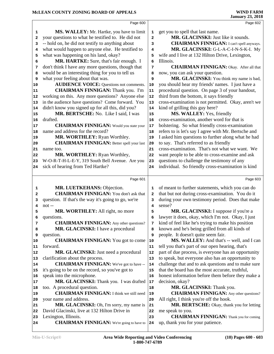|                              | Page 600                                            |                              | Page 602                                                     |
|------------------------------|-----------------------------------------------------|------------------------------|--------------------------------------------------------------|
|                              | MS. WALLEY: Mr. Hartke, you have to limit           |                              | get you to spell that last name.                             |
| 1<br>$\overline{\mathbf{2}}$ | your questions to what he testified to. He did not  | 1<br>$\overline{\mathbf{2}}$ | MR. GLACINSKI: Just like it sounds.                          |
|                              | -- hold on, he did not testify to anything about    | 3                            | <b>CHAIRMAN FINNIGAN:</b> I can't spell anyways.             |
| 3                            | what would happen to anyone else. He testified to   |                              | MR. GLACINSKI: G-L-A-C-I-N-S-K-I. My                         |
| 4                            | what was happening on his land, okay?               | 4                            |                                                              |
| 5                            | MR. HARTKE: Sure, that's fair enough. I             | 5                            | wife and I live at 132 Hilton Drive, Lexington,<br>Illinois. |
| 6                            |                                                     | 6                            | <b>CHAIRMAN FINNIGAN:</b> Okay. After all that               |
| 7                            | don't think I have any more questions, though that  | 7                            |                                                              |
| 8                            | would be an interesting thing for you to tell us    | 8                            | now, you can ask your question.                              |
| 9                            | what your feeling about that was.                   | 9                            | MR. GLACINSKI: You think my name is bad,                     |
| 10                           | <b>AUDIENCE VOICE:</b> Questions not comments.      | 10                           | you should hear my friends' names. I just have a             |
| 11                           | <b>CHAIRMAN FINNIGAN:</b> Thank you. I'm            | 11                           | procedural question. On page 3 of your handout,              |
| 12                           | working on this. Any more questions? Anyone else    | 12                           | third from the bottom, it says friendly                      |
| 13                           | in the audience have questions? Come forward. You   | 13                           | cross-examination is not permitted. Okay, aren't we          |
| 14                           | didn't know you signed up for all this, did you?    | 14                           | kind of grilling this guy here?                              |
| 15                           | MR. BERTSCHE: No. Like I said, I was                | 15                           | MS. WALLEY: Yes, friendly                                    |
| 16                           | drafted.                                            | 16                           | cross-examination, another word for that is                  |
| 17                           | <b>CHAIRMAN FINNIGAN:</b> Would you state your      | 17                           | bolstering. So what friendly cross-examination               |
| 18                           | name and address for the record?                    | 18                           | refers to is let's say I agree with Mr. Bertsche and         |
| 19                           | MR. WORTHLEY: Ryan Worthley.                        | 19                           | I asked him questions to further along what he had           |
| 20                           | <b>CHAIRMAN FINNIGAN:</b> Better spell your last    | 20                           | to say. That's referred to as friendly                       |
| 21                           | name too.                                           | 21                           | cross-examination. That's not what we want. We               |
| 22                           | MR. WORTHLEY: Ryan Worthley,                        | 22                           | want people to be able to cross-examine and ask              |
| 23                           | W-O-R-T-H-L-E-Y, 319 South Bell Avenue. Are you     | 23                           | questions to challenge the testimony of any                  |
| 24                           | sick of hearing from Ted Hartke?                    | 24                           | individual. So friendly cross-examination is kind            |
|                              |                                                     |                              |                                                              |
|                              |                                                     |                              |                                                              |
|                              | Page 601                                            |                              | Page 603                                                     |
| 1                            | MR. LUETKEHANS: Objection.                          | 1                            | of meant to further statements, which you can do             |
| 2                            | <b>CHAIRMAN FINNIGAN:</b> You don't ask that        | 2                            | that but not during cross-examination. You do it             |
| 3                            | question. If that's the way it's going to go, we're | 3                            | during your own testimony period. Does that make             |
| 4                            | $not$ --                                            | 4                            | sense?                                                       |
| 5                            | MR. WORTHLEY: All right, no more                    | 5                            | MR. GLACINSKI: I suppose if you're a                         |
| 6                            | questions.                                          | 6                            | lawyer it does, okay, which I'm not. Okay, I just            |
| 7                            | <b>CHAIRMAN FINNIGAN:</b> Any other questions?      | 7                            | kind of feel like he's trying to make his position           |
| 8                            | MR. GLACINSKI: I have a procedural                  | 8                            | known and he's being grilled from all kinds of               |
| 9                            | question.                                           | 9                            | people. It doesn't quite seem fair.                          |
| 10                           | <b>CHAIRMAN FINNIGAN:</b> You got to come           | 10                           | MS. WALLEY: And that's -- well, and I can                    |
| 11                           | forward.                                            | 11                           | tell you that's part of our open hearing, that's             |
| 12                           | MR. GLACINSKI: Just need a procedural               | 12                           | part of due process, is everyone has an opportunity          |
| 13                           | clarification about the process.                    | 13                           | to speak, but everyone also has an opportunity to            |
| 14                           | <b>CHAIRMAN FINNIGAN:</b> We've got to have --      | 14                           | challenge that and to ask questions and to make sure         |
| 15                           | it's going to be on the record, so you've got to    | 15                           | that the board has the most accurate, truthful,              |
| 16                           | speak into the microphone.                          | 16                           | honest information before them before they make a            |
| 17                           | MR. GLACINSKI: Thank you. I was drafted             | 17                           | decision, okay?                                              |
| 18                           | too. A procedural question.                         | 18                           | MR. GLACINSKI: Thank you.                                    |
| 19                           | <b>CHAIRMAN FINNIGAN:</b> I think we still need     | 19                           | <b>CHAIRMAN FINNIGAN:</b> Any other questions?               |
| 20                           | your name and address.                              | 20                           | All right, I think you're off the hook.                      |
| 21                           | MR. GLACINSKI: Oh, I'm sorry, my name is            | 21                           | MR. BERTSCHE: Okay, thank you for letting                    |
| 22                           | David Glacinski, live at 132 Hilton Drive in        | 22                           | me speak to you.                                             |
| 23                           | Lexington, Illinois.                                | 23                           | <b>CHAIRMAN FINNIGAN:</b> Thank you for coming               |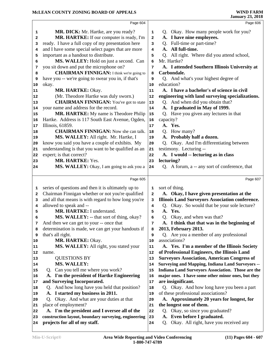|          | Page 604                                                                                              |          | Page 606                                                                  |  |
|----------|-------------------------------------------------------------------------------------------------------|----------|---------------------------------------------------------------------------|--|
| 1        | MR. DICK: Mr. Hartke, are you ready?                                                                  | 1        | Q. Okay. How many people work for you?                                    |  |
| 2        | MR. HARTKE: If our computer is ready, I'm                                                             | 2        | A. I have nine employees.                                                 |  |
| з        | ready. I have a full copy of my presentation here                                                     | 3        | Q. Full-time or part-time?                                                |  |
| 4        | and I have some special select pages that are more                                                    | 4        | All full-time.<br>A.                                                      |  |
| 5        | important as a handout to distribute.                                                                 | 5        | Q. All right. Where did you attend school,                                |  |
| 6        | MS. WALLEY: Hold on just a second. Can                                                                | 6        | Mr. Hartke?                                                               |  |
| 7        | you sit down and put the microphone on?                                                               | 7        | A. I attended Southern Illinois University at                             |  |
| 8        | <b>CHAIRMAN FINNIGAN:</b> I think we're going to                                                      | 8        | Carbondale.                                                               |  |
| 9        | have you -- we're going to swear you in, if that's                                                    | 9        | Q. And what's your highest degree of                                      |  |
| 10       | okay.                                                                                                 | 10       | education?                                                                |  |
| 11       | MR. HARTKE: Okay.                                                                                     | 11       | A. I have a bachelor's of science in civil                                |  |
| 12       | (Mr. Theodore Hartke was duly sworn.)                                                                 | 12       | engineering with land surveying specializations.                          |  |
| 13       | <b>CHAIRMAN FINNIGAN:</b> You've got to state                                                         | $13$     | Q. And when did you obtain that?                                          |  |
| 14       | your name and address for the record.                                                                 | 14       | A. I graduated in May of 1999.                                            |  |
| 15       | MR. HARTKE: My name is Theodore Philip                                                                | 15       | Q. Have you given any lectures in that                                    |  |
| 16       | Hartke. Address is 117 South East Avenue, Ogden,                                                      | 16       | capacity?                                                                 |  |
| 17       | Illinois, 61859.                                                                                      | 17       | A. Yes.                                                                   |  |
| 18       | <b>CHAIRMAN FINNIGAN:</b> Now she can talk.                                                           | 18       | Q. How many?                                                              |  |
| 19       | MS. WALLEY: All right. Mr. Hartke, I                                                                  | 19       | A. Probably half a dozen.                                                 |  |
| 20       | know you said you have a couple of exhibits. My                                                       | 20       | Okay. And I'm differentiating between<br>Q.                               |  |
| 21       | understanding is that you want to be qualified as an                                                  | 21       | testimony. Lecturing --                                                   |  |
| 22       | expert; is that correct?                                                                              | 22       | A. I would -- lecturing as in class                                       |  |
| 23       | MR. HARTKE: Yes.                                                                                      | 23       | lecturing?                                                                |  |
| 24       | MS. WALLEY: Okay, I am going to ask you a                                                             | 24       | Q. A forum, a -- any sort of conference, that                             |  |
|          |                                                                                                       |          |                                                                           |  |
|          | Page 605                                                                                              |          | Page 607                                                                  |  |
| 1        | series of questions and then it is ultimately up to                                                   | 1        | sort of thing.                                                            |  |
| 2        | Chairman Finnigan whether or not you're qualified                                                     | 2        | A. Okay, I have given presentation at the                                 |  |
| з        | and all that means is with regard to how long you're                                                  | 3        | <b>Illinois Land Surveyors Association conference.</b>                    |  |
| 4        | allowed to speak and --                                                                               | 4        | Okay. So would that be your sole lecture?<br>Q.                           |  |
| 5        | MR. HARTKE: I understand.                                                                             | 5        | A. Yes.                                                                   |  |
| 6        | MS. WALLEY: -- that sort of thing, okay?                                                              | 6        | Q. Okay, and when was that?                                               |  |
| 7        | And then we can get to your -- once that                                                              | 7        | A. I think that that was in the beginning of                              |  |
| 8        | determination is made, we can get your handouts if                                                    | 8        | 2013, February 2013.                                                      |  |
| 9        | that's all right.                                                                                     | 9        | Q. Are you a member of any professional                                   |  |
| 10       | MR. HARTKE: Okay.                                                                                     | 10       | associations?                                                             |  |
| 11       | MS. WALLEY: All right, you stated your                                                                | 11       | A. Yes. I'm a member of the Illinois Society                              |  |
| 12       | name.                                                                                                 | 12       | of Professional Engineers, the Illinois Land                              |  |
| 13       | <b>QUESTIONS BY</b>                                                                                   | 13       | <b>Surveyors Association, American Congress of</b>                        |  |
| 14       | <b>MS. WALLEY:</b>                                                                                    | 14       | <b>Surveying and Mapping, Indiana Land Surveyors --</b>                   |  |
| 15       | Q. Can you tell me where you work?                                                                    | 15       | <b>Indiana Land Surveyors Association. Those are the</b>                  |  |
| 16       | A. I'm the president of Hartke Engineering                                                            | 16       | major ones. I have some other minor ones, but they                        |  |
| 17       | and Surveying Incorporated.                                                                           | 17       | are insignificant.                                                        |  |
| 18       | Q. And how long have you held that position?                                                          | 18       | Q. Okay. And how long have you been a part                                |  |
| 19       | A. I started my business in 2011.                                                                     | 19       | of these professional associations?                                       |  |
| 20       | Q. Okay. And what are your duties at that                                                             | 20       | A. Approximately 20 years for longest, for                                |  |
| 21       | place of employment?                                                                                  | 21       | the longest one of them.                                                  |  |
| 22<br>23 | A. I'm the president and I oversee all of the<br>construction layout, boundary surveying, engineering | 22<br>23 | Q. Okay, so since you graduated?<br>Even before I graduated.<br><b>A.</b> |  |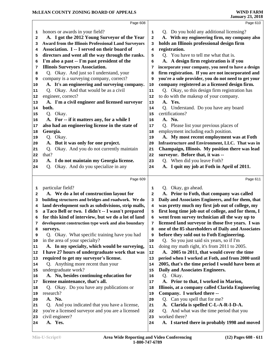| Page 608                                                                                                                                                                   |          |
|----------------------------------------------------------------------------------------------------------------------------------------------------------------------------|----------|
|                                                                                                                                                                            | Page 610 |
| honors or awards in your field?<br>Q. Do you hold any additional licensing?<br>1<br>1                                                                                      |          |
| A. With my engineering firm, my company also<br>A. I got the 2012 Young Surveyor of the Year<br>$\overline{\mathbf{2}}$<br>2                                               |          |
| holds an Illinois professional design firm<br><b>Award from the Illinois Professional Land Surveyors</b><br>3<br>3                                                         |          |
| Association. I -- I served on their board of<br>registration.<br>4<br>4                                                                                                    |          |
| directors and went all the way through the ranks.<br>Q. You have to tell me what that is.<br>5<br>5                                                                        |          |
| A. A design firm registration is if you<br>I'm also a past -- I'm past president of the<br>6<br>6                                                                          |          |
| <b>Illinois Surveyors Association.</b><br>incorporate your company, you need to have a design<br>7<br>7                                                                    |          |
| firm registration. If you are not incorporated and<br>Q. Okay. And just so I understand, your<br>8<br>8                                                                    |          |
| company is a surveying company, correct?<br>you're a sole provider, you do not need to get your<br>9<br>9                                                                  |          |
| A. It's an engineering and surveying company.<br>company registered as a licensed design firm.<br>10<br>10                                                                 |          |
| Q. Okay. And that would be as a civil<br>Q. Okay, so this design firm registration has<br>11<br>11                                                                         |          |
| engineer, correct?<br>to do with the makeup of your company.<br>12<br>12                                                                                                   |          |
| A. I'm a civil engineer and licensed surveyor<br>A. Yes.<br>13<br>13                                                                                                       |          |
| Q. Understand. Do you have any board<br>both.<br>14<br>14                                                                                                                  |          |
| Q. Okay.<br>certifications?<br>15<br>15                                                                                                                                    |          |
| A. For -- if it matters any, for a while I<br>A. No.<br>16<br>16                                                                                                           |          |
| also had an engineering license in the state of<br>Q. Please list your previous places of<br>17<br>17                                                                      |          |
| Georgia.<br>employment including each position.<br>18<br>18                                                                                                                |          |
| A. My most recent employment was at Foth<br>Q. Okay.<br>19<br>19                                                                                                           |          |
|                                                                                                                                                                            |          |
| A. But it was only for one project.<br>Infrastructure and Environment, LLC. That was in<br>20<br>20                                                                        |          |
| Q. Okay. And you do not currently maintain<br>Champaign, Illinois. My position there was lead<br>21<br>21                                                                  |          |
| that?<br>surveyor. Before that, it was --<br>22<br>22                                                                                                                      |          |
| Q. When did you leave Foth?<br>A. I do not maintain my Georgia license.<br>23<br>23                                                                                        |          |
| Q. Okay. And do you specialize in any<br>A. I quit my job at Foth in April of 2011.<br>24<br>24                                                                            |          |
| Page 609                                                                                                                                                                   | Page 611 |
|                                                                                                                                                                            |          |
| particular field?<br>Q. Okay, go ahead.<br>1<br>1<br>2                                                                                                                     |          |
| A. We do a lot of construction layout for<br>A. Prior to Foth, that company was called<br>2                                                                                |          |
| Daily and Associates Engineers, and for them, that<br>building structures and bridges and roadwork. We do<br>3<br>3<br>4<br>4                                              |          |
| land development such as subdivisions, strip malls,<br>was pretty much my first job out of college, my<br>5<br>5                                                           |          |
| a Taco Bell or two. I didn't -- I wasn't prepared<br>first long time job out of college, and for them, I<br>went from survey technician all the way up to<br>6<br>6        |          |
| for this kind of interview, but we do a lot of land<br>licensed land surveyor in those five years. I was<br>development construction type work and also boundary<br>7<br>7 |          |
| one of the 85 shareholders of Daily and Associates<br>surveys.<br>8<br>8                                                                                                   |          |
| before they sold out to Foth Engineering.<br>Q. Okay. What specific training have you had<br>9<br>9                                                                        |          |
| Q. So you just said six years, so if I'm<br>in the area of your specialty?<br>10                                                                                           |          |
| A. In my specialty, which would be surveying,<br>doing my math right, it's from 2011 to 2005.<br>11                                                                        |          |
| I have 27 hours of undergraduate work that was<br>A. 2005 to 2011, that would cover the time<br>12                                                                         |          |
| required to get my surveyor's license.<br>period when I worked at Foth, and from 2000 until<br>13                                                                          |          |
| Q. Anything more recent than your<br>2005, that's the time period I would have been at<br>14                                                                               |          |
| undergraduate work?<br>Daily and Associates Engineers.<br>15                                                                                                               |          |
| A. No, besides continuing education for<br>Q. Okay.<br>16                                                                                                                  |          |
| license maintenance, that's all.<br>A. Prior to that, I worked in Marion,<br>17                                                                                            |          |
| Q. Okay. Do you have any publications or<br>Illinois, at a company called Clarida Engineering<br>18                                                                        |          |
| Company. I worked there --<br>research?<br>19                                                                                                                              |          |
| 10<br>11<br>12<br>13<br>14<br>15<br>16<br>17<br>18<br>19<br>A. No.<br>Q. Can you spell that for me?<br>20<br>20                                                            |          |
| Q. And you indicated that you have a license,<br>A. Clarida is spelled C-L-A-R-I-D-A.<br>21                                                                                |          |
| 21<br>you're a licensed surveyor and you are a licensed<br>Q. And what was the time period that you<br>22<br>22                                                            |          |
| civil engineer?<br>worked there?<br>23<br>23<br>A. Yes.<br>A. I started there in probably 1998 and moved<br>24<br>24                                                       |          |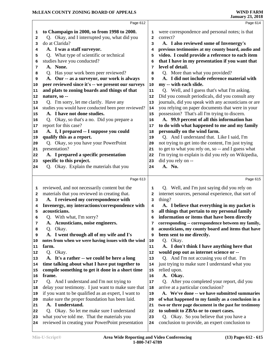|    | Page 612                                             |                | Page 614                                             |
|----|------------------------------------------------------|----------------|------------------------------------------------------|
| 1  | to Champaign in 2000, so from 1998 to 2000.          | 1              | were correspondence and personal notes; is that      |
| 2  | Q. Okay, and I interrupted you, what did you         | $\overline{a}$ | correct?                                             |
| 3  | do at Clarida?                                       | 3              | A. I also reviewed some of Invenergy's               |
| 4  | A. I was a staff surveyor.                           | 4              | previous testimonies at my county board, audio and   |
| 5  | Q. What type of scientific or technical              | 5              | video. I could provide a reference to each item      |
| 6  | studies have you conducted?                          | 6              | that I have in my presentation if you want that      |
| 7  | A. None.                                             | 7              | level of detail.                                     |
| 8  | Q. Has your work been peer reviewed?                 | 8              | Q. More than what you provided?                      |
| 9  | A. Our -- as a surveyor, our work is always          | 9              | A. I did not include reference material with         |
| 10 | peer reviewed since it's -- we present our surveys   | 10             | my -- with each slide.                               |
| 11 | and plats to zoning boards and things of that        | 11             | Q. Well, and I guess that's what I'm asking.         |
| 12 | nature, so --                                        | 12             | Did you consult periodicals, did you consult any     |
| 13 | Q. I'm sorry, let me clarify. Have any               | 13             | journals, did you speak with any acousticians or are |
| 14 | studies you would have conducted been peer reviewed? | 14             | you relying on paper documents that were in your     |
| 15 | A. I have not done studies.                          | 15             | possession? That's all I'm trying to discern.        |
| 16 | Q. Okay, so that's a no. Did you prepare a           | 16             | A. 99.9 percent of all this information has          |
| 17 | report for this case?                                | 17             | to do with what happened to me and my family         |
| 18 | A. I, I prepared -- I suppose you could              | 18             | personally on the wind farm.                         |
| 19 | qualify this as a report.                            | 19             | Q. And I understand that. Like I said, I'm           |
| 20 | Q. Okay, so you have your PowerPoint                 | 20             | not trying to get into the content, I'm just trying  |
| 21 | presentation?                                        | 21             | to get to what you rely on, so -- and I guess what   |
| 22 | A. I prepared a specific presentation                | 22             | I'm trying to explain is did you rely on Wikipedia,  |
| 23 | specific to this project.                            | 23             | did you rely on --                                   |
| 24 | Q. Okay. Explain the materials that you              | 24             | A. No.                                               |
|    |                                                      |                |                                                      |
|    | Page 613                                             |                | Page 615                                             |
| 1  | reviewed, and not necessarily content but the        | 1              | Q. Well, and I'm just saying did you rely on         |
| 2  | materials that you reviewed in creating that.        | 2              | internet sources, personal experience, that sort of  |
| з  | A. I reviewed my correspondence with                 | 3              | thing?                                               |
| 4  | Invenergy, my interactions/correspondence with       | 4              | A. I believe that everything in my packet is         |
| 5  | acousticians.                                        | 5              | all things that pertain to my personal family        |
| 6  | Q. With what, I'm sorry?                             | 6              | information or items that have been directly         |
| 7  | A. Acousticians, noise engineers.                    | 7              | corresponding -- correspondence between my family,   |
| 8  | Q. Okay.                                             | 8              | acousticians, my county board and items that have    |
| 9  | A. I went through all of my wife and I's             | 9              | been sent to me directly.                            |
| 10 | notes from when we were having issues with the wind  | 10             | Q. Okay.                                             |
| 11 | farm.                                                | 11             | A. I don't think I have anything here that           |
| 12 | Q. Okay.                                             | 12             | would pop out as internet science or --              |
| 13 | A. It's a rather -- we could be here a long          | 13             | Q. And I'm not accusing you of that. I'm             |
| 14 | time talking about what I have put together to       | 14             | just trying to make sure I understand what you       |
| 15 | compile something to get it done in a short time     | ${\bf 15}$     | relied upon.                                         |
| 16 | frame.                                               | 16             | A. Okay.                                             |
| 17 | Q. And I understand and I'm not trying to            | 17             | Q. After you completed your report, did you          |
| 18 | delay your testimony. I just want to make sure that  | 18             | arrive at a particular conclusion?                   |
| 19 | if you want to be qualified as an expert, I want to  | 19             | A. We've done -- we have submitted summaries         |
| 20 | make sure the proper foundation has been laid.       | 20             | of what happened to my family as a conclusion in a   |
| 21 | A. I understand.                                     | 21             | two or three page document in the past for testimony |
| 22 | Q. Okay. So let me make sure I understand            | 22             | to submit to ZBAs or to court cases.                 |
| 23 | what you've told me. That the materials you          | 23             | Q. Okay. So you believe that you have a              |
|    |                                                      |                | conclusion to provide, an expert conclusion to       |
| 24 | reviewed in creating your PowerPoint presentation    | 24             |                                                      |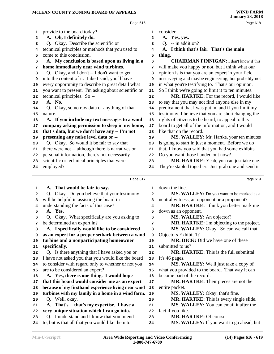|    | Page 616                                                                                      |    | Page 618                                                           |
|----|-----------------------------------------------------------------------------------------------|----|--------------------------------------------------------------------|
| 1  | provide to the board today?                                                                   | 1  | consider --                                                        |
| 2  | A. Oh, I definitely do.                                                                       | 2  | A. Yes, yes.                                                       |
| 3  | Q. Okay. Describe the scientific or                                                           | 3  | $Q. -in addition?$                                                 |
| 4  | technical principles or methods that you used to                                              | 4  | A. I think that's fair. That's the main                            |
| 5  | come to this conclusion.                                                                      | 5  | thing.                                                             |
| 6  | A. My conclusion is based upon us living in a                                                 | 6  | <b>CHAIRMAN FINNIGAN: I don't know if this</b>                     |
| 7  | home immediately near wind turbines.                                                          | 7  | will make you happy or not, but I think what our                   |
| 8  | Q. Okay, and I don't -- I don't want to get                                                   | 8  | opinion is is that you are an expert in your field                 |
| 9  | into the content of it. Like I said, you'll have                                              | 9  | in surveying and maybe engineering, but probably not               |
| 10 | every opportunity to describe in great detail what                                            | 10 | in what you're testifying to. That's our opinion.                  |
| 11 | you want to present. I'm asking about scientific or                                           | 11 | So I think we're going to limit it to ten minutes.                 |
| 12 | technical principles. So --                                                                   | 12 | MR. HARTKE: For the record, I would like                           |
| 13 | A. No.                                                                                        | 13 | to say that you may not find anyone else in my                     |
| 14 | Q. Okay, so no raw data or anything of that                                                   | 14 | predicament that I was put in, and if you limit my                 |
| 15 | nature.                                                                                       | 15 | testimony, I believe that you are shortchanging the                |
| 16 | A. If you include my text messages to a wind                                                  | 16 | rights of citizens to be heard, to appeal to this                  |
| 17 | company asking permission to sleep in my home,                                                | 17 | board to get all of the information, and I would                   |
| 18 | that's data, but we don't have any -- I'm not                                                 | 18 | like that on the record.                                           |
| 19 | presenting any noise level data or --                                                         | 19 | MS. WALLEY: Mr. Hartke, your ten minutes                           |
| 20 | Q. Okay. So would it be fair to say that                                                      | 20 | is going to start in just a moment. Before we do                   |
| 21 | there were not -- although there is narratives on                                             | 21 | that, I know you said that you had some exhibits.                  |
| 22 | personal information, there's not necessarily                                                 | 22 | Do you want those handed out now?                                  |
| 23 | scientific or technical principles that were                                                  | 23 | MR. HARTKE: Yeah, you can just take one.                           |
| 24 | employed?                                                                                     | 24 | They're stapled together. Just grab one and send it                |
|    | Page 617                                                                                      |    | Page 619                                                           |
| 1  | A. That would be fair to say.                                                                 | 1  | down the line.                                                     |
| 2  | Q. Okay. Do you believe that your testimony                                                   | 2  | MS. WALLEY: Do you want to be marked as a                          |
| 3  | will be helpful in assisting the board in                                                     | 3  | neutral witness, an opponent or a proponent?                       |
| 4  | understanding the facts of this case?                                                         | 4  | MR. HARTKE: I think you better mark me                             |
| 5  | A. Yes.                                                                                       | 5  | down as an opponent.                                               |
| 6  | Q. Okay. What specifically are you asking to                                                  | 6  | MS. WALLEY: An objector?                                           |
| 7  | be determined an expert in?                                                                   | 7  | MR. HARTKE: I'm objecting to the project.                          |
| 8  | A. I specifically would like to be considered                                                 | 8  | MS. WALLEY: Okay. So can we call that                              |
| 9  | as an expert for a proper setback between a wind                                              | 9  | Objectors Exhibit 1?                                               |
| 10 | turbine and a nonparticipating homeowner                                                      | 10 | <b>MR. DICK:</b> Did we have one of these                          |
| 11 | specifically.                                                                                 | 11 | submitted to us?                                                   |
| 12 | Q. Is there anything that I have asked you or                                                 | 12 | <b>MR. HARTKE:</b> This is the full submittal.                     |
| 13 | I have not asked you that you would like the board                                            | 13 | It's 46 pages.                                                     |
| 14 | to consider with regard only to whether or not you                                            | 14 | MS. WALLEY: We'll just take a copy of                              |
| 15 | are to be considered an expert?                                                               | 15 | what you provided to the board. That way it can                    |
| 16 | A. Yes, there is one thing. I would hope                                                      | 16 | become part of the record.                                         |
| 17 | that this board would consider me as an expert                                                | 17 | <b>MR. HARTKE:</b> Their pieces are not the                        |
| 18 | because of my firsthand experience living near wind                                           | 18 | entire packet.                                                     |
| 19 | turbines with my family in a home in a wind farm.                                             | 19 | MS. WALLEY: Okay, that's fine.                                     |
| 20 | Q. Well, okay.                                                                                | 20 | MR. HARTKE: This is every single slide.                            |
| 21 | A. That's -- that's my expertise. I have a                                                    | 21 | MS. WALLEY: You can email it after the                             |
| 22 | very unique situation which I can go into.                                                    | 22 | fact if you like.                                                  |
| 23 | Q. I understand and I know that you intend<br>to, but is that all that you would like them to | 23 | MR. HARTKE: Of course.<br>MS. WALLEY: If you want to go ahead, but |
| 24 |                                                                                               | 24 |                                                                    |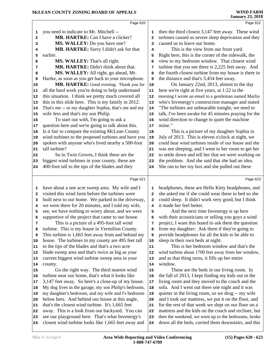|              | Page 620                                             |                         | Page 622                                             |
|--------------|------------------------------------------------------|-------------------------|------------------------------------------------------|
| 1            | you need to indicate to Mr. Mitchell --              | 1                       | then the third closest 3,147 feet away. These wind   |
| 2            | MR. HARTKE: Can I have a clicker?                    | $\overline{\mathbf{2}}$ | turbines caused us severe sleep deprivation and they |
| 3            | MS. WALLEY: Do you have one?                         | 3                       | caused us to leave our home.                         |
| 4            | MR. HARTKE: Sorry I didn't ask for that              | 4                       | This is the view from our front yard.                |
| 5            | earlier.                                             | 5                       | Right here, this is the corner of the sidewalk, the  |
| 6            | MS. WALLEY: That's all right.                        | 6                       | view to my bedroom window. That closest wind         |
| 7            | MR. HARTKE: Didn't think about that.                 | 7                       | turbine that you see there is 2,225 feet away. And   |
| 8            | MS. WALLEY: All right, go ahead, Mr.                 | 8                       | the fourth closest turbine from my house is there in |
| 9            | Hartke, as soon as you get back to your microphone.  | 9                       | the distance and that's 3,454 feet away.             |
| 10           | MR. HARTKE: Good evening. Thank you for              | 10                      | On January 22nd, 2013, almost to the day             |
| 11           | all the hard work you're doing to help understand    | 11                      | here we're right at five years, at 1:22 in the       |
| 12           | this situation. I think we pretty much covered all   | 12                      | morning I wrote an email to a gentleman named Marlin |
| 13           | this in this slide here. This is my family in 2012.  | 13                      | who's Invenergy's construction manager and stated    |
| 14           | That's me -- or my daughter Sophia, that's me and my | 14                      | "The turbines are unbearable tonight, we need to     |
| 15           | wife Jess and that's my son Philip.                  | 15                      | talk, I've been awake for 45 minutes praying for the |
| 16           | To start out with, I'm going to ask a                | 16                      | wind direction to change to quiet the machine        |
| 17           | question here and we're going to talk about this.    | 17                      | noise."                                              |
| 18           | Is it fair to compare the existing McLean County     | 18                      | This is a picture of my daughter Sophia in           |
| 19           | wind turbines to the proposed turbines and have you  | 19                      | July of 2013. This is eleven o'clock at night, we    |
| 20           | spoken with anyone who's lived nearby a 500-foot     | 20                      | could hear wind turbines inside of our house and she |
| 21           | tall turbine?                                        | 21                      | was not sleeping, and I went to her room to get her  |
| 22           | So in Twin Groves, I think these are the             | 22                      | to settle down and tell her that we were working on  |
| 23           | biggest wind turbines in your county, these are      | 23                      | the problem. And she said that she had an idea.      |
| 24           | 400-foot tall to the tips of the blades and they     | 24                      | She ran to her toy box and she pulled out these      |
|              |                                                      |                         |                                                      |
|              |                                                      |                         |                                                      |
|              | Page 621                                             |                         | Page 623                                             |
| 1            | have about a one acre sweep area. My wife and I      | 1                       | headphones, these are Hello Kitty headphones, and    |
| $\mathbf{2}$ | visited this wind farm before the turbines were      | $\overline{\mathbf{2}}$ | she asked me if she could wear these to bed so she   |
| 3            | built next to our home. We parked in the driveway,   | 3                       | could sleep. It didn't work very good, but I think   |
| 4            | we were there for 20 minutes, and I told my wife,    | 4                       | it made her feel better.                             |
| 5            | see, we have nothing to worry about, and we were     | 5                       | And the next time Invenergy is up here               |
| 6            | supportive of the project that came to our house.    | 6                       | with their acousticians or selling you guys a wind   |
| 7            | This is a picture of a 495-foot tall wind            | 7                       | project, I want this board to ask them the question  |
| 8            | turbine. This is my house in Vermilion County.       | 8                       | from my daughter: Ask them if they're going to       |
| 9            | This turbine is 1,665 feet away from and behind my   | 9                       | provide headphones for all the kids to be able to    |
| 10           | house. The turbines in my county are 495 feet tall   | 10                      | sleep in their own beds at night.                    |
| 11           | to the tips of the blades and that's a two acre      | ${\bf 11}$              | This is her bedroom window and that's the            |
| 12           | blade sweep area and that's twice as big as your     | 12                      | wind turbine about 1700 feet away from her window,   |
| 13           | current biggest wind turbine sweep area in your      | 13                      | and as that thing turns, it fills up her entire      |
| 14           | county.                                              | 14                      | window.                                              |
| 15           | Go the right way. The third nearest wind             | 15                      | These are the beds in our living room. In            |
| 16           | turbine near our home, that's what it looks like     | 16                      | the fall of 2013, I kept finding my kids out in the  |
| 17           | 3,147 feet away. So here's a close-up of my house.   | 17                      | living room and they moved to the couch and the      |
| 18           | My dog lives in the garage, my son Philip's bedroom, | 18                      | sofa. And I went out there one night and it was      |
| 19           | my daughter's bedroom, and my wife and I's bedroom   | 19                      | quieter in the living room, so we drug -- my wife    |
| 20           | below hers. And behind our house at this angle,      | 20                      | and I took our mattress, we put it on the floor, and |
| 21           | that's the closest wind turbine. It's 1,665 feet     | 21                      | for the rest of that week we slept on our floor on a |
| 22           | away. This is a look from our backyard. You can      | 22                      | mattress and the kids on the couch and recliner, but |
| 23           | see our playground here. That's what Invenergy's     | 23                      | then the weekend, we went up to the bedrooms, broke  |
| 24           | closest wind turbine looks like 1,665 feet away and  | 24                      | down all the beds, carried them downstairs, and this |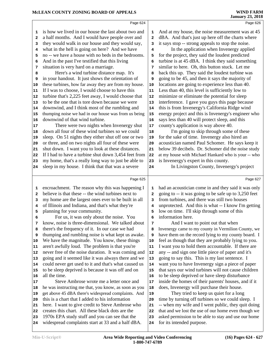|              |                                                                                                        |                          | January 25, 2016                                                                                 |
|--------------|--------------------------------------------------------------------------------------------------------|--------------------------|--------------------------------------------------------------------------------------------------|
|              | Page 624                                                                                               |                          | Page 626                                                                                         |
| 1            | is how we lived in our house the last about two and                                                    | 1                        | And at my house, the noise measurement was at 45                                                 |
| 2            | a half months. And I would have people over and                                                        | 2                        | dBA. And that's just up here off the charts where                                                |
| 3            | they would walk in our house and they would say,                                                       | 3                        | it says stop -- strong appeals to stop the noise.                                                |
| 4            | what in the hell is going on here? And we have                                                         | 4                        | In the application when Invenergy applied                                                        |
| 5            | no -- we have a house with no beds in the bedrooms.                                                    | 5                        | for the project, they said the loudest predicted                                                 |
| 6            | And in the past I've testified that this living                                                        | 6                        | turbine is at 45 dBA. I think they said something                                                |
| 7            | situation is very hard on a marriage.                                                                  | 7                        | similar to here. Oh, this button stuck. Let me                                                   |
| 8            | Here's a wind turbine distance map. It's                                                               | 8                        | back this up. They said the loudest turbine was                                                  |
| 9            | in your handout. It just shows the orientation of                                                      | 9                        | going to be 45, and then it says the majority of                                                 |
| 10           | these turbines, how far away they are from my house.                                                   | ${\bf 10}$               | locations are going to experience less than 40.                                                  |
| 11<br>12     | If I was to choose, I would choose to have this<br>turbine that's 2,225 feet away, I would choose that | ${\bf 11}$<br>${\bf 12}$ | Less than 40, this level is sufficiently low to<br>minimize or eliminate the potential for sleep |
| 13           | to be the one that is tore down because we were                                                        | 13                       | interference. I gave you guys this page because                                                  |
| 14           | downwind, and I think most of the rumbling and                                                         | 14                       | this is from Invenergy's California Ridge wind                                                   |
| 15           | thumping noise we had in our house was from us being                                                   | 15                       | energy project and this is Invenergy's engineer who                                              |
| 16           | downwind of that wind turbine.                                                                         | 16                       | says less than 40 will protect sleep, and this                                                   |
| 17           | There were two nights when Invenergy shut                                                              | 17                       | county's application is way above 40.                                                            |
| 18           | down all four of these wind turbines so we could                                                       | 18                       | I'm going to skip through some of these                                                          |
| 19           | sleep. On 51 nights they either shut off one or two                                                    | 19                       | for the sake of time. Invenergy also hired an                                                    |
| 20           | or three, and on two nights all four of these were                                                     | 20                       | acoustician named Paul Schomer. He says keep it                                                  |
| 21           | shut down. I want you to look at these distances.                                                      | 21                       | below 39 decibels. Dr. Schomer did the noise study                                               |
| 22           | If I had to have a turbine shut down 3,454 feet from                                                   | 22                       | at my house with Michael Hankard who is your -- who                                              |
| 23           | my home, that's a really long way to just be able to                                                   | 23                       | is Invenergy's expert in this county.                                                            |
| 24           | sleep in my house. I think that that was a severe                                                      | 24                       | In Livingston County, Invenergy's project                                                        |
|              | Page 625                                                                                               |                          | Page 627                                                                                         |
| 1            | encroachment. The reason why this was happening I                                                      | 1                        | had an acoustician come in and they said it was only                                             |
| $\mathbf{2}$ | believe is that these -- the wind turbines next to                                                     | 2                        | going to -- it was going to be safe up to 3,250 feet                                             |
| з            | my home are the largest ones ever to be built in all                                                   | 3                        | from turbines, and there was still two houses                                                    |
| 4            | of Illinois and Indiana, and that's what they're                                                       | 4                        | unprotected. And this is what -- I know I'm getting                                              |
| 5            | planning for your community.                                                                           | 5                        | low on time. I'll skip through some of this                                                      |
| 6            | For us, it was only about the noise. You                                                               |                          | information here.                                                                                |
| 7            | know, noise is three-dimensional. We talked about                                                      | 7                        | And I want to point out that when<br>Invenergy came to my county in Vermilion County, we         |
| 8<br>9       | there's the frequency of it. In our case we had<br>thumping and rumbling noise is what kept us awake.  | 8<br>9                   | have them on the record lying to my county board. I                                              |
| 10           | We have the magnitude. You know, these things                                                          | 10                       | feel as though that they are probably lying to you.                                              |
| 11           | aren't awfully loud. The problem is that you're                                                        | 11                       | I want you to hold them accountable. If there are                                                |
| 12           | never free of the noise duration. It was coming and                                                    | ${\bf 12}$               | any -- and sign one little piece of paper and it's                                               |
| 13           | going and it seemed like it was always there and we                                                    | 13                       | going to say this. This is my last sentence. I                                                   |
| 14           | could never get used to it and that's what caused us                                                   | 14                       | want you to have Invenergy sign a piece of paper                                                 |
| 15           | to be sleep deprived is because it was off and on                                                      | 15                       | that says our wind turbines will not cause children                                              |
| 16           | all the time.                                                                                          | 16                       | to be sleep deprived or have sleep disturbance                                                   |
| 17           | Steve Ambrose wrote me a letter once and                                                               | 17                       | inside the homes of their parents' houses, and if it                                             |
| 18           | he was instructing me that, you know, as soon as you                                                   | 18                       | does, Invenergy will purchase their house.                                                       |
| 19           | get above 45 dBA there's widespread complaints. And                                                    | 19                       | They tried to keep us quiet for a long                                                           |
| 20           | this is a chart that I added to his information                                                        | 20                       | time by turning off turbines so we could sleep. I                                                |
| 21           | here. I want to give credit to Steve Ambrose who                                                       | 21                       | -- when my wife and I went public, they quit doing                                               |

- creates this chart. All these black dots are the
- 1970s EPA study stuff and you can see that the
- widespread complaints start at 33 and a half dBA.

 that and we lost the use of our home even though we asked permission to be able to stay and use our home

# **WIND FARM**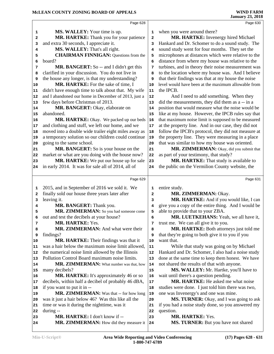|    | Page 628                                             |    | Page 630                                            |  |
|----|------------------------------------------------------|----|-----------------------------------------------------|--|
| 1  | <b>MS. WALLEY:</b> Your time is up.                  | 1  | when you were around there?                         |  |
| 2  | MR. HARTKE: Thank you for your patience              | 2  | MR. HARTKE: Invenergy hired Michael                 |  |
| з  | and extra 30 seconds, I appreciate it.               | 3  | Hankard and Dr. Schomer to do a sound study. The    |  |
| 4  | MS. WALLEY: That's all right.                        | 4  | sound study went for four months. They set the      |  |
| 5  | <b>CHAIRMAN FINNIGAN:</b> Questions from the         | 5  | microphones at distances which were relative to the |  |
| 6  | board?                                               | 6  | distance from where my house was relative to the    |  |
| 7  | MR. BANGERT: So -- and I didn't get this             | 7  | turbines, and in theory their noise measurement was |  |
| 8  | clarified in your discussion. You do not live in     | 8  | to the location where my house was. And I believe   |  |
| 9  | the house any longer, is that my understanding?      | 9  | that their findings was that at my house the noise  |  |
| 10 | MR. HARTKE: For the sake of time, I                  | 10 | level would have been at the maximum allowable from |  |
| 11 | didn't have enough time to talk about that. My wife  | 11 | the IPCB.                                           |  |
| 12 | and I abandoned our home in December of 2013, just a | 12 | And I need to add something. When they              |  |
| 13 | few days before Christmas of 2013.                   | 13 | did the measurements, they did them as a -- in a    |  |
| 14 | MR. BANGERT: Okay, elaborate on                      | 14 | position that would measure what the noise would be |  |
| 15 | abandoned.                                           | 15 | like at my house. However, the IPCB rules say that  |  |
| 16 | MR. HARTKE: Okay. We packed up our beds              | 16 | that maximum noise limit is supposed to be measured |  |
| 17 | and clothing and stuff, we left our home, and we     | 17 | at the property line. And in our case, they did not |  |
| 18 | moved into a double wide trailer eight miles away as | 18 | follow the IPCB's protocol, they did not measure at |  |
| 19 | a temporary solution so our children could continue  | 19 | the property line. They were measuring in a place   |  |
| 20 | going to the same school.                            | 20 | that was similar to how my house was oriented.      |  |
| 21 | MR. BANGERT: So is your house on the                 | 21 | MR. ZIMMERMAN: Okay, did you submit that            |  |
| 22 | market or what are you doing with the house now?     | 22 | as part of your testimony, that study?              |  |
| 23 | MR. HARTKE: We put our house up for sale             | 23 | MR. HARTKE: That study is available to              |  |
| 24 | in early 2014. It was for sale all of 2014, all of   | 24 | the public on the Vermilion County website, the     |  |
|    |                                                      |    |                                                     |  |
|    | Page 629                                             |    | Page 631                                            |  |
| 1  | 2015, and in September of 2016 we sold it. We        | 1  | entire study.                                       |  |
| 2  | finally sold our house three years later after       | 2  | MR. ZIMMERMAN: Okay.                                |  |
| 3  | leaving it.                                          | 3  | MR. HARTKE: And if you would like, I can            |  |
| 4  | MR. BANGERT: Thank you.                              | 4  | give you a copy of the entire thing. And I would be |  |
| 5  | MR. ZIMMERMAN: So you had someone come               | 5  | able to provide that to your ZBA.                   |  |
| 6  | out and test the decibels at your house?             | 6  | MR. LUETKEHANS: Yeah, we all have it,               |  |
| 7  | MR. HARTKE: Yes.                                     | 7  | trust me. We can all give it to you.                |  |
| 8  | MR. ZIMMERMAN: And what were their                   | 8  | MR. HARTKE: Both attorneys just told me             |  |
| 9  | findings?                                            | 9  | that they're going to both give it to you if you    |  |
| 10 | MR. HARTKE: Their findings was that it               | 10 | want that.                                          |  |
| 11 | was a hair below the maximum noise limit allowed,    | 11 | While that study was going on by Michael            |  |
| 12 | the numerical noise limit allowed by the Illinois    | 12 | Hankard and Dr. Schomer, I also had a noise study   |  |
| 13 | Pollution Control Board maximum noise limits.        | 13 | done at the same time to keep them honest. We have  |  |
| 14 | MR. ZIMMERMAN: What number was that, how             | 14 | not shared the results of that with anyone.         |  |
| 15 | many decibels?                                       | 15 | MS. WALLEY: Mr. Hartke, you'll have to              |  |
| 16 | MR. HARTKE: It's approximately 46 or so              | 16 | wait until there's a question pending.              |  |
| 17 | decibels, within half a decibel of probably 46 dBA,  | 17 | MR. HARTKE: He asked me what noise                  |  |
| 18 | if you want to put it in --                          | 18 | studies were done. I just told him there was two,   |  |
| 19 | MR. ZIMMERMAN: Was that -- for how long              | 19 | one was Invenergy's and one was mine.               |  |
| 20 | was it just a hair below 46? Was this like all the   | 20 | MS. TURNER: Okay, and I was going to ask            |  |
| 21 | time or was it during the nighttime, was it          | 21 | if you had a noise study done, so you answered my   |  |
| 22 | during --<br>MR. HARTKE: I don't know if --          | 22 | question.<br><b>MR. HARTKE: Yes.</b>                |  |
| 23 | MR. ZIMMERMAN: How did they measure it               | 23 | MS. TURNER: But you have not shared                 |  |
| 24 |                                                      | 24 |                                                     |  |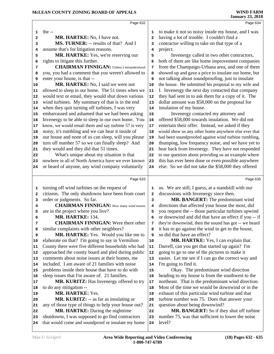the --

| 2        | MR. HARTKE: No, I have not.                                                                    | 2        | having a lot of trouble. I couldn't find a                          |
|----------|------------------------------------------------------------------------------------------------|----------|---------------------------------------------------------------------|
| з        | MS. TURNER: -- results of that? And I                                                          | 3        | contractor willing to take on that type of a                        |
| 4        | assume that's for litigation reasons.                                                          | 4        | project.                                                            |
| 5        | MR. HARTKE: Yes, we're reserving our                                                           | 5        | Invenergy called in two other contractors,                          |
| 6        | rights to litigate this further.                                                               | 6        | both of them are like home improvement companies                    |
| 7        | <b>CHAIRMAN FINNIGAN:</b> Unless I misunderstood                                               | 7        | from the Champaign-Urbana area, and one of them                     |
| 8        | you, you had a comment that you weren't allowed to                                             | 8        | showed up and gave a price to insulate our home, but                |
| 9        | enter your house, is that --                                                                   | 9        | not talking about soundproofing, just to insulate                   |
| 10       | MR. HARTKE: No, I said we were not                                                             | 10       | the house. He submitted his proposal to my wife and                 |
| 11       | allowed to sleep in our home. The 51 times when we                                             | 11       | I. Invenergy the next day contacted that company                    |
| 12       | would text or email, they would shut down various                                              | 12       | they had sent in to ask them for a copy of it. The                  |
| 13       | wind turbines. My summary of that is in the end                                                | 13       | dollar amount was \$58,000 on the proposal for                      |
| 14       | when they quit turning off turbines, I was very                                                | 14       | insulation of my house.                                             |
| 15       | embarrassed and ashamed that we had been asking                                                | 15       | Invenergy contacted my attorney and                                 |
| 16       | Invenergy to be able to sleep in our own home. You                                             | 16       | offered \$58,000 towards insulation. We did not                     |
| 17       | know, we would email them and say turbine 57 is very                                           | 17       | entertain their offer. Instead, we asked if they                    |
| 18       | noisy, it's rumbling and we can hear it inside of                                              | 18       | would show us any other home anywhere else ever that                |
| 19       | our house and none of us can sleep, will you please                                            | 19       | had been soundproofed against wind turbine rumbling,                |
| 20       | turn off number 57 so we can finally sleep? And                                                | 20       | thumping, low frequency noise, and we have yet to                   |
| 21       | they would and they did that 51 times.                                                         | 21       | hear back from Invenergy. They have not responded                   |
| 22       | What's unique about my situation is that<br>nowhere in all of North America have we ever known | 22       | to our question about providing us an example where                 |
| 23       |                                                                                                | 23       | this has ever been done or even possible anywhere                   |
| 24       | or heard of anyone, any wind company voluntarily                                               | 24       | else. So we did not take the \$58,000 they offered                  |
|          | Page 633                                                                                       |          | Page 635                                                            |
|          |                                                                                                |          |                                                                     |
| 1        | turning off wind turbines on the request of                                                    | 1        | us. We are still, I guess, at a standstill with our                 |
| 2        | citizens. The only shutdowns have been from court                                              | 2        | discussions with Invenergy since then.                              |
| з        | order or judgments. So far.                                                                    | 3        | MR. BANGERT: The predominant wind                                   |
| 4        | <b>CHAIRMAN FINNIGAN:</b> How many wind towers                                                 | 4        | directions that affected your house the most, did                   |
| 5        | are in the project where you live?                                                             | 5        | you request the -- those particular turbines upwind                 |
| 6        | <b>MR. HARTKE: 134.</b>                                                                        | 6        | or downwind and did that have an effect if you -- if                |
| 7        | <b>CHAIRMAN FINNIGAN:</b> Were there other                                                     | 7        | they're downwind, then the sound has got -- we heard                |
| 8        | similar complaints with other neighbors?                                                       | 8        | it has to go against the wind to get to the house,                  |
|          | MR. HARTKE: Yes. Would you like me to<br>elaborate on that? I'm going to say in Vermilion      | 9        | so did that have an effect?<br>MR. HARTKE: Yes, I can explain that. |
| 10       | County there were five different households who had                                            | 10<br>11 | Darrell, can you get that started up again? I'm                     |
| 11<br>12 | approached the county board and pled during public                                             | 12       | going to go to one of the pictures to make it                       |
| 13       | comments about noise issues at their homes, me                                                 | 13       | easier. Let me see if I can go the correct way and                  |
| 14       | included. I am aware of 21 families with noise                                                 | 14       | I'm going to find it.                                               |
| 15       | problems inside their house that have to do with                                               | 15       | Okay. The predominant wind direction                                |
| 16       | sleep issues that I'm aware of. 21 families.                                                   | 16       | heading to my house is from the southwest to the                    |
| 17       | MR. KURITZ: Has Invenergy offered to try                                                       | 17       | northeast. That is the predominant wind direction.                  |
| 18       | to do any mitigation --                                                                        | 18       | Most of the time we would be downwind or in the                     |
| 19       | <b>MR. HARTKE: Yes.</b>                                                                        | 19       | exhaust of this particular wind turbine and that                    |
| 20       | MR. KURITZ: -- as far as insulating or                                                         | 20       | turbine number was 75. Does that answer your                        |
| 21       | any of those type of things to help your house out?                                            | 21       | question about being downwind?                                      |
| 22       | MR. HARTKE: During the nighttime                                                               | 22       | MR. BANGERT: So if they shut off turbine                            |
| 23       | shutdowns, I was supposed to go find contractors                                               | 23       | number 75, was that sufficient to lower the noise                   |
| 24       | that would come and soundproof or insulate my home                                             | 24       | level?                                                              |
|          |                                                                                                |          |                                                                     |

Page 632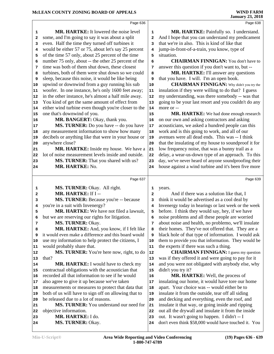|                                   | Page 636                                                                        |                         | Page 638                                                                                                 |  |
|-----------------------------------|---------------------------------------------------------------------------------|-------------------------|----------------------------------------------------------------------------------------------------------|--|
| 1                                 | <b>MR. HARTKE:</b> It lowered the noise level                                   | $\mathbf 1$             | MR. HARTKE: Painfully so. I understand.                                                                  |  |
| 2                                 | some, and I'm going to say it was about a split                                 | $\overline{\mathbf{2}}$ | And I hope that you can understand my predicament                                                        |  |
| 3                                 | even. Half the time they turned off turbines it                                 | 3                       | that we're in also. This is kind of like that                                                            |  |
| 4                                 | would be either 57 or 75, about let's say 25 percent                            | 4                       | jump-in-front-of-a-train, you know, type of                                                              |  |
| 5                                 | of the time 57 only, about 25 percent of the time                               | 5                       | situation.                                                                                               |  |
| 6                                 | number 75 only, about -- the other 25 percent of the                            | 6                       | <b>CHAIRMAN FINNIGAN:</b> You don't have to                                                              |  |
| 7                                 | time was both of them shut down, these closest                                  | 7                       | answer this question if you don't want to, but --                                                        |  |
| 8                                 | turbines, both of them were shut down so we could                               | 8                       | MR. HARTKE: I'll answer any questions                                                                    |  |
| 9                                 | sleep, because this noise, it would be like being                               | 9                       | that you have. I will. I'm an open book.                                                                 |  |
| 10                                | upwind or downwind from a guy running his sub                                   | 10                      | <b>CHAIRMAN FINNIGAN:</b> Why didn't you try the                                                         |  |
| 11                                | woofer. In one instance, he's only 1600 feet away;                              | 11                      | insulation if they were willing to do that? I guess                                                      |  |
| 12                                | in the other instance, he's almost a half mile away.                            | 12                      | my understanding, was there somebody -- was that                                                         |  |
| 13                                | You kind of get the same amount of effect from                                  | 13                      | going to be your last resort and you couldn't do any                                                     |  |
| 14                                | either wind turbine even though you're closer to the                            | 14                      | more or --                                                                                               |  |
| 15                                | one that's downwind of you.                                                     | 15                      | MR. HARTKE: We had done enough research                                                                  |  |
| 16                                | MR. BANGERT: Okay, thank you.                                                   | 16                      | on our own and asking contractors and asking                                                             |  |
| 17                                | MS. TURNER: Do you have -- do you have                                          | 17                      | acousticians, we asked a hundred people can this                                                         |  |
| 18                                | any measurement information to show how many                                    | 18                      | work and is this going to work, and all of our<br>avenues were all dead ends. This was -- I think        |  |
| 19<br>20                          | decibels or anything like that were in your house or<br>anywhere close?         | 19<br>20                | that the insulating of my house to soundproof it for                                                     |  |
| 21                                | MR. HARTKE: Inside my house. We have a                                          | 21                      | low frequency noise, that was a bunny trail as a                                                         |  |
| 22                                | lot of noise measurement levels inside and outside.                             | 22                      | delay, a wear-us-down type of an approach. To this                                                       |  |
| 23                                | MS. TURNER: That you shared with us?                                            | 23                      | day, we've never heard of anyone soundproofing their                                                     |  |
| 24                                | MR. HARTKE: No.                                                                 | 24                      | house against a wind turbine and it's been five more                                                     |  |
|                                   |                                                                                 |                         |                                                                                                          |  |
|                                   |                                                                                 |                         |                                                                                                          |  |
|                                   | Page 637                                                                        |                         | Page 639                                                                                                 |  |
| 1                                 | MS. TURNER: Okay. All right.                                                    | 1                       | years.                                                                                                   |  |
| 2                                 | MR. HARTKE: If I --                                                             | $\mathbf{2}$            | And if there was a solution like that, I                                                                 |  |
| 3                                 | MS. TURNER: Because you're -- because                                           | з                       | think it would be advertised as a cool deal by                                                           |  |
| 4                                 | you're in a suit with Invenergy?                                                | $\overline{4}$          | Invenergy today in hearings or last week or the week                                                     |  |
| 5                                 | MR. HARTKE: We have not filed a lawsuit,                                        | 5                       | before. I think they would say, hey, if we have                                                          |  |
| 6                                 | but we are reserving our rights for litigation.                                 | 6                       | noise problems and all these people are worried                                                          |  |
| 7                                 | MS. TURNER: Okay.                                                               | 7                       | about noise and health, no problemo, we'll insulate                                                      |  |
| 8                                 | MR. HARTKE: And, you know, if I felt like                                       | 8                       | their homes. They've not offered that. They are a                                                        |  |
| 9                                 | it would even make a difference and this board would                            | 9                       | black hole of that type of information. I would ask                                                      |  |
| 10                                | use my information to help protect the citizens, I                              | 10                      | them to provide you that information. They would be                                                      |  |
| 11                                | would probably share that.                                                      | 11                      | the experts if there was such a thing.                                                                   |  |
|                                   | MS. TURNER: You're here now, right, to do                                       | 12                      | <b>CHAIRMAN FINNIGAN:</b> I guess my question                                                            |  |
|                                   | that?                                                                           | 13                      | was if they offered it and were going to pay for it                                                      |  |
|                                   | MR. HARTKE: I would have to check my                                            | 14                      | and you were not obligated with anybody else, why                                                        |  |
|                                   | contractual obligations with the acoustician that                               | 15                      | didn't you try it?                                                                                       |  |
|                                   | recorded all that information to see if he would                                | 16                      | MR. HARTKE: Well, the process of                                                                         |  |
|                                   | also agree to give it up because we've taken                                    | 17                      | insulating our home, it would have tore our home                                                         |  |
| 18                                | measurements or measures to protect that data that                              | 18                      | apart. Your choice was -- would either be to                                                             |  |
| 12<br> 13<br>14<br>17<br>19<br>20 | both of us will have to sign off on allowing that to                            | 19<br>20                | insulate it from the outside, tear off all siding                                                        |  |
| 21                                | be released due to a lot of reasons.<br>MS. TURNER: You understand our need for | 21                      | and decking and everything, even the roof, and                                                           |  |
| 15<br>16<br>22                    | objective information.                                                          | 22                      | insulate it that way, or going inside and ripping<br>out all the drywall and insulate it from the inside |  |
| 23                                | MR. HARTKE: I do.                                                               | 23                      | out. It wasn't going to happen. I didn't -- I                                                            |  |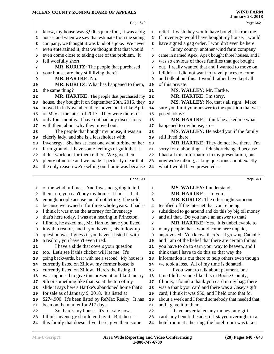|    | Page 640                                                                    |                         | Page 642                                                                                                 |
|----|-----------------------------------------------------------------------------|-------------------------|----------------------------------------------------------------------------------------------------------|
| 1  | know, my house was 3,900 square foot, it was a big                          | 1                       | relief. I wish they would have bought it from me.                                                        |
| 2  | house, and when we saw that estimate from the siding                        | $\overline{\mathbf{2}}$ | If Invenergy would have bought my house, I would                                                         |
| з  | company, we thought it was kind of a joke. We never                         | 3                       | have signed a gag order, I wouldn't even be here.                                                        |
| 4  | even entertained it, that we thought that that would                        | 4                       | In my county, another wind farm company                                                                  |
| 5  | even come close to taking care of the problem. It                           | 5                       | came in named Apex, Apex bought three houses, and I                                                      |
| 6  | fell woefully short.                                                        | 6                       | was so envious of those families that got bought                                                         |
| 7  | MR. KURITZ: The people that purchased                                       | 7                       | out. I really wanted that and I wanted to move on.                                                       |
| 8  | your house, are they still living there?                                    | 8                       | I didn't -- I did not want to travel places to come                                                      |
| 9  | MR. HARTKE: No.                                                             | 9                       | and talk about this. I would rather have kept all                                                        |
| 10 | MR. KURITZ: What has happened to them,                                      | 10                      | of this private.                                                                                         |
| 11 | the same thing?                                                             | 11                      | MS. WALLEY: Mr. Hartke.                                                                                  |
| 12 | MR. HARTKE: The people that purchased my                                    | ${\bf 12}$              | MR. HARTKE: I'm sorry.                                                                                   |
| 13 | house, they bought it on September 20th, 2016, they                         | 13                      | MS. WALLEY: No, that's all right. Make                                                                   |
| 14 | moved in in November, they moved out in like April                          | 14                      | sure you limit your answer to the question that was                                                      |
| 15 | or May at the latest of 2017. They were there for                           | 15                      | posed, okay?                                                                                             |
| 16 | only four months. I have not had any discussions                            | 16                      | <b>MR. HARTKE:</b> I think he asked me what                                                              |
| 17 | with them about why they moved out.                                         | 17                      | happened to my house, so --                                                                              |
| 18 | The people that bought my house, it was an                                  | 18                      | MS. WALLEY: He asked you if the family                                                                   |
| 19 | elderly lady, and she is a leaseholder with                                 | 19                      | still lived there.                                                                                       |
| 20 | Invenergy. She has at least one wind turbine on her                         | 20                      | MR. HARTKE: They do not live there. I'm                                                                  |
| 21 | farm ground. I have some feelings of guilt that it                          | 21                      | sorry for elaborating. I felt shortchanged because                                                       |
| 22 | didn't work out for them either. We gave them                               | 22                      | I had all this information in my presentation, but                                                       |
| 23 | plenty of notice and we made it perfectly clear that                        | 23                      | now we're talking, asking questions about exactly                                                        |
| 24 | the only reason we're selling our home was because                          | 24                      | what I would have presented --                                                                           |
|    |                                                                             |                         |                                                                                                          |
|    | Page 641                                                                    |                         | Page 643                                                                                                 |
| 1  | of the wind turbines. And I was not going to tell                           | 1                       | MS. WALLEY: I understand.                                                                                |
| 2  | them, no, you can't buy my home. I had -- I had                             | $\mathbf{2}$            | MR. HARTKE: -- to you.                                                                                   |
| з  | enough people accuse me of not letting it be sold                           | 3                       | MR. KURITZ: The other night someone                                                                      |
| 4  | because we owned it for three whole years. I had --                         | 4                       | testified off the internet that you're being                                                             |
| 5  | I think it was even the attorney for Invenergy                              | 5                       | subsidized to go around and do this by big oil money                                                     |
| 6  | that's here today, I was at a hearing in Princeton,                         | 6                       | and all that. Do you have an answer to that?                                                             |
| 7  | Illinois, he asked me, Mr. Hartke, have you listed                          | 7                       | MR. HARTKE: Yes. It is unbelievable to                                                                   |
| 8  | it with a realtor, and if you haven't, his follow-up                        | 8                       | many people that I would come here unpaid,                                                               |
| 9  | question was, I guess if you haven't listed it with                         | 9                       | unprovoked. You know, there's -- I grew up Catholic                                                      |
| 10 | a realtor, you haven't even tried.                                          | 10                      | and I am of the belief that there are certain things                                                     |
| 11 | I have a slide that covers your question                                    | 11                      | you have to do to earn your way to heaven, and I                                                         |
| 12 | too. Let's see if this clicker will let me. It's                            | 12                      | think that I have to do this so that way the                                                             |
| 13 | going backwards, bear with me a second. My house is                         | 13                      | information is out there to help others even though                                                      |
| 14 | currently listed on Zillow, my former house is                              | 14                      | we took a loss. All of my time is donated.                                                               |
|    |                                                                             | 15                      | If you want to talk about payment, one                                                                   |
| 15 | currently listed on Zillow. Here's the listing. I                           |                         |                                                                                                          |
| 16 | was supposed to give this presentation like January                         | 16                      | time I left a venue like this in Boone County,                                                           |
| 17 |                                                                             | 17                      |                                                                                                          |
| 18 | 9th or something like that, so at the top of my                             | 18                      | Illinois, I found a thank you card in my bag, there                                                      |
| 19 | slide it says here's Hartke's abandoned home that's                         | 19                      | was a thank you card and there was a Casey's gift<br>card, I think it was \$50, and I held onto that for |
| 20 | for sale as of January 9, 2018. It's listed at                              | 20                      |                                                                                                          |
| 21 | \$274,900. It's been listed by ReMax Realty. It has                         | 21                      | about a week and I found somebody that needed that                                                       |
| 22 | been on the market for 217 days.<br>So there's my house. It's for sale now. | 22                      | and I gave it to them.<br>I have never taken any money, any gift                                         |

 I think Invenergy should go buy it. But these -- this family that doesn't live there, give them some 24 I have never taken any money, any gift card, any benefit besides if I stayed overnight in a hotel room at a hearing, the hotel room was taken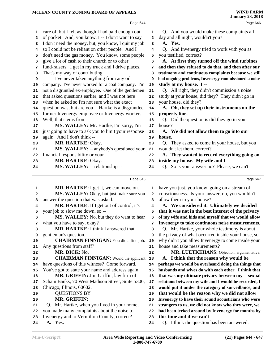|          | Page 644                                             |              | Page 646                                                                             |
|----------|------------------------------------------------------|--------------|--------------------------------------------------------------------------------------|
|          | care of, but I felt as though I had paid enough out  |              | Q. And you would make these complaints all                                           |
| 1        | of pocket. And, you know, I -- I don't want to say   | 1<br>2       | day and all night, wouldn't you?                                                     |
| 2<br>3   | I don't need the money, but, you know, I quit my job | 3            | A. Yes.                                                                              |
| 4        | so I could not be reliant on other people. And I     | 4            | Q. And Invenergy tried to work with you as                                           |
| 5        | don't need the gas money. You know, some people      | 5            | you testified, correct?                                                              |
| 6        | give a lot of cash to their church or to other       | 6            | A. At first they turned off the wind turbines                                        |
| 7        | fund-raisers. I get in my truck and I drive places.  | 7            | and then they refused to do that, and then after our                                 |
| 8        | That's my way of contributing.                       | 8            | testimony and continuous complaints because we still                                 |
| 9        | I've never taken anything from any oil               | 9            | had ongoing problems, Invenergy commissioned a noise                                 |
| 10       | company. I've never worked for a coal company. I'm   | 10           | study at my house. I --                                                              |
| 11       | not a disgruntled ex-employee. One of the gentlemen  | ${\bf 11}$   | Q. All right, they didn't commission a noise                                         |
| 12       | that asked questions earlier, and I was not here     | 12           | study at your house, did they? They didn't go in                                     |
| 13       | when he asked so I'm not sure what the exact         | 13           | your house, did they?                                                                |
| 14       | question was, but are you -- Hartke is a disgruntled | 14           | A. Oh, they set up their instruments on the                                          |
| 15       | former Invenergy employee or Invenergy worker.       | 15           | property line.                                                                       |
| 16       | Well, that stems from --                             | 16           | Q. Did the question is did they go in your                                           |
| 17       | MS. WALLEY: Mr. Hartke, I'm sorry, I'm               | 17           | house?                                                                               |
| 18       | just going to have to ask you to limit your response | 18           | A. We did not allow them to go into our                                              |
| 19       | again. And I don't think --                          | 19           | house.                                                                               |
| 20       | MR. HARTKE: Okay.                                    | 20           | Q. They asked to come in your house, but you                                         |
| 21       | MS. WALLEY: -- anybody's questioned your             | 21           | wouldn't let them, correct?                                                          |
| 22       | financial responsibility or your --                  | 22           | A. They wanted to record everything going on                                         |
| 23       | MR. HARTKE: Okay.                                    | 23           | inside my house. My wife and I --                                                    |
| 24       | MS. WALLEY: -- relationship --                       | 24           | Q. So is your answer no? Please, we can't                                            |
|          |                                                      |              |                                                                                      |
|          | Page 645                                             |              | Page 647                                                                             |
| 1        | MR. HARTKE: I get it, we can move on.                | 1            | have you just, you know, going on a stream of                                        |
| 2        | MS. WALLEY: Okay, but just make sure you             | $\mathbf{2}$ | consciousness. Is your answer, no, you wouldn't                                      |
| з        | answer the question that was asked.                  | з            | allow them in your house?                                                            |
| 4        | MR. HARTKE: If I get out of control, it's            | 4            | A. We considered it. Ultimately we decided                                           |
| 5        | your job to slow me down, so --                      | 5            | that it was not in the best interest of the privacy                                  |
| 6        | MS. WALLEY: No, but they do want to hear             | 6            | of my wife and kids and myself that we would allow                                   |
| 7        | what you have to say, okay?                          | 7            | Invenergy to take continuous noise measurements.                                     |
| 8        | MR. HARTKE: I think I answered that                  | 8            | Q. Mr. Hartke, your whole testimony is about                                         |
| 9        | gentleman's question.                                | 9            | the privacy of what occurred inside your house, so                                   |
| 10       | <b>CHAIRMAN FINNIGAN:</b> You did a fine job.        | 10           | why didn't you allow Invenergy to come inside your                                   |
| 11       | Any questions from staff?<br>MR. DICK: No.           | 11           | house and take measurements?                                                         |
| 12       | <b>CHAIRMAN FINNIGAN:</b> Would the applicant        | 12           | MR. LUETKEHANS: Objection, argumentative.<br>A. I think that the reason why would be |
| 13<br>14 | have questions of this witness? Come forward.        | 13<br>14     | perhaps we would be overheard doing the things that                                  |
| 15       | You've got to state your name and address again.     | 15           | husbands and wives do with each other. I think that                                  |
| 16       | MR. GRIFFIN: Jim Griffin, law firm of                | 16           | that was my ultimate privacy between my -- sexual                                    |
| 17       | Schain Banks, 70 West Madison Street, Suite 5300,    | 17           | relations between my wife and I would be recorded, I                                 |
| 18       | Chicago, Illinois, 60602.                            | 18           | would put it under the category of surveillance, and                                 |
| 19       | <b>QUESTIONS BY</b>                                  | 19           | that would be the reason why we did not allow                                        |
| 20       | <b>MR. GRIFFIN:</b>                                  | 20           | Invenergy to have their sound acousticians who were                                  |
| 21       | Q. Mr. Hartke, when you lived in your home,          | 21           | strangers to us, we did not know who they were, we                                   |
| 22       | you made many complaints about the noise to          | 22           | had been jerked around by Invenergy for months by                                    |
| 23       | Invenergy and to Vermilion County, correct?          | 23           | this time and if we can't --                                                         |
| 24       | A. Yes.                                              | 24           | Q. I think the question has been answered.                                           |
|          |                                                      |              |                                                                                      |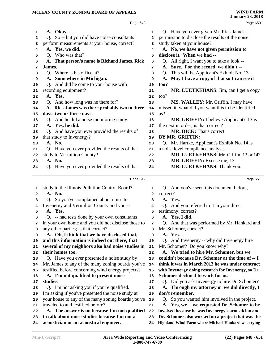|          | Page 648                                                                                         |                | Page 650                                                                                                 |
|----------|--------------------------------------------------------------------------------------------------|----------------|----------------------------------------------------------------------------------------------------------|
| 1        | A. Okay.                                                                                         | 1              | Q. Have you ever given Mr. Rick James                                                                    |
| 2        | So -- but you did have noise consultants<br>Q.                                                   | $\overline{a}$ | permission to disclose the results of the noise                                                          |
| 3        | perform measurements at your house, correct?                                                     | 3              | study taken at your house?                                                                               |
| 4        | A. Yes, we did.                                                                                  | 4              | A. No, we have not given permission to                                                                   |
| 5        | Q. Who was that?                                                                                 | 5              | disclose it. When we had --                                                                              |
| 6        | A. That person's name is Richard James, Rick                                                     | 6              | Q. All right, I want you to take a look --                                                               |
| 7        | James.                                                                                           | 7              | A. Sure. For the record, we didn't --                                                                    |
| 8        | Q. Where is his office at?                                                                       | 8              | Q. This will be Applicant's Exhibit No. 13.                                                              |
| 9        | A. Somewhere in Michigan.                                                                        | 9              | A. May I have a copy of that so I can see it                                                             |
| 10       | Q. And did he come to your house with                                                            | 10             | too?                                                                                                     |
| 11       | recording equipment?                                                                             | 11             | MR. LUETKEHANS: Jim, can I get a copy                                                                    |
| 12       | A. Yes.                                                                                          | 12             | too?                                                                                                     |
| 13       | Q. And how long was he there for?                                                                | 13             | MS. WALLEY: Mr. Griffin, I may have                                                                      |
| 14       | A. Rick James was there probably two to three                                                    | 14             | missed it, what did you want this to be identified                                                       |
| 15       | days, two or three days.<br>Q. And he did a noise monitoring study.                              | 15             | as?                                                                                                      |
| 16<br>17 | A. Yes, he did.                                                                                  | 16<br>$17$     | <b>MR. GRIFFIN:</b> I believe Applicant's 13 is<br>the next in order; is that correct?                   |
| 18       | Q. And have you ever provided the results of                                                     | 18             | MR. DICK: That's correct.                                                                                |
| 19       | that study to Invenergy?                                                                         | 19             | BY MR. GRIFFIN:                                                                                          |
| 20       | A. No.                                                                                           | 20             | Q. Mr. Hartke, Applicant's Exhibit No. 14 is                                                             |
| 21       | Q. Have you ever provided the results of that                                                    | 21             | a noise level compliance analysis --                                                                     |
| 22       | study to Vermilion County?                                                                       | 22             | MR. LUETKEHANS: Mr. Griffin, 13 or 14?                                                                   |
| 23       | A. No.                                                                                           | 23             | MR. GRIFFIN: Excuse me, 13.                                                                              |
| 24       | Q. Have you ever provided the results of that                                                    | 24             | MR. LUETKEHANS: Thank you.                                                                               |
|          |                                                                                                  |                |                                                                                                          |
|          |                                                                                                  |                |                                                                                                          |
|          | Page 649                                                                                         |                | Page 651                                                                                                 |
| 1        | study to the Illinois Pollution Control Board?                                                   | 1              | Q. And you've seen this document before,                                                                 |
| 2        | A. No.                                                                                           | $\overline{a}$ | correct?                                                                                                 |
| 3        | Q. So you've complained about noise to                                                           | 3              | A. Yes.                                                                                                  |
| 4        | Invenergy and Vermilion County and you --                                                        | 4              | Q. And you referred to it in your direct                                                                 |
| 5        | A. Yes.                                                                                          | 5              | testimony, correct?                                                                                      |
| 6        | Q. -- had tests done by your own consultants                                                     | 6              | A. Yes, I did.                                                                                           |
| 7        | in your own home and you did not disclose those to                                               | 7              | Q. And that was performed by Mr. Hankard and                                                             |
| 8        | any other parties; is that correct?                                                              | 8              | Mr. Schomer, correct?                                                                                    |
| 9        | A. Oh, I think that we have disclosed that,                                                      | 9              | A. Yes.                                                                                                  |
| 10       | and this information is indeed out there, that                                                   | 10             | Q. And Invenergy -- why did Invenergy hire                                                               |
| 11       | several of my neighbors also had noise studies in                                                | 11             | Mr. Schomer? Do you know why?                                                                            |
| 12<br>13 | their homes too.                                                                                 | 12             | A. We tried to hire Mr. Schomer, but we                                                                  |
| 14       | Q. Have you ever presented a noise study by<br>Mr. James to any of the many zoning boards you've | 13<br>14       | couldn't because Dr. Schomer at the time of -- I<br>think it was in March 2013 he was under contract     |
| 15       | testified before concerning wind energy projects?                                                | 15             | with Invenergy doing research for Invenergy, so Dr.                                                      |
| 16       | A. I'm not qualified to present noise                                                            | 16             | Schomer declined to work for us.                                                                         |
| 17       | studies.                                                                                         | 17             | Q. Did you ask Invenergy to hire Dr. Schomer?                                                            |
| 18       | Q. I'm not asking you if you're qualified.                                                       | 18             | A. Through my attorney or we did directly, I                                                             |
| 19       | I'm asking if you've presented the noise study at                                                | 19             | don't remember.                                                                                          |
| 20       | your house to any of the many zoning boards you've                                               | 20             | Q. So you wanted him involved in the project.                                                            |
| 21       | traveled to and testified before?                                                                | 21             | A. Yes, we -- we requested Dr. Schomer to be                                                             |
| 22       | A. The answer is no because I'm not qualified                                                    | 22             | involved because he was Invenergy's acoustician and                                                      |
| 23<br>24 | to talk about noise studies because I'm not a<br>acoustician or an acoustical engineer.          | 23<br>24       | Dr. Schomer also worked on a project that was the<br>Highland Wind Farm where Michael Hankard was trying |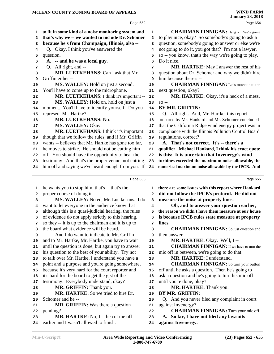|              | Page 652                                                                      |              | Page 654                                                       |
|--------------|-------------------------------------------------------------------------------|--------------|----------------------------------------------------------------|
|              |                                                                               |              |                                                                |
| 1            | to fit in some kind of a noise monitoring system and                          | 1            | <b>CHAIRMAN FINNIGAN:</b> Hang on. We're going                 |
| $\mathbf{2}$ | that's why we -- we wanted to include Dr. Schomer                             | 2            | to play nice, okay? So somebody's going to ask a               |
| 3            | because he's from Champaign, Illinois, also --                                | 3            | question, somebody's going to answer or else we're             |
| 4            | Q. Okay, I think you've answered the                                          | 4            | not going to do it, you got that? I'm not a lawyer,            |
| 5            | question.                                                                     | 5            | so -- you know, that's the way we're going to play.            |
| 6            | A. -- and he was a local guy.                                                 | 6            | Do it nice.                                                    |
| 7            | Q. All right, and --                                                          | 7            | MR. HARTKE: May I answer the rest of his                       |
| 8            | MR. LUETKEHANS: Can I ask that Mr.                                            | 8            | question about Dr. Schomer and why we didn't hire              |
| 9            | Griffin either --                                                             | 9            | him because there's --                                         |
| 10           | MS. WALLEY: Hold on just a second.                                            | 10           | <b>CHAIRMAN FINNIGAN:</b> Let's move on to the                 |
| 11           | You'll have to come up to the microphone.                                     | 11           | next question, okay?                                           |
| 12           | MR. LUETKEHANS: I think it's important --                                     | 12           | MR. HARTKE: Okay, it's a heck of a mess,                       |
| 13           | MS. WALLEY: Hold on, hold on just a                                           | 13           | $SO -$                                                         |
| 14           | moment. You'll have to identify yourself. Do you                              | 14           | <b>BY MR. GRIFFIN:</b>                                         |
| 15           | represent Mr. Hartke?                                                         | 15           | Q. All right. And, Mr. Hartke, this report                     |
| 16           | MR. LUETKEHANS: No.                                                           | 16           | prepared by Mr. Hankard and Mr. Schomer concluded              |
| 17           | MS. WALLEY: Okay.                                                             | 17           | that the California Ridge wind energy project was in           |
| 18           | MR. LUETKEHANS: I think it's important                                        | 18           | compliance with the Illinois Pollution Control Board           |
| 19           | though that we follow the rules, and if Mr. Griffin                           | 19           | regulations, correct?                                          |
| 20           | wants -- believes that Mr. Hartke has gone too far,                           | 20           | A. That's not correct. It's -- there's a                       |
| 21           | he moves to strike. He should not be cutting him                              | 21           | qualifier. Michael Hankard, I think his exact quote            |
| 22           | off. You should have the opportunity to hear the                              | 22           | is this: It is uncertain that Invenergy's wind                 |
| 23           | testimony. And that's the proper venue, not cutting                           | 23           | turbines exceeded the maximum noise allowable, the             |
| 24           | him off and saying we've heard enough from you. If                            | 24           | numerical maximum noise allowable by the IPCB. And             |
|              |                                                                               |              |                                                                |
|              |                                                                               |              |                                                                |
|              | Page 653                                                                      |              | Page 655                                                       |
| 1            | he wants you to stop him, that's -- that's the                                | 1            | there are some issues with this report where Hankard           |
| $\mathbf{2}$ | proper course of doing it.                                                    | $\mathbf{2}$ | did not follow the IPCB's protocol. He did not                 |
| 3            | MS. WALLEY: Noted, Mr. Luetkehans. I do                                       | з            | measure the noise at property lines.                           |
| 4            | want to let everyone in the audience know that                                | 4            | Oh, and to answer your question earlier,                       |
| 5            | although this is a quasi-judicial hearing, the rules                          | 5            | the reason we didn't have them measure at our house            |
| 6            | of evidence do not apply strictly to this hearing,                            | 6            | is because IPCB rules state measure at property                |
| 7            | so they -- it is up to the chairman and it is up to                           | 7            | lines.                                                         |
| 8            | the board what evidence will be heard.                                        | 8            | <b>CHAIRMAN FINNIGAN:</b> So just question and                 |
| 9            | And I do want to indicate to Mr. Griffin                                      | 9            | then answer.                                                   |
| 10           | and to Mr. Hartke, Mr. Hartke, you have to wait                               | 10           | MR. HARTKE: Okay. Well, I --                                   |
| 11           | until the question is done, but again try to answer                           | 11           | <b>CHAIRMAN FINNIGAN:</b> If we have to turn the               |
| 12           | his question to the best of your ability. Try not                             | 12           | mic off in between, we're going to do that.                    |
| 13           | to talk over Mr. Hartke, I understand you have a                              | 13           | MR. HARTKE: I understand.                                      |
| 14           | point and a purpose and you're going somewhere,                               | 14           | <b>CHAIRMAN FINNIGAN:</b> So turn your button                  |
| 15           | because it's very hard for the court reporter and                             | 15           | off until he asks a question. Then he's going to               |
| 16           | it's hard for the board to get the gist of the                                | 16           | ask a question and he's going to turn his mic off              |
| 17           | testimony. Everybody understand, okay?                                        | 17           | until you're done, okay?                                       |
| 18           | MR. GRIFFIN: Thank you.                                                       | 18           | MR. HARTKE: Thank you.                                         |
| 19           | MR. HARTKE: So we tried to hire Dr.                                           | 19           | BY MR. GRIFFIN:                                                |
| 20           | Schomer and he-                                                               | 20           | Q. And you never filed any complaint in court                  |
| 21           | <b>MR. GRIFFIN:</b> Was there a question                                      | 21           | against Invenergy?                                             |
| 22           | pending?                                                                      | 22           | <b>CHAIRMAN FINNIGAN:</b> Turn your mic off.                   |
| 23<br>24     | MR. HARTKE: No, I -- he cut me off<br>earlier and I wasn't allowed to finish. | 23<br>24     | A. So far, I have not filed any lawsuits<br>against Invenergy. |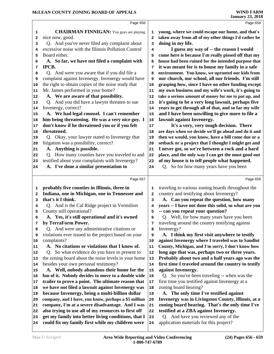|          | Page 656                                                                                                |              | Page 658                                                                       |
|----------|---------------------------------------------------------------------------------------------------------|--------------|--------------------------------------------------------------------------------|
| 1        | <b>CHAIRMAN FINNIGAN:</b> You guys are playing                                                          | 1            | young, where we could escape our home, and that's                              |
| 2        | nice now, good.                                                                                         | $\mathbf{2}$ | taken away from all of my other things I'd rather be                           |
| 3        | Q. And you've never filed any complaint about                                                           | 3            | doing in my life.                                                              |
| 4        | excessive noise with the Illinois Pollution Control                                                     | 4            | I guess my way of -- the reason I would                                        |
| 5        | Board either.                                                                                           | 5            | come here is because I'm really pissed off that my                             |
| 6        | A. So far, we have not filed a complaint with                                                           | 6            | house had been ruined for the intended purpose that                            |
| 7        | IPCB.                                                                                                   | 7            | it was meant for is to house my family in a safe                               |
| 8        | Q. And were you aware that if you did file a                                                            | 8            | environment. You know, we uprooted our kids from                               |
| 9        | complaint against Invenergy, Invenergy would have                                                       | 9            | our church, our school, all our friends. I'm still                             |
| 10       | the right to obtain copies of the noise study that                                                      | 10           | grasping how, since I have no other funding except                             |
| 11       | Mr. James performed in your home?                                                                       | 11           | my own business and my wife's work, it's going to                              |
| 12       | A. We are aware of that possibility.                                                                    | 12           | take a serious amount of money for me to put up, and                           |
| 13       | Q. And you did have a lawyer threaten to sue                                                            | 13           | it's going to be a very long lawsuit, perhaps five                             |
| 14       | Invenergy, correct?                                                                                     | 14           | years to get through all of that, and so far my wife                           |
| 15       | A. We had legal counsel. I can't remember                                                               | 15           | and I have been unwilling to give more to file a                               |
| 16       | him being threatening. He was a very nice guy. I                                                        | 16           | lawsuit against Invenergy.                                                     |
| 17       | don't know if he threatened you or if you felt                                                          | 17           | It's a very, very tough decision. There                                        |
| 18       | threatened.                                                                                             | 18           | are days when we decide we'll go ahead and do it and                           |
| 19       | Q. Okay, your lawyer stated to Invenergy that                                                           | 19           | then we would, you know, have a bill come due or a                             |
| 20       | litigation was a possibility, correct?                                                                  | 20           | setback or a project that I thought I might get and                            |
| 21       | A. Anything is possible.                                                                                | 21           | I never got, so we're between a rock and a hard                                |
| 22       | Q. How many counties have you traveled to and                                                           | 22           | place, and the only way I can get the most good out                            |
| 23       | testified about your complaints with Invenergy?                                                         | 23           | of my house is to tell people what happened.                                   |
| 24       | A. I've done a similar presentation to                                                                  | 24           | Q. So for how many years have you been                                         |
|          |                                                                                                         |              |                                                                                |
|          | Page 657                                                                                                |              | Page 659                                                                       |
| 1        | probably five counties in Illinois, three in                                                            | 1            | traveling to various zoning boards throughout the                              |
| 2        | Indiana, one in Michigan, one in Tennessee and                                                          | $\mathbf{2}$ | country and testifying about Invenergy?                                        |
| 3        | that's it I think.                                                                                      | 3            | A. Can you repeat the question, how many                                       |
| 4        | Q. And is the Cal Ridge project in Vermilion                                                            | 4            | years -- I have not done this solid, so what are you                           |
|          | County still operational?                                                                               |              |                                                                                |
|          |                                                                                                         |              |                                                                                |
| 5        |                                                                                                         | 5<br>б.      | -- can you repeat your question?                                               |
|          | A. Yes, it's still operational and it's owned                                                           |              | Q. Well, for how many years have you been                                      |
| 7<br>8   | by TerraForm Power.                                                                                     | 7<br>8       | traveling around the country testifying against                                |
| 9        | Q. And were any administrative citations or                                                             | 9            | Invenergy?                                                                     |
| 10       | violations ever issued to the project based on your                                                     | 10           | A. I think my first visit anywhere to testify                                  |
| 11       | complaints?                                                                                             | 11           | against Invenergy where I traveled was to Sandlot                              |
| 12       | A. No citations or violations that I know of.<br>O.                                                     | 12           | County, Michigan, and I'm sorry, I don't know how                              |
| 13       | So what evidence do you have to present to                                                              | 13           | long ago that was, perhaps two or three years.                                 |
| 14       | the zoning board about the noise levels in your home                                                    | 14           | Probably about two and a half years ago was the                                |
| 15       | besides your own personal testimony?                                                                    | 15           | first time I traveled around the country to testify<br>against Invenergy.      |
| 16       | A. Well, nobody abandons their home for the                                                             | 16           |                                                                                |
| 17       | fun of it. Nobody decides to move to a double wide                                                      |              | Q. So you've been traveling -- when was the                                    |
|          | trailer to prove a point. The ultimate reason that                                                      | 17           | first time you testified against Invenergy at a                                |
| 18       | we have not filed a lawsuit against Invenergy was                                                       | 18           | zoning board hearing?                                                          |
| 19       | because Invenergy, being a multi-billion dollar                                                         | 19           | A. The only time I've testified against                                        |
| 20       | company, and I have, you know, perhaps a \$5 million                                                    | 20           | Invenergy was in Livingston County, Illinois, at a                             |
| 21<br>22 | company, I'm at a severe disadvantage. And I was                                                        | 21           | zoning board hearing. That's the only time I've                                |
|          | also trying to use all of my resources to first off                                                     | 22           | testified at a ZBA against Invenergy.                                          |
| 23<br>24 | get my family into better living conditions, that I<br>could fix my family first while my children were | 23<br>24     | Q. And have you reviewed any of the<br>application materials for this project? |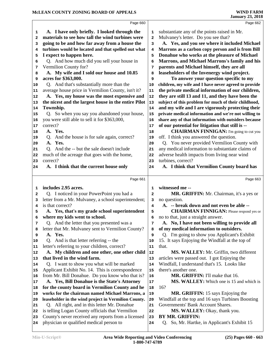|              | Page 660                                                                       |        | Page 662                                                        |  |
|--------------|--------------------------------------------------------------------------------|--------|-----------------------------------------------------------------|--|
| 1            | A. I have only briefly. I looked through the                                   | 1      | substantiate any of the points raised in Mr.                    |  |
| $\mathbf{2}$ | materials to see how tall the wind turbines were                               | 2      | Mulvaney's letter. Do you see that?                             |  |
| 3            | going to be and how far away from a house the                                  | 3      | A. Yes, and you see where it included Michael                   |  |
| 4            | turbines would be located and that spelled out what                            | 4      | Marrons as a carbon copy person and is from Bill                |  |
| 5            | I expect to happen here.                                                       | 5      | Donahue who works at the pleasure of Michael                    |  |
| 6            | Q. And how much did you sell your house in                                     | 6      | Marrons, and Michael Marrons's family and his                   |  |
| 7            | Vermilion County for?                                                          | 7      | parents and Michael himself, they are all                       |  |
| 8            | A. My wife and I sold our house and 10.85                                      | 8      | leaseholders of the Invenergy wind project.                     |  |
| 9            | acres for \$363,000.                                                           | 9      | To answer your question specific to my                          |  |
| 10           | Q. And that's substantially more than the                                      | 10     | children, my wife and I have never agreed to provide            |  |
| 11           | average house price in Vermilion County, isn't it?                             | 11     | the private medical information of our children,                |  |
| 12           | A. Yes, my house was the most expensive and                                    | 12     | they are still 13 and 11, and they have been the                |  |
| 13           | the nicest and the largest house in the entire Pilot                           | 13     | subject of this problem for much of their childhood,            |  |
| 14           | Township.                                                                      | 14     | and my wife and I are vigorously protecting their               |  |
| 15           | Q. So when you say you abandoned your house,                                   | 15     | private medical information and we're not willing to            |  |
| 16           | you were still able to sell it for \$363,000,                                  | 16     | share any of that information with outsiders because            |  |
| 17           | correct?                                                                       | $17$   | of our potential for litigation that still is --                |  |
| 18           | A. Yes.                                                                        | 18     | <b>CHAIRMAN FINNIGAN:</b> I'm going to cut you                  |  |
|              | Q. And the house is for sale again, correct?                                   | 19     | off. I think you answered the question.                         |  |
| 19<br>20     | A. Yes.                                                                        | 20     | Q. You never provided Vermilion County with                     |  |
| 21           | Q. And the -- but the sale doesn't include                                     | 21     | any medical information to substantiate claims of               |  |
| 22           | much of the acreage that goes with the home,                                   | 22     | adverse health impacts from living near wind                    |  |
| 23           | correct?                                                                       | 23     | turbines, correct?                                              |  |
| 24           | A. I think that the current house only                                         | 24     | A. I think that Vermilion County board has                      |  |
|              |                                                                                |        |                                                                 |  |
|              |                                                                                |        |                                                                 |  |
|              | Page 661                                                                       |        | Page 663                                                        |  |
| 1            | includes 2.95 acres.                                                           | 1      | witnessed me --                                                 |  |
| $\mathbf{2}$ |                                                                                | 2      |                                                                 |  |
| 3            | Q. I noticed in your PowerPoint you had a                                      | 3      | MR. GRIFFIN: Mr. Chairman, it's a yes or<br>no question.        |  |
| 4            | letter from a Mr. Mulvaney, a school superintendent;<br>is that correct?       | 4      | A. -- break down and not even be able --                        |  |
| 5            |                                                                                | 5      | <b>CHAIRMAN FINNIGAN:</b> Please respond yes or                 |  |
| 6            | A. Yes, that's my grade school superintendent<br>where my kids went to school. | 6      | no to that, just a straight answer.                             |  |
| 7            | Q. And the letter that you presented was a                                     | 7      | A. No, I have not been willing to provide all                   |  |
| 8            | letter that Mr. Mulvaney sent to Vermilion County?                             | 8      | of my medical information to outsiders.                         |  |
| 9            | A. Yes.                                                                        | 9      | Q. I'm going to show you Applicant's Exhibit                    |  |
| 10           | Q. And is that letter referring -- the                                         | 10     | 15. It says Enjoying the Windfall at the top of                 |  |
| 11           | letter's referring to your children, correct?                                  | 11     | that.                                                           |  |
| 12           | A. My children and one other, one other child                                  | 12     | MS. WALLEY: Mr. Griffin, two different                          |  |
| 13           | that lived in the wind farm.                                                   | 13     | articles were passed out. I got Enjoying the                    |  |
| 14           | Q. I want to show you what will be marked                                      | 14     | Windfall, I understand that's 15. Looks like                    |  |
| 15           | Applicant Exhibit No. 14. This is correspondence                               | 15     | there's another one.                                            |  |
| 16           | from Mr. Bill Donahue. Do you know who that is?                                | 16     | MR. GRIFFIN: I'll make that 16.                                 |  |
| 17           | A. Yes, Bill Donahue is the State's Attorney                                   | $17\,$ | MS. WALLEY: Which one is 15 and which is                        |  |
| 18           | for the county board in Vermilion County and he                                | 18     | 16?                                                             |  |
| 19           | works for the chairman named Michael Marrons, a                                | 19     | MR. GRIFFIN: 15 says Enjoying the                               |  |
| 20           | leaseholder in the wind project in Vermilion County.                           | 20     | Windfall at the top and 16 says Turbines Boosting               |  |
| 21           | Q. All right, and in this letter Mr. Donahue                                   | 21     | Governments' Bank Account Shares.                               |  |
| 22           | is telling Logan County officials that Vermilion                               | 22     | MS. WALLEY: Okay, thank you.                                    |  |
| 23           | County's never received any reports from a licensed                            | 23     | BY MR. GRIFFIN:<br>Q. So, Mr. Hartke, in Applicant's Exhibit 15 |  |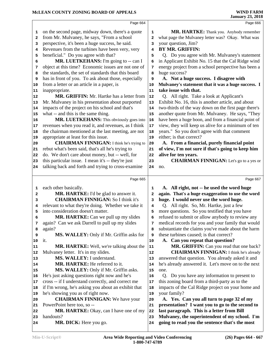|          | Page 664                                            |                | Page 666                                                                                         |
|----------|-----------------------------------------------------|----------------|--------------------------------------------------------------------------------------------------|
| 1        | on the second page, midway down, there's a quote    | 1              | MR. HARTKE: Thank you. Anybody remember                                                          |
| 2        | from Mr. Mulvaney, he says, "From a school          | $\overline{a}$ | what page the Mulvaney letter was? Okay. What was                                                |
| 3        | perspective, it's been a huge success, he said.     | 3              | your question, Jim?                                                                              |
| 4        | Revenues from the turbines have been very, very     | 4              | <b>BY MR. GRIFFIN:</b>                                                                           |
| 5        | beneficial." Do you agree with that?                | 5              | Q. Do you agree with Mr. Mulvaney's statement                                                    |
| 6        | MR. LUETKEHANS: I'm going to -- can I               | 6              | in Applicant Exhibit No. 15 that the Cal Ridge wind                                              |
| 7        | object at this time? Economic issues are not one of | 7              | energy project from a school perspective has been a                                              |
| 8        | the standards, the set of standards that this board | 8              | huge success?                                                                                    |
| 9        | has in front of you. To ask about those, especially | 9              | A. Not a huge success. I disagree with                                                           |
| 10       | from a letter or an article in a paper, is          | 10             | Mulvaney's statement that it was a huge success. I                                               |
| 11       | inappropriate.                                      | 11             | take issue with that.                                                                            |
| 12       | MR. GRIFFIN: Mr. Hartke has a letter from           | ${\bf 12}$     | Q. All right. Take a look at Applicant's                                                         |
| 13       | Mr. Mulvaney in his presentation about purported    | 13             | Exhibit No. 16, this is another article, and about                                               |
| 14       | impacts of the project on his school and that's     | 14             | two-thirds of the way down on the first page there's                                             |
| 15       | what -- and this is the same thing.                 | 15             | another quote from Mr. Mulvaney. He says, "They                                                  |
| 16       | MR. LUETKEHANS: This obviously goes into            | 16             | have been a huge boon, and from a financial point of                                             |
| 17       | revenues when you read it, and revenues, as I think | $17\,$         | view, they will keep us alive for a minimum of ten                                               |
| 18       | the chairman mentioned at the last meeting, are not | 18             | years." So you don't agree with that comment                                                     |
| 19       | appropriate at least for this issue.                | 19             | either; is that correct?                                                                         |
| 20       | <b>CHAIRMAN FINNIGAN:</b> I think he's trying to    | 20             | A. From a financial, purely financial point                                                      |
| 21       | rebut what's been said, that's all he's trying to   | 21             | of view, I'm not sure if that's going to keep him                                                |
| 22       | do. We don't care about money, but -- well, for     | 22             | alive for ten years.                                                                             |
| 23       | this particular issue. I mean it's -- they're just  | 23             | <b>CHAIRMAN FINNIGAN:</b> Let's go to a yes or                                                   |
| 24       | talking back and forth and trying to cross-examine  | 24             | no.                                                                                              |
|          |                                                     |                |                                                                                                  |
|          | Page 665                                            |                | Page 667                                                                                         |
|          |                                                     |                |                                                                                                  |
| 1        | each other basically.                               | 1              | A. All right, not -- he used the word huge                                                       |
| 2        | MR. HARTKE: I'd be glad to answer it.               | $\overline{a}$ | again. That's a huge exaggeration to use the word                                                |
| з        | <b>CHAIRMAN FINNIGAN: So I think it's</b>           | 3              | huge. I would never use the word huge.                                                           |
| 4        | relevant to what they're doing. Whether we take it  | 4              | Q. All right. So, Mr. Hartke, just a few                                                         |
| 5        | into consideration doesn't matter.                  | 5              | more questions. So you testified that you have                                                   |
| 6        | MR. HARTKE: Can we pull up my slides                | 6              | refused to submit or allow anybody to review any                                                 |
| 7        | again? Can we ask Darrell to pull up my slides      | 7              | medical records for you and your family that would                                               |
| 8        | again?                                              | 8              | substantiate the claims you've made about the harm                                               |
| 9        | MS. WALLEY: Only if Mr. Griffin asks for            | 9              | these turbines caused; is that correct?                                                          |
| 10       | it.                                                 | 10             | A. Can you repeat that question?                                                                 |
| 11       | <b>MR. HARTKE:</b> Well, we're talking about the    | 11             | MR. GRIFFIN: Can you read that one back?                                                         |
| 12       | Mulvaney letter. It's in my slides.                 | 12             | <b>CHAIRMAN FINNIGAN:</b> I think he's already                                                   |
| 13       | MS. WALLEY: I understand.                           | 13             | answered that question. You already asked it and                                                 |
| 14       | MR. HARTKE: He referred to it.                      | 14             | he's already answered it. Let's move on to the next                                              |
| 15       | MS. WALLEY: Only if Mr. Griffin asks.               | 15             | one.                                                                                             |
| 16       | He's just asking questions right now and he's       | 16             | Do you have any information to present to<br>Q.                                                  |
| 17       | cross -- if I understand correctly, and correct me  | 17             | this zoning board from a third-party as to the                                                   |
| 18       | if I'm wrong, he's asking you about an exhibit that | 18             | impacts of the Cal Ridge project on your home and                                                |
| 19       | he's showing you as of right now.                   | 19             | your family?                                                                                     |
| 20       | <b>CHAIRMAN FINNIGAN:</b> We have your              | 20             | A. Yes. Can you all turn to page 32 of my                                                        |
| 21       | PowerPoint here too, so --                          | 21             | presentation? I want you to go to the second to                                                  |
| 22       | MR. HARTKE: Okay, can I have one of my              | ${\bf 22}$     | last paragraph. This is a letter from Bill                                                       |
| 23<br>24 | handouts?<br>MR. DICK: Here you go.                 | 23<br>24       | Mulvaney, the superintendent of my school. I'm<br>going to read you the sentence that's the most |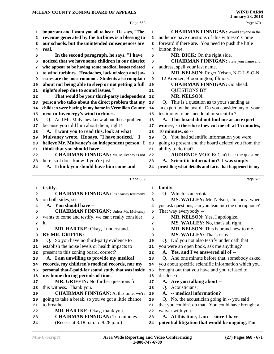Page 668  **important and I want you all to hear. He says, "The revenue generated by the turbines is a blessing to our schools, but the unintended consequences are real." In the second paragraph, he says, "I have noticed that we have some children in our district who appear to be having some medical issues related to wind turbines. Headaches, lack of sleep and jaw issues are the most common. Students also complain about not being able to sleep or not getting a full night's sleep due to sound issues." That would be your third-party independent person who talks about the direct problem that my children were having in my home in Vermilion County next to Invenergy's wind turbines.** Q. And Mr. Mulvaney knew about those problems 16 because you told him about them, right?  **A. I want you to read this, look at what Mulvaney wrote. He says, "I have noticed." I believe Mr. Mulvaney's an independent person. I think that you should have -- CHAIRMAN FINNIGAN:** Mr. Mulvaney is not 22 here, so I don't know if you're just --  **A. I think you should have him come and** Page 669  **testify. CHAIRMAN FINNIGAN:** It's hearsay testimony 2 on both sides, so --  **A. You should have -- CHAIRMAN FINNIGAN:** Unless Mr. Mulvaney 5 wants to come and testify, we can't really consider it.  **MR. HARTKE:** Okay, I understand.  **BY MR. GRIFFIN:**  Q. So you have no third-party evidence to establish the noise levels or health impacts to  $\vert$  **11**  present to this zoning board, correct?  **A. I am unwilling to provide my medical records, my children's medical records, nor my personal that-I-paid-for sound study that was inside my home during periods of time.** MR. GRIFFIN: No further questions for 17 this witness. Thank you.  **CHAIRMAN FINNIGAN:** At this time, we're going to take a break, so you've got a little chance to breathe. 22 MR. HARTKE: Okay, thank you.  **CHAIRMAN FINNIGAN:** Ten minutes. (Recess at 8:18 p.m. to 8:28 p.m.) Page 670 **CHAIRMAN FINNIGAN:** Would anyone in the audience have questions of this witness? Come forward if there are. You need to push the little button there. **MR. DICK:** On the right side.  **CHAIRMAN FINNIGAN:** State your name and address, spell your last name.  **MR. NELSON:** Roger Nelson, N-E-L-S-O-N, 112 Kreitzer, Bloomington, Illinois.  **CHAIRMAN FINNIGAN:** Go ahead. QUESTIONS BY  **MR. NELSON:**  Q. This is a question as to your standing as an expert by the board. Do you consider any of your testimony to be anecdotal or scientific?  **A. This board did not find me as an expert witness, so therefore they cut me off at 15 minutes, 10 minutes, so --** Q. You had scientific information you were going to present and the board deleted you from the ability to do that?  **AUDIENCE VOICE:** Can't hear the question.  **A. Scientific information? I was simply providing what details and facts that happened to my** Page 671  **family.** Q. Which is anecdotal.  **MS. WALLEY:** Mr. Nelson, I'm sorry, when you ask questions, can you lean into the microphone? That way everybody -- **MR. NELSON:** Yes, I apologize.  **MS. WALLEY:** No, that's all right.  **MR. NELSON:** This is brand-new to me.  **MS. WALLEY:** That's okay. Q. Did you not also testify under oath that you were an open book, ask me anything?  **A. Yes, and I've answered all of --** Q. And one minute before that, somebody asked you about specific scientific information which you brought out that you have and you refused to disclose it.  **A. Are you talking about --** Q. Acousticians.  **A. -- medical information?** Q. No, the acoustician going in -- you said that you couldn't do that. You could have brought a waiver with you.  **A. At this time, I am -- since I have potential litigation that would be ongoing, I'm**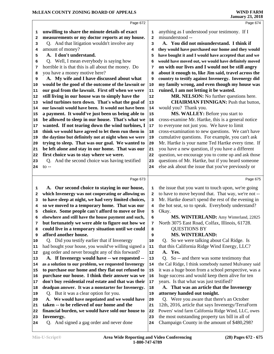|                                                     | Page 672                                               |          | Page 674                                                                                         |
|-----------------------------------------------------|--------------------------------------------------------|----------|--------------------------------------------------------------------------------------------------|
| 1                                                   | unwilling to share the minute details of exact         | 1        | anything as I understood your testimony. If I                                                    |
| 2                                                   | measurements or my doctor reports at my house.         | 2        | misunderstood --                                                                                 |
| з                                                   | Q. And that litigation wouldn't involve any            | 3        | A. You did not misunderstand. I think if                                                         |
| 4                                                   | amount of money?                                       | 4        | they would have purchased our home and they would                                                |
| 5                                                   | A. I don't understand.                                 | 5        | have bought it and I would have accepted that and we                                             |
| 6                                                   | Q. Well, I mean everybody is saying how                | 6        | would have moved out, we would have definitely moved                                             |
| 7                                                   | horrible it is that this is all about the money. Do    | 7        | on with our lives and I would not be still angry                                                 |
| 8                                                   | you have a money motive here?                          | 8        | about it enough to, like Jim said, travel across the                                             |
| 9                                                   | A. My wife and I have discussed about what             | 9        | country to testify against Invenergy. Invenergy did                                              |
| 10                                                  | would be the good of the outcome of the lawsuit or     | 10       | my family wrong, and even though my house was                                                    |
| 11                                                  | our goal from the lawsuit. First off when we were      | 11       | ruined, I am not letting it be wasted.                                                           |
| 12                                                  | still living in our house was to simply have the       | 12       | MR. NELSON: No further questions here.                                                           |
| 13                                                  | wind turbines torn down. That's what the goal of       | 13       | <b>CHAIRMAN FINNIGAN: Push that button,</b>                                                      |
| 14                                                  | our lawsuit would have been. It would not have been    | 14       | would you? Thank you.                                                                            |
| 15                                                  | a payment. It would've just been us being able to      | 15       | MS. WALLEY: Before you start to                                                                  |
| 16                                                  | be allowed to sleep in our house. That's what we       | 16       | cross-examine Mr. Hartke, this is a general notice                                               |
| 17                                                  | wanted. If not tearing down the wind turbines, I       | 17       | to everyone not just you. We have to limit                                                       |
| 18                                                  | think we would have agreed to let them run them in     | 18       | cross-examination to new questions. We can't have                                                |
| 19                                                  | the daytime but definitely not at night when we were   | 19       | cumulative questions. For example, you can't ask                                                 |
| 20                                                  | trying to sleep. That was our goal. We wanted to       | 20       | Mr. Hartke is your name Ted Hartke every time. If                                                |
| 21                                                  | be left alone and stay in our home. That was our       | 21       | you have a new question, if you have a different                                                 |
| 22                                                  | first choice was to stay where we were.                | 22       | question, we encourage you to come up and ask those                                              |
| 23                                                  | Q. And the second choice was having testified          | 23       | questions of Mr. Hartke, but if you heard someone                                                |
| 24                                                  | to $-$                                                 | 24       | else ask about the issue that you've previously or                                               |
|                                                     |                                                        |          |                                                                                                  |
|                                                     | Page 673                                               |          | Page 675                                                                                         |
|                                                     |                                                        |          |                                                                                                  |
| 1                                                   | A. Our second choice to staying in our house,          | 1        | the issue that you want to touch upon, we're going                                               |
| 2                                                   | which Invenergy was not cooperating or allowing us     | 2        | to have to move beyond that. That way, we're not --                                              |
| 3                                                   | to have sleep at night, we had very limited choices,   | з        | Mr. Hartke doesn't spend the rest of the evening in                                              |
| 4                                                   | so we moved to a temporary home. That was our          | 4        | the hot seat, so to speak. Everybody understand?                                                 |
| 5                                                   | choice. Some people can't afford to move or live       | 5        | Okay.                                                                                            |
| 6                                                   | elsewhere and still have the house payment and such,   | 6        | MS. WINTERLAND: Amy Winterland, 22825                                                            |
| 7                                                   | but fortunately we were able to figure out how we      | 7        | North 3075 East Road, Colfax, Illinois, 61728.                                                   |
| 8                                                   | could live in a temporary situation until we could     | 8        | <b>QUESTIONS BY</b>                                                                              |
| 9                                                   | afford another house.                                  | 9        | <b>MS. WINTERLAND:</b>                                                                           |
| 10                                                  | Q. Did you testify earlier that if Invenergy           | 10       | Q. So we were talking about Cal Ridge. Is                                                        |
|                                                     | had bought your house, you would've willing signed a   | 11       | that this California Ridge Wind Energy, LLC?                                                     |
|                                                     | gag order and never brought any of this forward?       | 12       | A. Yes.                                                                                          |
|                                                     | A. If Invenergy would have -- we requested --          | 13       | Q. So -- and there was some testimony that                                                       |
|                                                     | as a solution to our problem, we requested Invenergy   | 14       | the Cal Ridge, I think somebody named Mulvaney said                                              |
|                                                     | to purchase our home and they flat out refused to      | 15       | it was a huge boon from a school perspective, was a                                              |
|                                                     | purchase our house. I think their answer was we        | 16       | huge success and would keep them alive for ten                                                   |
|                                                     | don't buy residential real estate and that was their   | 17       | years. Is that what was just testified?                                                          |
|                                                     | deadpan answer. It was a nonstarter for Invenergy.     | 18       | A. That was an article that the Invenergy                                                        |
| 11<br>12<br>13<br>14<br>15<br>16<br>17<br>18<br> 19 | Q. But it was a clear option for you.                  | 19       | attorney handed out tonight.                                                                     |
| 20                                                  | A. We would have negotiated and we would have          | 20       | Q. Were you aware that there's an October                                                        |
| 21                                                  | taken -- to be relieved of our home and the            | 21       | 12th, 2016, article that says Invenergy/TerraForm                                                |
| 22                                                  | financial burden, we would have sold our house to      | 22       | Powers' wind farm California Ridge Wind, LLC, owes                                               |
| 23<br>24                                            | Invenergy.<br>Q. And signed a gag order and never done | 23<br>24 | the most outstanding property tax bill in all of<br>Champaign County in the amount of \$480,298? |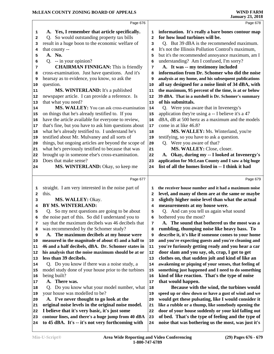|              | Page 676                                             |                         | Page 678                                             |
|--------------|------------------------------------------------------|-------------------------|------------------------------------------------------|
| 1            | A. Yes, I remember that article specifically.        | 1                       | information. It's really a bare bones contour map    |
| 2            | Q. So would outstanding property tax bills           | $\overline{\mathbf{2}}$ | for how loud turbines will be.                       |
| 3            | result in a huge boon to the economic welfare of     | 3                       | Q. But 39 dBA is the recommended maximum.            |
| 4            | that county --                                       | 4                       | It's not the Illinois Pollution Control's maximum,   |
| 5            | A. No.                                               | 5                       | but it's the recommended annoyance maximum, am I     |
| 6            | Q. -- in your opinion?                               | 6                       | understanding? Am I confused, I'm sorry?             |
| 7            | <b>CHAIRMAN FINNIGAN:</b> This is friendly           | 7                       | A. It was -- my testimony included                   |
| 8            | cross-examination. Just have questions. And it's     | 8                       | information from Dr. Schomer who did the noise       |
| 9            | hearsay as to evidence, you know, so ask the         | 9                       | analysis at my home, and his subsequent publications |
| 10           | question.                                            | 10                      | all say designed for a noise limit of 34 dBA, with   |
| 11           | <b>MS. WINTERLAND:</b> It's a published              | 11                      | the maximum, 95 percent of the time, is at or below  |
| 12           | newspaper article. I can provide a reference. Is     | 12                      | 39 dBA. That in a nutshell is Dr. Schomer's summary  |
| 13           | that what you need?                                  | 13                      | of his submittals.                                   |
| 14           | MS. WALLEY: You can ask cross-examination            | 14                      | Q. Were you aware that in Invenergy's                |
| 15           | on things that he's already testified to. If you     | 15                      | application they're using a -- I believe it's a 47   |
| 16           | have the article available for everyone to review,   | 16                      | dBA, dB at 500 hertz as a maximum and the models     |
| 17           | that's fine, but you have to ask him questions about | 17                      | come in at like 46.8?                                |
|              | what he's already testified to. I understand he's    |                         | MS. WALLEY: Ms. Winterland, you're                   |
| 18<br>19     | testified about Mr. Mulvaney and all sorts of        | 18<br>19                | testifying, so you have to ask a question.           |
|              | things, but ongoing articles are beyond the scope of | 20                      | Q. Were you aware of that?                           |
| 20           | what he's previously testified to because that was   |                         | MS. WALLEY: Close, closer.                           |
| 21           | brought up in someone else's cross-examination.      | 21<br>22                | A. Okay, during my -- I looked at Invenergy's        |
| 22           | Does that make sense?                                |                         | application for McLean County and I saw a big huge   |
| 23           |                                                      | 23                      | list of all the homes listed in -- I think it had    |
| 24           | MS. WINTERLAND: Okay, so keep me                     | 24                      |                                                      |
|              | Page 677                                             |                         | Page 679                                             |
|              |                                                      |                         |                                                      |
| 1            | straight. I am very interested in the noise part of  | 1                       | the receiver house number and it had a maximum noise |
| $\mathbf{2}$ | this.                                                | 2                       | level, and many of them are at the same or maybe     |
| 3            | MS. WALLEY: Okay.                                    | 3                       | slightly higher noise level than what the actual     |
| 4            | <b>BY MS. WINTERLAND:</b>                            | 4                       | measurements at my house were.                       |
| 5            | Q. So my next questions are going to be about        | 5                       | Q. And can you tell us again what sound              |
| 6            | the noise part of this. So did I understand you to   | 6                       | bothered you the most?                               |
| 7            | say that the maximum decibels was 46 decibels that   | 7                       | A. The sound that bothered us the most was a         |
| 8            | was recommended by the Schomer study?                | 8                       | rumbling, thumping noise like heavy bass. To         |
| 9            | A. The maximum decibels at my house were             | 9                       | describe it, it's like if someone comes to your home |
| 10           | measured in the magnitude of about 45 and a half to  | 10                      | and you're expecting guests and you're cleaning and  |
| 11           | 46 and a half decibels, dBA. Dr. Schomer states in   | 11                      | you're furiously getting ready and you hear a car    |
| 12           | his analysis that the noise maximum should be at or  | 12                      | door slam and you say, oh, crap, I got to get        |
| 13           | less than 39 decibels.                               | 13                      | clothes on, that sudden jolt and kind of like an     |
| 14           | Q. Do you know if there was a noise study, a         | 14                      | awakening or piquing of your senses, that feeling of |
| 15           | model study done of your house prior to the turbines | 15                      | something just happened and I need to do something   |
| 16           | being built?                                         | 16                      | kind of like reaction. That's the type of noise      |
| 17           | A. There was.                                        | 17                      | that would happen.                                   |
| 18           | Q. Do you know what your model number, what          | 18                      | Because with the wind, the turbines would            |
| 19           | your house was modelled to be?                       | 19                      | speed up or slow down or have a gust of wind and we  |
| 20           | A. I've never thought to go look at the              | 20                      | would get these pulsating, like I would consider it  |
|              |                                                      |                         | like a rubble or a thump, like somebody opening the  |
| 21           | original noise levels in the original noise model.   | 21                      |                                                      |
| 22           | I believe that it's very basic, it's just some       | 22                      | door of your house suddenly or your kid falling out  |
| 23           | contour lines, and there's a huge jump from 40 dBA   | 23                      | of bed. That's the type of feeling and the type of   |
| 24           | to 45 dBA. It's -- it's not very forthcoming with    | 24                      | noise that was bothering us the most, was just it's  |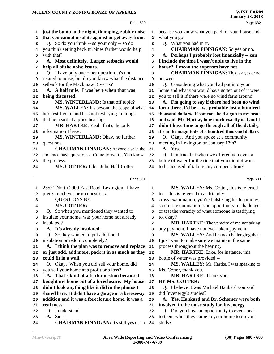|        | Page 680                                                                          |              | Page 682                                             |  |
|--------|-----------------------------------------------------------------------------------|--------------|------------------------------------------------------|--|
| 1      | just the bump in the night, thumping, rubble noise                                | 1            | because you know what you paid for your house and    |  |
| 2      | that you cannot insulate against or get away from.                                | $\mathbf{2}$ | what you got.                                        |  |
| з      | Q. So do you think -- so your only -- so do                                       | 3            | Q. What you had in it.                               |  |
| 4      | you think setting back turbines farther would help                                | 4            | <b>CHAIRMAN FINNIGAN:</b> So yes or no.              |  |
| 5      | with that?                                                                        | 5            | A. Perhaps I probably lost financially -- can        |  |
| 6      | A. Most definitely. Larger setbacks would                                         | 6            | I include the time I wasn't able to live in the      |  |
| 7      | help all of the noise issues.                                                     | 7            | house? I mean the expenses have not --               |  |
| 8      | Q. I have only one other question, it's not                                       | 8            | <b>CHAIRMAN FINNIGAN:</b> This is a yes or no        |  |
| 9      | related to noise, but do you know what the distance                               | 9            | answer.                                              |  |
| 10     | setback for the Mackinaw River is?                                                | 10           | Q. Considering what you had put into your            |  |
| 11     | A. A half mile. I was here when that was                                          | 11           | home and what you would have gotten out of it were   |  |
| 12     | being discussed.                                                                  | 12           | you to sell it if there were no wind farm around.    |  |
| 13     | MS. WINTERLAND: Is that off topic?                                                | 13           | A. I'm going to say if there had been no wind        |  |
| 14     | MS. WALLEY: It's beyond the scope of what                                         | ${\bf 14}$   | farm there, I'd be -- we probably lost a hundred     |  |
| 15     | he's testified to and he's not testifying to things                               | 15           | thousand dollars. If someone held a gun to my head   |  |
| 16     | that he heard at a prior hearing.                                                 | 16           | and said, Mr. Hartke, how much exactly is it and I   |  |
| 17     | MR. HARTKE: Yeah, that's the only                                                 | 17           | didn't have time to go through all of the details,   |  |
| 18     | information I have.                                                               | 18           | it's in the magnitude of a hundred thousand dollars. |  |
| 19     | MS. WINTERLAND: Okay, no further                                                  | 19           | Q. Okay. And you spoke at a community                |  |
| 20     | questions.                                                                        | 20           | meeting in Lexington on January 17th?                |  |
| 21     | <b>CHAIRMAN FINNIGAN:</b> Anyone else in the                                      | 21           | A. Yes.                                              |  |
| 22     | audience have questions? Come forward. You know                                   | 22           | Q. Is it true that when we offered you even a        |  |
| 23     | the process.                                                                      | 23           | bottle of water for the ride that you did not want   |  |
| 24     | MS. COTTER: I do. Julie Hall-Cotter,                                              | 24           | to be accused of taking any compensation?            |  |
|        | Page 681                                                                          |              | Page 683                                             |  |
|        |                                                                                   |              | MS. WALLEY: Ms. Cotter, this is referred             |  |
| 1<br>2 | 23571 North 2900 East Road, Lexington. I have<br>pretty much yes or no questions. | 1            | to -- this is referred to as friendly                |  |
| 3      | <b>QUESTIONS BY</b>                                                               | 2<br>з       | cross-examination, you're bolstering his testimony,  |  |
| 4      | <b>MS. COTTER:</b>                                                                | 4            | so cross-examination is an opportunity to challenge  |  |
| 5      | Q. So when you mentioned they wanted to                                           | 5            | or test the veracity of what someone is testifying   |  |
| 6      | insulate your home, was your home not already                                     | 6            | to, okay?                                            |  |
| 7      | insulated?                                                                        | 7            | MR. HARTKE: The veracity of me not taking            |  |
| 8      | A. It's already insulated.                                                        | 8            | any payment, I have not ever taken payment.          |  |
| 9      | So they wanted to put additional<br>O.                                            | 9            | MS. WALLEY: And I'm not challenging that.            |  |
| 10     | insulation or redo it completely?                                                 | 10           | I just want to make sure we maintain the same        |  |
| 11     | A. I think the plan was to remove and replace                                     | 11           | process throughout the hearing.                      |  |
| 12     | or just add, add more, pack it in as much as they                                 | 12           | MR. HARTKE: Like, for instance, this                 |  |
| 13     | could fit in a wall.                                                              | 13           | bottle of water was provided --                      |  |
| 14     | Q. Okay. When you did sell your home, did                                         | 14           | MS. WALLEY: Mr. Hartke, I was speaking to            |  |
| 15     | you sell your home at a profit or a loss?                                         | 15           | Ms. Cotter, thank you.                               |  |
| 16     | A. That's kind of a trick question because I                                      | 16           | MR. HARTKE: Thank you.                               |  |
| 17     | bought my home out of a foreclosure. My house                                     | 17           | BY MS. COTTER:                                       |  |
| 18     | didn't look anything like it did in the photos I                                  | 18           | Q. I believe it was Michael Hankard you said         |  |
| 19     | shared here. It didn't have a garage or a breezeway                               | 19           | did Invenergy's studies?                             |  |
| 20     | addition and it was a foreclosure home, it was a                                  | 20           | A. Yes, Hankard and Dr. Schomer were both            |  |
| 21     | real mess.                                                                        | 21           | involved in the noise study for Invenergy.           |  |
| 22     | Q. I understand.                                                                  | 22           | Q. Did you have an opportunity to even speak         |  |
| 23     | $A. So -$                                                                         |              | to them when they came to your home to do your       |  |
|        |                                                                                   | 23           |                                                      |  |
| 24     | <b>CHAIRMAN FINNIGAN:</b> It's still yes or no                                    | 24           | study?                                               |  |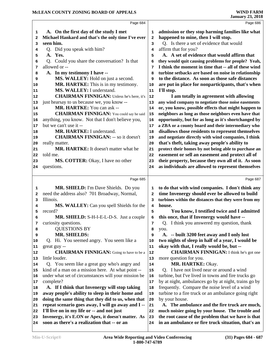|                         | Page 684                                             |            | Page 686                                             |
|-------------------------|------------------------------------------------------|------------|------------------------------------------------------|
| 1                       | A. On the first day of the study I met               | 1          | admission or they stop harming families like what    |
| $\overline{\mathbf{2}}$ | Michael Hankard and that's the only time I've ever   | 2          | happened to mine, then I will stop.                  |
| 3                       | seen him.                                            | 3          | Q. Is there a set of evidence that would             |
| 4                       | Q. Did you speak with him?                           | 4          | affirm that for you?                                 |
| 5                       | A. Yes.                                              | 5          | A. A set of evidence that would affirm that          |
| 6                       | Q. Could you share the conversation? Is that         | 6          | they would quit causing problems for people? Yeah,   |
| 7                       | allowed or --                                        | 7          | I think the moment in time that -- all of these wind |
| 8                       | A. In my testimony I have --                         | 8          | turbine setbacks are based on noise in relationship  |
| 9                       | MS. WALLEY: Hold on just a second.                   | 9          | to the distance. As soon as those safe distances     |
| 10                      | MR. HARTKE: This is in my testimony.                 | 10         | are put in place for nonparticipants, that's when    |
| 11                      | MS. WALLEY: I understand.                            | ${\bf 11}$ | I'll stop.                                           |
| 12                      | <b>CHAIRMAN FINNIGAN:</b> Unless he's here, it's     | 12         | I am totally in agreement with allowing              |
| 13                      | just hearsay to us because we, you know --           | 13         | any wind company to negotiate those noise easements  |
| 14                      | MR. HARTKE: You can ask --                           | 14         | or, you know, possible effects that might happen to  |
| 15                      | <b>CHAIRMAN FINNIGAN:</b> You could say he said      | 15         | neighbors as long as those neighbors even have that  |
| 16                      | anything, you know. Not that I don't believe you,    | 16         | opportunity, but for as long as it's shortchanged by |
| 17                      | but we can't use it --                               | 17         | a ZBA or a county board and their intermediary who   |
| 18                      | MR. HARTKE: I understand.                            | 18         | disallows those residents to represent themselves    |
| 19                      | <b>CHAIRMAN FINNIGAN: -- so it doesn't</b>           | 19         | and negotiate directly with wind companies, I think  |
| 20                      | really matter.                                       | 20         | that's theft, taking away people's ability to        |
| 21                      | MR. HARTKE: It doesn't matter what he                | 21         | protect their homes by not being able to purchase an |
| 22                      | told me.                                             | 22         | easement or sell an easement and protect all of      |
| 23                      | MS. COTTER: Okay, I have no other                    | 23         | their property, because they own all of it. As soon  |
| 24                      | questions.                                           | 24         | as individuals are allowed to represent themselves   |
|                         |                                                      |            |                                                      |
|                         | Page 685                                             |            | Page 687                                             |
| 1                       | MR. SHIELD: I'm Dave Shields. Do you                 | 1          | to do that with wind companies. I don't think any    |
| 2                       | need the address also? 701 Broadway, Normal,         | 2          | time Invenergy should ever be allowed to build       |
| 3                       | Illinois.                                            | з          | turbines within the distances that they were from my |
| 4                       | MS. WALLEY: Can you spell Shields for the            | 4          | house.                                               |
| 5                       | record?                                              | 5          | You know, I testified twice and I admitted           |
| 6                       | MR. SHIELD: S-H-I-E-L-D-S. Just a couple             | 6          | this once, that if Invenergy would have --           |
| 7                       | curiosity questions.                                 | 7          | Q. I think you answered my question, thank           |
| 8                       | <b>QUESTIONS BY</b>                                  | 8          | you.                                                 |
| 9                       | <b>MR. SHIELDS:</b>                                  | 9          | A. -- built 3200 feet away and I only lost           |
| 10                      | Q. Hi. You seemed angry. You seem like a             | 10         | two nights of sleep in half of a year, I would be    |
| 11                      | great guy --                                         | 11         | okay with that, I really would be, but --            |
| 12                      | <b>CHAIRMAN FINNIGAN:</b> Going to have to be a      | 12         | <b>CHAIRMAN FINNIGAN:</b> I think he's got one       |
| 13                      | little louder.                                       | 13         | more question for you.                               |
| 14                      | Q. You seem like a great guy who's angry and         | 14         | MR. HARTKE: Okay.                                    |
| 15                      | kind of a man on a mission here. At what point --    | 15         | Q. I have not lived near or around a wind            |
| 16                      | under what set of circumstances will your mission be | 16         | turbine, but I've lived in towns and fire trucks go  |
| 17                      | complete?                                            | 17         | by at night, ambulances go by at night, trains go by |
| 18                      | A. If I think that Invenergy will stop taking        | 18         | frequently. Compare the noise level of a wind        |
| 19                      | away people's ability to sleep in their home and     | 19         | turbine to a fire truck or an ambulance going right  |
| 20                      | doing the same thing that they did to us, when that  | 20         | by your house.                                       |
| 21                      | repeat scenario goes away, I will go away and I --   | 21         | A. The ambulance and the fire truck are much,        |
| 22                      | I'll live on in my life or -- and not just           | 22         | much noisier going by your house. The trouble and    |
| 23                      | Invenergy, it's E.ON or Apex, it doesn't matter. As  | 23         | the root cause of the problem that we have is that   |
| 24                      | soon as there's a realization that -- or an          | 24         | in an ambulance or fire truck situation, that's an   |
|                         |                                                      |            |                                                      |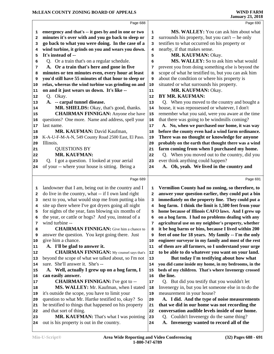|    | Page 688                                             |    | Page 690                                            |
|----|------------------------------------------------------|----|-----------------------------------------------------|
| 1  | emergency and that's -- it goes by and in one or two | 1  | MS. WALLEY: You can ask him about what              |
| 2  | minutes it's over with and you go back to sleep or   | 2  | surrounds his property, but you can't -- he only    |
| 3  | go back to what you were doing. In the case of a     | 3  | testifies to what occurred on his property or       |
| 4  | wind turbine, it grinds on you and wears you down.   | 4  | nearby, if that makes sense.                        |
| 5  | It's instead of --                                   | 5  | MR. KAUFMAN: Okay.                                  |
| 6  | Q. Or a train that's on a regular schedule.          | 6  | MS. WALLEY: So to ask him what would                |
| 7  | A. Or a train that's here and gone in five           | 7  | prevent you from doing something else is beyond the |
| 8  | minutes or ten minutes even, every hour at least     | 8  | scope of what he testified to, but you can ask him  |
| 9  | you'd still have 55 minutes of that hour to sleep or | 9  | about the condition or where his property is        |
| 10 | relax, whereas the wind turbine was grinding on and  | 10 | situated or what surrounds his property.            |
| 11 | on and it just wears us down. It's like --           | 11 | MR. KAUFMAN: Okay.                                  |
| 12 | Q. Okay.                                             | 12 | BY MR. KAUFMAN:                                     |
| 13 | A. -- carpal tunnel disease.                         | 13 | Q. When you moved to the country and bought a       |
| 14 | MR. SHIELDS: Okay, that's good, thanks.              | 14 | house, it was repossessed or whatever, I don't      |
| 15 | <b>CHAIRMAN FINNIGAN:</b> Anyone else have           | 15 | remember what you said, were you aware at the time  |
| 16 | questions? One more. Name and address, spell your    | 16 | that there was going to be windmills coming?        |
| 17 | last name.                                           | 17 | A. No, when we purchased our home, it was way       |
| 18 | MR. KAUFMAN: David Kaufman,                          | 18 | before the county even had a wind farm ordinance.   |
| 19 | K-A-U-F-M-A-N, 549 County Road 2500 East, El Paso.   | 19 | There was no thought or knowledge for anyone        |
| 20 | Illinois.                                            | 20 | probably on the earth that thought there was a wind |
| 21 | <b>QUESTIONS BY</b>                                  | 21 | farm coming from when I purchased my home.          |
| 22 | MR. KAUFMAN:                                         | 22 | Q. When you moved out to the country, did you       |
| 23 | Q. I got a question. I looked at your aerial         | 23 | ever think anything could happen?                   |
| 24 | of your -- where your house is sitting. Being a      | 24 | A. Oh, yeah. We lived in the country and            |
|    |                                                      |    |                                                     |
|    | Page 689                                             |    | Page 691                                            |
| 1  | landowner that I am, being out in the country and I  | 1  | Vermilion County had no zoning, so therefore, to    |
| 2  | do live in the country, what -- if I own land right  | 2  | answer your question earlier, they could put a bin  |
| з  | next to you, what would stop me from putting a bin   | з  | immediately on the property line. They could put a  |
| 4  | site up there where I've got dryers going all night  | 4  | hog farm. I think the limit is 1,500 feet from your |
| 5  | for nights of the year, fans blowing six months of   | 5  | home because of Illinois CAFO laws. And I grew up   |
| 6  | the year, or cattle or hogs? And you, instead of a   | 6  | on a hog farm. I had no problems dealing with any   |
| 7  | wind turbine --                                      | 7  | agricultural use on my neighbor's property, whether |
| 8  | <b>CHAIRMAN FINNIGAN:</b> Give him a chance to       | 8  | it be hog barns or bins, because I lived within 200 |
| 9  | answer the question. You kept going there. Just      | 9  | feet of one for 18 years. My family -- I'm the only |
| 10 | give him a chance.                                   | 10 | engineer surveyor in my family and most of the rest |
| 11 | A. I'll be glad to answer it.                        | 11 | of them are all farmers, so I understand your urge  |
| 12 | <b>CHAIRMAN FINNIGAN:</b> My counsel says that's     | 12 | to be able to do whatever you want on your land.    |
| 13 | beyond the scope of what we talked about, so I'm not | 13 | But today I'm testifying about how what             |
| 14 | sure. She'll answer it. She's --                     | 14 | you did came inside my home, in my bedrooms, in the |
| 15 | A. Well, actually I grew up on a hog farm, I         | 15 | beds of my children. That's where Invenergy crossed |
| 16 | can easily answer.                                   | 16 | the line.                                           |
| 17 | <b>CHAIRMAN FINNIGAN:</b> I've got to --             | 17 | Q. But did you testify that you wouldn't let        |
| 18 | MS. WALLEY: Mr. Kaufman, when I stated               | 18 | Invenergy in, but you let someone else in to do the |
| 19 | it's outside the scope, you have to limit your       | 19 | measurement in your house?                          |
| 20 | question to what Mr. Hartke testified to, okay? So   | 20 | A. I did. And the type of noise measurements        |
| 21 | he testified to things that happened on his property | 21 | that we did in our home was not recording the       |
| 22 | and that sort of thing.                              | 22 | conversation audible levels inside of our home.     |
| 23 | MR. KAUFMAN: That's what I was pointing              | 23 | Couldn't Invenergy do the same thing?<br>Q.         |
| 24 | out is his property is out in the country.           | 24 | A. Invenergy wanted to record all of the            |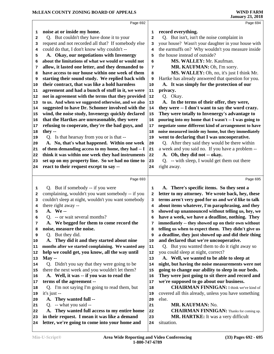|              | Page 692                                            |                         | Page 694                                             |
|--------------|-----------------------------------------------------|-------------------------|------------------------------------------------------|
| 1            | noise at or inside my home.                         | 1                       | record everything.                                   |
| $\mathbf{2}$ | Q. But couldn't they have done it to your           | $\mathbf{2}$            | Q. But isn't, isn't the noise complaint in           |
| 3            | request and not recorded all that? If somebody else | 3                       | your house? Wasn't your daughter in your house with  |
| 4            | could do that, I don't know why couldn't --         | $\overline{\mathbf{4}}$ | the earmuffs on? Why wouldn't you measure inside     |
| 5            | A. Okay, our negotiations with Invenergy            | 5                       | the house instead of outside?                        |
| 6            | about the limitations of what we would or would not | 6                       | MS. WALLEY: Mr. Kaufman.                             |
| 7            | allow, it lasted one letter, and they demanded to   | 7                       | MR. KAUFMAN: Oh, I'm sorry.                          |
| 8            | have access to our house within one week of them    | 8                       | MS. WALLEY: Oh, no, it's just I think Mr.            |
| 9            | starting their sound study. We replied back with    | 9                       | Hartke has already answered that question for you.   |
| 10           | their contract, that was like a hold harmless       | $10$                    | A. It was simply for the protection of our           |
| 11           | agreement and had a bunch of stuff in it, we were   | 11                      | privacy.                                             |
| 12           | not in agreement with the terms that they provided  | 12                      | Q. Okay.                                             |
|              | to us. And when we suggested otherwise, and we also | 13                      | A. In the terms of their offer, they were,           |
| 13           |                                                     |                         | they were -- I don't want to say the word crazy.     |
| 14           | suggested to have Dr. Schomer involved with the     | 14                      | They were totally to Invenergy's advantage to        |
| 15           | wind, the noise study, Invenergy quickly declared   | 15                      |                                                      |
| 16           | that the Hartkes are unreasonable, they were        | 16                      | pouring into my home that I wasn't -- I was going to |
| 17           | refusing to cooperate, they're the bad guys, and    | 17                      | negotiate some different kind of arrangement to have |
| 18           | they --                                             | 18                      | noise measured inside my home, but they immediately  |
| 19           | Q. Is that hearsay from you or is that --           | 19                      | went to declaring that I was uncooperative.          |
| 20           | A. No, that's what happened. Within one week        | 20                      | Q. After they said they would be there within        |
| 21           | of them demanding access to my home, they had -- I  | 21                      | a week and you said no. If you have a problem --     |
| 22           | think it was within one week they had instruments   | ${\bf 22}$              | A. Oh, they did not -- okay.                         |
| 23           | set up on my property line. So we had no time to    | 23                      | Q. -- with sleep, I would get them out there         |
| 24           | react to their request except to say --             | 24                      | right away.                                          |
|              | Page 693                                            |                         | Page 695                                             |
| 1            | Q. But if somebody -- if you were                   | $\mathbf 1$             | A. There's specific items. So they sent a            |
|              | complaining, wouldn't you want somebody -- if you   |                         | letter to my attorney. We wrote back, hey, these     |
| 2            | couldn't sleep at night, wouldn't you want somebody | $\mathbf{2}$            | terms aren't very good for us and we'd like to talk  |
| 3            |                                                     | 3                       |                                                      |
| 4            | there right away --<br>A. We--                      | 4                       | about items whatever, I'm paraphrasing, and they     |
| 5            |                                                     | 5                       | showed up unannounced without telling us, hey, we    |
| 6            | Q. -- or wait several months?                       | 6                       | have a week, we have a deadline, nothing. They       |
| 7            | A. We begged for them to come record the            | 7                       | immediately -- they showed up on their own without   |
| 8            | noise, measure the noise.                           | 8                       | telling us when to expect them. They didn't give us  |
| 9            | Q. But they did.                                    | 9                       | a deadline, they just showed up and did their thing  |
| 10           | A. They did it and they started about nine          | 10                      | and declared that we're uncooperative.               |
| 11           | months after we started complaining. We wanted any  | 11                      | Q. But you wanted them to do it right away so        |
| 12           | help we could get, you know, all the way until      | 12                      | you could sleep at night, correct?                   |
| 13           | $May -$                                             | 13                      | A. Well, we wanted to be able to sleep at            |
| 14           | Q. Didn't you say that they were going to be        | 14                      | night, but having the noise measurements were not    |
| 15           | there the next week and you wouldn't let them?      | 15                      | going to change our ability to sleep in our beds.    |
| 16           | A. Well, it was -- if you was to read the           | 16                      | They were just going to sit there and record and     |
| 17           | terms of the agreement --                           | 17                      | we're supposed to go about our business.             |
| 18           | I'm not saying I'm going to read them, but<br>Q.    | 18                      | <b>CHAIRMAN FINNIGAN:</b> I think we've kind of      |
| 19           | it's just --                                        | 19                      | covered all this already, unless you have something  |
| 20           | A. They wanted full --                              | 20                      | else.                                                |
|              | Q. -- what you said --                              | 21                      | MR. KAUFMAN: No.                                     |
| 21           |                                                     |                         |                                                      |
| 22           | A. They wanted full access to my entire home        | 22                      | <b>CHAIRMAN FINNIGAN:</b> Thanks for coming up.      |
| 23           | in their request. I mean it was like a demand       | 23                      | <b>MR. HARTKE:</b> It was a very difficult           |
| 24           | letter, we're going to come into your home and      | 24                      | situation.                                           |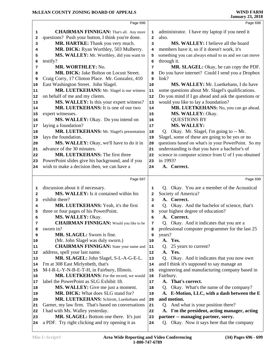|                             | Page 696                                                                                   |              | Page 698                                                                          |
|-----------------------------|--------------------------------------------------------------------------------------------|--------------|-----------------------------------------------------------------------------------|
| 1                           | <b>CHAIRMAN FINNIGAN:</b> That's all. Any more                                             | 1            | administrator. I have my laptop if you need it                                    |
| 2                           | questions? Push your button, I think you're done.                                          | $\mathbf{2}$ | also.                                                                             |
| 3                           | MR. HARTKE: Thank you very much.                                                           | 3            | MS. WALLEY: I believe all the board                                               |
| 4                           | MR. DICK: Ryan Worthley, 503 Mulberry.                                                     | 4            | members have it, so if it doesn't work, it's                                      |
| 5                           | MS. WALLEY: Mr. Worthley, did you want to                                                  | 5            | something you can always email to us and we can move                              |
| 6                           | testify?                                                                                   | 6            | through it.                                                                       |
| 7                           | MR. WORTHLEY: No.                                                                          | 7            | MR. SLAGEL: Okay, he can copy the PDF.                                            |
| 8                           | MR. DICK: Jake Bolton on Locust Street.                                                    | 8            | Do you have internet? Could I send you a Dropbox                                  |
| 9                           | Craig Corry, 17 Clinton Place. Mr. Gonzalez, 410                                           | 9            | link?                                                                             |
| 10                          | East Washington Street. John Slagel.                                                       | 10           | MS. WALLEY: Mr. Luetkehans, I do have                                             |
| 11                          | MR. LUETKEHANS: Mr. Slagel is our witness                                                  | 11           | some questions about Mr. Slagel's qualifications.                                 |
| 12                          | on behalf of me and my clients.                                                            | 12           | Do you mind if I go ahead and ask the questions or                                |
| 13                          | MS. WALLEY: Is this your expert witness?                                                   | 13           | would you like to lay a foundation?                                               |
| 14                          | MR. LUETKEHANS: It is one of our two                                                       | 14           | MR. LUETKEHANS: No, you can go ahead.                                             |
| 15                          | expert witnesses.                                                                          | 15           | MS. WALLEY: Okay.                                                                 |
| 16                          | MS. WALLEY: Okay. Do you intend on                                                         | 16           | <b>QUESTIONS BY</b>                                                               |
| 17                          | laying a foundation?                                                                       | 17           | <b>MS. WALLEY:</b>                                                                |
| 18                          | MR. LUETKEHANS: Mr. Slagel's presentation                                                  | 18           | Q. Okay. Mr. Slagel, I'm going to -- Mr.                                          |
| 19                          | lays the foundation.                                                                       | 19           | Slagel, some of these are going to be yes or no                                   |
| 20                          | MS. WALLEY: Okay, we'll have to do it in                                                   | 20           | questions based on what's in your PowerPoint. So my                               |
| 21                          | advance of the 30 minutes.                                                                 | 21           | understanding is that you have a bachelor's of                                    |
| 22                          | <b>MR. LUETKEHANS: The first three</b>                                                     | 22           | science in computer science from U of I you obtained                              |
| 23                          | PowerPoint slides give his background, and if you                                          | 23           | in 1993?                                                                          |
| 24                          | wish to make a decision then, we can have a                                                | 24           | A. Correct.                                                                       |
|                             |                                                                                            |              |                                                                                   |
|                             |                                                                                            |              |                                                                                   |
|                             | Page 697                                                                                   |              | Page 699                                                                          |
| 1                           | discussion about it if necessary.                                                          | 1            | Q. Okay. You are a member of the Acoustical                                       |
| 2                           | MS. WALLEY: Is it contained within his                                                     | $\mathbf{2}$ | Society of America?                                                               |
| з                           | exhibit there?                                                                             | 3            | A. Correct.                                                                       |
| 4                           | MR. LUETKEHANS: Yeah, it's the first                                                       | 4            | Q. Okay. And the bachelor of science, that's                                      |
| 5                           | three or four pages of his PowerPoint.                                                     | 5            | your highest degree of education?                                                 |
| 6                           | MS. WALLEY: Okay.                                                                          | 6            | A. Correct.                                                                       |
| 7                           | <b>CHAIRMAN FINNIGAN:</b> Would you like to be                                             | 7            | Q. Okay. And it indicates that you are a                                          |
| 8                           | sworn in?                                                                                  | 8            | professional computer programmer for the last 25                                  |
| 9                           | MR. SLAGEL: Sworn is fine.                                                                 | 9            | years?                                                                            |
| 10                          | (Mr. John Slagel was duly sworn.)                                                          | 10           | A. Yes.                                                                           |
|                             | <b>CHAIRMAN FINNIGAN:</b> State your name and                                              | 11           | 25 years to current?<br>O.                                                        |
|                             | address, spell your last name.                                                             | 12           | Yes.<br>А.                                                                        |
|                             | MR. SLAGEL: John Slagel, S-L-A-G-E-L.                                                      | 13           | Okay. And it indicates that you now own<br>O.                                     |
| 11<br>12<br>14              | I'm at 308 East Mirlynbeth, that's                                                         | 14           | and I think it's supposed to say manage an                                        |
| 15                          | M-I-R-L-Y-N-B-E-T-H, in Fairbury, Illinois.                                                | 15           | engineering and manufacturing company based in                                    |
|                             | MR. LUETKEHANS: For the record, we would                                                   | 16           | Fairbury.                                                                         |
| 17                          | label the PowerPoint as SLG Exhibit 18.                                                    | 17           | That's correct.<br>A.                                                             |
| 18                          | MS. WALLEY: Give me just a moment.                                                         | 18           | Okay. What's the name of the company?<br>Q.                                       |
|                             | MR. DICK: What does SLG stand for?                                                         | 19           | A. E-Motion, LLC, with a dash between the E                                       |
| 20                          | MR. LUETKEHANS: Schirott, Luetkehans and                                                   | 20           | and motion.                                                                       |
|                             | Garner, my law firm. That's based on conversations                                         | 21           | Q. And what is your position there?                                               |
| 13<br>16<br> 19<br>21<br>22 | I had with Ms. Walley yesterday.                                                           | 22           | A. I'm the president, acting manager, acting                                      |
| 23<br>24                    | MR. SLAGEL: Bottom one there. It's just<br>a PDF. Try right clicking and try opening it as | 23<br>24     | partner -- managing partner, sorry.<br>Q. Okay. Now it says here that the company |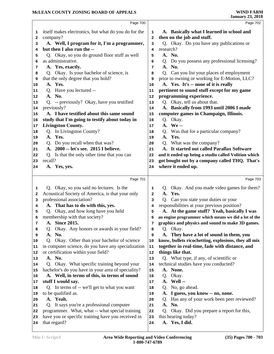|    | Page 700                                             |              | Page 702                                             |
|----|------------------------------------------------------|--------------|------------------------------------------------------|
| 1  | itself makes electronics, but what do you do for the | 1            | A. Basically what I learned in school and            |
| 2  | company?                                             | 2            | then on the job and stuff.                           |
| з  | A. Well, I program for it, I'm a programmer,         | 3            | Q. Okay. Do you have any publications or             |
| 4  | but then I also run the --                           | 4            | research?                                            |
| 5  | Q. Okay, so you do ground floor stuff as well        | 5            | A. No.                                               |
| 6  | as administrative.                                   | 6            | Q. Do you possess any professional licensing?        |
| 7  | A. Yes, exactly.                                     | 7            | A. No.                                               |
| 8  | Q. Okay. Is your bachelor of science, is             | 8            | Q. Can you list your places of employment            |
| 9  | that the only degree that you hold?                  | 9            | prior to owning or working for E-Motion, LLC?        |
| 10 | A. Yes.                                              | 10           | A. Yes. It's -- none of it is really                 |
|    | Q. Have you lectured --                              | 11           | pertinent to sound stuff except for my game          |
| 11 | A. No.                                               |              | programming experience.                              |
| 12 |                                                      | 12           | Q. Okay, tell us about that.                         |
| 13 | Q. -- previously? Okay, have you testified           | 13           |                                                      |
| 14 | previously?                                          | 14           | A. Basically from 1993 until 2006 I made             |
| 15 | A. I have testified about this same sound            | 15           | computer games in Champaign, Illinois.               |
| 16 | study that I'm going to testify about today in       | 16           | Q. Okay.                                             |
| 17 | <b>Livingston County.</b>                            | 17           | A. We--                                              |
| 18 | Q. In Livingston County?                             | 18           | Q. Was that for a particular company?                |
| 19 | A. Yes.                                              | 19           | A. Yes.                                              |
| 20 | Q. Do you recall when that was?                      | 20           | Q. What was the company?                             |
| 21 | A. 2000 -- let's see. 2015 I believe.                | 21           | A. It started out called Parallax Software           |
| 22 | Q. Is that the only other time that you can          | 22           | and it ended up being a studio called Volition which |
| 23 | recall?                                              | 23           | got bought out by a company called THQ. That's       |
| 24 | A. Yes, yes.                                         | 24           | where it ended up.                                   |
|    | Page 701                                             |              | Page 703                                             |
| 1  | Q. Okay, so you said no lectures. Is the             | 1            | Q. Okay. And you made video games for them?          |
| 2  | Acoustical Society of America, is that your only     | $\mathbf{z}$ | A. Yes.                                              |
| 3  | professional association?                            | 3            | Q. Can you state your duties or your                 |
| 4  | A. That has to do with this, yes.                    | 4            | responsibilities at your previous position?          |
| 5  | Q. Okay, and how long have you held                  | 5            | A. At the game stuff? Yeah, basically I was          |
| 6  | membership with that society?                        | 6            | an engine programmer which means we did a lot of the |
| 7  | A. Since 2015.                                       | 7            | graphics and physics and sound to make 3D games.     |
| 8  | Okay. Any honors or awards in your field?<br>Q.      | 8            | Q. Okay.                                             |
| 9  | A. No.                                               | 9            | A. They have a lot of sound in them, you             |
| 10 | Q. Okay. Other than your bachelor of science         | 10           | know, bullets ricochetting, explosions, they all mix |
| 11 | in computer science, do you have any specialization  | 11           | together in real-time, fade with distance, and       |
| 12 | or certification within your field?                  | 12           | things like that.                                    |
| 13 | A. No.                                               | 13           | Q. What type, if any, of scientific or               |
| 14 | Q. Okay. What specific training beyond your          | 14           | technical studies have you conducted?                |
| 15 | bachelor's do you have in your area of speciality?   | 15           | A. None.                                             |
| 16 | A. Well, in terms of this, in terms of sound         | 16           | Okay.<br>Q.                                          |
|    | stuff I would say.                                   | 17           | A. Well --                                           |
| 17 | Q. In terms of -- we'll get to what you want         |              | Q. No, go ahead.                                     |
| 18 |                                                      | 18           |                                                      |
| 19 | to be qualified as.<br>A. Yeah.                      | 19           | A. I guess, you know -- no, none.                    |
| 20 |                                                      | 20           | Q. Has any of your work been peer reviewed?          |
| 21 | Q. It says you're a professional computer            | 21           | A.<br>No.                                            |
| 22 | programmer. What, what -- what special training      | 22           | Okay. Did you prepare a report for this,<br>Q.       |
| 23 | have you or specific training have you received in   | 23           | this hearing today?                                  |
| 24 | that regard?                                         | 24           | A. Yes, I did.                                       |
|    |                                                      |              |                                                      |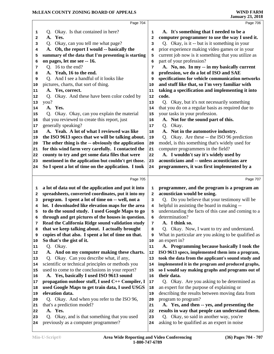|    | Page 704                                                                             |              | Page 706                                                                                |
|----|--------------------------------------------------------------------------------------|--------------|-----------------------------------------------------------------------------------------|
| 1  | Q. Okay. Is that contained in here?                                                  | 1            | A. It's something that I needed to be a                                                 |
| 2  | A. Yes.                                                                              | 2            | computer programmer to use the way I used it.                                           |
| 3  | Okay, can you tell me what page?<br>Q.                                               | 3            | Q. Okay, is it -- but is it something in your                                           |
| 4  | A. Oh, the report I would -- basically the                                           | 4            | prior experience making video games or in your                                          |
| 5  | summary of the data that I'm presenting is starting                                  | 5            | current job now is it something that you utilize as                                     |
| 6  | on pages, let me see -- 16.                                                          | 6            | part of your profession?                                                                |
| 7  | Q. 16 to the end?                                                                    | 7            | A. No, no. In my -- in my basically current                                             |
| 8  | A. Yeah, 16 to the end.                                                              | 8            | profession, we do a lot of ISO and SAE                                                  |
| 9  | Q. And I see a handful of it looks like                                              | 9            | specifications for vehicle communication networks                                       |
| 10 | pictures, charts, that sort of thing.                                                | 10           | and stuff like that, so I'm very familiar with                                          |
| 11 | A. Yes, correct.                                                                     | 11           | taking a specification and implementing it into                                         |
| 12 | Q. Okay. And these have been color coded by                                          | 12           | code.                                                                                   |
| 13 | you?                                                                                 | 13           | Q. Okay, but it's not necessarily something                                             |
|    | A. Yes.                                                                              |              | that you do on a regular basis as required due to                                       |
| 14 |                                                                                      | 14           |                                                                                         |
| 15 | Q. Okay. Okay, can you explain the material                                          | 15           | your tasks in your profession.                                                          |
| 16 | that you reviewed to create this report, just                                        | 16           | A. Not for the sound part of this.                                                      |
| 17 | generally speaking?                                                                  | 17           | Q. Okay.                                                                                |
| 18 | A. Yeah. A lot of what I reviewed was like                                           | 18           | A. Not in the automotive industry.                                                      |
| 19 | the ISO 9613 specs that we will be talking about.                                    | 19           | Q. Okay. Are these -- the ISO 96 prediction                                             |
| 20 | The other thing is the -- obviously the application                                  | 20           | model, is this something that's widely used for                                         |
| 21 | for this wind farm very carefully. I contacted the                                   | 21           | computer programmers in the field?                                                      |
| 22 | county to try and get some data files that were                                      | 22           | A. I wouldn't say it's widely used by                                                   |
| 23 | mentioned in the application but couldn't get those.                                 | 23           | acousticians and -- unless acousticians are                                             |
| 24 | So I spent a lot of time on the application. I took                                  | 24           | programmers, it was first implemented by a                                              |
|    |                                                                                      |              |                                                                                         |
|    |                                                                                      |              |                                                                                         |
|    | Page 705                                                                             |              | Page 707                                                                                |
| 1  | a lot of data out of the application and put it into                                 | 1            | programmer, and the program is a program an                                             |
| 2  | spreadsheets, converted coordinates, put it into my                                  | $\mathbf{2}$ | acoustician would be using.                                                             |
| 3  | program. I spent a lot of time on -- well, not a                                     | 3            | Q. Do you believe that your testimony will be                                           |
| 4  | lot. I downloaded like elevation maps for the area                                   | 4            | helpful in assisting the board in making --                                             |
| 5  | to do the sound study. I used Google Maps to go                                      | 5            | understanding the facts of this case and coming to a                                    |
| 6  | through and get pictures of the houses in question.                                  | 6            | determination?                                                                          |
| 7  | Read the California Ridge sound validation study                                     | 7            | A. I think so.                                                                          |
| 8  | that we keep talking about. I actually brought                                       | 8            | Okay. Now, I want to try and understand.<br>O.                                          |
| 9  | copies of that also. I spent a lot of time on that.                                  | 9            | What in particular are you asking to be qualified as                                    |
| 10 | So that's the gist of it.                                                            | 10           | an expert in?                                                                           |
| 11 | Q. Okay.                                                                             | 11           | A. Programming because basically I took the                                             |
| 12 | And on my computer making these charts.                                              | 12           | ISO 9613 specs, implemented them into a program,                                        |
| 13 | Okay. Can you describe what, if any,<br>O.                                           | 13           | took the data from the applicant's sound study and                                      |
| 14 | scientific or technical principles or methods you                                    | 14           | implemented it in the program and produced graphs,                                      |
| 15 | used to come to the conclusions in your report?                                      | 15           | so I would say making graphs and programs out of                                        |
| 16 | A. Yes, basically I used ISO 9613 sound                                              | 16           | their data.                                                                             |
| 17 | propagation outdoor stuff, I used C++ Compiler, I                                    | 17           | Q. Okay. Are you asking to be determined as                                             |
| 18 | used Google Maps to get train data, I used USGS                                      | 18           | an expert for the purpose of explaining or                                              |
| 19 | elevation data.                                                                      | 19           |                                                                                         |
| 20 |                                                                                      | 20           | describing the results between moving data from                                         |
| 21 | Q. Okay. And when you refer to the ISO 96,                                           | 21           | program to program?                                                                     |
| 22 | that's a prediction model?<br>A. Yes.                                                | 22           | A. Yes, and then -- yes, and presenting the                                             |
| 23 |                                                                                      | 23           | results in way that people can understand them.                                         |
| 24 | Q. Okay, and is that something that you used<br>previously as a computer programmer? | 24           | Q. Okay, so said in another way, you're<br>asking to be qualified as an expert in noise |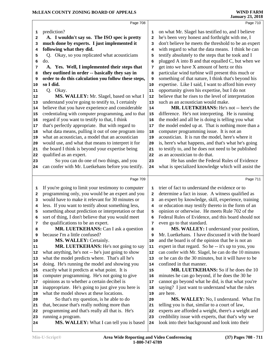|    | Page 708                                                                           |                         | Page 710                                             |
|----|------------------------------------------------------------------------------------|-------------------------|------------------------------------------------------|
| 1  | prediction?                                                                        | 1                       | on what Mr. Slagel has testified to, and I believe   |
| 2  | A. I wouldn't say so. The ISO spec is pretty                                       | $\overline{\mathbf{2}}$ | he's been very honest and forthright with me, I      |
| 3  | much done by experts. I just implemented it                                        | 3                       | don't believe he meets the threshold to be an expert |
| 4  | following what they did.                                                           | 4                       | with regard to what the data means. I think he can   |
| 5  | Q. Okay, so you replicated what acousticians                                       | 5                       | testify absolutely to the steps that he took and I   |
| 6  | do.                                                                                | 6                       | plugged A into B and that equalled C, but when we    |
| 7  | A. Yes. Well, I implemented their steps that                                       | 7                       | get into we have X amount of hertz or this           |
| 8  | they outlined in order -- basically they say in                                    | 8                       | particular wind turbine will present this much or    |
| 9  | order to do this calculation you follow these steps,                               | 9                       | something of that nature, I think that's beyond his  |
| 10 | so I did.                                                                          | 10                      | expertise. Like I said, I want to afford him every   |
| 11 | Q. Okay.                                                                           | 11                      | opportunity given his expertise, but I do not        |
| 12 | MS. WALLEY: Mr. Slagel, based on what I                                            | 12                      | believe that he rises to the level of interpretation |
| 13 | understand you're going to testify to, I certainly                                 | 13                      | such as an acoustician would make.                   |
| 14 | believe that you have experience and considerable                                  | 14                      | MR. LUETKEHANS: He's not -- here's the               |
| 15 | credentialing with computer programming, and to that                               | 15                      | difference. He's not interpreting. He is running     |
|    | regard if you want to testify to that, I think                                     | 16                      | the model and all he is doing is telling you what    |
| 16 | that's perfectly appropriate. But with regard to                                   |                         | the model ended up at. That is nothing more than a   |
| 17 | what data means, pulling it out of one program into                                | $17$                    |                                                      |
| 18 |                                                                                    | 18                      | computer programming issue. It is not an             |
| 19 | what an acoustician, a model that an acoustician                                   | 19                      | acoustician. It is run the model, here's where it    |
| 20 | would use, and what that means to interpret it for                                 | 20                      | is, here's what happens, and that's what he's going  |
| 21 | the board I think is beyond your expertise being                                   | 21                      | to testify to, and he does not need to be published  |
| 22 | qualified as an expert.                                                            | 22                      | as an acoustician to do that.                        |
| 23 | So you can do one of two things, and you                                           | 23                      | He has under the Federal Rules of Evidence           |
| 24 | can confer with Mr. Luetkehans before you testify.                                 | 24                      | what is specialized knowledge which will assist the  |
|    | Page 709                                                                           |                         | Page 711                                             |
| 1  | If you're going to limit your testimony to computer                                | 1                       | trier of fact to understand the evidence or to       |
| 2  | programming only, you would be an expert and you                                   | $\overline{\mathbf{2}}$ | determine a fact in issue. A witness qualified as    |
| з  | would have to make it relevant for 30 minutes or                                   | 3                       | an expert by knowledge, skill, experience, training  |
| 4  | less. If you want to testify about something less,                                 | 4                       | or education may testify thereto in the form of an   |
| 5  | something about prediction or interpretation or that                               | 5                       | opinion or otherwise. He meets Rule 702 of the       |
| 6  | sort of thing, I don't believe that you would meet                                 | 6                       | Federal Rules of Evidence, and this board should not |
| 7  | the qualifications to be an expert.                                                | 7                       | even go to that standard.                            |
| 8  | MR. LUETKEHANS: Can I ask a question                                               | 8                       | MS. WALLEY: I understand your position,              |
| 9  | because I'm a little confused?                                                     | 9                       | Mr. Luetkehans. I have discussed it with the board   |
| 10 | <b>MS. WALLEY: Certainly.</b>                                                      | 10                      | and the board is of the opinion that he is not an    |
| 11 | MR. LUETKEHANS: He's not going to say                                              | 11                      | expert in that regard. So he -- it's up to you, you  |
| 12 | what anything, he's not -- he's just going to show                                 | 12                      | can confer with Mr. Slagel, he can do the 10 minutes |
| 13 | what the model predicts where. That's all he's                                     | 13                      | or he can do the 30 minutes, but it will have to be  |
| 14 | doing. He's running the model and showing you                                      | 14                      | confined in that manner.                             |
| 15 | exactly what it predicts at what point. It is                                      | 15                      | MR. LUETKEHANS: So if he does the 10                 |
|    | computer programming. He's not going to give                                       | 16                      | minutes he can go beyond, if he does the 30 he       |
| 16 | opinions as to whether a certain decibel is                                        |                         | cannot go beyond what he did, is that what you're    |
| 17 |                                                                                    | 17                      |                                                      |
| 18 | inappropriate. He's going to just give you here is                                 | 18                      | saying? I just want to understand what the rules     |
| 19 | what the model shows at these locations.<br>So that's my guastion is he able to do | 19                      | are here.<br>MC WALLEW. No Lundowstond Whot Un       |
|    |                                                                                    |                         |                                                      |

- programming and that's really all that is. He's
- running a program. **MS. WALLEY:** What I can tell you is based 24

 **MS. WALLEY:** No, I understand. What I'm telling you is that, similar to a court of law, experts are afforded a weight, there's a weight and credibility issue with experts, that that's why we

look into their background and look into their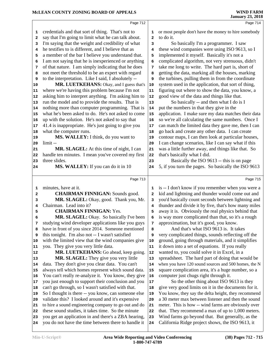| MCLEAN COUNTY ZONING BOARD OF APPEALS |                                                                                            |              | <b>WIND FARM</b><br><b>January 23, 2018</b>                                                              |  |
|---------------------------------------|--------------------------------------------------------------------------------------------|--------------|----------------------------------------------------------------------------------------------------------|--|
|                                       | Page 712                                                                                   |              | Page 714                                                                                                 |  |
| 1                                     | credentials and that sort of thing. That's not to                                          | 1            | or most people don't have the money to hire somebody                                                     |  |
| 2                                     | say that I'm going to limit what he can talk about.                                        | $\mathbf{2}$ | to do it.                                                                                                |  |
| 3                                     | I'm saying that the weight and credibility of what                                         | 3            | So basically I'm a programmer. I saw                                                                     |  |
| 4                                     | he testifies to is different, and I believe that as                                        | 4            | these wind companies were using ISO 9613, so I                                                           |  |
| 5                                     | a member of the bar I believe you understand that.                                         | 5            | implemented it myself. Basically it's not a                                                              |  |
| 6                                     | I am not saying that he is inexperienced or anything                                       | 6            | complicated algorithm, not very strenuous, didn't                                                        |  |
| 7                                     | of that nature. I am simply indicating that he does                                        | 7            | take me long to write. The hard part is, short of                                                        |  |
| 8                                     | not meet the threshold to be an expert with regard                                         | 8            | getting the data, marking all the houses, marking                                                        |  |
| 9                                     | to the interpretation. Like I said, I absolutely --                                        | 9            | the turbines, pulling them in from the coordinate                                                        |  |
| 10                                    | MR. LUETKEHANS: Okay, and I guess that's                                                   | 10           | system used in the application, that sort of thing,                                                      |  |
| 11                                    | where we're having this problem because I'm not                                            | 11           | figuring out where to show the data, you know, a                                                         |  |
| 12                                    | asking him to interpret anything. I'm asking him to                                        | 12           | good view of the data and things like that.                                                              |  |
| 13                                    | run the model and to provide the results. That is                                          | 13           | So basically -- and then what I do is I                                                                  |  |
| 14                                    | nothing more than computer programming. That is                                            | 14           | put the numbers in that they give in the                                                                 |  |
| 15                                    | what he's been asked to do. He's not asked to come                                         | 15           | application. I make sure my data matches their data                                                      |  |
| 16                                    | up with the solution. He's not asked to say that                                           | 16           | so we're all calculating the same numbers. Once I                                                        |  |
| 17                                    | 41.4 is inappropriate. He's just going to give you                                         | 17           | can match the limited data they gave me, then I can                                                      |  |
| 18                                    | what the computer runs.                                                                    | 18           | go back and create any other data. I can create                                                          |  |
| 19                                    | MS. WALLEY: I think, do you want to                                                        | 19           | contour maps, I can then look at particular houses,                                                      |  |
| 20                                    | limit-                                                                                     | 20           | I can change scenarios, like I can say what if this                                                      |  |
| 21                                    | MR. SLAGEL: At this time of night, I can                                                   | 21           | was a little further away, and things like that. So                                                      |  |
| 22                                    | handle ten minutes. I mean you've covered my first                                         | 22           | that's basically what I did.                                                                             |  |
| 23                                    | three slides.                                                                              | 23           | Basically the ISO 9613 -- this is on page<br>5, if you turn the pages. So basically the ISO 9613         |  |
| 24                                    | MS. WALLEY: If you can do it in 10                                                         | 24           |                                                                                                          |  |
|                                       | Page 713                                                                                   |              | Page 715                                                                                                 |  |
| 1                                     | minutes, have at it.                                                                       | 1            | is -- I don't know if you remember when you were a                                                       |  |
| 2                                     | <b>CHAIRMAN FINNIGAN: Sounds good.</b>                                                     | $\mathbf{2}$ | kid and lightning and thunder would come out and                                                         |  |
| 3                                     | MR. SLAGEL: Okay, good. Thank you, Mr.                                                     | 3            | you'd basically count seconds between lightning and                                                      |  |
| 4                                     | Chairman. Lead into it?                                                                    | 4            | thunder and divide it by five, that's how many miles                                                     |  |
| 5                                     | <b>CHAIRMAN FINNIGAN: Yes.</b>                                                             | 5            | away it is. Obviously the real physics behind that                                                       |  |
| 6                                     | MR. SLAGEL: Okay. So basically I've been                                                   | 6            | is way more complicated than that, so it's a rough                                                       |  |
| 7                                     | studying wind developer applications like you guys                                         | 7            | approximation, but it's good, you know.                                                                  |  |
| 8                                     | have in front of you since 2014. Someone mentioned                                         | 8            | And that's what ISO 9613 is. It takes                                                                    |  |
| 9                                     | this tonight. I'm also not -- I wasn't satisfied                                           | 9            | very complicated things, sounds reflecting off the<br>ground, going through materials, and it simplifies |  |
| 10                                    | with the limited view that the wind companies give<br>you. They give you very little data. | 10           | it down into a set of equations. If you really                                                           |  |
| 11<br>12                              | MR. LUETKEHANS: Go ahead, keep going.                                                      | 11<br>12     | wanted to, you could solve it in Excel, in a                                                             |  |
| 13                                    | MR. SLAGEL: They give you very little                                                      | 13           | spreadsheet. The hard part of doing that would be                                                        |  |
| 14                                    | data. They don't give you clear data. You can't                                            | 14           | when you have 120 sound sources and 500 homes, the N                                                     |  |
| 15                                    | always tell which homes represent which sound data.                                        | 15           | square complication area, it's a huge number, so a                                                       |  |
| 16                                    | You can't really re-analyze it. You know, they give                                        | 16           | computer just chugs right through it.                                                                    |  |
| 17                                    | you just enough to support their conclusion and you                                        | 17           | So the other thing about ISO 9613 is they                                                                |  |
| 18                                    | can't go through, so I wasn't satisfied with that.                                         | 18           | give very good limits on it in the documents for it.                                                     |  |
| 19                                    | So I thought is there -- you know, can someone else                                        | 19           | You know, they say the delta height, they recommend                                                      |  |
| 20                                    | validate this? I looked around and it's expensive                                          | 20           | a 30 meter max between listener and then the sound                                                       |  |
| 21                                    | to hire a sound engineering company to go out and do                                       | 21           | meter. This is how -- wind farms are obviously over                                                      |  |
| 22                                    | these sound studies, it takes time. So the minute                                          | 22           | that. They recommend a max of up to 1,000 meters.                                                        |  |
| 23                                    | you get an application in and there's a ZBA hearing,                                       | 23           | Wind farms go beyond that. But generally, as the                                                         |  |
| 24                                    | you do not have the time between there to handle it                                        | 24           | California Ridge project shows, the ISO 9613, it                                                         |  |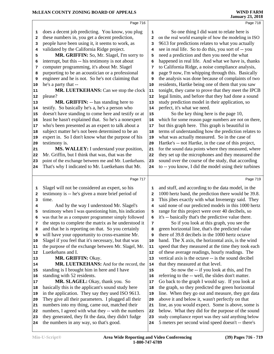|    |                                                      |              | oanuary 20, 2010                                     |
|----|------------------------------------------------------|--------------|------------------------------------------------------|
|    | Page 716                                             |              | Page 718                                             |
| 1  | does a decent job predicting. You know, you plug     | 1            | So one thing I did want to relate here is            |
| 2  | these numbers in, you get a decent prediction,       | $\mathbf{2}$ | on the real world example of how the modeling in ISO |
| з  | people have been using it, it seems to work, as      | 3            | 9613 for predictions relates to what you actually    |
| 4  | validated by the California Ridge project.           | 4            | see in real life. So to do this, you sort of -- you  |
| 5  | MR. GRIFFIN: So, Mr. Slagel, I'm sorry to            | 5            | need a prediction and then you need the what         |
| 6  | interrupt, but this -- his testimony is not about    | 6            | happened in real life. And what we have is, thanks   |
| 7  | computer programming, it's about Mr. Slagel          | 7            | to California Ridge, a noise compliance analysis,    |
| 8  | purporting to be an acoustician or a professional    | 8            | page 9 now, I'm whipping through this. Basically     |
| 9  | engineer and he is not. So he's not claiming that    | 9            | the analysis was done because of complaints of two   |
| 10 | he's a party that --                                 | 10           | residents, Hartke being one of them that you saw     |
| 11 | <b>MR. LUETKEHANS:</b> Can we stop the clock         | 11           | tonight, they came to prove that they meet the IPCB  |
| 12 | please?                                              | 12           | legal limits, and before that they had done a sound  |
| 13 | MR. GRIFFIN: -- has standing here to                 | 13           | study prediction model in their application, so      |
| 14 | testify. So basically he's a, he's a person who      | 14           | perfect, it's what we need.                          |
| 15 | doesn't have standing to come here and testify or at | 15           | So the key thing here is the page 10,                |
| 16 | least he hasn't explained that. So he's a nonexpert  | 16           | which for some reason page numbers are not on there, |
| 17 | who's been presented as an expert to talk about a    | 17           | but this graph here. This graph is beautiful in      |
| 18 | subject matter he's not been determined to be an     | 18           | terms of understanding how the prediction relates to |
| 19 | expert in. So I don't know what the purpose of his   | 19           | what was actually measured. So in the case of        |
| 20 | testimony is.                                        | 20           | Hartke's -- not Hartke, in the case of this project, |
| 21 | MS. WALLEY: I understand your position,              | 21           | for the sound data points where they measured, where |
| 22 | Mr. Griffin, but I think that was, that was the      | 22           | they set up the microphones and they measured the    |
| 23 | point of the exchange between me and Mr. Luetkehans. | 23           | sound over the course of the study, that according   |
| 24 | That's why I indicated to Mr. Luetkehans that Mr.    | 24           | to -- you know, I did the model using their turbines |
|    |                                                      |              |                                                      |
|    | Page 717                                             |              | Page 719                                             |
| 1  | Slagel will not be considered an expert, so his      | 1            | and stuff, and according to the data model, in the   |
| 2  | testimony is -- he's given a more brief period of    | $\mathbf{2}$ | 1000 hertz band, the prediction there would be 39.8. |
| 3  | time.                                                | 3            | This jibes exactly with what Invenergy said. They    |
| 4  | And by the way I understood Mr. Slagel's             | 4            | said none of our predicted models in this 1000 hertz |
| 5  | testimony when I was questioning him, his indication | 5            | range for this project were over 40 decibels, so     |
| 6  | was that he as a computer programmer simply followed | 6            | it's -- basically that's the predictive value there. |
| 7  | the steps to complete the matrix as he understood it | 7            | So if you look at this graph, you see the            |
| 8  | and that he is reporting on that. So you certainly   | 8            | green horizontal line, that's the predicted value    |
| 9  | will have your opportunity to cross-examine Mr.      | 9            | there of 39.8 decibels in the 1000 hertz octave      |
| 10 | Slagel if you feel that it's necessary, but that was | 10           | band. The X axis, the horizontal axis, is the wind   |
| 11 | the purpose of the exchange between Mr. Slagel, Mr.  | 11           | speed that they measured at the time they took each  |
| 12 | Luetkehans and I.                                    | 12           | of these average readings, hourly readings. The      |
| 13 | MR. GRIFFIN: Okay.                                   | 13           | vertical axis is the octave -- is the sound decibel  |
| 14 | MR. LUETKEHANS: And for the record, the              | 14           | that they measured at that level.                    |
| 15 | standing is I brought him in here and I have         | 15           | So now the -- if you look at this, and I'm           |
| 16 | standing with 52 residents.                          | 16           | referring to the -- well, the slides don't matter.   |
| 17 | MR. SLAGEL: Okay, thank you. So                      | 17           | Go back to the graph I would say. If you look at     |
| 18 | basically this is the applicant's sound study here   | 18           | the graph, so they predicted the green horizontal    |
| 19 | in the application. They say they used ISO 9613.     | 19           | line. When they go out and measure, they got data    |
| 20 | They give all their parameters. I plugged all their  | 20           | above it and below it, wasn't perfectly on that      |
|    |                                                      |              |                                                      |

- They give all their parameters. I plugged all their numbers into my thing, came out, matched their
- numbers, I agreed with what they -- with the numbers 22
- they generated, they fit the data, they didn't fudge
- the numbers in any way, so that's good.

5 meters per second wind speed doesn't -- there's

line, as you would expect. Some is above, some is below. What they did for the purpose of the sound study compliance report was they said anything below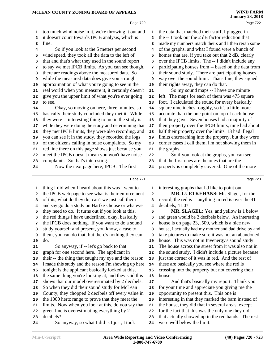|    |                                                      |                | <b>January 23, 2018</b>                              |
|----|------------------------------------------------------|----------------|------------------------------------------------------|
|    | Page 720                                             |                | Page 722                                             |
| 1  | too much wind noise in it, we're throwing it out and | 1              | the data that matched their stuff, I plugged in      |
| 2  | it doesn't count towards IPCB analysis, which is     | $\overline{a}$ | the -- I took out the 2 dB factor reduction that     |
| 3  | fine.                                                | 3              | made my numbers match theirs and I then reran some   |
| 4  | So if you look at the 5 meters per second            | 4              | of the graphs, and what I found were a bunch of      |
| 5  | wind speed, they took all the data to the left of    | 5              | homes that are, if you take out that 2 dB, clearly   |
| 6  | that and that's what they used in the sound report   | 6              | over the IPCB limits. The -- I didn't include any    |
| 7  | to say we met IPCB limits. As you can see though,    | 7              | participating houses from -- based on the data from  |
| 8  | there are readings above the measured data. So       | 8              | their sound study. There are participating houses    |
| 9  | while the measured data does give you a rough        | 9              | way over the sound limit. That's fine, they signed   |
| 10 | approximation of what you're going to see in the     | 10             | their rights away, they can do that.                 |
| 11 | real world when you measure it, it certainly doesn't | ${\bf 11}$     | So my sound maps -- I have one minute                |
| 12 | give you the upper limit of what you're ever going   | 12             | left. The maps for each of them was 475 square       |
| 13 | to see.                                              | 13             | foot. I calculated the sound for every basically     |
| 14 | Okay, so moving on here, three minutes, so           | 14             | square nine inches roughly, so it's a little more    |
| 15 | basically their study concluded they met it. While   | 15             | accurate than the one point on top of each house     |
| 16 | they were -- interesting thing to me in the study is | 16             | that they gave. Seven houses had a majority of       |
| 17 | while they were doing the study and determining that | 17             | their property over the IPCB limits, nine had about  |
| 18 | they met IPCB limits, they were also recording, and  | 18             | half their property over the limits, 13 had illegal  |
| 19 | you can see it in the study, they recorded the logs  | 19             | limits encroaching into the property, but they were  |
| 20 | of the citizens calling in noise complaints. So my   | 20             | corner cases I call them, I'm not showing them in    |
| 21 | red line there on this page shows just because you   | 21             | the graphs.                                          |
| 22 | meet the IPCB doesn't mean you won't have noise      | 22             | So if you look at the graphs, you can see            |
| 23 | complaints. So that's interesting.                   | 23             | that the first ones are the ones that are the        |
| 24 | Now the next page here, IPCB. The first              | 24             | property is completely covered. One of the more      |
|    | Page 721                                             |                | Page 723                                             |
| 1  | thing I did when I heard about this was I went to    | 1              | interesting graphs that I'd like to point out --     |
| 2  | the IPCB web page to see what is their enforcement   | $\mathbf{2}$   | MR. LUETKEHANS: Mr. Slagel, for the                  |
| 3  | of this, what do they do, can't we just call them    | 3              | record, the red is -- anything in red is over the 41 |
| 4  | and say go do a study on Hartke's house or whatever  | 4              | decibels, 41.0?                                      |
| 5  | they need to do. It turns out if you look at this,   | 5              | MR. SLAGEL: Yes, and yellow is 1 below               |
| 6  | the red things I have underlined, okay, basically    | 6              | and green would be 2 decibels below. An interesting  |
| 7  | the IPCB does nothing. If you want to do a sound     | 7              | house is on page 23, .509, which is a nice new       |
| 8  | study yourself and present, you know, a case to      | 8              | house, I actually had my mother and dad drive by and |
| 9  | them, you can do that, but there's nothing they can  | 9              | take pictures to make sure it was not an abandoned   |
| 10 | do.                                                  | 10             | house. This was not in Invenergy's sound study.      |
| 11 | So anyway, if -- let's go back to that               | 11             | The house across the street from it was also not in  |
| 12 | graph for one second here. The applicant in          | 12             | the sound study. I didn't include a picture because  |
| 13 | their -- the thing that caught my eye and the reason | 13             | just the corner of it was in red. And the rest of    |
| 14 | I made this study and the reason I'm showing up here | 14             | these are basically you see where the red is         |
| 15 | tonight is the applicant basically looked at this,   | 15             | crossing into the property but not covering their    |
| 16 | the same thing you're looking at, and they said this | 16             | house.                                               |
| 17 | shows that our model overestimated by 2 decibels.    | 17             | And that's basically my report. Thank you            |
| 18 | So when they did their sound study for McLean        | 18             | for your time and appreciate you giving me the       |
| 19 | County, they chopped 2 decibels off every value in   | 19             | opportunity to present this. This one is             |
| 20 | the 1000 hertz range to prove that they meet the     | 20             | interesting in that they marked the barn instead of  |
| 21 | limits. Now when you look at this, do you say that   | 21             | the house, they did that in several areas, except    |
| 22 | green line is overestimating everything by 2         | 22             | for the fact that this was the only one they did     |
| 23 | decibels?                                            | 23             | that actually showed up in the red bands. The rest   |
| 24 | So anyway, so what I did is I just, I took           | 24             | were well below the limit.                           |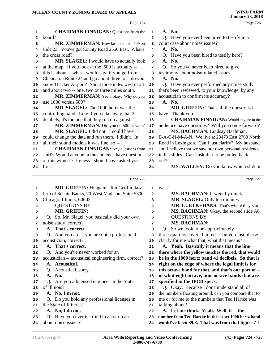### **McLEAN COUNTY ZONING BOARD OF APPEALS**

|                         | Page 724                                             |                | Page 726                                             |  |
|-------------------------|------------------------------------------------------|----------------|------------------------------------------------------|--|
| 1                       | <b>CHAIRMAN FINNIGAN:</b> Questions from the         | 1              | A. No.                                               |  |
| $\mathbf{2}$            | board?                                               | $\overline{a}$ | Q. Have you ever been hired to testify in a          |  |
| 3                       | MR. ZIMMERMAN: How far up is this .509 on            | 3              | court case about noise issues?                       |  |
| 4                       | slide 23. You've got County Road 2550 East. What's   | 4              | A. No.                                               |  |
| 5                       | the cross road?                                      | 5              | Q. Have you been hired to testify here?              |  |
| 6                       | MR. SLAGEL: I would have to actually look            | 6              | A. No.                                               |  |
| 7                       | at the map. If you look at the .509 is actually --   | 7              | Q. So you've never been hired to give                |  |
| 8                       | this is about -- what I would say, if you go from    | 8              | testimony about noise-related issues.                |  |
| 9                       | Chenoa on Route 24 and go about three to -- do you   | 9              | A. No.                                               |  |
| 10                      | know Thacker Airport? About three miles west of 24   | $10$           | Q. Have you ever performed any noise study           |  |
| 11                      | and about two -- one, two or three miles south.      | 11             | that's been reviewed, to your knowledge, by any      |  |
| 12                      | MR. ZIMMERMAN: Yeah, okay. Why do you                | 12             | acoustician to confirm its accuracy?                 |  |
| 13                      | use 1000 versus 500?                                 | 13             | A. No.                                               |  |
| 14                      | MR. SLAGEL: The 1000 hertz was the                   | 14             | MR. GRIFFIN: That's all the questions I              |  |
| 15                      | controlling band. Like if you take away that 2       | 15             | have. Thank you.                                     |  |
| 16                      | decibels, it's the one that they run up against.     | 16             | <b>CHAIRMAN FINNIGAN:</b> Would anyone in the        |  |
| 17                      | MR. ZIMMERMAN: Did you do 500 as well?               | 17             | audience have questions? Will you come forward?      |  |
| 18                      | MR. SLAGEL: I did not. I could have. I               | 18             | MS. BACHMAN: Lindsay Bachman,                        |  |
| 19                      | could change the data and run them. I didn't. In     | 19             | B-A-C-H-M-A-N. We live at 23479 East 2700 North      |  |
| 20                      | all their sound models it was fine, so --            | 20             | Road in Lexington. Can I just clarify? My husband    |  |
| 21                      | <b>CHAIRMAN FINNIGAN:</b> Any questions from         | 21             | and I believe that we saw our own personal residence |  |
| 22                      | staff? Would anyone in the audience have questions   | 22             | in his slides. Can I ask that to be pulled back      |  |
| 23                      | of this witness? I guess I should have asked you     | 23             | out?                                                 |  |
| 24                      | first.                                               | 24             | MS. WALLEY: Do you know which slide it               |  |
|                         | Page 725                                             |                | Page 727                                             |  |
| 1                       | MR. GRIFFIN: Hi again. Jim Griffin, law              | 1              | was?                                                 |  |
| $\overline{\mathbf{2}}$ | firm of Schain Banks, 70 West Madison, Suite 5300,   | 2              | MS. BACHMAN: It went by quick.                       |  |
| 3                       | Chicago, Illinois, 60602.                            | 3              | MR. SLAGEL: Only ten minutes.                        |  |
| 4                       | <b>QUESTIONS BY</b>                                  | 4              | MR. LUETKEHANS: That's where they start.             |  |
| 5                       | MR. GRIFFIN:                                         | 5              | MS. BACHMAN: Okay, the second slide A6.              |  |
| 6                       | Q. So, Mr. Slagel, you basically did your own        | 6              | <b>QUESTIONS BY</b>                                  |  |
| 7                       | noise study, correct?                                | 7              | <b>MS. BACHMAN:</b>                                  |  |
| 8                       | A. That's correct.                                   | 8              | Q. So we look to be approximately                    |  |
| 9                       | Q. And you are -- you are not a professional         | 9              | three-quarters covered in red. Can you just please   |  |
| 10                      | acoustician, correct?                                | 10             | clarify for me what that, what that means?           |  |
| 11                      | A. That's correct.                                   | 11             | A. Yeah. Basically it means that the line            |  |
| 12                      | Q. And you've never worked for an                    | 12             | there where the yellow touches the red, that would   |  |
| 13                      | acoustician -- acoustical engineering firm, correct? | 13             | be in the 1000 hertz band 41 decibels. So that is    |  |
| 14                      | A. Acoustical.                                       | 14             | right on the edge of where the legal limit is for    |  |
| 15                      | Q. Acoustical, sorry.                                | 15             | this octave band for that, and that's one part of -- |  |
| 16                      | A. No.                                               | 16             | of what eight octave, nine octave bands that are     |  |
| 17                      | Q. Are you a licensed engineer in the State          | 17             | specified in the IPCB specs.                         |  |
| 18                      | of Illinois?                                         | 18             | Q. Okay. Because I don't understand all of           |  |
|                         |                                                      | 19             | the numbers floating around, can you compare that to |  |
| 19                      | A. No, I'm not.                                      |                |                                                      |  |
| 20                      | Q. Do you hold any professional licenses in          | 20             | me or for me to the numbers that Ted Hartke was      |  |
| 21                      | the State of Illinois?                               | 21             | talking about?                                       |  |
| 22                      | A. No, I do not.                                     | 22             | A. Let me think. Yeah. Well, if -- the               |  |
| 23                      | Q. Have you ever testified in a court case           | 23             | number from Ted Hartke in this exact 1000 hertz band |  |
| 24                      | about noise issues?                                  | 24             | would've been 39.8. That was from that figure 7-1    |  |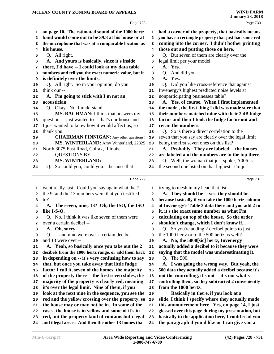|              | Page 728                                                 |          | Page 730                                             |  |
|--------------|----------------------------------------------------------|----------|------------------------------------------------------|--|
| 1            | on page 10. The estimated sound of the 1000 hertz        | 1        | had a corner of the property, that basically means   |  |
| 2            | band would come out to be 39.8 at his house or at        | 2        | you have a rectangle property that just had some red |  |
| 3            | the microphone that was at a comparable location as      | 3        | coming into the corner. I didn't bother printing     |  |
| 4            | his house.                                               | 4        | those out and putting those on here.                 |  |
| 5            | Q. All right.                                            | 5        | Q. But seven of them are clearly over the            |  |
| 6            | A. And yours is basically, since it's inside             | 6        | legal limit per your model.                          |  |
| 7            | there, I'd have -- I could look at my data table         | 7        | A. Yes.                                              |  |
|              | numbers and tell you the exact numeric value, but it     |          | Q. And did you --                                    |  |
| 8            | is definitely over the limits.                           | 8        | A. Yes.                                              |  |
| 9            |                                                          | 9        |                                                      |  |
| 10           | Q. All right. So in your opinion, do you<br>think our -- | 10       | Q. Did you like cross-reference that against         |  |
| 11           |                                                          | 11       | Invenergy's highest predicted noise levels at        |  |
| 12           | A. I'm going to stick with I'm not an                    | 12       | nonparticipating businesses table?                   |  |
| 13           | acoustician.                                             | 13       | A. Yes, of course. When I first implemented          |  |
| 14           | Q. Okay. No, I understand.                               | 14       | the model, the first thing I did was made sure that  |  |
| 15           | MS. BACHMAN: I think that answers my                     | 15       | their numbers matched mine with their 2 dB fudge     |  |
| 16           | question. I just wanted to -- that's our house and       | 16       | factor and then I took the fudge factor out and      |  |
| 17           | I just wanted to know how it would affect us, so         | 17       | reran the numbers.                                   |  |
| 18           | thank you.                                               | 18       | Q. So is there a direct correlation to the           |  |
| 19           | <b>CHAIRMAN FINNIGAN:</b> Any other questions?           | 19       | seven that you say are clearly over the legal limit  |  |
| 20           | MS. WINTERLAND: Amy Winterland, 22825                    | 20       | being the first seven ones on this list?             |  |
| 21           | North 3075 East Road, Colfax, Illinois.                  | 21       | A. Probably. They are labeled -- the houses          |  |
| 22           | <b>QUESTIONS BY</b>                                      | 22       | are labeled and the numbers are in the top there.    |  |
| 23           | <b>MS. WINTERLAND:</b>                                   | 23       | Q. Well, the woman that just spoke, A006 is          |  |
| 24           | Q. So could you, could you -- because that               | 24       | the second one listed on that highest. I'm just      |  |
|              |                                                          |          |                                                      |  |
|              | Page 729                                                 |          | Page 731                                             |  |
| 1            | went really fast. Could you say again what the 7,        | 1        | trying to mesh in my head that list.                 |  |
| $\mathbf{2}$ | the 9, and the 13 numbers were that you testified        | 2        | A. They should be -- yes, they should be             |  |
| 3            | to?                                                      | 3        | because basically if you take the 1000 hertz column  |  |
| 4            | A. The seven, nine, 13? Oh, the ISO, the ISO             | 4        | of Invenergy's Table 3 data there and you add 2 to   |  |
| 5            | like I-S-O.                                              | 5        | it, it's the exact same number as what I'm           |  |
| 6            | Q. No, I think it was like seven of them were            | 6        | calculating on top of the house. So the order        |  |
| 7            | over a certain decibel --                                | 7        | shouldn't change, which I don't know if              |  |
| 8            | A. Oh, sorry.                                            | 8        | Q. So you're adding 2 decibel points to just         |  |
| 9            | Q. -- and nine were over a certain decibel               | 9        | the 1000 hertz or to the 500 hertz as well?          |  |
| 10           | and 13 were over --                                      | 10       | A. No, the 5000[sic] hertz, Invenergy                |  |
| 11           | A. Yeah, so basically once you take out the 2            | 11       | actually added a decibel to it because they were     |  |
| 12           | decibels from the 1000 hertz range, or add them back     | 12       | saying that the model was underestimating it.        |  |
| 13           | in depending on -- it's very confusing how to say        | 13       | Q. The 500.                                          |  |
| 14           | that, but once you take away that little fudge           | 14       | A. I was going the wrong way. But yeah, the          |  |
| 15           | factor I call it, seven of the homes, the majority       | 15       | 500 data they actually added a decibel because it's  |  |
| 16           | of the property there -- the first seven slides, the     | 16       | not the controlling, it's not -- it's not what's     |  |
| 17           | majority of the property is clearly red, meaning         | $17\,$   | controlling them, so they subtracted 2 conveniently  |  |
| 18           | it's over the legal limit. Nine of them, if you          | 18       | from the 1000 hertz.                                 |  |
| 19           | look at the next nine in the sequence, you see the       | 19       | Basically in there, if you look at a                 |  |
|              | red and the yellow crossing over the property, so        |          | slide, I think I specify where they actually made    |  |
| 20           | the house may or may not be in. In some of the           | 20<br>21 | this announcement here. Yes, on page 14, I just      |  |
| 21           |                                                          |          |                                                      |  |
| 22           | cases, the house is in yellow and some of it's in        | 22       | glossed over this page during my presentation, but   |  |
| 23           | red, but the property kind of contains both legal        | 23       | basically in the application here, I could read you  |  |
| 24           | and illegal areas. And then the other 13 homes that      | 24       | the paragraph if you'd like or I can give you a      |  |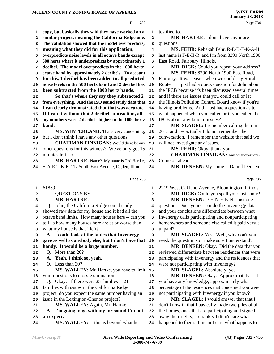|                                              | Page 732                                             |              | Page 734                                                                                            |
|----------------------------------------------|------------------------------------------------------|--------------|-----------------------------------------------------------------------------------------------------|
| 1                                            | copy, but basically they said they have worked on a  | 1            | testified to.                                                                                       |
| 2                                            | similar project, meaning the California Ridge one.   | 2            | MR. HARTKE: I don't have any more                                                                   |
| 3                                            | The validation showed that the model overpredicts,   | з            | questions.                                                                                          |
| 4                                            | meaning what they did for this application,          | 4            | MS. FEHR: Rebekah Fehr, R-E-B-E-K-A-H,                                                              |
| 5                                            | overpredicts noise levels in all octave bands except | 5            | last name is F-E-H-R, and I'm from 8290 North 1900                                                  |
| 6                                            | 500 hertz where it underpredicts by approximately 1  | 6            | East Road, Fairbury, Illinois.                                                                      |
| 7                                            | decibel. The model overpredicts in the 1000 hertz    | 7            | MR. DICK: Could you repeat your address?                                                            |
| 8                                            | octave band by approximately 2 decibels. To account  | 8            | MS. FEHR: 8290 North 1900 East Road,                                                                |
| 9                                            | for this, 1 decibel has been added to all predicted  | 9            | Fairbury. It was easier when we could say Rural                                                     |
| 10                                           | noise levels in the 500 hertz band and 2 decibel has | 10           | Route 1. I just had a quick question for John about                                                 |
| 11                                           | been subtracted from the 1000 hertz bands.           | 11           | the IPCB because it's been discussed several times                                                  |
| 12                                           | So that's where they say they subtracted 2           | 12           | and if there are issues that you could call or let                                                  |
| 13                                           | from everything. And the ISO sound study data that   | 13           | the Illinois Pollution Control Board know if you're                                                 |
| 14                                           | I ran clearly demonstrated that that was accurate.   | 14           | having problems. And I just had a question as to                                                    |
| 15                                           | If I ran it without that 2 decibel subtraction, all  | 15           | what happened when you called or if you called the                                                  |
| 16                                           | my numbers were 2 decibels higher in the 1000 hertz  | 16           | IPCB about any kind of issues?                                                                      |
| 17                                           | band.                                                | 17           | MR. SLAGEL: I remember calling them in                                                              |
| 18                                           | MS. WINTERLAND: That's very concerning,              | 18           | 2015 and I -- actually I do not remember the                                                        |
| 19                                           | but I don't think I have any other questions.        | 19           | conversation. I remember the website that said we                                                   |
| 20                                           | <b>CHAIRMAN FINNIGAN:</b> Would there be any         | 20           | will not investigate any issues.                                                                    |
| 21                                           | other questions for this witness? We've only got 15  | 21           | MS. FEHR: Okay, thank you.                                                                          |
| 22                                           | minutes left, so --                                  | 22           | <b>CHAIRMAN FINNIGAN:</b> Any other questions?                                                      |
| 23                                           | MR. HARTKE: Name? My name is Ted Hartke,             | 23           | Come on ahead.                                                                                      |
| 24                                           | H-A-R-T-K-E, 117 South East Avenue, Ogden, Illinois, | 24           | MR. DENEEN: My name is Daniel Deneen,                                                               |
|                                              | Page 733                                             |              | Page 735                                                                                            |
| 1                                            | 61859.                                               | 1            | 2219 West Oakland Avenue, Bloomington, Illinois.                                                    |
| 2                                            | <b>QUESTIONS BY</b>                                  | $\mathbf{2}$ | MR. DICK: Could you spell your last name?                                                           |
| з                                            | <b>MR. HARTKE:</b>                                   | 3            | MR. DENEEN: D-E-N-E-E-N. Just one                                                                   |
| 4                                            | Q. John, the California Ridge sound study            | 4            | question. Does yours -- or do the Invenergy data                                                    |
| 5                                            | showed raw data for my house and it had all the      | 5            | and your conclusions differentiate between what                                                     |
| 6                                            | octave band limits. How many houses here -- can you  | 6            | Invenergy calls participating and nonparticipating                                                  |
| 7                                            | tell us how many houses here are at or worse than    | 7            | homeowners and someone else called it paid versus                                                   |
| 8                                            | what my house is that I left?                        | 8            | unpaid?                                                                                             |
| 9                                            | A. I could look at the tables that Invenergy         | 9            | MR. SLAGEL: Yes. Well, why don't you                                                                |
| 10                                           | gave as well as anybody else, but I don't have that  | 10           | reask the question so I make sure I understand?                                                     |
| 11                                           | handy. It would be a large number.                   | 11           | MR. DENEEN: Okay. Did the data that you                                                             |
| 12                                           | Q. More than 20?                                     | 12           | reviewed differentiate between residences that were                                                 |
| 13                                           |                                                      |              |                                                                                                     |
| 14                                           | A. Yeah, I think so, yeah.                           | 13           | participating with Invenergy and the residences that                                                |
|                                              | Q. Less than 30?                                     | 14           | were not participating with Invenergy?                                                              |
|                                              | MS. WALLEY: Mr. Hartke, you have to limit            | 15           | MR. SLAGEL: Absolutely, yes.                                                                        |
|                                              | your questions to cross-examination.                 | 16           | MR. DENEEN: Okay. Approximately -- if                                                               |
|                                              | Q. Okay. If there were 25 families -- 21             | 17           | you have any knowledge, approximately what                                                          |
|                                              | families with issues in the California Ridge         | 18           | percentage of the residences that concerned you were                                                |
|                                              | project, do you expect the same number having an     | 19           | not participating with Invenergy if you know?                                                       |
|                                              | issue in the Lexington-Chenoa project?               | 20           | MR. SLAGEL: I would answer that that I                                                              |
|                                              | MS. WALLEY: Again, Mr. Hartke --                     | 21           | don't know in that I basically made two piles of all                                                |
| 15<br>16<br>17<br>18<br>19<br>20<br>21<br>22 | A. I'm going to go with my for sound I'm not         | 22           | the homes, ones that are participating and signed                                                   |
| 23<br>24                                     | an expert.<br>MS. WALLEY: -- this is beyond what he  | 23<br>24     | away their rights, so frankly I didn't care what<br>happened to them. I mean I care what happens to |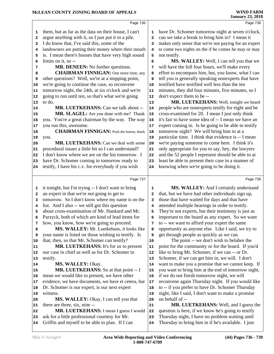|                         |                                                      |                         | <b>January 23, 2018</b>                              |
|-------------------------|------------------------------------------------------|-------------------------|------------------------------------------------------|
|                         | Page 736                                             |                         | Page 738                                             |
| 1                       | them, but as far as the data on their house, I can't | 1                       | have Dr. Schomer tomorrow night at seven o'clock,    |
| $\mathbf{2}$            | argue anything with it, so I just put it in a pile.  | $\overline{\mathbf{2}}$ | can we take a break to bring him in? I mean it       |
| 3                       | I do know that, I've said this, some of the          | 3                       | makes only sense that we're not paying for an expert |
| 4                       | landowners are putting their money where their mouth | 4                       | to come two nights on the if he comes he may or may  |
| 5                       | is. I mean there's houses that have very high sound  | 5                       | not testify.                                         |
| 6                       | limits on it, so --                                  | 6                       | MS. WALLEY: Well, I can tell you that we             |
| 7                       | MR. DENEEN: No further questions.                    | 7                       | will have the full four hours, we'll make every      |
| 8                       | <b>CHAIRMAN FINNIGAN:</b> One more time, any         | 8                       | effort to encompass him, but, you know, what I can   |
| 9                       | other questions? Well, we're at a stopping point,    | 9                       | tell you is generally speaking nonexperts that have  |
| 10                      | we're going to continue the case, so reconvene       | 10                      | testified have testified well less than the ten      |
| 11                      | tomorrow night, the 24th, at six o'clock and we're   | 11                      | minutes, they did four minutes, five minutes, so I   |
| 12                      | going to run until ten, so that's what we're going   | 12                      | don't expect them to be --                           |
| 13                      | to do.                                               | 13                      | MR. LUETKEHANS: Well, tonight we heard               |
| 14                      | MR. LUETKEHANS: Can we talk about --                 | 14                      | people who are nonexperts testify for eight and be   |
| 15                      | MR. SLAGEL: Are you done with me? Thank              | 15                      | cross-examined for 20. I mean I just only think      |
| 16                      | you. You're a great chairman by the way. The way     | 16                      | it's fair to have some idea of -- I mean we have an  |
| 17                      | you run this, awesome.                               | 17                      | expert coming in. Is he going to be able to testify  |
| 18                      | <b>CHAIRMAN FINNIGAN:</b> Push the button, thank     | 18                      | tomorrow night? We will bring him in at a            |
| 19                      | you.                                                 | 19                      | particular time. I think that evidence is -- I mean  |
| 20                      | MR. LUETKEHANS: Can we deal with some                | 20                      | we're paying someone to come here. I think it's      |
| 21                      | procedural issues a little bit so I can understand?  | 21                      | only appropriate for you to say, hey, the lawyers    |
| 22                      | I don't know where we are on the list tomorrow. I    | 22                      | and the 52 people I represent should be able to at   |
| 23                      | have Dr. Schomer coming in tomorrow ready to         | 23                      | least be able to present their case in a manner of   |
| 24                      | testify, I have his c.v. for everybody if you wish   | 24                      | knowing when we're going to be doing it.             |
|                         | Page 737                                             |                         | Page 739                                             |
| 1                       | it tonight, but I'm trying -- I don't want to bring  | $\mathbf 1$             | MS. WALLEY: And I certainly understand               |
| $\overline{\mathbf{2}}$ | an expert in that we're not going to get to          | $\overline{\mathbf{2}}$ | that, but we have had other individuals sign up,     |
| 3                       | tomorrow. So I don't know where my name is on the    | 3                       | those that have waited for days and that have        |
| 4                       | list. And I also -- we still got this question       | 4                       | attended multiple hearings in order to testify.      |
| 5                       | about cross-examination of Mr. Hankard and Mr.       | 5                       | They're not experts, but their testimony is just as  |
| 6                       | Parzyck, both of which are kind of lead items for    | 6                       | important to the board as any expert. So we want     |
| 7                       | how, you know, how we're going to proceed.           | 7                       | to -- we want to afford your expert the same         |
| 8                       | MS. WALLEY: Mr. Luetkehans, it looks like            | 8                       | opportunity as anyone else. Like I said, we try to   |
| 9                       | your name is listed on those wishing to testify. Is  | 9                       | get through people as quickly as we can.             |
| 10                      | that, then, so that Mr. Schomer can testify?         | 10                      | The point -- we don't wish to belabor the            |
| 11                      | <b>MR. LUETKEHANS:</b> It's for us to present        | 11                      | point for the community or for the board. If you'd   |
| 12                      | our case in chief as well as for Dr. Schomer to      | 12                      | like to bring Mr. Schomer, if we can -- or Dr.       |
| 13                      | testify.                                             | 13                      | Schomer, if we can get him in, we will. I don't      |
| 14                      | MS. WALLEY: Okay.                                    | 14                      | want to make you a promise that we cannot keep. If   |
| 15                      | MR. LUETKEHANS: So at that point -- I                | 15                      | you want to bring him at the end of tomorrow night,  |
| 16                      | mean we would like to present, we have other         | 16                      | if we do not finish tomorrow night, we will          |
| 17                      | evidence, we have documents, we have et cetera, but  | 17                      | reconvene again Thursday night. If you would like    |
| 18                      | Dr. Schomer is our expert, is our next expert        | 18                      | to -- if you prefer to have Dr. Schomer Thursday     |

 Dr. Schomer is our expert, is our next expert witness.

**MS. WALLEY:** Okay, I can tell you that there are three, six, nine --

 MR. LUETKEHANS: I mean I guess I would 22 ask for a little professional courtesy for Mr. **24** Griffin and myself to be able to plan. If I can  $\vert$  **24** 

 night, like I said, I don't want to make a promise on behalf of --  **MR. LUETKEHANS:** Well, and I guess the question is here, if we know he's going to testify Thursday night, I have no problem waiting until

Thursday to bring him in if he's available. I just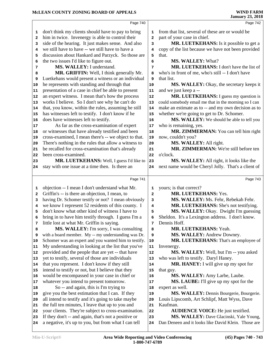|              |                                                      |              | Janual y 20, 2010                                    |
|--------------|------------------------------------------------------|--------------|------------------------------------------------------|
|              | Page 740                                             |              | Page 742                                             |
| 1            | don't think my clients should have to pay to bring   | 1            | from that list, several of these are or would be     |
| 2            | him in twice. Invenergy is able to control their     | $\mathbf{2}$ | part of your case in chief.                          |
| з            | side of the hearing. It just makes sense. And also   | 3            | MR. LUETKEHANS: Is it possible to get a              |
| 4            | we still have to have -- we still have to have a     | 4            | copy of the list because we have not been provided   |
| 5            | discussion about Hankard and Parzyck. So those are   | 5            | that.                                                |
| 6            | the two issues I'd like to figure out.               | 6            | MS. WALLEY: What?                                    |
| 7            | MS. WALLEY: I understand.                            | 7            | MR. LUETKEHANS: I don't have the list of             |
| 8            | MR. GRIFFIN: Well, I think generally Mr.             | 8            | who's in front of me, who's still -- I don't have    |
| 9            | Luetkehans would present a witness or an individual  | 9            | that list.                                           |
| 10           | he represents with standing and through that         | 10           | MS. WALLEY: Okay, the secretary keeps it             |
| 11           | presentation of a case in chief be able to present   | 11           | and we just keep a --                                |
| 12           | an expert witness. I mean that's how the process     | 12           | <b>MR. LUETKEHANS:</b> I guess my question is        |
| 13           | works I believe. So I don't see why he can't do      | 13           | could somebody email me that in the morning so I can |
| 14           | that, you know, within the rules, assuming he still  | 14           | make an estimate as to -- and my own decision as to  |
| 15           | has witnesses left to testify. I don't know if he    | 15           | whether we're going to get to Dr. Schomer.           |
| 16           | does have witnesses left to testify.                 | 16           | MS. WALLEY: We should be able to tell you            |
| 17           | As far as the cross-examination of expert            | $17$         | who is remaining, yes.                               |
| 18           | or witnesses that have already testified and been    | 18           | MR. ZIMMERMAN: You can tell him right                |
| 19           | cross-examined, I mean there's -- we object to that. | 19           | now, couldn't you?                                   |
| 20           | There's nothing in the rules that allow a witness to | 20           | MS. WALLEY: All right.                               |
| 21           | be recalled for cross-examination that's already     | 21           | MR. ZIMMERMAN: We're still before ten                |
| 22           | been cross-examined.                                 | 22           | o'clock.                                             |
| 23           | MR. LUETKEHANS: Well, I guess I'd like to            | 23           | MS. WALLEY: All right, it looks like the             |
| 24           | stay with one issue at a time then. Is there an      | 24           | next name would be Cheryl Jolly. That's a client of  |
|              | Page 741                                             |              | Page 743                                             |
| 1            | objection -- I mean I don't understand what Mr.      | 1            | yours; is that correct?                              |
| $\mathbf{2}$ | Griffin's -- is there an objection, I mean, to       | $\mathbf{2}$ | MR. LUETKEHANS: Yes.                                 |
| 3            | having Dr. Schomer testify or not? I mean obviously  | 3            | MS. WALLEY: Ms. Fehr, Rebekah Fehr.                  |
| 4            | we know I represent 52 residents of this county. I   | 4            | MR. LUETKEHANS: She's not testifying.                |
| 5            | don't know what other kind of witness I have to      | 5            | MS. WALLEY: Okay. Dwight I'm guessing                |
| 6            | bring in to have him testify through. I guess I'm a  | 6            | Sheldon. It's a Lexington address. I don't know.     |
| 7            | little lost at what Mr. Griffin is saying.           | 7            | Dennis Hoff.                                         |
| 8            | MS. WALLEY: I'm sorry, I was consulting              | 8            | MR. LUETKEHANS: Yeah.                                |
| 9            | with a board member. My -- my understanding was Dr.  | 9            | MS. WALLEY: Andrew Downey.                           |
| 10           | Schomer was an expert and you wanted him to testify. | ${\bf 10}$   | MR. LUETKEHANS: That's an employee of                |
| 11           | My understanding in looking at the list that you've  | ${\bf 11}$   | Invenergy.                                           |
| 12           | provided and the people that are yet -- that have    | 12           | MS. WALLEY: Well, but I'm -- you asked               |
| 13           | yet to testify, several of those are individuals     | 13           | who was left to testify. Daryl Haney.                |
| 14           | that you represent. I don't know if they still       | 14           | MR. HANEY: I will give up my spot for                |
| 15           | intend to testify or not, but I believe that they    | 15           | that guy.                                            |
| 16           | would be encompassed in your case in chief or        | 16           | MS. WALLEY: Amy Larbe, Laube.                        |
| 17           | whatever you intend to present tomorrow.             | $17\,$       | MS. LAUBE: I'll give up my spot for the              |
| 18           | So -- and again, this is I'm trying to               | 18           | expert as well.                                      |

- give you the best estimation that I can. If they | 19 expert as well.
	- **MS. WALLEY:** Dennis Bourgerie, Bourgerie.
- all intend to testify and it's going to take maybe the full ten minutes, I leave that up to you and **21** Louis Lipscomb, Art Schlipf, Matt Wyss, Dave Kaufman.
	- **AUDIENCE VOICE:** He just testified.
	- **MS. WALLEY:** Dave Glacinski, Yale Young,
- If they don't -- and again, that's not a positive or a negative, it's up to you, but from what I can tell Dan Deneen and it looks like David Klein. Those are

your clients. They're subject to cross-examination. 22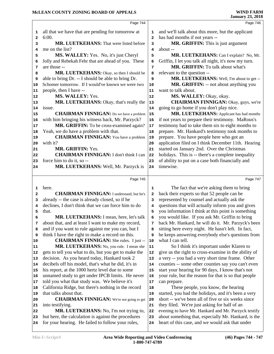|                | Page 744                                                                                                 |              | Page 746                                                                                                |
|----------------|----------------------------------------------------------------------------------------------------------|--------------|---------------------------------------------------------------------------------------------------------|
| 1              | all that we have that are pending for tomorrow at                                                        | 1            | and we'll talk about this more, but the applicant                                                       |
| 2              | 6:00.                                                                                                    | $\mathbf{2}$ | has had months if not years --                                                                          |
| 3              | MR. LUETKEHANS: That were listed before                                                                  | 3            | MR. GRIFFIN: This is just argument                                                                      |
| 4              | me on the list?                                                                                          | 4            | about --                                                                                                |
| 5              | MS. WALLEY: Yes. No, it's just Cheryl                                                                    | 5            | MR. LUETKEHANS: Can I explain? No, Mr.                                                                  |
| 6              | Jolly and Rebekah Fehr that are ahead of you. These                                                      | 6            | Griffin, I let you talk all night, it's now my turn.                                                    |
| 7              | are those --                                                                                             | 7            | MR. GRIFFIN: To talk about what's                                                                       |
| 8              | MR. LUETKEHANS: Okay, so then I should be                                                                | 8            | relevant to the question --                                                                             |
| 9              | able to bring Dr. -- I should be able to bring Dr.                                                       | 9            | MR. LUETKEHANS: Well, I'm about to get --                                                               |
|                | Schomer tomorrow. If I would've known we were two                                                        |              | <b>MR. GRIFFIN:</b> -- not about anything you                                                           |
| 10             | people, then I have --                                                                                   | 10           | want to talk about.                                                                                     |
| 11             | MS. WALLEY: Yes.                                                                                         | 11           |                                                                                                         |
| 12             |                                                                                                          | 12           | MS. WALLEY: Okay, okay.                                                                                 |
| 13             | MR. LUETKEHANS: Okay, that's really the                                                                  | 13           | <b>CHAIRMAN FINNIGAN:</b> Okay, guys, we're                                                             |
| 14             | issue.                                                                                                   | 14           | going to go home if you don't play nice.                                                                |
| 15             | <b>CHAIRMAN FINNIGAN:</b> Do we have a problem                                                           | 15           | MR. LUETKEHANS: Applicant has had months                                                                |
| 16             | with him bringing his witness back, Mr. Parzyck?                                                         | 16           | if not years to prepare their testimony. MaRous's                                                       |
| 17             | MR. GRIFFIN: To be cross-examined again?                                                                 | 17           | testimony had to take them six to eight months to                                                       |
| 18             | Yeah, we do have a problem with that.                                                                    | 18           | prepare. Mr. Hankard's testimony took months to                                                         |
| 19             | <b>CHAIRMAN FINNIGAN:</b> You have a problem                                                             | 19           | prepare. You have people here who got an                                                                |
| 20             | with it?                                                                                                 | 20           | application filed on I think December 11th. Hearing                                                     |
| 21             | MR. GRIFFIN: Yes.                                                                                        | 21           | started on January 2nd. Over the Christmas                                                              |
| 22             | <b>CHAIRMAN FINNIGAN:</b> I don't think I can                                                            | 22           | holidays. This is -- there's a complete inequality                                                      |
| 23             | force him to do it, so --                                                                                | 23           | of ability to put on a case both financially and                                                        |
| 24             | MR. LUETKEHANS: Well, Mr. Parzyck is                                                                     | 24           | timewise.                                                                                               |
|                |                                                                                                          |              |                                                                                                         |
|                | Page 745                                                                                                 |              | Page 747                                                                                                |
| 1              | here.                                                                                                    | 1            | The fact that we're asking them to bring                                                                |
| 2              | <b>CHAIRMAN FINNIGAN:</b> I understand, but he's                                                         | $\mathbf{2}$ | back their experts so that 52 people can be                                                             |
| 3              | already -- the case is already closed, so if he                                                          | 3            | represented by counsel and actually ask the                                                             |
| 4              | declines, I don't think that we can force him to do                                                      | 4            | questions that will actually inform you and gives                                                       |
| 5              | that.                                                                                                    | 5            | you information I think at this point is something                                                      |
| 6              | MR. LUETKEHANS: I mean, here, let's talk                                                                 |              | you would like. If you ask Mr. Griffin to bring                                                         |
| 7              |                                                                                                          | 6            |                                                                                                         |
|                | about that, and at least I want to make my record,                                                       | 7            | back Mr. Hankard, he will do it. Mr. Parzyck's been                                                     |
| 8              | and if you want to rule against me you can, but I                                                        | 8            | sitting here every night. He hasn't left. In fact,                                                      |
| 9              | think I have the right to make a record on this.                                                         | 9            | he keeps answering everybody else's questions from                                                      |
|                | <b>CHAIRMAN FINNIGAN:</b> She rules. I just --                                                           | 10           | what I can tell.                                                                                        |
| 11             | MR. LUETKEHANS: No, you rule. I mean she                                                                 | 11           | So I think it's important under Klaren to                                                               |
| 12             | gets to tell you what to do, but you get to make the                                                     | 12           | give us the right to cross-examine in the ability of                                                    |
|                |                                                                                                          | 13           |                                                                                                         |
| 10<br>13<br>14 | decision. As you heard today, Hankard took 2<br>decibels off his model, that's what he did, it's in      | 14           | a very -- you had a very short time frame. Other                                                        |
|                |                                                                                                          | 15           | counties -- some other counties say you can't even                                                      |
|                | his report, at the 1000 hertz level due to some                                                          | 16           | start your hearing for 90 days, I know that's not                                                       |
|                | unnamed study to get under IPCB limits. He never                                                         |              | your rule, but the reason for that is so that people                                                    |
|                | told you what that study was. We believe it's                                                            | 17           | can prepare.                                                                                            |
| 15<br>16<br>18 | California Ridge, but there's nothing in the record                                                      | 18           | These people, you know, the hearing                                                                     |
| 19             | that talks about that.                                                                                   | 19           | started, you had the holidays, and it's been a very                                                     |
|                | <b>CHAIRMAN FINNIGAN:</b> We're not going to get                                                         | 20           | short -- we've been all of five or six weeks since                                                      |
| 17<br>20<br>21 | into testifying.                                                                                         | 21           | they filed. We're just asking for half of an                                                            |
| 22             | MR. LUETKEHANS: No, I'm not trying to,                                                                   | 22           | evening to have Mr. Hankard and Mr. Parzyck testify                                                     |
| 23<br>24       | but here, the calculation is against the procedures<br>for your hearing. He failed to follow your rules, | 23<br>24     | about something that, especially Mr. Hankard, is the<br>heart of this case, and we would ask that under |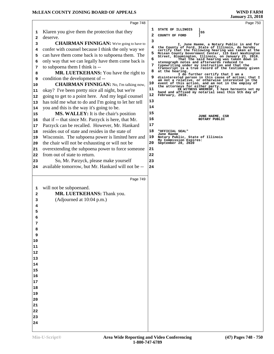|    | Page 748                                             |    | Page 750                                                                                                    |  |
|----|------------------------------------------------------|----|-------------------------------------------------------------------------------------------------------------|--|
| 1  | Klaren you give them the protection that they        | ı  | STATE OF ILLINOIS<br>)SS                                                                                    |  |
| 2  | deserve.                                             | 2  | COUNTY OF FORD                                                                                              |  |
| 3  | <b>CHAIRMAN FINNIGAN:</b> We're going to have to     | 3  | I, June Haeme, a Notary Public in and for                                                                   |  |
| 4  | confer with counsel because I think the only way we  | 4  | the County of Ford, State of Illinois, do hereby<br>certify that the following hearing was taken at the     |  |
| 5  | can have them come back is to subpoena them. The     | 5  | McLean County Government Center, 115 East Washington<br>Street, Bloomington, Illinois, on January 23, 2018. |  |
| 6  | only way that we can legally have them come back is  | 6  | That the said hearing was taken down in<br>stenograph notes and afterwards reduced to                       |  |
| 7  | to subpoena them I think is --                       | 7  | typewriting under my instruction and that the                                                               |  |
| 8  | MR. LUETKEHANS: You have the right to                | 8  | transcript is a true record of the testimony given<br>at the hearing.                                       |  |
| 9  | condition the development of --                      | 9  | I do further certify that I am a<br>disinterested person in this cause of action; that I                    |  |
| 10 | <b>CHAIRMAN FINNIGAN:</b> No, I'm talking now,       | 10 | am not a relative, or otherwise interested in the<br>event of this action, and am not in the employ of      |  |
| 11 | okay? I've been pretty nice all night, but we're     | 11 | the attorneys for either party.<br>IN WITNESS WHEREOF, I have hereunto set my                               |  |
| 12 | going to get to a point here. And my legal counsel   | 12 | hand and affixed my notarial seal this 5th day of<br>February, 2018.                                        |  |
| 13 | has told me what to do and I'm going to let her tell | 13 |                                                                                                             |  |
| 14 | you and this is the way it's going to be.            | 14 |                                                                                                             |  |
| 15 | <b>MS. WALLEY:</b> It is the chair's position        | 15 |                                                                                                             |  |
| 16 | that if -- that since Mr. Parzyck is here, that Mr.  | 16 | JUNE HAEME, CSR<br>NOTARY PUBLIC                                                                            |  |
| 17 | Parzyck can be recalled. However, Mr. Hankard        | 17 |                                                                                                             |  |
| 18 | resides out of state and resides in the state of     | 18 | "OFFICIAL SEAL"                                                                                             |  |
| 19 | Wisconsin. The subpoena power is limited here and    | 19 | June Haeme<br>Notary Public, State of Illinois                                                              |  |
| 20 | the chair will not be exhausting or will not be      | 20 | My Commission Expires:<br>September 28, 2020                                                                |  |
| 21 | overextending the subpoena power to force someone    | 21 |                                                                                                             |  |
| 22 | from out of state to return.                         | 22 |                                                                                                             |  |
| 23 | So, Mr. Parzyck, please make yourself                | 23 |                                                                                                             |  |
| 24 | available tomorrow, but Mr. Hankard will not be --   | 24 |                                                                                                             |  |
|    |                                                      |    |                                                                                                             |  |
|    | Page 749                                             |    |                                                                                                             |  |
|    |                                                      |    |                                                                                                             |  |
| 1  | will not be subpoenaed.                              |    |                                                                                                             |  |
| 2  | MR. LUETKEHANS: Thank you.                           |    |                                                                                                             |  |
| 3  | (Adjourned at 10:04 p.m.)                            |    |                                                                                                             |  |
|    |                                                      |    |                                                                                                             |  |
| 5  |                                                      |    |                                                                                                             |  |
| 6  |                                                      |    |                                                                                                             |  |
| 7  |                                                      |    |                                                                                                             |  |
| 8  |                                                      |    |                                                                                                             |  |
| 9  |                                                      |    |                                                                                                             |  |
| 10 |                                                      |    |                                                                                                             |  |
| 11 |                                                      |    |                                                                                                             |  |
| 12 |                                                      |    |                                                                                                             |  |
| 13 |                                                      |    |                                                                                                             |  |
| 14 |                                                      |    |                                                                                                             |  |
| 15 |                                                      |    |                                                                                                             |  |
| 16 |                                                      |    |                                                                                                             |  |
| 17 |                                                      |    |                                                                                                             |  |
| 18 |                                                      |    |                                                                                                             |  |
| 19 |                                                      |    |                                                                                                             |  |
| 20 |                                                      |    |                                                                                                             |  |
| 21 |                                                      |    |                                                                                                             |  |
| 22 |                                                      |    |                                                                                                             |  |
| 23 |                                                      |    |                                                                                                             |  |
| 24 |                                                      |    |                                                                                                             |  |
|    |                                                      |    |                                                                                                             |  |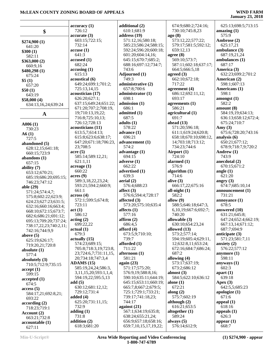### **January 23, 2018**

|                        | accuracy(1)           | addit           |
|------------------------|-----------------------|-----------------|
| \$                     | 726:12                | 610             |
|                        | accurate(3)           | addr            |
| \$274,900 (1)          | 603:15;722:15;        | 571             |
| 641:20                 | 732:14                | 585             |
|                        | accuse(1)             | 592             |
| \$300(1)               | 641:3                 | 601             |
| 582:11                 | accused(1)            | 645             |
| \$363,000(2)           | 682:24                | 688             |
| 660:9,16               | accusing(1)           | 743             |
| \$480,298 (1)          |                       |                 |
| 675:24                 | 615:13                | Adjo            |
| \$5(1)                 | acoustical (6)        | 749             |
| 657:20                 | 649:24;699:1;701:2;   | admi            |
| \$50(1)                | 725:13,14,15          | 65 <sup>7</sup> |
| 643:19                 | acoustician (17)      | admi            |
| \$58,000(4)            | 626:20;627:1;         | 698             |
| 634:13,16,24;639:24    | 637:15;649:24;651:22; | admi            |
|                        | 671:20;707:2;708:19,  | 686             |
| A                      | 19;710:13,19,22;      | admi            |
|                        | 716:8;725:10,13;      | 687             |
|                        | 726:12;728:13         | adult           |
| A006(1)                | acousticians (11)     | 578             |
| 730:23                 | 613:5,7;614:13;       | adva            |
| A6(1)                  |                       |                 |
| 727:5                  | 615:8;623:6;638:17;   | 696             |
| abandoned (5)          | 647:20;671:18;706:23, | adva            |
| 628:12,15;641:18;      | 23;708:5              | 574             |
| 660:15;723:9           | acre(5)               | adva            |
| abandons $(1)$         | 585:14;589:12,21;     | 694             |
| 657:15                 | 621:1,11              | adver           |
| ability (7)            | acreage(1)            | 662             |
| 653:12;670:21;         | 660:22                | adver           |
|                        | acres(9)              | 639             |
| 685:19;686:20;695:15;  | 589:3,18,22,23,24;    | aeria           |
| 746:23;747:12          | 593:21;594:2;660:9;   | 576             |
| able (29)              | 661:1                 | affect          |
| 571:24;574:4,7;        | across(4)             | 576             |
| 575:8;602:22;623:9;    | 572:1;599:5;674:8;    | affect          |
| 624:23;627:23;631:5;   |                       | 573             |
| 632:16;660:16;663:4;   | 723:11                |                 |
| 668:10;672:15;673:7;   | act(1)                | affect          |
| 682:6;686:21;691:12;   | 586:12                | $57^\circ$      |
| 695:13;709:20;737:24;  | acting(2)             | affirr          |
| 738:17,22,23;740:2,11; | 699:22,22             | 686             |
| 742:16;744:9,9         | actual (1)            | affor           |
| above $(5)$            | 679:3                 | 67.             |
| 625:19;626:17;         | actually (15)         | 739             |
| 719:20,21;720:8        | 574:23;689:15;        | affor           |
| absolute $(1)$         | 705:8;718:3,19;723:8, | 711             |
| 577:4                  | 23;724:6,7;731:11,15, | afteri          |
|                        | 20;734:18;747:3,4     | 581             |
| absolutely (3)         | ADAMS (15)            | again           |
| 710:5;712:9;735:15     | 585:19,24,24;586:3,   | 571             |
| accept(1)              | 3,11,15,20;593:1,1,4; | 576             |
| 599:15                 |                       | 590             |
| accepted (1)           | 594:19,22;595:5,13    |                 |
| 674:5                  | add(5)                | 64.             |
| access(5)              | 630:12;681:12,12;     | 665             |
| 584:17,21;692:8,21;    | 729:12;731:4          | 72.             |
| 693:22                 | added $(4)$           | 739             |
| according(2)           | 625:20;731:11,15;     | 744             |
| 718:23;719:1           | 732:9                 | again           |
| Account (2)            | adding $(1)$          | 567             |
| 663:21;732:8           | 731:8                 | 638             |
| accountable (1)        | addition (2)          | 656             |
|                        | 618:3;681:20          | 65 <sup>0</sup> |
| 627:11                 |                       |                 |

**dional** (2) 0:1:681:9 **ess** (19) 1:12,16:580:18; 585:23;586:24;588:15; 592:24;596:20;600:18; 601:20;604:14,16; 645:15;670:7;685:2; 688:16;697:12;734:7; 3:6 **durned** (1) 9:3 **dimistrative (2)** 7:8:700:6 **inistrator** (1) 698:1 **ssion** (1) 6:1 **itted** (1)  $7:5$  $\mathbf{a}(\mathbf{1})$ 8:22 **advance (1)** 6:21 **a** accement (1) 4:2 **ntage** (1) 4:15 **rse** (1)  $2:22$ r**tised** (1) 9:3 **d** (2) 6:4:688:23  $f(3)$  576:6;594:4;728:17 **affected (3)** 573:20;575:10;635:4 **ts** (1) 7:16 **a** (2) 6:4,5 **d** (4) 673:5,9;710:10; 9:7 ded (1) 1:22 **noon** (1) 1:21 **again (23)**  $1:17:575:20;$  576:9,19;588:8,16; 0:10;635:11;644:19; 645:15;653:11;660:19; 665:7,8;667:2;679:5; 725:1;729:1;733:21; 739:17;741:18,23; 4:17 **against (21)** 567:1;634:19;635:8; 638:24;655:21,24; 656:9;657:18;658:16; 659:7,10,15,17,19,22;

 674:9;680:2;724:16; 730:10;745:8,23 **ago (8)** 573:12,22;577:22; 579:17;581:5;592:12; 659:12,13 **agree (8)** 569:10;573:7; 587:11;602:18;637:17; 664:5;666:5,18 **agreed (3)** 662:10;672:18; 717:22 **agreement (4)** 686:12;692:11,12; 693:17 **agreements (1)** 586:21 **agricultural (1)** 691:7 **ahead (13)** 571:20;596:18; 611:1;619:24;620:8; 658:18;670:10;698:12, 14;703:18;713:12; 734:23;744:6 **Airport (1)** 724:10 **alarmed (1)** 576:9 **algorithm (1)** 714:6 **alive (3)** 666:17,22;675:16 **all-night (1)** 582:2 **allow (9)** 588:5;646:18;647:3, 6,10,19;667:6;692:7; 740:20 **allowable (3)** 630:10;654:23,24 **allowed (13)** 573:2;577:14; 594:19;605:4;629:11, 12;632:8,11;653:24; 672:16;684:7;686:24; 687:2 **allowing (4)** 573:17;637:19; 673:2;686:12 **almost (3)** 584:5;622:10;636:12 **alone (1)** 672:21 **along (2)** 575:7;602:19 **although (2)** 616:21;653:5 **altogether (1)** 589:24 **always (5)** 576:14;612:9;

 625:13;698:5;713:15 **amazing (1)** 575:9 **Ambrose (2)** 625:17,21 **ambulance (3)** 687:19,21,24 **ambulances (1)** 687:17 **America (3)** 632:23;699:2;701:2 **American (2)** 598:1;607:13 **Americans (1)** 598:1 **amongst (1)** 582:2 **amount (8)** 584:19,19;634:13; 636:13;658:12;672:4; 675:24;710:7 **Amy (3)** 675:6;728:20;743:16 **analysis (6)** 650:21;677:12; 678:9;718:7,9;720:2 **Andrew (1)** 743:9 **anecdotal (2)** 670:15;671:2 **angle (1)** 621:20 **angry (3)** 674:7;685:10,14 **announcement (1)** 731:21 **annoyance (1)** 678:5 **answered (10)** 631:21;645:8; 647:24;652:4;662:19; 667:13,14;671:12; 687:7;694:9 **anticipate (3)** 571:23;581:7,11 **anxiety (2)** 576:22;577:12 **anymore (1)** 598:11 **anyways (1)** 602:3 **apart (1)** 639:18 **Apex (3)** 642:5,5;685:23 **apologize (1)** 671:6 **appeal (1)** 618:16 **appeals (1)** 626:3 **appear (1)** 668:7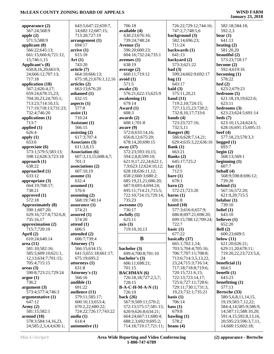| appearance $(2)$         | 643:5;647:22;659:7,    | 706:18                | 726:22;729:12;744:16;    | 582:18;584:18;          |
|--------------------------|------------------------|-----------------------|--------------------------|-------------------------|
| 567:24;568:9             | 14;682:12;687:15;      | available (4)         | 747:2,7;748:5,6          | 592:2,3                 |
| apple $(2)$              | 713:20;727:19          | 630:23;676:16;        | background (3)           | bear $(1)$              |
| 571:5;588:9              | arrangement(1)         | 739:24;748:24         | 582:14;696:23;           | 641:13                  |
| applicant (8)            | 694:17                 | Avenue (5)            | 711:24                   | beating $(2)$           |
| 566:22:645:13:           | arrive(1)              | 596:20;600:23;        | backwards (1)            | 581:20,20               |
| 661:15;666:6;721:12,     | 615:18                 | 604:16;732:24;735:1   | 641:13                   | beautiful (2)           |
| 15;746:1,15              | Art $(1)$              | avenues $(1)$         | backyard (2)             | 573:23;718:17           |
| Applicant's (8)          | 743:20                 | 638:19                | 573:3;621:22             | become $(2)$            |
| 650:8,16,20;663:9,       | article (7)            | average $(2)$         | bad(3)                   | 592:4;619:16            |
| 24;666:12;707:13;        | 664:10;666:13;         | 660:11:719:12         | 599:24;602:9;692:17      | becoming $(1)$          |
| 717:18                   | 675:18,21;676:1,12,16  | avoid(1)              | bag(1)                   | 578:22                  |
| application (18)         | articles (2)           | 571:5                 | 643:17                   | bed(2)                  |
| 567:2;626:4,17;          | 663:13;676:20          | awake (3)             | bald(3)                  | 623:2;679:23            |
| 659:24;678:15,23;        | ashamed $(1)$          | 576:21;622:15;625:9   | 575:11,20,21             | bedroom $(5)$           |
|                          |                        |                       |                          |                         |
| 704:20,23,24;705:1;      | 632:15                 | awakening $(1)$       | band $(11)$              | 621:18,19,19;622:6;     |
| 713:23;714:10,15;        | aspects $(1)$          | 679:14                | 719:2,10;724:15;         | 623:11                  |
| 717:19;718:13;731:23;    | 577:8                  | Award (1)             | 727:13,15,23;728:2;      | bedrooms (3)            |
| 732:4;746:20             | $\text{ assist}(1)$    | 608:3                 | 732:8,10,17;733:6        | 623:23;624:5;691:14     |
| applications $(1)$       | 710:24                 | awards $(2)$          | bands $(4)$              | beds(7)                 |
| 713:7                    | Assistant (1)          | 608:1;701:8           | 723:23;727:16;           | 623:10,15,24;624:5;     |
| applied $(1)$            | 566:15                 | aware (9)             | 732:5,11                 | 628:16;691:15;695:15    |
| 626:4                    | assisting $(2)$        | 572:6;633:14,16;      | <b>Bangert</b> (8)       | beef $(4)$              |
| apply $(1)$              | 617:3;707:4            | 656:8,12;675:20;      | 566:6;628:7,14,21;       | 577:18,23;578:3,3       |
| 653:6                    | Associates (3)         | 678:14,20;690:15      | 629:4;635:3,22;636:16    | begged $(1)$            |
| appreciate $(6)$         | 611:3,8,15             | away $(37)$           | Bank $(1)$               | 693:7                   |
| 573:1;579:5;583:13;      | <b>Association (6)</b> | 572:23;593:10,15;     | 663:21                   | begin $(2)$             |
| 598:12;628:3;723:18      | 607:3,13,15;608:4,7;   | 594:2,8,8;599:10;     | Banks (2)                | 568:13;569:1            |
| approach $(1)$           | 701:3                  | 621:9,17,22,24;622:1, | 645:17;725:2             | beginning $(1)$         |
| 638:22                   | associations (2)       | 7,9;623:12;624:10,12; | bar(1)                   | 607:7                   |
| approached (1)           | 607:10,19              | 628:18;636:11,12;     | 712:5                    | behalf $(4)$            |
| 633:12                   | assume $(1)$           | 658:2;660:3;680:2;    | bare(1)                  | 568:9;598:8;696:12;     |
| appropriate $(3)$        | 632:4                  | 685:19,21,21;686:20;  | 678:1                    | 739:20                  |
|                          |                        |                       |                          |                         |
| 664:19;708:17;           | assumed $(1)$          | 687:9;693:4;694:24;   | $\rm {barn}$ (2)         | behind $(5)$            |
| 738:21                   | 576:6                  | 695:11;714:21;715:5;  | 572:21;723:20            | 567:16;572:20;          |
| approved $(1)$           | assuming $(2)$         | 722:10;724:15;729:14; | barns $(1)$              | 621:9,20;715:5          |
| 572:18                   | 568:19;740:14          | 735:23                | 691:8                    | belabor $(1)$           |
| <b>Approximately (8)</b> | assurance $(1)$        | awesome (1)           | based $(10)$             | 739:10                  |
| 590:1;607:20;            | 574:21                 | 736:17                | 577:3;616:6;657:9;       | belief $(1)$            |
| 629:16;727:8;732:6,8;    | assured $(1)$          | awfully $(1)$         | 686:8;697:21;698:20;     | 643:10                  |
| 735:16,17                | 574:20                 | 625:11                | 699:15;708:12;709:24;    | believes $(1)$          |
| approximation (2)        | attend $(1)$           | axis(3)               | 722:7                    | 652:20                  |
| 715:7;720:10             | 606:5                  | 719:10,10,13          | basic $(1)$              | Bell $(2)$              |
| April $(2)$              | attended (2)           |                       | 677:22                   | 600:23;609:5            |
| 610:24;640:14            | 606:7;739:4            | B                     | basically (37)           | below $(11)$            |
| area(11)                 | Attorney (7)           |                       | 665:1;702:1,14;          | 621:20;626:21;          |
| 581:10;582:16;           | 566:15;634:15;         | bachelor (3)          | 703:5;704:4;705:16;      | 629:11,20;678:11;       |
| 585:5;609:10;621:1,      | 641:5;651:18;661:17;   | 699:4;700:8;701:10    | 706:7;707:11;708:8;      | 719:20,22,23;723:5,6,   |
| 12, 13; 634: 7; 701: 15; | 675:19;695:2           | bachelor's (3)        | 713:6;714:3,5,13,22,     | 24                      |
| 705:4;715:15             | attorneys (1)          | 606:11;698:21;        | 23, 24; 715: 3; 716: 14; | beneficial (1)          |
| areas(3)                 | 631:8                  | 701:15                | 717:18;718:8;719:6;      | 664:5                   |
| 590:8;723:21;729:24      | Attorney's (1)         | <b>BACHMAN</b> (6)    | 720:15;721:6,15;         | benefit $(1)$           |
| argue(1)                 | 566:16                 | 726:18,18;727:2,5,7;  | 722:13;723:14,17;        | 643:23                  |
| 736:2                    | audible $(1)$          | 728:15                | 725:6;727:11;728:6;      | benefitting $(1)$       |
| argument <sub>(3)</sub>  | 691:22                 | $B-A-C-H-M-A-N(1)$    | 729:11;730:1;731:3,      | 577:13                  |
| 573:4;577:4;746:3        | audience (11)          | 726:19                | 19,23;732:1;735:21       | Bertsche (33)           |
|                          |                        |                       |                          |                         |
| argumentative(1)         | 579:11;585:17;         | back $(26)$           | basis $(1)$              | 580:5,6,8,11,14,15,     |
| 647:12                   | 600:10,13;653:4;       | 567:9;569:11;570:2;   | 706:14                   | 19, 19; 583: 7, 12, 22; |
| Army $(2)$               | 670:2,22;680:22;       | 572:13;575:17;581:15; | bass(1)                  | 584:4,14;585:9;586:9,   |
| 581:15;582:1             | 724:22;726:17;743:22   | 620:9;626:8;634:21;   | 679:8                    | 14;587:11;588:10,20;    |
| around (18)              | audio $(1)$            | 664:24;667:11;680:4;  | bawling $(1)$            | 591:4,15;592:8,13,16,   |
| 578:3;584:14,16,23,      | 614:4                  | 688:2,3;692:9;695:2;  | 578:2                    | 20;595:23;596:3,7,11,   |
| 24;585:2,3,4,4;630:1;    | automotive (1)         | 714:18;719:17;721:11; | beans $(4)$              | 14;600:15;602:18;       |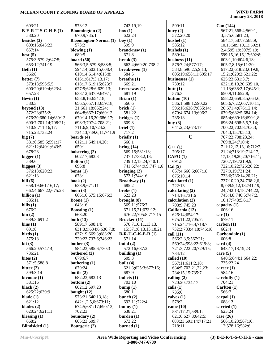| 603:21                          | 573:12                        | 743:19,19             | 599:11                        | Can (144)                 |
|---------------------------------|-------------------------------|-----------------------|-------------------------------|---------------------------|
| $B-E-R-T-S-C-H-E(1)$            | <b>Bloomington</b> (2)        | box(1)                | bury(2)                       | 567:21;568:4;569:1,       |
| 580:20                          | 670:9;735:1                   | 622:24                | 572:20,20                     | 3;575:6;581:23;           |
| besides $(3)$                   | <b>Bloomington-Normal</b> (1) | boy(1)                | bushel $(1)$                  | 584:17;587:7;588:9,       |
| 609:16;643:23;                  | 573:2                         | 599:9                 | 585:12                        | 10,15;589:10,13;592:1,    |
| 657:14                          | blowing $(1)$                 | $brand-new(1)$        | bushels $(1)$                 | 2,4;595:19;597:5,19;      |
| best $(5)$                      | 689:5                         | 671:8                 | 589:14                        | 599:15,16,16,17;602:8;    |
| 575:3;579:2;647:5;              | board $(50)$                  | break $(3)$           | business $(11)$               | 603:1,10;604:6,18;        |
| 653:12;741:19                   | 566:3,5;579:8;583:5;          | 663:4;669:20;738:2    | 576:7,24;577:17;              | 605:7,8,15;611:20;        |
| Beth $(1)$                      | 594:14;603:15;608:4;          | break-even $(1)$      | 584:8;596:2,5,9,13;           | 617:22;618:23;619:8,      |
| 566:8                           | 610:14;614:4;615:8;           | 584:5                 | 605:19;658:11;695:17          | 15,21;620:2;621:22;       |
| better $(7)$                    | 616:1;617:3,13,17;            | breathe $(1)$         | businesses (1)                | 625:23:631:3.7:           |
| 573:13;596:5,5;                 | 618:17;619:15;623:7;          | 669:21                | 730:12                        | 632:18,19,20;635:10,      |
| 600:20;619:4;623:4;             | 627:9;628:6;629:13;           | $b$ reezeway $(1)$    | butt $(1)$                    | 11,13;638:2,17;645:1;     |
| 657:23                          | 633:12;637:9;649:1;           | 681:19                | 576:3                         | 650:9,11;652:8;           |
| Bevin $(1)$                     | 653:8,16;654:18;              | Brian $(1)$           | button $(10)$                 | 658:22;659:3,5;664:6;     |
| 580:3                           | 656:5;657:13;659:18,          | 566:6                 | 586:1;588:1;590:22;           | 665:6,7,22;667:10,11,     |
|                                 | 21;661:18;662:24;             | brick(1)              | 596:16;626:7;655:14;          | 20;671:4;676:12,14;       |
| beyond $(13)$<br>572:23;675:2;  |                               | 581:22                |                               |                           |
|                                 | 664:8;667:17;669:12;          |                       | 670:4;674:13;696:2;<br>736:18 | 679:5;682:5;684:14;       |
| 676:20;680:14;689:13;           | 670:14,16,20;686:17;          | bridges(1)            |                               | 685:4;689:16;690:1,8;     |
| 690:7;701:14;708:21;            | 698:3;707:4;708:21;           | 609:3                 | buy $(3)$                     | 696:24;698:5,5,7,14;      |
| 710:9;711:16,17;                | 711:6,9,10;724:2;             | brief (1)             | 641:2,23;673:17               | 700:22;702:8;703:3;       |
| 715:23;733:24                   | 734:13;739:6,11;741:9         | 717:2                 |                               | 704:3,15;705:13;          |
| big(7)                          | boards $(4)$                  | briefly $(1)$         | $\mathbf C$                   | 707:22;708:23,24;         |
| 581:6;585:5;591:17;             | 612:11;649:14,20;<br>659:1    | 660:1                 |                               | 709:8,24;710:4;           |
| 621:12;640:1;643:5;             |                               | bring $(14)$          | $C++(1)$                      | 711:12,12,13,16;712:2,    |
| 678:23                          | bolstering (2)                | 569:15;581:13;        | 705:17                        | 21, 24; 713: 19; 714: 17, |
| bigger $(1)$                    | 602:17;683:3                  | 737:1;738:2,18;       | CAFO(1)                       | 17,18,19,20,20;716:11;    |
| 589:6                           | Bolton (1)                    | 739:12,15,24;740:1;   | 691:5                         | 720:7,19;721:9,9;         |
| biggest $(3)$                   | 696:8                         | 741:6;744:9,9;747:1,6 | Cal(5)                        | 722:10,22;726:20,22;      |
| 576:13;620:23;                  | bones $(1)$                   | bringing $(2)$        | 657:4;666:6;667:18;           | 727:9,19;731:24;          |
| 621:13                          | 678:1                         | 573:1;744:16          | 675:10,14                     | 733:6;736:14,20,21;       |
| bill $(6)$                      | book $(2)$                    | <b>Broadway</b> (1)   | calculated (1)                | 737:10,20,24;738:2,6,     |
| 658:19;661:16,17;               | 638:9;671:11                  | 685:2                 | 722:13                        | 8;739:9,12,13;741:19,     |
| 662:4;667:22;675:23             | boon $(3)$                    | broke $(1)$           | calculating $(2)$             | 24;742:13,18;744:22;      |
| billion $(1)$                   | 666:16;675:15;676:3           | 623:23                | 714:16;731:6                  | 745:4,8;746:5;747:2,      |
| 585:11                          | Boone $(1)$                   | brought $(8)$         | calculation (2)               | 10,17;748:5,6,17          |
| bills $(1)$                     | 643:16                        | 569:11;576:7;         | 708:9;745:23                  | capacity $(1)$            |
| 676:2                           | <b>Boosting (1)</b>           | 671:15,21;673:12;     | California (12)               | 606:16                    |
| bin(2)                          | 663:20                        | 676:22;705:8;717:15   | 626:14;654:17;                | car(1)                    |
| 689:3;691:2                     | both $(13)$                   | Brucker (11)          | 675:11,22;705:7;              | 679:11                    |
| bins(1)                         | 589:17;608:14;                | 570:7,10,11,13,13,    | 715:24;716:4;718:7;           | carbon(1)                 |
| 691:8                           | 631:8,9;634:6;636:7,8;        | 15;571:8,13,13,18,21  | 732:2;733:4,18;745:18         | 662:4                     |
| $\boldsymbol{\text{birds}}$ (1) | 637:19;669:3;683:20;          | $B-R-U-C-K-E-R(1)$    | call $(11)$                   | Carbondale (1)            |
| 575:18                          | 729:23;737:6;746:23           | 571:14                | 566:2,3,5;567:21;             | 606:8                     |
| bit $(3)$                       | bother $(3)$                  | build $(2)$           | 569:24;598:22;619:8;          | card(4)                   |
| 566:20;574:14;                  | 584:23;585:6;730:3            | 572:16;687:2          | 721:3;722:20;729:15;          | 643:17,18,19,23           |
| 736:21                          | bothered $(2)$                | building $(1)$        | 734:12                        | care $(5)$                |
| bites $(2)$                     | 679:6,7                       | 609:3                 | called (10)                   | 640:5:644:1:664:22:       |
| 571:5;588:8                     | bothering $(1)$               | built $(4)$           | 567:11:611:2,18;              | 735:23,24                 |
| bitter $(2)$                    | 679:24                        | 621:3;625:3;677:16;   | 634:5;702:21,22,23;           | career $(1)$              |
| 599:3,14                        | bottle $(2)$                  | 687:9                 | 734:15,15;735:7               | 584:16                    |
| bivouac $(1)$                   | 682:23;683:13                 | bullets $(1)$         | calling $(2)$                 | carefully $(1)$           |
| 581:16                          | bottom $(2)$                  | 703:10                | 720:20;734:17                 | 704:21                    |
| black $(2)$                     | 602:12;697:23                 | bump(1)               | calls $(1)$                   | Carlton $(1)$             |
| 625:22;639:9                    | bought $(12)$                 | 680:1                 | 735:6                         | 566:7                     |
| blade $(1)$                     | 573:21;640:13,18;             | bunch $(2)$           | calves $(1)$                  | carpal $(1)$              |
| 621:12                          | 642:1,2,5,6;673:11;           | 692:11;722:4          | 578:2                         | 688:13                    |
| blades $(2)$                    | 674:5;681:17;690:13;          | bunny $(1)$           | came $(10)$                   | carried $(1)$             |
| 620:24;621:11                   | 702:23                        | 638:21                | 581:17,21;589:1;              | 623:24                    |
| blessing $(1)$                  | boundary $(2)$                | burden $(1)$          | 621:6;627:8;642:5;            | case $(26)$               |
| 668:2                           | 605:23;609:7                  | 673:22                | 683:23;691:14;717:21;         | 566:10,23;567:10,         |
| <b>Blindsided</b> (1)           | Bourgerie (2)                 | burned $(1)$          | 718:11                        | 12;578:16;582:6;          |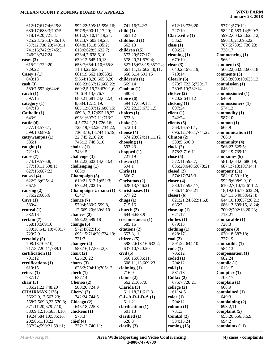| 612:17;617:4;625:8;   | 592:22;595:15;596:16;       | 741:16;742:2             | 612:13;726:20;       | 577:1;579:12;             |
|-----------------------|-----------------------------|--------------------------|----------------------|---------------------------|
| 630:17;688:3;707:5;   | 597:9;600:11,17,20;         | child(1)                 | 727:10               | 582:10;583:14;590:7;      |
| 718:19,20;721:8;      | 601:2,7,10,14,19,24;        | 661:12                   | Clarksville (1)      | 599:2;603:23;625:12;      |
| 725:23;726:3;736:10;  | 602:3,7;603:19,23;          | childhood (1)            | 586:5                | 690:16,21;695:22;         |
| 737:12;738:23;740:11; | 604:8,13,18;605:2;          | 662:13                   | class $(1)$          | 707:5;730:3;736:23;       |
| 741:16;742:2;745:3;   | 618:6;628:5;632:7;          | children (15)            | 606:22               | 738:17                    |
| 746:23;747:24         | 633:4,7;638:6,10;           | 572:20;577:17;           | cleaning $(1)$       | Commencing (1)            |
| cases $(3)$           | 639:12;645:10,13;           | 578:20,21;579:4;         | 679:10               | 566:1                     |
|                       |                             |                          |                      |                           |
| 615:22;722:20;        | 653:7;654:1,10;655:8,       | 627:15;628:19;657:24;    | clear $(3)$          | comment $(3)$             |
| 729:22                | 11,14,22;656:1;             | 661:11,12;662:10,11;     | 640:23;673:19;       | 566:22;632:8;666:18       |
| Casey's $(1)$         | 661:19;662:18;663:2,        | 668:6,14;691:15          | 713:14               | comments $(3)$            |
| 643:18                | 5;664:18,20;665:3,20;       | children's (1)           | Clearly (6)          | 583:3;600:10;633:13       |
| $\cosh(3)$            | 666:23;667:12;668:22;       | 669:14                   | 573:7;722:5;729:17;  | commission (1)            |
| 589:7;592:4;644:6     | 669:2,5,19,23;670:1,6,      | Choban $(1)$             | 730:5,19;732:14      | 646:11                    |
| $\text{catch} (1)$    | 10;674:13;676:7;            | 580:3                    | clicker $(2)$        | commissioned (1)          |
| 597:15                | 680:21;681:24;682:4,        | choice (6)               | 620:2;641:12         | 646:9                     |
| category $(1)$        | 8;684:12,15,19;             | 594:17;639:18;           | clicking $(1)$       | commissioners (1)         |
| 647:18                | 685:12;687:12;688:15;       | 672:22,23;673:1,5        | 697:24               | 574:13                    |
| Catholic (1)          | 689:8,12,17;695:18,22;      | choices $(1)$            | client(1)            | commodity (1)             |
| 643:9                 | 696:1;697:7,11;713:2,       | 673:3                    | 742:24               | 587:10                    |
| cattle(4)             | 4,5;724:1,21;726:16;        | choke $(1)$              | clients $(5)$        | common $(1)$              |
| 577:18;578:1;         | 728:19;732:20;734:22;       | 572:13                   | 568:16;571:1;        | 668:9                     |
| 599:10;689:6          | 736:8, 16, 18; 744: 15, 19, | choose $(4)$             | 696:12;740:1;741:22  | communication (1)         |
| cattywampus (1)       | 22;745:2,10,20;             | 574:23;624:11,11,12      | Clinton $(2)$        | 706:9                     |
| 585:1                 | 746:13;748:3,10             | choosing $(1)$           | 580:5;696:9          | community $(4)$           |
| caught $(1)$          | chair's $(1)$               | 593:23                   | clock(2)             | 566:23;625:5;             |
| 721:13                | 748:15                      | chopped $(1)$            | 578:3;716:11         | 682:19;739:11             |
| cause (7)             | challenge $(3)$             | 721:19                   | close $(5)$          | companies (6)             |
| 574:19;576:8;         | 602:23;603:14;683:4         | chosen $(1)$             | 572:11;593:7;        | 581:3;634:6;686:19;       |
| 577:10,11;598:1;      | challenging $(1)$           | 594:1                    | 636:20;640:5;678:21  | 687:1;713:10;714:4        |
| 627:15;687:23         | 683:9                       | Chris $(1)$              | closed $(2)$         | company (31)              |
| caused (4)            | Champaign (5)               | 566:7                    | 574:17;745:3         | 582:10;591:19;            |
| 622:2,3;625:14;       | 610:21;612:1;652:3;         | Christmas (2)            | closer $(4)$         | 592:9;608:9,9,10;         |
| 667:9                 |                             |                          |                      |                           |
|                       | 675:24;702:15               | 628:13;746:21            | 580:17;593:17;       | 610:2,7,10,12;611:2,      |
| causing $(2)$         | Champaign-Urbana (1)        | Christmases (1)          | 636:14;678:21        | 18, 19; 616: 17; 632: 24; |
| 576:22;686:6          | 634:7                       | 577:22                   | closest $(6)$        | 634:11;640:3;642:4;       |
| Cave $(1)$            | chance (7)                  | chugs $(1)$              | 621:21,24;622:1,6,8; | 644:10,10;657:20,21;      |
| 580:4                 | 570:4;580:7;599:8,          | 715:16                   | 636:7                | 686:13;699:15,18,24;      |
| central (1)           | 12;669:20;689:8,10          | church $(2)$             | close-up $(1)$       | 700:2;702:18,20,23;       |
| 582:16                | chances $(2)$               | 644:6;658:9              | 621:17               | 713:21                    |
| certain (7)           | 598:23;599:18               | circumstances (1)        | clothes(1)           | comparable (1)            |
| 568:10;569:16;        | change $(6)$                | 685:16                   | 679:13               | 728:3                     |
| 590:18;643:10;709:17; | 572:4;622:16;               | citations (2)            | clothing(1)          | compare (3)               |
| 729:7,9               | 695:15;714:20;724:19;       | 657:8,11                 | 628:17               | 620:18;687:18;            |
| certainly (5)         | 731:7                       | citizens(5)              | $\text{coal}(2)$     | 727:19                    |
| 708:13;709:10;        | changer $(4)$               | 598:2;618:16;633:2;      | 591:22;644:10        | compatible $(1)$          |
| 717:8;720:11;739:1    | 583:16,17;584:2,3           | 637:10;720:20            | code(1)              | 584:13                    |
| certification (1)     | chart $(2)$                 | $\dot{\text{civil}}$ (5) | 706:12               | compensation (1)          |
| 701:12                | 625:20,22                   | 566:15;606:11;           | coded(1)             | 682:24                    |
| certifications (1)    | charts $(3)$                | 608:11,13;609:23         | 704:12               | compile (1)               |
| 610:15                | 626:2;704:10;705:12         | claiming $(1)$           | cold(1)              | 613:15                    |
| cetera $(1)$          | check $(1)$                 | 716:9                    | 581:18               | Compiler (1)              |
| 737:17                | 637:14                      | claims $(2)$             | Colfax $(2)$         | 705:17                    |
| chair $(3)$           | Chenoa (2)                  | 662:21;667:8             | 675:7;728:21         | complain $(1)$            |
| 585:21,22;748:20      | 580:20;724:9                | Clarida (3)              | college (2)          | 668:9                     |
| <b>CHAIRMAN</b> (126) | Cheryl (2)                  | 611:18,21;612:3          | 611:4,5              | complained (1)            |
| 566:2,9,17;567:23;    | 742:24;744:5                | $C-L-A-R-I-D-A(1)$       | color(1)             | 649:3                     |
| 568:7;569:3,23;570:8; | Chicago (2)                 | 611:21                   | 704:12               | complaining (2)           |
| 571:11,20;579:7,10;   | 645:18;725:3                | clarification (1)        | column (1)           | 693:2,11                  |
| 580:9,12,16;583:4,10, | chickens (1)                | 601:13                   | 731:3                | complaint $(5)$           |
| 19,24;584:10;585:16,  | 573:3                       | clarified $(1)$          | ComEd $(2)$          | 655:20;656:3,6,9;         |
| 20;586:1,18,22;       | chief $(4)$                 | 628:8                    | 584:15,24            | 694:2                     |
| 587:24;590:21;591:1;  | 737:12;740:11;              | clarify $(3)$            | coming $(15)$        | complaints (11)           |
|                       |                             |                          |                      |                           |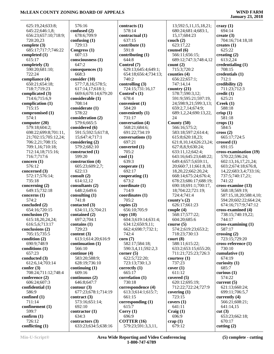### **January 23, 2018**

 625:19,24;633:8; 645:22;646:1,8; 656:23;657:10;718:9; 720:20,23 **complete (3)** 685:17;717:7;746:22 **completed (1)** 615:17 **completely (3)** 590:20;681:10; 722:24 **compliance (4)** 650:21;654:18; 718:7;719:23 **complicated (3)** 714:6;715:6,9 **complication (1)** 715:15 **compromised (1)** 574:1 **computer (20)** 579:18;604:2; 698:22;699:8;701:11, 21;702:15;705:12,24; 706:2,21;708:15; 709:1,16;710:18; 712:14,18;715:16; 716:7;717:6 **concern (1)** 576:12 **concerned (3)** 572:17;576:14; 735:18 **concerning (2)** 649:15;732:18 **concerns (1)** 574:2 **concluded (2)** 654:16;720:15 **conclusion (7)** 615:18,20,24,24; 616:5,6;713:17 **conclusions (2)** 705:15;735:5 **condition (2)** 690:9;748:9 **conditions (1)** 657:23 **conducted (3)** 612:6,14;703:14 **confer (3)** 708:24;711:12;748:4 **conference (2)** 606:24;607:3 **confidential (1)** 586:9 **confined (1)** 711:14 **confinement (1)** 599:7 **confirm (1)** 726:12 **conflicting (1)**

 576:16 **confused (2)** 678:6;709:9 **confusing (1)** 729:13 **Congress (1)** 607:13 **consciousness (1)** 647:2 **consequences (1)** 668:3 **consider (10)** 577:7,8,16;578:5; 617:14,17;618:1; 669:6;670:14;679:20 **considerable (1)** 708:14 **considerate (1)** 578:22 **consideration (2)** 579:6;665:5 **considered (6)** 591:5;592:5;617:8, 15;647:4;717:1 **considering (2)** 579:2;682:10 **constructed (1)** 599:20 **construction (4)** 605:23;609:2,7; 622:13 **consult (2)** 614:12,12 **consultants (2)** 648:2;649:6 **consulting (1)** 741:8 **contacted (3)** 634:11,15;704:21 **contained (2)** 697:2;704:1 **contains (1)** 729:23 **content (3)** 613:1;614:20;616:9 **continuation (1)** 566:10 **continue (4)** 583:20;588:9; 628:19;736:10 **continuing (1)** 609:16 **continuous (2)** 646:8;647:7 **contour (3)** 677:23;678:1;714:19 **contract (3)** 573:16;651:14; 692:10 **contractor (1)** 634:3 **contractors (3)** 633:23;634:5;638:16

**contracts (1)** 578:14 **contractual (1)** 637:15 **contribute (1)** 591:8 **contributing (1)** 644:8 **Control (7)** 629:13;645:4;649:1; 654:18;656:4;734:13; 740:2 **controlling (3)** 724:15;731:16,17 **Control's (1)** 678:4 **convenient (1)** 584:20 **conveniently (1)** 731:17 **conversation (4)** 568:21;684:6; 691:22;734:19 **conversations (1)** 697:21 **converted (1)** 705:2 **cool (1)** 639:3 **cooperate (1)** 692:17 **cooperating (1)**  $673.2$ **coordinate (1)** 714:9 **coordinates (1)** 705:2 **copies (2)** 656:10;705:9 **copy (10)** 604:3;619:14;631:4; 634:12;650:9,11; 662:4;698:7;732:1; 742:4 **corn (7)** 582:17;584:18; 590:3,4,11;592:2,3 **corner (5)** 622:5;722:20; 723:13;730:1,3 **correctly (1)** 665:17 **correlation (1)** 730:18 **correspondence (4)** 613:3;614:1;615:7; 661:15 **corresponding (1)** 615:7 **Corry (1)** 696:9 **COTTER (16)** 579:23;591:3,3,11,

 13;592:5,11,15,18,21; 680:24;681:4;683:1, 15,17;684:23 **couch (2)** 623:17,22 **counsel (6)** 566:11;656:15; 689:12;747:3;748:4,12 **count (2)** 715:3;720:2 **counties (4)** 656:22;657:1; 747:14,14 **country (21)** 578:7;590:3,12; 591:9;595:21;597:19, 24;598:9,21;599:3,13; 659:2,7,14;674:9; 689:1,2,24;690:13,22, 24 **County (50)** 566:16;575:2; 583:18;597:2;614:4; 615:8;620:18,23; 621:8,10,14;626:23,24; 627:8,8,9;630:24; 633:11,12;642:4; 643:16;645:23;648:22; 649:4;657:5;659:11, 20;660:7,11;661:8,18, 18,20,22;662:20,24; 668:14;675:24;676:4; 678:23;686:17;688:19; 690:18;691:1;700:17, 18;704:22;721:19; 724:4;741:4 **county's (2)** 626:17;661:23 **couple (4)** 568:17;577:22; 604:20;685:6 **course (5)** 574:2;619:23;653:2; 718:23;730:13 **court (8)** 588:11;615:22; 633:2;653:15;655:20; 711:21;725:23;726:3 **courtesy (1)** 737:23 **cover (1)** 611:12 **covered (5)** 620:12;695:19; 712:22;722:24;727:9 **covering (1)** 723:15 **covers (1)** 641:11 **Craig (1)** 696:9 **crap (1)** 679:12

**crazy (1)** 694:14 **create (3)** 704:16;714:18,18 **creates (1)** 625:22 **creating (2)** 613:2,24 **credentialing (1)** 708:15 **credentials (1)** 712:1 **credibility (2)** 711:23;712:3 **credit (1)** 625:21 **Creek (1)** 588:18 **crisp (1)** 581:18 **crops (1)** 584:5 **cross (2)** 665:17;724:5 **crossed (1)** 691:15 **cross-examination (19)** 570:22;596:24; 602:13,16,17,21,24; 603:2;674:18;676:8, 14,22;683:3,4;733:16; 737:5;740:17,21; 741:22 **cross-examine (13)** 568:18;569:19; 587:15,18,20;588:4,10; 594:20;602:22;664:24; 674:16;717:9;747:12 **cross-examined (4)** 738:15;740:19,22; 744:17 **cross-examining (1)** 587:17 **crossing (2)** 723:15;729:20 **cross-reference (1)** 730:10 **cumulative (1)** 674:19 **curiosity (1)** 685:7 **curious (1)** 574:22 **current (5)** 621:13;660:24; 699:11;706:5,7 **currently (4)** 566:21;608:21; 641:14,15 **cut (3)** 653:23;662:18; 670:17 **cutting (2)**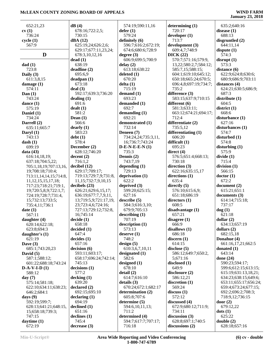| 652:21,23                      | dB(4)                              | 574:19;590:11,16              | determining $(1)$                            | 635:2;640:16                                  |
|--------------------------------|------------------------------------|-------------------------------|----------------------------------------------|-----------------------------------------------|
| cv(1)                          | 678:16;722:2,5;                    | defer(1)                      | 720:17                                       | disease $(1)$                                 |
| 736:24                         | 730:15                             | 579:24                        | developer (1)                                | 688:13                                        |
| cycle(1)                       | dBA (12)                           | definitely (6)                | 713:7                                        | disgruntled (2)                               |
| 567:9                          | 625:19,24;626:2,6;                 | 596:7;616:2;672:19;           | development (3)                              | 644:11,14                                     |
|                                | 629:17;677:11,23,24;               | 674:6;680:6;728:9             | 609:4,7;748:9                                | dispute $(1)$                                 |
| D                              | 678:3,10,12,16                     | degree $(3)$                  | DICK(22)                                     | 574:3                                         |
|                                | dead(1)                            | 606:9;699:5;700:9             | 570:7;571:16;579:9,                          | disrupt(1)                                    |
| dad(1)                         | 638:19                             | delay(2)                      | 13,22;580:2,7;584:12;                        | 573:3                                         |
| 723:8                          | deadline (2)                       | 613:18;638:22                 | 585:7,15;588:15;                             | distance (6)                                  |
| Daily $(3)$<br>611:3,8,15      | 695:6,9<br>deadpan(1)              | deleted $(1)$<br>670:20       | 604:1;619:10;645:12;<br>650:18;665:24;670:5; | 622:9;624:8;630:6;<br>680:9;686:9;703:11      |
| damage $(1)$                   | 673:18                             | delta(1)                      | 696:4,8;697:19;734:7;                        | distances (4)                                 |
| 574:11                         | deal(3)                            | 715:19                        | 735:2                                        | 624:21;630:5;686:9;                           |
| Dan $(1)$                      | 592:17;639:3;736:20                | demand $(1)$                  | difference (3)                               | 687:3                                         |
| 743:24                         | dealing $(1)$                      | 693:23                        | 583:15;637:9;710:15                          | distribute $(1)$                              |
| dance $(1)$                    | 691:6                              | demanded (1)                  | different (6)                                | 604:5                                         |
| 575:19                         | dealt(1)                           | 692:7                         | 581:3;633:11;                                | district(1)                                   |
| Daniel (1)                     | 581:2                              | demanding $(1)$               | 663:12;674:21;694:17;                        | 668:6                                         |
| 734:24                         | Dean $(1)$                         | 692:21                        | 712:4                                        | disturbance (1)                               |
| Darrell (2)                    | 566:6                              | demonstrated (1)              | differentiate (2)                            | 627:16                                        |
| 635:11;665:7                   | dearly(1)                          | 732:14                        | 735:5,12                                     | disturbances (1)                              |
| Daryl $(1)$                    | 583:23                             | Deneen (7)                    | differentiating (1)                          | 574:7                                         |
| 743:13                         | debt(1)                            | 734:24,24;735:3,11,           | 606:20                                       | disturbed (1)                                 |
| dash(1)                        | 578:4                              | 16;736:7;743:24               | difficult (1)                                | 574:8                                         |
| 699:19                         | December (2)<br>628:12;746:20      | $D-E-N-E-E-N(1)$<br>735:3     | 695:23<br>direct $(4)$                       | disturbing $(1)$<br>575:9                     |
| data $(43)$<br>616:14,18,19;   | decent(2)                          | Dennis (2)                    | 576:5;651:4;668:13;                          | divide(1)                                     |
| 637:18;704:5,22;               | 716:1,2                            | 743:7,19                      | 730:18                                       | 715:4                                         |
| 705:1,18,19;707:13,16,         | decibel (12)                       | depending $(1)$               | direction (3)                                | division(1)                                   |
| 19;708:18;710:4;               | 629:17;709:17;                     | 729:13                        | 622:16;635:15,17                             | 566:15                                        |
| 713:11, 14, 14, 15; 714: 8,    | 719:13;729:7,9;731:8,              | deprivation (1)               | directions (1)                               | doctor(1)                                     |
| 11, 12, 15, 15, 17, 18;        | 11,15;732:7,9,10,15                | 622:2                         | 635:4                                        | 672:2                                         |
| 717:23;718:21;719:1,           | decibels $(23)$                    | deprived $(3)$                | directly $(5)$                               | document (2)                                  |
| 19;720:5,8,9;722:1,7;          | 626:21;629:6,15,17;                | 599:20;625:15;                | 576:10;615:6,9;                              | 615:21;651:1                                  |
| 724:19;728:7;731:4,            | 636:19;677:7,7,9,11,               | 627:16                        | 651:18;686:19                                | documents (3)                                 |
| 15;732:13;733:5;               | 13;719:5,9;721:17,19,              | describe(5)                   | directors $(1)$                              | 614:14;715:18;                                |
| 735:4,11;736:1                 | 23;723:4,6;724:16;                 | 584:3;616:3,10;               | 608:5                                        | 737:17                                        |
| date(1)                        | 727:13;729:12;732:8,               | 679:9;705:13                  | disadvantage (1)                             | dog(1)                                        |
| 567:11                         | 16;745:14                          | describing (1)<br>707:19      | 657:21<br>disagree (1)                       | 621:18<br>dollar $(2)$                        |
| daughter (4)<br>620:14;622:18; | decide(1)<br>658:18                | description (1)               | 666:9                                        | 634:13;657:19                                 |
| 623:8;694:3                    | decided (1)                        | 573:13                        | disallows (1)                                | dollars $(2)$                                 |
| daughter's $(1)$               | 647:4                              | deserve(1)                    | 686:18                                       | 682:15,18                                     |
| 621:19                         | decides(1)                         | 748:2                         | discern $(1)$                                | Donahue (4)                                   |
| Dave $(3)$                     | 657:16                             | design(5)                     | 614:15                                       | 661:16,17,21;662:5                            |
| 685:1:743:20,23                | decision(6)                        | 610:3,6,7,10,11               | disclose $(5)$                               | donated $(1)$                                 |
| David $(5)$                    | 593:11;603:17;                     | designated (1)                | 586:12;649:7;650:2,                          | 643:14                                        |
| 587:1;588:12;                  | 658:17;696:24;742:14;              | 582:6                         | 5;671:16                                     | done $(24)$                                   |
| 601:22;688:18;743:24           | 745:13                             | designed $(1)$                | disclosed $(1)$                              | 590:23;594:17;                                |
| $D-A-V-I-D(1)$                 | decisions(1)                       | 678:10                        | 649:9                                        | 599:6;612:15;613:15;                          |
| 588:12                         | 577:2                              | detail(2)                     | disclosure(2)                                | 615:19;631:13,18,21;                          |
| day $(7)$<br>575:14;581:18;    | decking(1)<br>639:20               | 614:7;616:10<br>details $(3)$ | 586:12,21<br>discretion $(1)$                | 634:23;638:15;649:6;<br>653:11;655:17;656:24; |
| 622:10;634:11;638:23;          | $\boldsymbol{\text{declared}}$ (2) | 670:24;672:1;682:17           | 569:24                                       | 659:4;673:24;677:15;                          |
| 646:2;684:1                    | 692:15;695:10                      | determination (2)             | discuss(1)                                   | 692:2;696:2;708:3;                            |
| days $(9)$                     | $\text{declaring}$ (1)             | 605:8;707:6                   | 572:12                                       | 718:9,12;736:15                               |
| 592:19;599:7;                  | 694:19                             | determine (5)                 | discussed (4)                                | door $(2)$                                    |
| 628:13;641:21;648:15,          | $\boldsymbol{\text{delined}\ (1)}$ | 594:6,10,11,13;               | 672:9;680:12;711:9;                          | 679:12,22                                     |
| 15;658:18;739:3;               | 651:16                             | 711:2                         | 734:11                                       | dots (1)                                      |
| 747:15                         | $\alpha$ declines $(1)$            | determined (4)                | discussion $(3)$                             | 625:22                                        |
| daytime $(1)$                  | 745:4                              | 594:7;617:7;707:17;           | 628:8;697:1;740:5                            | double(2)                                     |
| 672:19                         | decrease(3)                        | 716:18                        | discussions (2)                              | 628:18;657:16                                 |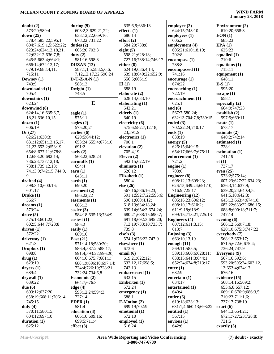| doubt(2)                        | during $(9)$                  | 635:6,9;636:13          | employee (2)                               | <b>Environment</b> (2)                   |
|---------------------------------|-------------------------------|-------------------------|--------------------------------------------|------------------------------------------|
| 573:20;589:4                    | 603:2,3;629:21,22;            | effects $(1)$           | 644:15;743:10                              | 610:20;658:8                             |
| down $(25)$                     | 633:12,22;669:16;             | 686:14                  | employees (1)                              | EON(1)                                   |
| 578:4;585:22;595:1;             | 678:22;731:22                 | effort(2)               | 606:2                                      | 685:23                                   |
| 604:7;619:1,5;622:22;           | duties $(2)$                  | 584:20;738:8            | employment (4)                             | EPA(1)                                   |
| 623:24;624:13,18,21,            | 605:20;703:3                  | eight $(5)$             | 605:21;610:18,19;                          | 625:23                                   |
| 22;632:12;636:7,8;              | duty $(2)$                    | 598:21;628:18;          | 702:8                                      | equalled $(1)$                           |
| 645:5;663:4;664:1;              | 581:16;598:8                  | 727:16;738:14;746:17    | encompass (1)                              | 710:6                                    |
| 666:14;672:13,17;               | DUZAN (12)                    | either $(8)$            | 738:8                                      | equations (1)                            |
| 679:19;688:4,11;                | 587:1,1,5;588:5,6,6,          | 624:19;636:4,14;        | encompassed (1)                            | 715:11                                   |
| 715:11                          | 7, 12, 12, 17, 22; 590: 24    | 639:18;640:22;652:9;    | 741:16                                     | equipment $(1)$                          |
| Downey $(1)$                    | $D-U-Z-A-N(1)$                | 656:5;666:19            | encourage (1)                              | 648:11                                   |
| 743:9                           | 588:13                        | El(1)                   | 674:22                                     | $E-S(1)$                                 |
| downloaded (1)                  | Dwight $(1)$                  | 688:19                  | encroaching $(1)$                          | 595:20                                   |
| 705:4                           | 743:5                         | elaborate (2)           | 722:19                                     | $\epsilon$ escape $(1)$                  |
| downstairs (1)                  |                               | 628:14;633:10           | encroachment (1)                           | 658:1                                    |
| 623:24                          | E                             | elaborating (1)         | 625:1                                      | especially $(2)$                         |
| downwind (8)                    |                               | 642:21                  | end $(6)$                                  | 664:9;747:23                             |
| 624:14,16;635:6,7,              | eagle $(1)$                   | elderly $(1)$           | 567:7;580:24;                              | establish (2)                            |
| 18,21;636:10,15                 | 575:11                        | 640:19                  | 632:13;704:7,8;739:15                      | 597:5;669:11                             |
| dozen(1)                        | eagles $(2)$                  | electricity (6)         | ended $(3)$                                | estate $(1)$                             |
| 606:19                          | 575:20,21                     | 575:6;582:7,12,18,      | 702:22,24;710:17                           | 673:17                                   |
| Dr(27)                          | earlier $(6)$                 | 23;591:9                | ends $(1)$                                 | estimate $(2)$                           |
| 626:21;630:3;                   | 620:5;644:12;                 | electronics (1)         | 638:19                                     | 640:2;742:14                             |
| 631:12;651:13,15,17,            | 653:24;655:4;673:10;          | 700:1                   | energy $(5)$                               | estimated (1)                            |
| 21,23;652:2;653:19;             | 691:2                         | elevation (2)           | 626:15;649:15;                             | 728:1                                    |
| 654:8;677:11;678:8,             | early $(2)$                   | 705:4,19                | 654:17;666:7;675:11                        | estimation $(1)$                         |
| 12;683:20;692:14;               | 568:22;628:24                 | Eleven $(2)$            | enforcement (1)                            | 741:19                                   |
| 736:23;737:12,18;               | earmuffs $(1)$                | 592:15;622:19           | 721:2                                      | et(1)                                    |
| 738:1;739:12,18;                | 694:4                         | eliminate $(1)$         | engine $(1)$                               | 737:17                                   |
| 741:3,9;742:15;744:9,           | earn $(1)$                    | 626:12                  | 703:6                                      | even $(25)$                              |
| 9                               | 643:11                        | Elizabeth (1)<br>580:4  | engineer $(8)$                             | 573:2;575:14;                            |
| drafted (4)<br>598:3,10;600:16; | earth $(1)$<br>690:20         | else $(26)$             | 608:12,13;609:23;<br>626:15;649:24;691:10; | 607:23;627:22;634:23;<br>636:3,14;637:9; |
| 601:17                          | easement $(2)$                | 567:16;586:16,23;       | 716:9;725:17                               | 639:20,24;640:4,5;                       |
| Drake $(1)$                     | 686:22,22                     | 591:1;592:7,22;595:6;   | <b>Engineering (12)</b>                    | 641:5,10;642:3;                          |
| 566:7                           | easements $(1)$               | 596:1;600:4,12;         | 605:16,23;606:12;                          | 643:13;663:4;674:10;                     |
| dreams $(1)$                    | 686:13                        | 618:13;634:18,24;       | 608:10,17;610:2;                           | 682:22;683:22;686:15;                    |
| 573:24                          | easier $(3)$                  | 639:14;654:3;674:24;    | 611:9,18;618:9;                            | 688:8;690:18;711:7;                      |
| drive(5)                        | 584:18;635:13;734:9           | 680:21;688:15;690:7;    | 699:15;713:21;725:13                       | 747:14                                   |
| 575:18;601:22;                  | easiest $(1)$                 | 691:18;692:3;695:20;    | <b>Engineers (4)</b>                       | evening $(6)$                            |
| 602:5;644:7;723:8               | 585:2                         | 713:19;733:10;735:7;    | 607:12;611:3,15;                           | 566:12;569:7,18;                         |
| driven(1)                       | easily $(1)$                  | 739:8                   | 613:7                                      | 620:10;675:3;747:22                      |
| 572:22                          | 689:16                        | else's $(3)$            | Enjoying (3)                               | everybody (7)                            |
| driveway(1)                     | East $(21)$                   | 574:1;676:22;747:9      | 663:10,13,19                               | 568:12;653:17;                           |
| 621:3                           | 571:14,18;580:20;             | elsewhere $(1)$         | enough $(11)$                              | 671:5;672:6;675:4;                       |
| Dropbox $(1)$                   | 586:4;587:2;588:17;           | 673:6                   | 569:11;585:5;                              | 736:24;747:9                             |
| 698:8                           | 591:4;593:22;596:20;          | email (6)               | 589:13;600:6;628:11;                       | Everyone (9)                             |
| array(1)                        | 604:16;675:7;681:1;           | 619:21;622:12;          | 638:15;641:3;644:1;                        | 567:16;592:6;                            |
| 623:19                          | 688:19;696:10;697:14;         | 632:12,17;698:5;        | 652:24;674:8;713:17                        | 593:20;595:24;603:12,                    |
| dryers(1)                       | 724:4;726:19;728:21;          | 742:13                  | enter $(1)$                                | 13;653:4;674:17;                         |
| 689:4                           | 732:24;734:6,8                | embarrassed (1)         | 632:9                                      | 676:16                                   |
| drywall(1)                      | Economic (2)                  | 632:15                  | entertain $(1)$                            | evidence (15)                            |
| 639:22                          | 664:7;676:3                   | Emberton (1)            | 634:17                                     | 568:14,16;569:2;                         |
| due $(6)$                       | edge $(4)$                    | 572:24                  | entertained (1)                            | 653:6,8;657:12;                          |
| 603:12;637:20;                  | 593:12,24;594:3;              | emergency $(1)$         | 640:4                                      | 669:10;676:9;686:3,5;                    |
| 658:19;668:11;706:14;           | 727:14                        | 688:1                   | entire $(6)$                               | 710:23;711:1,6;                          |
| 745:15                          | EDPR $(1)$                    | $E-Motion (2)$          | 619:18;623:13;                             | 737:17;738:19                            |
| duly $(4)$<br>570:11;580:15;    | 581:4<br>education (4)        | 699:19;702:9            | 631:1,4;660:13;693:22                      | $\text{exact}(6)$<br>644:13;654:21;      |
|                                 |                               | emotional (1)<br>572:10 | entitled $(1)$<br>567:15                   |                                          |
| 604:12;697:10<br>duration $(1)$ | 606:10;609:16;<br>699:5;711:4 | employed (1)            | envious $(1)$                              | 672:1;727:23;728:8;<br>731:5             |
| 625:12                          | effect $(3)$                  | 616:24                  | 642:6                                      | exactly $(5)$                            |
|                                 |                               |                         |                                            |                                          |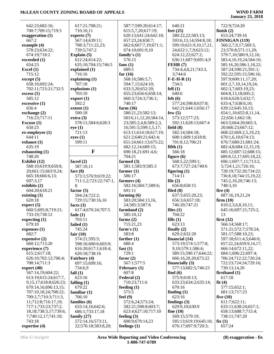| 642:23;682:16;                                      | 617:21;708:21;                           | 587:7;599:20;614:17;               | 640:21                                       | 722:9;724:20                                 |
|-----------------------------------------------------|------------------------------------------|------------------------------------|----------------------------------------------|----------------------------------------------|
| 700:7;709:15;719:3                                  | 710:10,11                                | 615:5,7,20;617:19;                 | feet $(25)$                                  | finish $(2)$                                 |
| exaggeration (1)                                    | experts $(7)$                            | 620:13;641:24;642:18;              | 580:22,22;583:13;                            | 653:24;739:16                                |
| 667:2                                               | 567:14;639:11;                           | 657:23,24;658:7;                   | 593:6,13,14;594:8,18;                        | FINNIGAN (119)                               |
| example (4)                                         | 708:3;711:22,23;                         | 662:6;667:7,19;671:1;              | 599:10;621:9,10,17,21,                       | 566:2,7,9,17;569:3,                          |
| 578:23;634:22;                                      | 739:5;747:2                              | 674:10;691:9,10                    | 24;622:1,7,9;623:12;                         | 23;570:8;571:11,20;                          |
| 674:19;718:2                                        | Explain $(5)$                            | family's $(1)$                     | 624:12,22;627:2;                             | 579:7,10;580:9,12,16;                        |
| exceeded (1)                                        | 612:24;614:22;                           | 576:15                             | 636:11;687:9;691:4,9                         | 583:4, 10, 19, 24; 584: 10;                  |
| 654:23                                              | 635:10;704:15;746:5                      | fans $(1)$                         | FEHR(7)                                      | 585:16,20;586:1,18,22;                       |
| Excel $(1)$                                         | explained (1)                            | 689:5                              | 734:4,4,8,21;743:3,                          | 587:24;590:21;591:1;                         |
| 715:12                                              | 716:16                                   | far $(16)$                         | 3;744:6                                      | 592:22;595:15;596:16;                        |
| except (5)                                          | explaining $(1)$                         | 568:16:586:5,7;                    | $F-E-H-R(1)$                                 | 597:9;600:11,17,20;                          |
| 658:10;692:24;                                      | 707:18                                   | 594:7,15;624:10;                   | 734:5                                        | 601:2,7,10,14,19,24;                         |
| 702:11;723:21;732:5                                 | explosions (1)                           | 633:3,20;652:20;                   | fell $(1)$                                   | 602:3,7;603:19,23;                           |
| excess (1)                                          | 703:10                                   | 655:23;656:6;658:14;               | 640:6                                        | 604:8,13,18;605:2;                           |
| 585:12                                              | $\text{export}(1)$                       | 660:3;724:3;736:1;                 | felt $(6)$                                   | 618:6;628:5;632:7;                           |
| excessive (1)                                       | 592:2                                    | 740:17                             | 577:24;598:8;637:8;                          | 633:4,7;638:6,10;                            |
| 656:4                                               | extent(1)                                | farm $(36)$                        | 642:21;644:1;656:17                          | 639:12;645:10,13;                            |
|                                                     | 590:18                                   | 580:21,23;582:12;                  | few $(5)$                                    | 654:1,10;655:8,11,14,                        |
| exchange (2)                                        |                                          | 583:6,11,12,20;584:14,             | 573:12;577:23;                               |                                              |
| 716:23;717:11<br>Excuse (1)                         | extra(3)                                 |                                    | 592:11;628:13;667:4                          | 22;656:1;662:18;                             |
|                                                     | 578:11;584:6;628:3                       | 23;585:2,4,8;589:2,3,              |                                              | 663:5;664:20;665:3,                          |
| 650:23                                              | eye(1)<br>721:13                         | 16;591:5;599:1,5,17;               | field $(8)$<br>582:14;584:18;                | 20;666:23;667:12;                            |
| ex-employee (1)                                     |                                          | 613:11;614:18;617:19;              |                                              | 668:22;669:2,5,19,23;                        |
| 644:11                                              | eyes(1)<br>599:11                        | 621:2;640:21;642:4;                | 608:1;609:1;618:8;                           | 670:1,6,10;674:13;                           |
| exhaust (1)                                         |                                          | 651:24;661:13;675:22;              | 701:8,12;706:21                              | 676:7;680:21;681:24;                         |
| 635:19                                              | F                                        | 682:12,14;689:15;                  | fifth $(1)$                                  | 682:4,8;684:12,15,19;                        |
| exhausting (1)<br>748:20                            |                                          | 690:18,21;691:4,6;<br>704:21       | 566:18                                       | 685:12;687:12;688:15;                        |
| Exhibit (12)                                        | faced $(2)$                              | farmed $(3)$                       | figure $(6)$<br>568:5,22;599:1;              | 689:8,12,17;695:18,22;                       |
|                                                     | 587:10,11                                |                                    | 673:7;727:24;740:6                           | 696:1;697:7,11;713:2,                        |
| 568:10;619:9;650:8,                                 |                                          | 581:1;583:9;585:3<br>farmer $(1)$  | figuring $(1)$                               | 5;724:1,21;726:16;                           |
| 20;661:15;663:9,24;                                 | fact $(8)$                               | 586:17                             | 714:11                                       | 728:19;732:20;734:22;                        |
| 665:18;666:6,13;                                    | 573:1;576:9;619:22;                      |                                    | file $(2)$                                   | 736:8,18;744:15,19,22;                       |
| 697:3,17<br>exhibits (2)                            | 711:1,2;723:22;747:1,<br>8               | farmers $(4)$                      |                                              | 745:2,10,20;746:13;<br>748:3,10              |
|                                                     |                                          | 582:16;584:7;589:6;<br>691:11      | 656:8;658:15<br>filed $(8)$                  |                                              |
| 604:20;618:21                                       | factor $(5)$<br>594:24;722:2;            |                                    |                                              | fire $(4)$                                   |
| existing $(1)$<br>620:18                            |                                          | farming $(6)$<br>583:20;584:13,16, | 637:5;655:20,23;<br>656:3,6;657:18;          | 687:16,19,21,24<br>firm $(10)$               |
| expect (5)                                          | 729:15;730:16,16<br>facts $(3)$          | 24;585:3;587:6                     | 746:20;747:21                                | 610:2,3,6,8,10,11;                           |
| 660:5;695:8;719:21;                                 |                                          | farmland $(2)$                     | files $(1)$                                  |                                              |
| 733:19;738:12                                       | 617:4;670:24;707:5                       | 585:10,12                          | 704:22                                       | 645:16;697:21;725:2,<br>13                   |
|                                                     | fade $(1)$<br>703:11                     |                                    |                                              |                                              |
| expecting (1)<br>679:10                             | failed (1)                               | farms $(2)$<br>715:21,23           | fills $(1)$<br>623:13                        | first $(32)$<br>566:14;568:17;               |
| expenses (1)                                        | 745:24                                   | farm's $(1)$                       |                                              | 571:21;572:7;578:24;                         |
| 682:7                                               |                                          | 583:8                              | finally $(2)$<br>629:2;632:20                | 581:17;588:10,23;                            |
|                                                     | fair $(10)$<br>574:21;595:5;             |                                    | financial (14)                               | 597:18;611:4,5;646:6;                        |
| expensive (2)                                       |                                          | farther $(1)$                      |                                              |                                              |
| 660:12;713:20<br>experience (7)                     | 598:16;600:6;603:9;                      | 680:4                              | 573:19;574:1;577:8,                          | 657:22,24;659:9,14,17;                       |
| 615:2;617:18;                                       | 616:20;617:1;618:4;<br>620:18;738:16     | fast $(1)$<br>729:1                | 9, 10; 579: 1; 586: 6;                       | 666:14;672:11,22;                            |
| 626:10;702:12;706:4;                                |                                          | favor $(2)$                        | 589:15;590:17;644:22;<br>666:16,20,20;673:22 | 684:1;696:22;697:4;<br>706:24;712:22;720:24; |
| 708:14;711:3                                        | Fairbury (4)                             | 567:1;577:5                        | financially $(3)$                            | 722:23;724:24;729:16;                        |
| expert (40)                                         | 697:15;699:16;                           | February (1)                       | 577:13;682:5;746:23                          | 730:13,14,20                                 |
|                                                     | 734:6,9                                  | 607:8                              |                                              |                                              |
| 567:14,19;604:22;<br>613:19;615:24;617:7,           | fall $(1)$<br>623:16                     | Federal (2)                        | find $(6)$<br>575:9;618:13;                  | firsthand $(1)$<br>617:18                    |
|                                                     |                                          |                                    |                                              |                                              |
| 9, 15, 17; 618: 8; 626: 23;<br>670:14,16;696:13,15; | falling $(1)$                            | 710:23;711:6<br>feeding $(1)$      | 633:23;634:2;635:14;<br>670:16               | fit $(4)$<br>577:15;652:1;                   |
|                                                     |                                          |                                    |                                              |                                              |
|                                                     | 679:22                                   |                                    |                                              |                                              |
| 707:10,18,24;708:22;                                | familiar $(1)$                           | 575:5                              | finding $(1)$                                | 681:13;717:23                                |
| 709:2,7;710:3;711:3,                                | 706:10                                   | feel $(9)$                         | 623:16                                       | five $(10)$                                  |
| 11;712:8;716:17,19;                                 | families (6)                             | 572:6,24;573:24;                   | findings $(3)$                               | 611:7;622:11;                                |
| 717:1;733:23;737:2,                                 | 633:14,16;642:6;                         | 582:21;598:8;603:7;                | 629:9,10;630:9                               | 633:11;638:24;657:1;                         |
| 18, 18; 738: 3, 17; 739: 6,                         | 686:1;733:17,18                          | 623:4;627:10;717:10                | fine $(10)$                                  | 658:13;688:7;715:4;                          |
| 7;740:12,17;741:10;                                 | family $(27)$                            | feeling $(3)$                      | 569:15;579:19;                               | 738:11;747:20                                |
| 743:18<br>expertise (4)                             | 572:14,16;573:11,<br>22;576:18;583:8,20; | 600:9;679:14,23<br>feelings $(1)$  | 595:13;619:19;645:10;<br>676:17;697:9;720:3; | fix(1)<br>657:24                             |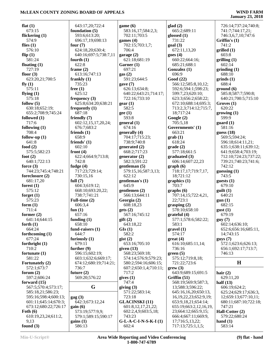### **January 23, 2018**

| flat $(1)$                        | 643:17,20;7                  |
|-----------------------------------|------------------------------|
| 673:15                            | foundation (5                |
| flickering (1)<br>574:9           | 593:6;613:2<br>696:17,19;6   |
| flies $(1)$                       | four $(7)$                   |
| 576:10                            | 624:18,20;6                  |
| flip $(1)$                        | 640:16;697:                  |
| 581:24                            | fourth $(1)$                 |
| floating $(1)$<br>727:19          | 622:8                        |
| floor $(3)$                       | frame $(2)$<br>613:16;747    |
| 623:20,21;700:5                   | frankly $(1)$                |
| fly $(1)$                         | 735:23                       |
| 575:11                            | free $(1)$                   |
| flying $(1)$                      | 625:12                       |
| 575:18<br>follow $(5)$            | frequency (3)<br>625:8;634:2 |
| 630:18;652:19;                    | frequently $(1)$             |
| 655:2;708:9;745:24                | 687:18                       |
| followed (1)                      | friendly (7)                 |
| 717:6                             | 602:12,15,1                  |
| following (1)<br>708:4            | 676:7;683:2<br>friends $(1)$ |
| follow-up $(1)$                   | 658:9                        |
| 641:8                             | friends' $(1)$               |
| food $(2)$                        | 602:10                       |
| 575:5;582:23                      | front $(4)$                  |
| foot $(2)$                        | 622:4;664:9<br>742:8         |
| 640:1;722:13<br>force $(3)$       | fudge $(4)$                  |
| 744:23;745:4;748:21               | 717:23;729                   |
| foreclosure (2)                   | 730:15,16                    |
| 681:17,20                         | full $(7)$                   |
| forest $(1)$                      | 604:3;619:1                  |
| 575:12<br>forget $(1)$            | 668:10;693<br>738:7;741:2    |
| 575:23                            | Full-time $(2)$              |
| form $(1)$                        | 606:3,4                      |
| 711:4                             | fun $(1)$                    |
| former $(2)$                      | 657:16                       |
| 641:14;644:15<br>forth $(1)$      | funding $(1)$<br>658:10      |
| 664:24                            | fund-raisers (               |
| forthcoming (1)                   | 644:7                        |
| 677:24                            | furiously $(1)$              |
| forthright $(1)$                  | 679:11                       |
| 710:2<br>fortunate (1)            | further $(9)$<br>596:15;602  |
| 581:22                            | 603:1;632:6                  |
| Fortunately (2)                   | 674:12;680:                  |
| 572:1;673:7                       | 736:7                        |
| forum $(2)$                       | future $(2)$                 |
| 597:2;606:24<br>forward (15)      | 569:20;576                   |
| 567:5;570:4;573:17;               | G                            |
| 585:18,21;586:23;                 |                              |
| 595:16;598:4;600:13;              | $\rm{gag}\left(3\right)$     |
| 601:11;645:14;670:3;              | 642:3;673:1                  |
| 673:12;680:22;726:17              | gain(6)                      |
| Foth $(6)$<br>610:19,23,24;611:2, | 573:19;577<br>579:1;589:1    |
| 9,13                              | gains(1)                     |
| found $(3)$                       | 586:13                       |

| 643:17,20;722:4                             | game(6)                         |
|---------------------------------------------|---------------------------------|
| foundation (5)                              | 583:16,17;584:2,3;              |
| 593:6;613:20;                               | 702:11;703:5                    |
| 696:17,19;698:13                            | games $(4)$                     |
| four $(7)$                                  | 702:15;703:1,7;                 |
| 624:18,20;630:4;                            | 706:4                           |
| 640:16;697:5;738:7,11                       | garage $(2)$                    |
| fourth $(1)$                                | 621:18;681:19                   |
| 622:8<br>frame $(2)$                        | Garner (1)<br>697:21            |
| 613:16;747:13                               | gas(2)                          |
| frankly $(1)$                               | 591:23;644:5                    |
| 735:23                                      | gave (7)                        |
| free $(1)$                                  | 626:13;634:8;                   |
| 625:12                                      | 640:22;643:21;714:17;           |
| frequency $(3)$                             | 722:16;733:10                   |
| 625:8;634:20;638:21                         | gen(1)                          |
| frequently $(1)$                            | 582:5                           |
| 687:18                                      | gee(1)                          |
| friendly (7)                                | 593:8                           |
| 602:12,15,17,20,24;                         | general (1)                     |
| 676:7;683:2<br>friends $(1)$                | 674:16<br>generally (4)         |
| 658:9                                       | 704:17;715:23;                  |
| friends' $(1)$                              | 738:9;740:8                     |
| 602:10                                      | generated (2)                   |
| front $(4)$                                 | 668:2;717:23                    |
| 622:4;664:9;713:8;                          | generator $(2)$                 |
| 742:8                                       | 582:3;591:22                    |
| fudge $(4)$                                 | gentleman (5)                   |
| 717:23;729:14;                              | 579:15,16;587:3,13;             |
| 730:15,16                                   | 622:12                          |
| full $(7)$                                  | gentleman's (1)<br>645:9        |
| 604:3;619:12;<br>668:10;693:20,22;          | gentlemen (2)                   |
| 738:7;741:21                                | 566:13;644:11                   |
| Full-time $(2)$                             | Georgia (2)                     |
| 606:3,4                                     | 608:18,23                       |
| fun $(1)$                                   | gets(2)                         |
| 657:16                                      | 567:16;745:12                   |
| funding $(1)$                               | $g$ ift $(2)$                   |
| 658:10                                      | 643:18,22                       |
| fund-raisers $(1)$                          | GIs(1)<br>582:2                 |
| 644:7<br>furiously (1)                      | gist(2)                         |
| 679:11                                      | 653:16;705:10                   |
| further $(9)$                               | given $(13)$                    |
| 596:15;602:19;                              | 568:23;569:18;                  |
| 603:1;632:6;669:17;                         | 574:14;576:9;579:23;            |
| 674:12;680:19;714:21;                       | 580:2;594:16;606:15;            |
| 736:7                                       | 607:2;650:1,4;710:11;           |
| future $(2)$                                | 717:2                           |
| 569:20;576:22                               | gives(1)                        |
| G                                           | 747:4<br>giving $(3)$           |
|                                             | 571:22;583:14;                  |
|                                             |                                 |
|                                             | 723:18                          |
| $\rm{gag}\left(3\right)$<br>642:3;673:12,24 | <b>GLACINSKI</b> (11)           |
| gain(6)                                     | 601:8,12,17,21,22;              |
| 573:19;577:9,9;                             | 602:2,4,9;603:5,18;             |
| 579:1;589:15;590:17                         | 743:23                          |
| gains(1)<br>586:13                          | $G-L-A-C-I-N-S-K-I(1)$<br>602:4 |

**glad (2)** 665:2;689:11 **glossed (1)** 731:22 **goal (3)** 672:11,13,20 **goes (4)** 660:22;664:16; 685:21;688:1 **Gonzalez (1)** 696:9 **Good (22)** 566:12;585:8,10,12; 592:6;594:1;598:23; 599:7,23;620:10; 623:3;656:2;658:22; 672:10;688:14;695:3; 713:2,3;714:12;715:7, 18;717:24 **Google (2)** 705:5,18 **Governments' (1)** 663:21 **grab (1)** 618:24 **grade (2)** 577:18;661:5 **graduated (3)** 606:14;607:22,23 **graph (6)** 718:17,17;719:7,17, 18;721:12 **graphics (1)** 703:7 **graphs (6)** 707:14,15;722:4,21, 22;723:1 **grasping (2)** 578:10;658:10 **grateful (4)** 577:1;578:6;582:22; 583:1 **gravel (1)** 574:17 **great (4)** 616:10;685:11,14; 736:16 **green (5)** 575:12;719:8,18; 721:22;723:6 **grew (3)** 643:9;689:15;691:5 **Griffin (51)** 568:19;569:9;587:3, 13;588:3;596:22; 645:16,16,20;650:13, 16,19,22,23;652:9,19; 653:9,18,21;654:14; 655:19;663:2,12,16,19, 23;664:12;665:9,15; 666:4;667:11;669:9, 17;716:5,13,22; 717:13;725:1,1,5;

 726:14;737:24;740:8; 741:7;744:17,21; 746:3,6,7,10;747:6 **Griffin's (1)** 741:2 **grilled (1)** 603:8 **grilling (1)** 602:14 **grinding (1)** 688:10 **grinds (1)** 688:4 **ground (6)** 585:8;587:7;590:8; 640:21;700:5;715:10 **Groves (1)** 620:22 **growing (1)** 599:9 **guard (1)** 581:16 **guess (18)** 569:5;594:24; 596:18;614:11,21; 635:1;638:11;639:12; 641:9;658:4;703:19; 712:10;724:23;737:22; 739:21;740:23;741:6; 742:12 **guessing (1)** 743:5 **guests (1)** 679:10 **guilt (1)** 640:21 **gun (1)** 682:15 **gust (1)** 679:19 **guy (7)** 602:14;636:10; 652:6;656:16;685:11, 14;743:15 **guys (7)** 572:1;623:6;626:13; 656:1;692:17;713:7; 746:13 **H hair (2)** 629:11,20 **half (13)** 606:19;624:2; 625:24;629:17;636:3, 12;659:13;677:10,11;

#### 680:11;687:10;722:18; 747:21 **Hall-Cotter (2)** 579:22;680:24 **hand (1)** 583:14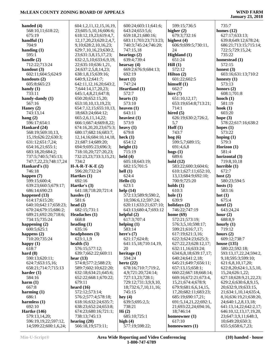| handed $(4)$                                  | 604:1,2,11,12,15,16,19,                              | 600:24;603:11;641:6;                         | 599:15;736:5                              | 735:7                                        |
|-----------------------------------------------|------------------------------------------------------|----------------------------------------------|-------------------------------------------|----------------------------------------------|
| 568:10,11;618:22;                             | 23;605:5,10,16;606:6;                                | 643:24;653:5,6;                              | higher $(2)$                              | homes $(12)$                                 |
| 675:19                                        | 618:12,19,23;619:4,7,                                | 659:18,21;680:16;                            | 679:3;732:16                              | 627:17;633:13;                               |
| handful $(1)$                                 | 12, 17, 20, 23; 620: 2, 4, 7,                        | 683:11;703:23;713:23;                        | highest $(4)$                             | 639:8;649:12;678:24;                         |
| 704:9                                         | 9,10;628:2,10,16,23;                                 | 740:3;745:24;746:20;                         | 606:9;699:5;730:11,                       | 686:21;713:15;715:14;                        |
| handing $(1)$                                 | 629:7,10,16,23;630:2,                                | 747:15,18                                    | 24                                        | 722:5;729:15,24;                             |
| 595:1                                         | 23;631:3,8,15,17,23;                                 | hearings $(2)$                               | Highland (1)                              | 735:22                                       |
| handle $(2)$                                  | 632:2,5,10;633:6,9,19,                               | 639:4;739:4                                  | 651:24                                    | homestead (1)                                |
| 712:22;713:24                                 | 22;635:10;636:1,21,                                  | hearsay $(4)$                                | Hill(1)                                   | 572:15                                       |
| handout $(3)$<br>602:11;604:5;624:9           | 24;637:2,5,8,14,23;                                  | 669:2;676:9;684:13;<br>692:19                | 572:12<br>Hilton $(2)$                    | honest $(3)$<br>603:16;631:13;710:2          |
| handouts $(2)$                                | 638:1,8,15;639:16;<br>640:9,12;641:7;                | heart $(1)$                                  | 601:22;602:5                              | honesty $(1)$                                |
| 605:8;665:23                                  | 642:11,12,16,20;643:2,                               | 747:24                                       | himself $(1)$                             | 573:13                                       |
| handy $(1)$                                   | 7;644:14,17,20,23;                                   | Heartland (1)                                | 662:7                                     | honors $(2)$                                 |
| 733:11                                        | 645:1,4,8,21;647:8;                                  | 572:7                                        | hire $(7)$                                | 608:1;701:8                                  |
| handy-dandy (1)                               | 650:20;652:15,20;                                    | hearts $(1)$                                 | 651:10,12,17;                             | hooch $(1)$                                  |
| 567:16                                        | 653:10,10,13,19,23;                                  | 573:10                                       | 653:19;654:8;713:21;                      | 581:19                                       |
| Haney $(2)$                                   | 654:7,12,15;655:10,13,                               | heaven $(1)$                                 | 714:1                                     | hook $(1)$                                   |
| 743:13,14                                     | 18;663:24;664:12;                                    | 643:11                                       | hired $(5)$                               | 603:20                                       |
| hang $(2)$                                    | 665:2,6,11,14,22;                                    | heaviest $(1)$                               | 626:19;630:2;726:2,                       | hope $(3)$                                   |
| 596:17;654:1                                  | 666:1;667:4;669:8,22;                                | 573:9                                        | 5,7                                       | 578:22;617:16;638:2                          |
| Hankard (24)                                  | 674:16,20,20,23;675:3;                               | heavy $(1)$                                  | Hoff(1)                                   | hopes $(1)$                                  |
| 568:19;569:10,13,<br>15,19;626:22;630:3;      | 680:17;682:16;683:7,<br>12, 14, 16; 684: 10, 14, 18, | 679:8<br>heck $(1)$                          | 743:7<br>$\log(6)$                        | 573:22<br>hoping $(1)$                       |
| 631:12;651:7,24;                              | 21;687:14;689:20;                                    | 654:12                                       | 599:5,7;689:15;                           | 579:3                                        |
| 654:16,21;655:1;                              | 694:9;695:23;696:3;                                  | height $(1)$                                 | 691:4,6,8                                 | Horizon (1)                                  |
| 683:18,20;684:2;                              | 718:10,20;727:20,23;                                 | 715:19                                       | hogs(1)                                   | 581:4                                        |
| 737:5;740:5;745:13;                           | 732:23,23;733:3,15,21;                               | held $(4)$                                   | 689:6                                     | horizontal (3)                               |
| 747:7,22,23;748:17,24                         | 734:2                                                | 605:18;643:19;                               | hold $(12)$                               | 719:8,10,18                                  |
| Hankard's (1)                                 | $H-A-R-T-K-E(2)$                                     | 682:15;701:5                                 | 583:22;600:3;604:6;                       | horrible $(1)$                               |
| 746:18                                        | 596:20;732:24                                        | hell $(1)$                                   | 610:1;627:11;652:10,                      | 672:7                                        |
| happen $(7)$                                  | Hartkes (1)                                          | 624:4                                        | 13,13;684:9;692:10;                       | host $(2)$                                   |
| 599:15;600:4;                                 | 692:16                                               | Hello (1)                                    | 700:9;725:20                              | 580:23;594:5                                 |
| 639:23;660:5;679:17;                          | Hartke's (3)                                         | 623:1                                        | holds $(1)$                               | hosts $(1)$                                  |
| 686:14;690:23                                 | 641:18;718:20;721:4                                  | help $(14)$                                  | 610:3                                     | 583:16                                       |
| happened $(13)$                               | hassles $(1)$<br>581:6                               | 572:13;589:9;590:2,                          | hole $(1)$<br>639:9                       | hot $(1)$<br>675:4                           |
| 614:17;615:20;<br>640:10;642:17;658:23;       | head $(2)$                                           | 10;596:6,12;597:24;<br>620:11;633:21;637:10; | holidays (2)                              | hotel $(2)$                                  |
| 670:24;679:15;686:2;                          | 682:15;731:1                                         | 643:13;680:4,7;693:12                        | 746:22;747:19                             | 643:24,24                                    |
| 689:21;692:20;718:6;                          | Headaches (1)                                        | helpful $(2)$                                | home $(69)$                               | hour $(2)$                                   |
| 734:15;735:24                                 | 668:8                                                | 617:3;707:4                                  | 572:21;573:19;                            | 688:8,9                                      |
| happening $(2)$                               | heading $(1)$                                        | helping $(1)$                                | 576:3,5,10;598:17;                        | hourly $(1)$                                 |
| 600:5;625:1                                   | 635:16                                               | 583:14                                       | 599:21;616:7,17;                          | 719:12                                       |
| happens $(2)$                                 | headphones (3)                                       | here's $(7)$                                 | 617:19;621:3,16;                          | hours $(2)$                                  |
| 710:20;735:24                                 | 623:1.1.9                                            | 621:17;624:8;                                | 622:3;624:23;625:3;                       | 609:12;738:7                                 |
| happy $(1)$                                   | health $(5)$                                         | 641:15,18;710:14,19,                         | 627:22,23;628:12,17;                      | house $(135)$                                |
| 618:7                                         | 576:15;577:12;                                       | 20                                           | 632:11,16;633:24;                         | 580:22;592:18;                               |
| hard $(8)$<br>590:13;620:11;                  | 639:7;662:22;669:11<br>hear $(13)$                   | heritage $(1)$<br>594:24                     | 634:6,8,18;639:17,17;<br>640:24;641:2,18; | 593:13,17,22,24;594:2,<br>9,18;595:3;599:10; |
| 624:7;653:15,16;                              | 574:8;577:2;588:23;                                  | hertz $(22)$                                 | 645:21;649:7;656:11;                      | 621:6,8,10,17,20;                            |
| 658:21;714:7;715:13                           | 589:7;602:10;622:20;                                 | 678:16;710:7;719:2,                          | 657:13,15;658:1;                          | 622:8, 20; 624:1, 3, 5, 10,                  |
| harder $(1)$                                  | 632:18;634:21;645:6;                                 | 4,9;721:20;724:14;                           | 660:22;667:18;668:14;                     | 15,24;626:1,22;                              |
| 584:16                                        | 652:22;668:1;670:22;                                 | 727:13,23;728:1;                             | 669:16;672:21;673:4,                      | 627:18;628:9,21,22,23;                       |
| harm(1)                                       | 679:11                                               | 729:12;731:3,9,9,10,                         | 15,21;674:4;678:9;                        | 629:2,6;630:6,8,9,15,                        |
| 667:8                                         |                                                      |                                              |                                           |                                              |
| harming $(1)$                                 | heard $(16)$                                         | 18;732:6,7,10,11,16;                         | 679:9;681:6,6,14,15,                      | 20;632:9,19;633:15,                          |
| 686:1                                         | 572:12;573:14;                                       | 745:15                                       | 17, 20; 682: 11; 683: 23;                 | 21;634:1,10,14;635:4,                        |
|                                               | 576:2;577:4;578:18;                                  | hey $(4)$                                    | 685:19;690:17,21;                         | 8,16;636:19,21;638:20,                       |
| harmless $(1)$                                | 618:16;632:24;635:7;                                 | 639:5;695:2,5;                               | 691:5,14,21,22;692:1,                     | 24;640:1,2,8,13,18;                          |
| 692:10                                        | 638:23;652:24;653:8;                                 | 738:21                                       | 21;693:22,24;694:16,                      | 641:13,14,22;642:2,17;                       |
| <b>Hartke</b> (146)                           | 674:23;680:16;721:1;                                 | Hi(2)                                        | 18;746:14                                 | 646:10,12,13,17,19,20,                       |
| 579:13,14,20;                                 | 738:13;745:13                                        | 685:10;725:1                                 | homeowner (1)                             | 23;647:3,9,11;648:3,                         |
| 596:19,19,22;597:12,<br>14;599:22;600:1,6,24; | hearing $(20)$<br>566:18,19;573:11;                  | high $(4)$<br>577:19;598:22;                 | 617:10<br>homeowners (1)                  | 10;649:20;650:3;<br>655:5;658:6,7,23;        |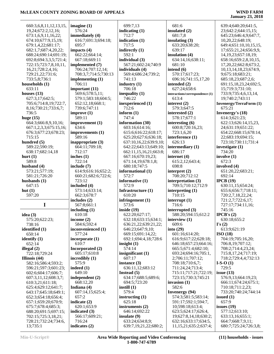# **January 23, 2018**

639:4;640:20;641:5,

 660:3,6,8,11,12,13,15, 19,24;672:2,12,16; 673:1,6,9,11,16,22; 674:10;677:9,15,19; 679:1,4,22;681:17; 682:1,7;687:4,20,22; 688:24;690:14;691:19; 692:8;694:3,3,5;721:4; 722:15;723:7,8,10,11, 16,21;728:2,4,16; 729:21,22;731:6; 733:5,8;736:1 **households (1)** 633:11 **houses (13)** 627:3,17;642:5; 705:6;714:8,19;722:7, 8,16;730:21;733:6,7; 736:5 **huge (15)** 664:3;666:8,9,10,16; 667:1,2,3,3;675:15,16; 676:3;677:23;678:23; 715:15 **hundred (5)** 589:22;590:19; 638:17;682:14,18 **hurt (1)** 589:8 **husband (4)** 573:21;577:19; 581:21;726:20 **husbands (1)** 647:15 **hut (1)** 597:20 **I idea (3)** 575:20;622:23; 738:16 **identified (1)** 650:14 **identify (1)** 652:14 **illegal (2)** 722:18;729:24 **Illinois (44)** 582:16;586:4;593:2; 596:21;597:3;601:23; 602:6;604:17;606:7; 607:3,11,12;608:3,7; 610:3,21;611:18; 625:4;629:12;641:7; 643:17;645:18;649:1; 652:3;654:18;656:4; 657:1;659:20;670:9; 675:7;678:4;685:3; 688:20;691:5;697:15; 702:15;725:3,18,21; 728:21;732:24;734:6, 13;735:1 **imagine (1)** 576:24 **immediately (4)** 695:7 **impacts (4)** 662:22;664:14; 667:18;669:11 **implemented (7)** 706:24;707:12,14; **implementing (1)** 706:11 **important (11)** 569:6;578:5,11; 652:12,18;668:1; 739:6;747:11 **improve (1)** 589:11 **improvement (1)** 634:6 **improvements (1)** 589:16 **inappropriate (3)** 664:11;709:18; 712:17 **inches (1)** 722:14 **include (7)** 723:12 **included (4)** 573:14;633:14; 662:3;678:7 **includes (2)** 567:8;661:1 **including (1)** 610:18 **income (2)** 584:6;592:4 **inconvenienced (1)** 577:24 **incorporate (1)** 610:7 **Incorporated (2)** 605:17;610:8 **incredibly (1)** 575:9 **indeed (1)** 649:10 **independent (2)** 668:12,20 **Indiana (4)** 607:14,15;625:4; 657:2 **indicate (2)** 620:1;653:9 **indicated (3)** 566:17;609:21; 716:24 **indicates (2)**

 616:7;691:3;694:18; 708:3,7;714:5;730:13 579:1;583:18;604:5; 614:9;616:16;652:2; 660:21;682:6;722:6; 699:7,13 **indicating (1)** 712:7 **indication (1)** 717:5 **indirectly (1)** 592:1 **individual (3)** 567:21;602:24;740:9 **individuals (4)** 569:4;686:24;739:2; 741:13 **industry (1)** 706:18 **inequality (1)** 746:22 **inexperienced (1)** 712:6 **inform (1)** 747:4 **information (30)** 603:16;614:16; 615:6;616:22;618:17; 625:20;627:6;636:18; 637:10,16,22;639:9,10; 642:22;643:13;649:10; 662:11,15,16,21;663:8; 667:16;670:19,23; 671:14,19;678:1,8; 680:18;747:5 **informational (1)** 572:7 **informative (1)** 572:9 **Infrastructure (1)** 610:20 **infringement (1)** 573:6 **inside (19)** 622:20;627:17; 632:18;633:15;634:1; 636:21,22;639:21,22; 646:23;647:9,10; 669:15;691:14,22; 692:1;694:4,18;728:6 **insight (1)** 574:14 **insignificant (1)** 607:17 **instance (3)** 636:11,12;683:12 **Instead (5)** 634:17;688:5;689:6; 694:5;723:20 **instill (1)** 579:4 **instructing (1)** 625:18 **instruments (2)** 646:14;692:22 **insulate (9)** 633:24;634:8,9; 639:7,19,21,22;680:2;

 681:6 **insulated (2)** 681:7,8 **insulating (3)** 633:20;638:20; 639:17 **insulation (4)** 634:14,16;638:11; 681:10 **intend (6)** 570:17;617:23; 696:16;741:15,17,20 **intended (2)** 627:24;658:6 **interactions/correspondence (1)** 613:4 **interest (2)** 579:3;647:5 **interested (2)** 578:17;677:1 **interesting (6)** 600:8;720:16,23; 723:1,6,20 **interference (1)** 626:13 **intermediary (1)** 686:17 **internet (4)** 615:2,12;643:4; 698:8 **interpret (2)** 708:20;712:12 **interpretation (3)** 709:5;710:12;712:9 **interpreting (1)** 710:15 **interrupt (1)** 716:6 **interrupted (3)** 588:20;594:15;612:2 **interview (1)** 609:6 **into (29)** 601:16;614:20; 616:9;617:22;628:18; 646:18;657:23;664:16; 665:5;671:4;682:10; 693:24;694:16;705:1, 2;706:11;707:12; 708:18;710:6,7; 711:24,24;713:4; 715:11;717:21;722:19; 723:15;730:3;745:21 **invasion (1)** 582:6 **Invenergy (94)** 574:3;581:5;583:14; 591:17;592:1;594:7, 10;598:18;613:4; 623:5;624:17;626:4, 19;627:8,14,18;630:2; 632:16;633:17;634:5, 11,15,21;635:2;637:4;

 23;642:2;644:15,15; 645:23;646:4,9;647:7, 10,20,22;648:19; 649:4;651:10,10,15,15, 17;655:21,24;656:9,9, 14,19,23;657:18,19; 658:16;659:2,8,10,15, 17,20,22;662:8;673:2, 10,13,14,18,23;674:9, 9;675:18;683:21; 685:18,23;687:2,6; 691:15,18,23,24;692:5, 15;719:3;731:10; 733:9;735:4,6,13,14, 19;740:2;743:11 **Invenergy/TerraForm (1)** 675:21 **Invenergy's (18)** 614:3;621:23; 622:13;626:14,15,23, 24;631:19;651:22; 654:22;668:15;678:14, 22;683:19;694:15; 723:10;730:11;731:4 **investigate (1)** 734:20 **involve (1)** 672:3 **involved (4)** 651:20,22;683:21; 692:14 **IPCB (19)** 630:11,15;654:24; 655:6;656:7;718:11; 720:2,7,18,22,24; 721:2,7;722:6,17; 727:17;734:11,16; 745:16 **IPCB's (2)** 630:18;655:2 **I's (2)** 613:9;621:19 **ISO (18)** 704:19;705:16,20; 706:8,19;707:12; 708:2;714:4,23,24; 715:8,17,24;717:19; 718:2;729:4,4;732:13 **I-S-O (1)** 729:5 **issue (13)** 576:9,13;664:19,23; 666:11;674:24;675:1; 710:18;711:2,23; 733:20;740:24;744:14 **issued (1)** 657:9 **issues (19)** 577:12;613:10; 633:13,16;655:1; 664:7;668:7,9,11; 680:7;725:24;726:3,8;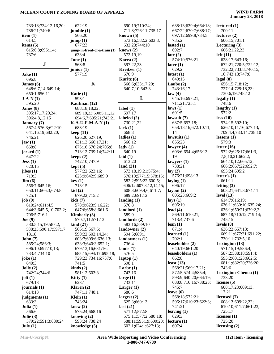| 733:18;734:12,16,20;  | 622:19                       | 690:19;710:24;         | 638:13;639:4;664:18; | lectured(1)           |
|-----------------------|------------------------------|------------------------|----------------------|-----------------------|
| 736:21;740:6          | jumble(1)                    | 711:3;726:11;735:17    | 667:22;670:7;688:17; | 700:11                |
| item $(1)$            | 566:20                       | known $(5)$            | 697:12;699:8;734:5;  | lectures $(2)$        |
|                       |                              |                        |                      |                       |
| 614:5                 | jump(1)                      | 573:16;582:2;603:8;    | 735:2                | 606:15;701:1          |
| items $(5)$           | 677:23                       | 632:23;744:10          | lasted $(1)$         | Lecturing $(3)$       |
| 615:6,8;695:1,4;      | jump-in-front-of-a-train (1) | knows $(2)$            | 692:7                | 606:21,22,23          |
| 737:6                 | 638:4                        | 572:19,19              | late $(2)$           | left(11)              |
|                       | June $(1)$                   | Korea (2)              | 574:10;576:21        | 628:17;643:16;        |
| ${\bf J}$             | 568:8                        | 597:22,23              | later $(1)$          | 672:21;720:5;722:12;  |
|                       | junior $(1)$                 | Kreitzer (1)           | 629:2                | 732:22;733:8;740:15,  |
| Jake $(1)$            | 577:19                       | 670:9                  | latest $(1)$         | 16;743:13;747:8       |
| 696:8                 |                              | Kuritz (6)             | 640:15               | legal(8)              |
| James $(6)$           | $\mathbf K$                  | 566:6;633:17,20;       | Laube $(2)$          | 656:15;718:12;        |
|                       |                              |                        | 743:16,17            |                       |
| 648:6,7,14;649:14;    |                              | 640:7,10;643:3         |                      | 727:14;729:18,23;     |
| 650:1;656:11          | Katie (1)                    |                        | law(4)               | 730:6,19;748:12       |
| $J-A-N(1)$            | 593:1                        | L                      | 645:16;697:21;       | legally(1)            |
| 595:20                | Kaufman (12)                 |                        | 711:21;725:1         | 748:6                 |
| Janes $(8)$           | 688:18,18,22;                | label $(1)$            | laws (1)             | lengthy $(1)$         |
| 595:17,17,20,24;      | 689:18,23;690:5,11,12;       | 697:17                 | 691:5                | 572:2                 |
| 596:4,8,12,15         | 694:6,7;695:21;743:21        | labeled $(2)$          | lawsuit $(7)$        | less(10)              |
| <b>January</b> (7)    | $K-A-U-F-M-A-N(1)$           | 730:21,22              | 637:5;657:18;        | 574:15;592:10;        |
| 567:4;576:3;622:10;   | 688:19                       | lack $(1)$             | 658:13,16;672:10,11, | 626:10,11,16;677:13;  |
| 641:16,19;682:20;     | keep(11)                     | 668:8                  | 14                   | 709:4,4;733:14;738:10 |
| 746:21                | 626:20;627:19;               | ladies $(1)$           | lawsuits $(1)$       | lessons(1)            |
|                       |                              |                        | 655:23               | 579:3                 |
| jaw(1)                | 631:13;666:17,21;            | 566:12                 |                      |                       |
| 668:8                 | 675:16;676:24;705:8;         | $\text{lady}(1)$       | lawyer $(4)$         | letter $(16)$         |
| jerked $(1)$          | 713:12;739:14;742:11         | 640:19                 | 603:6;654:4;656:13,  | 572:2;625:17;661:3,   |
| 647:22                | keeps $(2)$                  | laid $(1)$             | 19                   | 7,8,10,21;662:2;      |
| Jess(1)               | 742:10;747:9                 | 613:20                 | lawyers (1)          | 664:10,12;665:12;     |
| 620:15                | kept(5)                      | land $(21)$            | 738:21               | 666:2;667:22;692:7;   |
| jibes $(1)$           | 577:22;623:16;               | 573:18,19,21;575:4;    | lay $(2)$            | 693:24;695:2          |
| 719:3                 | 625:9;642:9;689:9            | 576:10;577:15;578:15;  | 576:21;698:13        | letter's $(1)$        |
| $\text{Jim} (6)$      | key(1)                       | 582:2;595:22;600:5;    | laying $(1)$         | 661:11                |
|                       | 718:15                       |                        | 696:17               | letting $(3)$         |
| 566:7;645:16;         |                              | 606:12;607:3,12,14,15; |                      |                       |
| 650:11;666:3;674:8;   | kid(2)                       | 608:3;609:4,6;611:7;   | layout $(2)$         | 603:21;641:3;674:11   |
| 725:1                 | 679:22;715:2                 | 689:2;691:12           | 605:23;609:2         | level $(13)$          |
| job(9)                | kids(7)                      | landing $(1)$          | lays $(1)$           | 614:7;616:19;         |
| 610:24;611:4,5;       | 578:9;623:9,16,22;           | 576:8                  | 696:19               | 626:11;630:10;635:24; |
| 644:3;645:5,10;702:2; | 647:6;658:8;661:6            | landlord $(1)$         | lead $(4)$           | 636:1;650:21;679:2,3; |
| 706:5;716:1           | Kimberly $(3)$               | 589:9                  | 569:11;610:21;       | 687:18;710:12;719:14; |
| Joe $(9)$             | 570:7,11;571:13              | landlords (2)          | 713:4;737:6          | 745:15                |
| 580:5,15,19;587:2;    | $\operatorname{kind}(21)$    | 583:16;589:10          | lean $(1)$           | levels $(8)$          |
| 588:23;590:17;597:17, | 566:19;567:6;                | landowner $(2)$        | 671:4                | 636:22;657:13;        |
| 18,18                 | 590:22;602:14,24;            | 594:5;689:1            | learned $(1)$        | 669:11;677:21;691:22; |
|                       |                              | landowners (1)         | 702:1                | 730:11;732:5,10       |
| John(7)               | 603:7;609:6;636:13;          |                        |                      |                       |
| 585:24;586:3;         | 638:3;640:3;652:1;           | 736:4                  | leaseholder (2)      | Lexington $(13)$      |
| 696:10;697:10,13;     | 679:13,16;681:16;            | lands $(1)$            | 640:19:661:20        | 571:15,19;586:4;      |
| 733:4;734:10          | 685:15;694:17;695:18;        | 576:5                  | leaseholders (1)     | 587:2;588:18;591:4;   |
| joke $(1)$            | 729:23;734:16;737:6;         | laptop $(1)$           | 662:8                | 593:2;601:23;602:5;   |
| 640:3                 | 741:5                        | 698:1                  | least $(13)$         | 681:1;682:20;726:20;  |
| Jolly(2)              | kinds $(2)$                  | Larbe $(1)$            | 568:21;569:17,21;    | 743:6                 |
| 742:24;744:6          | 581:12;603:8                 | 743:16                 | 572:5;574:4;585:4;   | Lexington-Chenoa (1)  |
| jolt $(1)$            | Kitty $(1)$                  | large $(1)$            | 593:9;640:20;664:19; | 733:20                |
| 679:13                | 623:1                        | 733:11                 | 688:8;716:16;738:23; | license $(5)$         |
| journals $(1)$        | Klaren $(2)$                 | Larger $(1)$           | 745:7                | 608:17,23;609:13,     |
| 614:13                | 747:11;748:1                 | 680:6                  | leave $(6)$          | 17,21                 |
|                       |                              |                        |                      |                       |
| judgments $(1)$       | Klein $(1)$                  | largest $(2)$          | 568:18;572:21;       | licensed (7)          |
| 633:3                 | 743:24                       | 625:3;660:13           | 596:17;610:23;622:3; | 608:13;609:22,22;     |
| Julia $(1)$           | knew $(2)$                   | last(21)               | 741:21               | 610:10;611:7;661:23;  |
| 566:6                 | 575:24;668:16                | 571:12;572:8;          | leaving $(1)$        | 725:17                |
| Julie $(3)$           | knowing $(2)$                | 575:11;577:2;580:18;   | 629:3                | licenses $(1)$        |
| 579:22;591:3;680:24   | 593:24;738:24                | 588:11;595:19;600:20;  | lecture $(1)$        | 725:20                |
| July $(1)$            | knowledge (5)                | 602:1;624:1;627:13;    | 607:4                | licensing $(2)$       |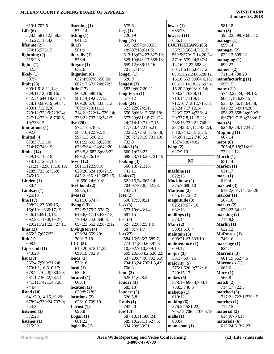## **January 23, 2018**

| 610:1;702:6                                 | listening $(1)$                    |
|---------------------------------------------|------------------------------------|
| Life $(6)$                                  | 572:14                             |
| 578:8;581:12;658:3;                         | listing $(1)$                      |
| 685:22;718:4,6                              | 641:15                             |
| lifetime (2)                                | lit(1)                             |
| 574:16;575:15                               | 581:9                              |
| lightning (2)                               | literally (1)                      |
| 715:2,3                                     | 576:4                              |
| lights $(1)$                                | litigate $(1)$                     |
| 582:3                                       | 632:6                              |
| likely $(1)$                                | litigation (6)                     |
| 587:7                                       | 632:4;637:6;656:2                  |
| limit (23)                                  | 662:17;671:24;67                   |
| 600:1;618:11,14;                            | little $(17)$                      |
| 629:11,12;630:16;                           | 566:20;580:16;                     |
| 642:14;644:18;674:17;                       | 581:14,19;627:12                   |
| 678:10;689:19;691:4;                        | 669:20;670:3;685                   |
| 709:1;712:2,20;                             | 709:9;713:11,13;                   |
| 720:12;722:9;723:24;                        | 714:21;722:14;729                  |
| 727:14;729:18;730:6,                        | 736:21;737:23;74                   |
| 19;733:15                                   | live $(20)$                        |
| limitations (1)                             | 572:11;578:5;                      |
| 692:6                                       | 583:10,12;592:18                   |
| limited (4)                                 | 597:1,3;598:21;                    |
| 673:3;713:10;                               | 601:22;602:5;628                   |
| 714:17;748:19                               | 633:5;641:24;642                   |
| limits $(14)$                               | 673:5,8;682:6;685                  |
| 629:13;715:18;                              | 689:2;726:19                       |
| 718:12;720:7,18;                            | lived $(12)$                       |
| 721:21;722:6,17,18,19;                      | 581:1,12;599:9;                    |
| 728:9;733:6;736:6;                          | 620:20;624:1;642                   |
| 745:16                                      | 645:21;661:13;68                   |
| Linden $(1)$                                | 16;690:24;691:8                    |
| 580:4                                       | livelihood (2)                     |
|                                             |                                    |
|                                             |                                    |
| Lindsay $(1)$                               | 596:5,13                           |
| 726:18                                      | lives $(2)$<br>621:18;674:7        |
| line $(17)$                                 |                                    |
| 598:22,23;599:16,<br>16;619:1;630:17,19;    | living $(13)$<br>572:5;575:7;578:7 |
| 646:15;691:3,16;                            | 616:6;617:18;623                   |
|                                             | 17,19;624:6;640:8                  |
| 692:23;719:8,19,21;<br>720:21;721:22;727:11 | 657:23;662:22;67                   |
| lines $(3)$                                 | Livingston (4)                     |
| 655:3,7;677:23                              | 626:24;659:20;                     |
| link(1)                                     | 700:17,18                          |
| 698:9                                       | LLC(5)                             |
| Lipscomb (1)                                | 610:20;675:11,22                   |
| 743:20                                      | 699:19;702:9                       |
| list $(20)$                                 | loads $(1)$                        |
| 567:4,7;569:21,24;                          | 579:16                             |
| 570:1,1,16;610:17;                          | local (1)                          |
| 678:24;702:8;730:20;                        | 652:6                              |
| 731:1;736:22;737:4;                         | located $(1)$                      |
| 741:11;742:1,4,7,9;                         | 660:4                              |
| 744:4                                       | location (2)                       |
| listed $(10)$                               | 630:8;728:3                        |
| 641:7,9,14,15,19,20;                        | locations (2)                      |
| 678:24;730:24;737:9;                        | 626:10;709:19                      |
| 744:3                                       | Locust $(1)$                       |
| listened (1)                                | 696:8                              |
| 572:23                                      | Logan (1)                          |
| listener $(1)$<br>715:20                    | 661:22<br>logically (1)            |

|        | 575:6                            | lower        |
|--------|----------------------------------|--------------|
|        | logs(1)                          | 635          |
|        | 720:19                           | lower        |
|        | long(17)                         | 636          |
|        | 595:6;597:9;605:3,               | <b>LUET</b>  |
|        | 18;607:18;611:5;                 | 567          |
|        | 613:13;624:23;627:19;            | 569:         |
|        | 629:19;648:13;658:13;            | 571          |
|        | 659:12;686:15,16;<br>701:5;714:7 | 14,1         |
|        |                                  | 601          |
| :20:   | longer $(1)$                     | 650:         |
| 72:3   | 628:9<br>longest $(3)$           | 16,1<br>696: |
|        | 583:9;607:20,21                  |              |
|        | $long-term (1)$                  | 16,2<br>708  |
| 2;     | 577:12                           | 710          |
| 5:13;  | look (24)                        | 712:         |
|        | 621:22;624:21;                   | 23,2         |
| 29:14; | 650:6;666:12;668:18;             | 723          |
| 41:7   | 677:20;681:18;711:24,            | 20;7         |
|        | 24;714:19;719:7,15,              | 738          |
|        | 17;720:4;721:5,21;               | 23:7         |
| 8;     | 722:22;724:6,7;727:8;            | 8,10         |
|        | 728:7;729:19;731:19;             | 745          |
| 8:8;   | 733:9                            | 15;7         |
| 2:20;  | looked $(5)$                     | lying (      |
| 35:22; | 660:1;678:22;                    | 627          |
|        | 688:23;713:20;721:15             |              |
|        | looking (3)                      |              |
|        | 566:13;721:16;                   |              |
| 2:19;  | 741:11                           | machi        |
| 87:15, | looks $(7)$                      | 622          |
|        | 621:16,24;663:14;                | Macki        |
|        | 704:9;737:8;742:23;              | 575          |
|        | 743:24                           | <b>Madis</b> |
|        | lose $(2)$                       | 645          |
|        | 598:17;599:21                    | magni        |
|        | loss(3)                          | 625          |
| :7;    | 577:10;643:14;                   | 682          |
| 3:15,  | 681:15                           | mailin       |
| :8;    | lost(5)                          | 573          |
| 72:12  | 627:22;682:5,14;<br>687:9;741:7  | Main<br>593  |
|        | lot(27)                          | maint        |
|        | 584:16;585:7;589:7,              | 608          |
|        | 7,10,11;590:6;591:6,             | maint        |
| 2;     | 10;592:7,10;599:10;              | 609          |
|        | 609:2,6;634:2;636:22;            | major        |
|        | 637:20;644:6;703:6,9;            | 581          |
|        | 704:18,24;705:1,3,4,9;           | major        |
|        | 706:8                            | 575          |
|        | loud $(2)$                       | 729          |
|        | 625:11;678:2                     | makes        |
|        | louder(1)                        | 578          |
|        | 685:13                           | 738          |
|        | loudest (2)                      | makeu        |
|        | 626:5,8                          | 610          |
|        | Louis $(1)$                      | makin        |
|        | 743:20                           | 576          |
|        | low(8)                           | 705:         |
|        | 587:10,11;588:24;                | malls        |
|        | 589:1;626:11;627:5;              | 609          |
|        | 634:20;638:21                    | mama         |

| lower (1)                 | 581:1            |
|---------------------------|------------------|
| 635:23                    | man(3)           |
| lowered (1)               | 595:2            |
| 636:1                     | manage           |
| <b>LUETKEHANS (85)</b>    | 699:1            |
| 567:23;568:4,7,8,15;      | manage           |
| 569:5;570:12,14,20,24;    | 622:1            |
| 571:6;579:24;587:4,       | managi           |
| 14, 16, 21, 22; 588: 4;   | 699:2            |
| 601:1;631:6;647:12;       | manner           |
| 650:11,22,24;652:8,12,    | 711:1            |
| 16,18;653:3;664:6,16;     | manufa           |
|                           | 699:1            |
| 696:11,14,18,22;697:4,    |                  |
| 16,20,20;698:10,14;       | many (           |
| 708:24;709:8,11;          | 574:2            |
| 710:14;711:9,15;          | 606:1            |
| 712:10;713:12;716:11,     | 633:4            |
| 23, 24; 717: 12, 14;      | 645:2            |
| 723:2;727:4;736:14,       | 656:2            |
| 20;737:8,11,15,22;        | 6;679            |
| 738:13;739:21;740:9,      | map(3)           |
| 23;742:3,7,12;743:2,4,    | 624:8            |
| 8, 10; 744: 3, 8, 13, 24; | Mappir           |
| 745:6,11,22;746:5,9,      | 607:1            |
| 15;748:8;749:2            | maps (           |
| lying(2)                  | 705:4            |
| 627:9,10                  | 722:1            |
|                           |                  |
|                           | March            |
| M                         | 651:1            |
|                           | <b>Marion</b>    |
| machine (1)               | 611:1            |
| 622:16                    | mark (           |
| Mackinaw (2)              |                  |
|                           | 619:4            |
| 575:7;680:10              | marked           |
| <b>Madison (2)</b>        | 619:2            |
| 645:17;725:2              | marker           |
| magnitude (3)             | 567:1            |
|                           | market           |
| 625:10;677:10;            |                  |
| 682:18                    | 628:2            |
| mailings (1)              | markin           |
| 573:14                    | 714:8            |
| Main(2)                   | <b>Marlin</b>    |
| 593:1;618:4               | 622:1            |
| maintain (3)              | <b>MaRou</b>     |
| 608:21,23;683:10          | 746:1            |
| maintenance (1)           | marria           |
| 609:17                    | 624:7            |
| major (2)                 | <b>Marrol</b>    |
| 581:7;607:16              | 661:1            |
| majority (5)              | <b>Marro</b>     |
| 575:1;626:9;722:16;       | 662:6            |
| 729:15,17                 | Mary (           |
| makes (5)                 | 566:8            |
| 578:19;690:4;700:1;       | match (          |
| 738:3;740:3               | 714:1            |
|                           | matche           |
| makeup (1)                |                  |
| 610:12                    | 717:2            |
| making (6)                | matche           |
| 576:24;581:22;            | 714:1            |
| 705:12;706:4;707:4,15     | materia          |
| malls $(1)$               | 614:9            |
| 609:4<br>mama-san (1)     | materia<br>612:2 |

 581:18 **3**) 595:22;599:9;685:15 **manage (1)**  $9:14$ **manager (2)**  $2:13;699:22$ **ging (1)**  $0:23$ **manner (2)** 711:14;738:23 **manufacturing (1)**  $9:15$ **many (21)**  $4:2,22,24;589:18;$ 629:15; 633:4;636:18;643:8; 645:22;649:14,20; 656:22;658:24;659:3, 6;679:2;715:4;733:6,7 **3**) 624:8;678:1;724:7 **M**  $\sin(1)$  $7:14$ **maps (6)** 705:4,5,18;714:19;  $2:11,12$ **h** (1) 651:14 **m** (1) 611:17 **mark (1)**  $9:4$ **marked (3)** 619:2;661:14;723:20 **er** (1) !:16 **et** (2) 628:22;641:21 **ing (2)**  $4:8,8$ **in** (1)  $2:12$ *Mus*'s (1) 5:16 **iage** (1) 624:7 **ms** (3) 661:19;662:4,6 **ms's (1)**  $2:6$ **Mary (1)**  $5.8<sup>2</sup>$ **h** (2) 1:17;722:3 **matched (3)** 717:21;722:1;730:15 **nes** (1)  $:15$  $\dot{m}$  (2) 614:9;704:15  $\text{rials} (6)$ 612:24;613:2,23;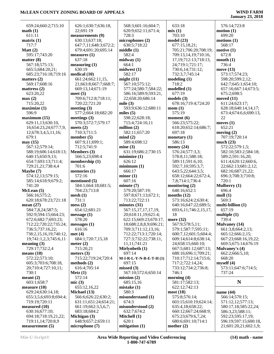| 659:24;660:2;715:10                  | 626:1;630:7;636:18,                  | 568:3;601:16;604:7;       | 633:18                             | 576:14;723:8                                   |
|--------------------------------------|--------------------------------------|---------------------------|------------------------------------|------------------------------------------------|
| math(1)                              | 22;691:19                            | 620:9;652:11;671:4;       | mix(1)                             | motion(1)                                      |
| 611:11                               | measurements (9)                     | 728:3                     | 703:10                             | 699:20                                         |
| matrix(1)                            | 630:13;637:18;                       | microphones (2)           | model(23)                          | motions(1)                                     |
| 717:7                                | 647:7,11;648:3;672:2;                | 630:5;718:22              | 677:15,18,21;                      | 568:17                                         |
| Matt $(2)$                           | 679:4;691:20;695:14                  | middle(1)                 | 705:21;706:20;708:19;              | motive(1)                                      |
| 595:17;743:20                        | measures $(1)$                       | 582:4                     | 709:13,14,19;710:16,               | 672:8                                          |
| matter $(8)$                         | 637:18                               | midway(1)                 | 17, 19; 712: 13; 718: 13,          | mouth(1)                                       |
| 567:18;575:13;                       | measuring (1)                        | 664:1                     | 24;719:1;721:17;                   | 736:4                                          |
| 665:5;684:20,21;                     | 630:19                               | midwest(1)                | 730:6,14;731:12;                   | move (13)                                      |
| 685:23;716:18;719:16                 | medical (10)                         | 582:17                    | 732:3,7;745:14                     | 573:17;574:23;                                 |
| matters $(2)$                        | 661:24;662:11,15,                    | might $(11)$              | modeling(1)                        | 598:20;599:2,12;                               |
| 569:17;608:16                        | 21;663:8;667:7;668:7;                | 567:10;575:12;            | 718:2                              | 642:7;645:1;654:10;                            |
| mattress $(2)$                       | 669:13,14;671:19                     | 577:24;580:7;584:22;      | modelled (1)                       | 657:16;667:14;673:5;                           |
| 623:20,22                            | meet $(5)$                           | 586:16;589:9;593:21,      | 677:19                             | 675:2;698:5                                    |
|                                      | 709:6;712:8;718:11;                  | 22;658:20;686:14          | models(3)                          | moved $(11)$                                   |
| max(2)                               |                                      |                           |                                    |                                                |
| 715:20,22                            | 720:22;721:20                        | mile $(3)$                | 678:16;719:4;724:20                | 611:24;623:17;                                 |
| maximize(1)                          | meeting $(3)$                        | 593:9;636:12;680:11       | mom(1)                             | 628:18;640:14,14,17;                           |
| 596:9                                | 577:2;664:18;682:20                  | miles $(5)$               | 575:19                             | 673:4;674:6,6;690:13,                          |
| maximum (15)                         | meetings $(3)$                       | 598:22;628:18;            | moment $(6)$                       | 22                                             |
| 629:11,13;630:10,                    | 570:3;572:7;579:17                   | 715:4;724:10,11           | 566:23;575:22;                     | moves $(1)$                                    |
| 16;654:23,24;677:7,9,                | meets $(2)$                          | million $(2)$             | 618:20;652:14;686:7;               | 652:21                                         |
| 12;678:3,4,5,11,16;                  | 710:3;711:5                          | 582:11;657:20             | 697:18                             | moving $(2)$                                   |
| 679:1                                | member $(5)$                         | mind(2)                   | monetary $(1)$                     | 707:19:720:14                                  |
| may (15)                             | 607:9,11;699:1;                      | 589:4;698:12              | 586:13                             | much $(23)$                                    |
| 567:12;579:14;                       | 712:5;741:9                          | mine(3)                   | money $(24)$                       | 572:22;579:1,5;                                |
| 588:19;606:14;618:13;                | Members (3)                          | 631:19;686:2;730:15       | 576:24;577:3,3;                    | 582:10;583:2;584:18;                           |
| 640:15;650:9,13;                     | 566:5,23;698:4                       | minimize(1)               | 578:8,11;588:18;                   | 589:2;591:16,20;                               |
| 654:7;693:13;711:4;                  | membership $(1)$                     | 626:12                    | 589:11;591:6,10;                   | 611:4;620:12;660:6,                            |
| 729:21,21;738:4,4                    | 701:6                                | minimum(1)                | 592:7,10;595:3,7;                  | 22;662:13;681:2,12;                            |
| Maybe (7)                            | memories (1)                         | 666:17                    | 643:5,22;644:3,5;                  | 682:16;687:21,22;                              |
| 574:12,13;579:15;                    | 572:16                               | minor(1)                  | 658:12;664:22;672:4,               | 696:3;708:3;710:8;                             |
| 585:14;618:9;679:2;                  | mentioned (5)                        | 607:16                    | 7,8;714:1;736:4                    | 720:1                                          |
| 741:20                               | 584:1;664:18;681:5;                  | minute $(7)$              | monitoring $(2)$                   | Mulberry (1)                                   |
| McLean(5)                            | 704:23;713:8                         | 579:20;587:19;            | 648:16;652:1                       | 696:4                                          |
| 566:16;575:2;                        | mesh(1)                              | 597:8;671:13;672:1;       | months $(12)$                      | mull(1)                                        |
| 620:18;678:23;721:18                 | 731:1                                | 713:22;722:11             | 573:16;624:2;630:4;                | 569:3                                          |
| mean $(27)$                          | mess(2)                              | minutes $(31)$            | 640:16;647:22;689:5;               | multi-billion (1)                              |
| 584:7,8,24;587:5;                    | 654:12;681:21                        | 567:15,17,17,17,19,       | 693:6,11;746:2,15,17,              | 657:19                                         |
| 592:9;594:15;664:23;                 | message $(1)$                        | 20;618:11,19;621:4;       | 18                                 | multiple $(1)$                                 |
| 672:6;682:7;693:23;                  | 578:20                               | 622:15;669:23;670:17,     | more $(32)$                        | 739:4                                          |
| 712:22;720:22;735:24;                | messages(1)                          | 18;688:2,8,8,9;696:21;    | 567:9;578:5,11;                    | <b>Mulvaney</b> (14)                           |
| 736:5;737:16,22;                     | 616:16                               | 709:3;711:12,13,16;       | 579:1;587:7;595:11;                | 661:3,8;664:2,13;                              |
| 738:2,15,16,19;740:12,               | met(4)                               | 712:22;713:1;720:14;      | 600:7,12;601:5;604:4;              | 665:12;666:2,15;                               |
| 19;741:1,2,3;745:6,11                | 684:1;720:7,15,18                    | 727:3;732:22;738:11,      | 609:14;614:8;638:14,               | 667:23;668:16,19,22;                           |
| meaning $(3)$                        | meter $(2)$                          | 11,11;741:21              | 24;658:15;660:10;                  |                                                |
|                                      |                                      |                           |                                    |                                                |
|                                      |                                      |                           |                                    | 669:5;675:14;676:19                            |
| 729:17;732:2,4                       | 715:20,21                            | Mirlynbeth (1)            | 667:5;681:12;687:13;               | <b>Mulvaney's (4)</b>                          |
| means $(10)$                         | meters $(3)$                         | 697:14                    | 688:16;696:1;709:21;               | 662:2;666:5,10;                                |
| 572:22;573:10;                       | 715:22;719:24;720:4                  | $M-I-R-L-Y-N-B-E-T-H(1)$  | 710:17;712:14;715:6;               | 668:20                                         |
| 605:3;703:6;708:18,                  | methods $(2)$                        | 697:15                    | 717:2;722:14,24;                   | myself(4)                                      |
| 20;710:4;727:10,11;                  | 616:4;705:14                         | missed(3)                 | 733:12;734:2;736:8;                | 573:11;647:6;714:5;                            |
| 730:1                                | Metz(1)                              | 567:10;572:6;650:14       | 746:1                              | 737:24                                         |
| meant $(2)$                          | 572:14                               | mission $(2)$             | morning $(4)$                      |                                                |
| 603:1;658:7                          | mic(3)                               | 685:15,16                 | 581:17;582:13;                     | N                                              |
| measure $(10)$                       | 655:12,16,22                         | mistake $(1)$             | 622:12;742:13                      |                                                |
| 629:24;630:14,18;                    | Michael (13)                         | 580:3                     | most (18)                          | name (44)                                      |
| 655:3,5,6;693:8;694:4;               | 566:6;626:22;630:2;                  | misunderstand (1)         | 575:8;576:14;                      | 566:14;570:15;                                 |
| 719:19;720:11                        | 631:11;651:24;654:21;                | 674:3                     | 603:15;610:19;624:14;              | 571:12,12;577:13;                              |
| measured $(10)$                      | 661:19;662:3,5,6,7;                  | misunderstood (2)         | 635:4,18;658:22;                   | 580:17,18;585:22,24;                           |
| 630:16;677:10;                       | 683:18;684:2                         | 632:7;674:2               | 660:12;667:24;668:9;               | 586:3,23;588:11;                               |
| 694:18;718:19,21,22;                 | Michigan (3)                         | Mitchell (1)              | 675:23;679:6,7,24;                 | 592:23;595:17,19;                              |
| 719:11,14;720:8,9<br>measurement (5) | 648:9;657:2;659:11<br>microphone (7) | 620:1<br>mitigation $(1)$ | 680:6;691:10;714:1<br>mother $(2)$ | 596:19;597:15;600:18,<br>21;601:20,21;602:1,9; |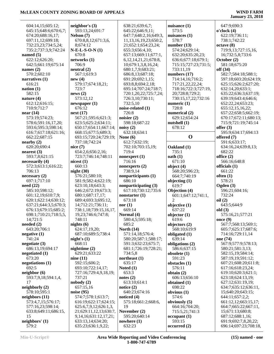| 604:14,15;605:12;     | neighbor's $(3)$                        | 638:21;639:6,7;             | nuisance $(1)$              | 647:9:690:3                                   |
|-----------------------|-----------------------------------------|-----------------------------|-----------------------------|-----------------------------------------------|
| 645:15;648:6;670:6,7; | 593:13,24;691:7                         | 645:22;646:9,11;            | 573:5                       | o'clock(4)                                    |
| 674:20;688:16,17;     | Nelson (7)                              | 647:7;648:2,16;649:3,       | nuisances $(1)$             | 622:19;736:11;                                |
| 697:11,12;699:18;     | 670:8,8,12;671:3,6,                     | 11, 13, 16, 19, 23; 650: 2, | 578:7                       | 738:1;742:22                                  |
| 732:23,23;734:5,24;   | 8;674:12                                | 21;652:1;654:23,24;         | number $(13)$               | octave (8)                                    |
| 735:2;737:3,9;742:24  | $N-E-L-S-O-N(1)$                        | 655:3;656:4,10;             | 574:24;629:14;              | 719:9,13;727:15,16,                           |
| named $(5)$           | 670:8                                   | 657:13;669:11;677:1,        | 632:20;635:20,23;           | 16;732:5,8;733:6                              |
| 622:12;626:20;        | networks (1)                            | 6, 12, 14, 21, 21; 678: 8,  | 636:6;677:18;679:1;         | October (2)                                   |
|                       |                                         |                             |                             |                                               |
| 642:5;661:19;675:14   | 706:9                                   | 10;679:1,3,8,16,24;         | 715:15;727:23;731:5;        | 581:18;675:20                                 |
| names $(2)$           | neutral (2)                             | 680:1,7,9;683:21;           | 733:11,19                   | off (34)                                      |
| 570:2;602:10          | 567:1;619:3                             | 686:8,13;687:18;            | numbers $(17)$              | 582:7;584:18;588:1;                           |
| narratives $(1)$      | new(4)                                  | 691:20;692:1,15;            | 714:14,16;716:2;            | 597:18;603:20;624:19;                         |
| 616:21                | 579:17;674:18,21;                       | 693:8,8;694:2,18;           | 717:21,22,22,24;            | 625:15;626:2;627:20;                          |
| nation(1)             | 723:7                                   | 695:14;707:24;718:7;        | 718:16;722:3;727:19,        | 632:14,20;633:1;                              |
| 582:15                | news(2)                                 | 720:1,20,22;725:7,24;       | 20;728:8;729:2;             | 635:22;636:3;637:19;                          |
| nature $(4)$          | 573:12,12                               | 726:3,10;730:11;            | 730:15,17,22;732:16         | 639:19;643:4;646:6;                           |
| 612:12;616:15;        | newspaper(1)                            | 732:5,10                    | numeric (1)                 | 652:22,24;653:23;                             |
| 710:9;712:7           | 676:12                                  | noise-related (1)           | 728:8                       | 655:12,15,16,22;                              |
| near(14)              | next(17)                                | 726:8                       | numerical (2)               | 657:22;658:5;662:19;                          |
| 573:19;574:23;        | 567:21;595:6;621:3;                     | noisier $(2)$               | 629:12;654:24               | 670:17;672:11;680:13;                         |
| 578:6;591:16,17,20;   |                                         |                             |                             |                                               |
|                       | 623:5;625:2;634:11;                     | 598:18;687:22               | nutshell $(1)$              | 715:9;721:19;745:14                           |
| 593:6;595:3;598:14;   | 650:17;654:11;667:14;                   | noisy(2)                    | 678:12                      | offer $(3)$                                   |
| 616:7;617:18;621:16;  | 668:15;677:5;689:3;                     | 632:18;634:1                |                             | 595:9;634:17;694:13                           |
| 662:22;687:15         | 693:15;720:24;729:19;                   | None $(6)$                  | $\mathbf 0$                 | offered (7)                                   |
| nearby (2)            | 737:18;742:24                           | 612:7;632:19;               |                             | 591:6;633:17;                                 |
| 620:20;690:4          | nice(7)                                 | 702:10;703:15,19;           | Oakland (1)                 | 634:16,24;639:8,13;                           |
| nearest(3)            | 654:2,6;656:2,16;                       | 719:4                       | 735:1                       | 682:22                                        |
| 593:7,8;621:15        | 723:7;746:14;748:11                     | nonexpert (1)               | oath(1)                     | office $(2)$                                  |
| necessarily (4)       | nicest $(1)$                            | 716:16                      | 671:10                      | 566:16;648:8                                  |
| 572:3;613:1;616:22;   | 660:13                                  | nonexperts (2)              | object $(4)$                | officials $(1)$                               |
| 706:13                | night(30)                               | 738:9,14                    | 568:20;596:23;              | 661:22                                        |
| necessary(2)          | 576:21;580:10;                          | nonparticipants (1)         | 664:7;740:19                | often $(1)$                                   |
| 697:1;717:10          | 581:9;582:4;622:19;                     | 686:10                      | objecting (1)               | 578:21                                        |
| need(22)              | 623:10,18;643:3;                        | nonparticipating (3)        | 619:7                       | Ogden $(3)$                                   |
| 585:10;598:12;        | 646:2;672:19;673:3;                     | 617:10;730:12;735:6         | Objection (4)               | 596:21;604:16;                                |
| 601:12,19;610:7,9;    | 680:1;687:17,17;                        | nonstarter (1)              | 601:1;647:12;741:1,         | 732:24                                        |
| 620:1;622:14;630:12;  | 689:4;693:3;695:12,                     | 673:18                      | $\mathcal{D}_{\mathcal{L}}$ | oil(2)                                        |
| 637:21;644:3,5;670:3; | 14;712:21;736:11;                       | nor(1)                      | objective (1)               | 643:5;644:9                                   |
| 676:13;679:15;685:2;  | 738:1,18;739:15,16,17,                  | 669:14                      | 637:22                      | old(3)                                        |
| 698:1;710:21;718:5,5, | 19, 23; 746: 6; 747: 8;                 | Normal (4)                  | objector $(1)$              | 575:16,21;577:21                              |
| 14;721:5              | 748:11                                  | 580:4,5;595:18;             | 619:6                       | once $(9)$                                    |
|                       |                                         |                             |                             |                                               |
| needed $(2)$          | nights $(6)$                            | 685:2                       | objectors $(2)$             | 567:7;568:13;569:1;                           |
| 643:20;706:1          | 624:17,19,20;                           | North $(14)$                | 568:10;619:9                | 605:7;625:17;687:6;                           |
| negative(1)           | 687:10;689:5;738:4                      | 571:14,18;576:4;            | obligated (1)               | 714:16;729:11,14                              |
| 741:24                | night's $(1)$                           | 580:20;587:1;588:17;        | 639:14                      | one (74)                                      |
| negotiate (3)         | 668:11                                  | 591:3;632:23;675:7;         | obligations (2)             | 567:9;577:9;578:13;                           |
| 686:13,19;694:17      | nighttime $(2)$                         | 681:1;726:19;728:21;        | 586:6;637:15                | 580:21;581:3,13;                              |
| negotiated $(1)$      | 629:21;633:22                           | 734:5,8                     | obsolete $(1)$              | 582:15,19;584:14;                             |
| 673:20                | nine(11)                                | northeast (1)               | 591:23                      | 587:19,19;591:12;                             |
| negotiations (1)      | 592:15;606:2;                           | 635:17                      | obstacles $(1)$             | 607:21;608:20;611:8;                          |
| 692:5                 | 693:10;722:14,17;                       | Noted $(1)$                 | 576:11                      | 617:16;618:23,24;                             |
| neighbor(6)           | 727:16;729:4,9,18,19;                   | 653:3                       | obtain $(2)$                | 619:10;620:3;621:1;                           |
| 593:7,9,18;594:1,4,   | 737:21                                  | notes $(2)$                 | 606:13;656:10               | 623:18;624:13,19;                             |
| 17                    | nobody(2)                               | 613:10;614:1                | obtained $(1)$              | 627:12;631:19,19;                             |
| neighborly $(2)$      | 657:15,16                               | notice $(2)$                | 698:22                      | 634:7;635:12;636:11,                          |
| 578:10;595:1          | noise (95)                              | 640:23;674:16               | obvious $(1)$               | 15;640:20;643:15;                             |
| neighbors $(11)$      | 574:7;578:1;613:7;                      | noticed $(4)$               | 574:6                       | 644:11;657:2,2;                               |
| 573:4,7,15;576:17;    | 616:19;622:17;624:15;                   | 575:18;661:2;668:6,         | obviously (5)               | 661:12,12;663:15,17;                          |
| 577:16,23;598:14;     | 625:6,7,9,12;626:1,3,                   | 19                          | 664:16;704:20;              | 664:7;665:22;667:11,                          |
| 633:8;649:11;686:15,  | 21;629:11,12,13;630:7,                  | November (2)                | 715:5,21;741:3              | 15;671:13;680:8;                              |
| 15                    | 9,14,16;631:12,17,21;                   | 595:20;640:14               | occupant(1)                 | 687:12;688:1,16;                              |
| neighbors' (1)        |                                         |                             |                             |                                               |
|                       |                                         |                             |                             |                                               |
| 579:2                 | 633:13,14;634:20;<br>635:23;636:1,9,22; | nowhere $(1)$<br>632:23     | 593:15<br>occurred(2)       | 691:9;692:7,8,20,22;<br>696:14;697:23;708:18, |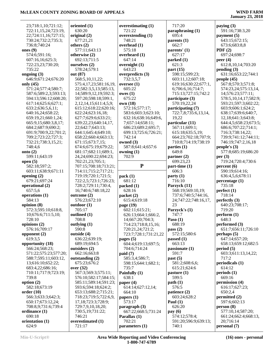| 23;718:1,10;721:12;             | oriented $(1)$               | overestimating $(1)$     | 717:20                        | paying $(3)$              |
|---------------------------------|------------------------------|--------------------------|-------------------------------|---------------------------|
| 722:11,15,24;723:19,            | 630:20                       | 721:22                   | paraphrasing (1)              | 591:16;738:3,20           |
| 22;724:11,16;727:15;            | original (2)                 | overextending (1)        | 695:4                         | payment $(5)$             |
| 730:24;732:2;735:3;             | 677:21,21                    | 748:21                   | parents $(1)$                 | 643:15;672:15;            |
|                                 |                              |                          |                               |                           |
| 736:8;740:24                    | others $(2)$                 | overhead $(1)$           | 662:7                         | 673:6;683:8,8             |
| ones $(9)$                      | 577:11;643:13                | 575:18                   | parents' (1)                  | PDF(2)                    |
| 574:6;591:16;                   | otherwise (2)                | overheard $(1)$          | 627:17                        | 697:24;698:7              |
| 607:16,16;625:3;                | 692:13;711:5                 | 647:14                   | parked (1)                    | peer $(4)$                |
| 722:23,23;730:20;               | ourselves (2)                | overnight $(1)$          | 621:3                         | 612:8,10,14;703:20        |
| 735:22                          | 578:24;579:1                 | 643:23                   | part $(15)$                   | pending(3)                |
| ongoing $(3)$                   | out (87)                     | overpredicts $(3)$       | 598:15;599:23;                | 631:16;653:22;744:1       |
| 646:9;671:24;676:20             | 568:5,10,11,22;              | 732:3,5,7                | 603:11,12;607:18;             | people $(45)$             |
| only $(45)$                     | 575:4,17,23;581:16,19,       | oversee $(1)$            | 619:16;630:22;677:1,          | 567:8;570:3;571:8;        |
| 571:24;577:4;580:7;             |                              | 605:22                   |                               |                           |
|                                 | 22;582:3,5,13;585:13,        |                          | 6;706:6,16;714:7;             | 574:23,24;575:13,14,      |
| 587:6;589:2,3;593:13;           | 14;589:9,12,19;592:3;        | owes(1)                  | 715:13;727:15;742:2           | 14;576:23;577:11;         |
| 594:13;596:12;608:20;           | 597:20;598:18;599:1,         | 675:22                   | participate (3)               | 578:5,10,14,17;582:9;     |
| 617:14;625:6;627:1;             | 2, 12, 14, 15; 611: 4, 5, 9; | own (18)                 | 570:19,22,24                  | 593:21;597:3;602:22;      |
| 633:2;636:5,6,11;               | 615:12;618:22;620:16;        | 572:16;577:17;           | participating (7)             | 603:9;606:1;624:2;        |
| 640:16,24;658:22;               | 622:24;623:16,18;            | 583:6;603:3;623:10;      | 722:7,8;735:6,13,14,          | 638:17;639:6;640:7,       |
| 659:19,21;660:1,24;             | 627:7;629:6;633:21;          | 632:16;638:16;649:6,     | 19,22                         | 12,18;641:3;643:8;        |
| 665:9,15;680:3,8,17;            | 639:22,23;640:14,17,         | 7;657:14;658:11;         | particular (11)               | 644:4,5;658:23;673:5;     |
| 684:2;687:9;690:2;              | 22;642:7;643:13;             | 686:23;689:2;695:7;      | 567:11;609:1;                 | 686:6;707:22;714:1;       |
| 691:9;700:9,22;701:2;           | 644:1;645:4;649:10;          | 699:13;725:6;726:21;     | 615:18;635:5,19;              | 716:3;738:14,22;          |
| 709:2;723:22;727:3;             | 658:22;660:4;663:13;         | 742:14                   | 664:23;702:18;707:9;          | 739:9;741:12;744:11;      |
|                                 |                              |                          |                               |                           |
| 732:21;738:3,15,21;             | 671:15;673:7,15;             | owned (3)                | 710:8;714:19;738:19           | 746:19;747:2,16,18        |
| 748:4,6                         | 674:6;675:19;679:22;         | 587:8;641:4;657:6        | parties $(1)$                 | people's $(3)$            |
| onto $(2)$                      | 681:17;682:11;689:1,         | owning $(1)$             | 649:8                         | 577:8;685:19;686:20       |
| 599:11;643:19                   | 24, 24; 690: 22; 694: 23;    | 702:9                    | partner $(2)$                 | per $(3)$                 |
| open $(5)$                      | 702:21,23;705:1;             |                          | 699:23,23                     | 719:24;720:4;730:6        |
| 582:18;597:2;                   | 707:15;708:18;713:21;        | ${\bf P}$                | part-time (1)                 | percent(6)                |
| 603:11;638:9;671:11             | 714:11;715:2;717:21;         |                          | 606:3                         | 590:19;614:16;            |
|                                 |                              |                          |                               |                           |
|                                 |                              |                          |                               |                           |
| opening $(2)$                   | 719:19;720:1;721:5;          | pack(1)                  | party(1)                      | 636:4,5,6;678:11          |
| 679:21;697:24                   | 722:2,5;723:1;726:23;        | 681:12                   | 716:10                        | percentage (1)            |
| operational (2)                 | 728:2;729:11;730:4,          | packed (1)               | Parzyck (11)                  | 735:18                    |
| 657:5,6                         | 16;740:6;748:18,22           | 628:16                   | 568:19;569:10,19;             | perfect(1)                |
| operations (1)                  | outcome (2)                  | packet $(2)$             | 737:6;740:5;744:16,           | 718:14                    |
| 584:13                          | 576:23;672:10                | 615:4;619:18             | 24;747:22;748:16,17,          | perfectly $(3)$           |
| opinion $(8)$                   | outdoor(1)                   | page $(19)$              | 23                            | 640:23;708:17;            |
| 572:3;595:10;618:8,             | 705:17                       | 602:11;615:21;           | Parzyck's (1)                 | 719:20                    |
| 10;676:6;711:5,10;              | outlined (1)                 | 626:13;664:1;666:2,      | 747:7                         | perform (1)               |
| 728:10                          | 708:8                        | 14;667:20;704:3;         | Paso $(1)$                    | 648:3                     |
|                                 | outlying $(1)$               |                          | 688:19                        | performed (3)             |
| opinions $(2)$<br>576:16;709:17 | 590:8                        | 714:23;718:8,15,16;      |                               |                           |
|                                 |                              | 720:21,24;721:2;         | pass(2)                       | 651:7;656:11;726:10       |
| opponent $(2)$                  | outside (4)                  | 723:7;728:1;731:21,22    | 572:15;580:6                  | perhaps(5)                |
| 619:3,5                         | 636:22;639:19;               | pages $(5)$              | passed $(1)$                  | 647:14:657:20:            |
| opportunity (18)                | 689:19;694:5                 | 604:4;619:13;697:5;      | 663:13                        | 658:13;659:12;682:5       |
| 566:24;568:23;                  | outsiders (2)                | 704:6;714:24             | passionate (1)                | period(5)                 |
| 571:22;575:23;577:20;           | 662:16;663:8                 | paid(7)                  | 591:7                         | 603:3;611:13,14,22;       |
| 588:7;595:11;603:12,            | outstanding (2)              | 585:3,4;586:7;           | past(5)                       | 717:2                     |
| 13;616:10;652:22;               | 675:23;676:2                 | 598:15;644:1;682:1;      | 581:2;608:6,6;                | periodicals (1)           |
| 683:4,22;686:16;                | over $(32)$                  | 735:7                    | 615:21;624:6                  | 614:12                    |
| 710:11;717:9;723:19;            | 567:3;569:3;575:11;          | Painfully (1)            | $\mathbf{p}$ asture (1)       | periods(1)                |
| 739:8                           | 576:10;582:17;584:15;        | 638:1                    | 599:5                         | 669:16                    |
| option $(2)$                    | 585:11;589:14;591:23;        | paper $(4)$              | path(1)                       | permission (4)            |
| 582:18;673:19                   | 593:6;594:18;624:2;          | 614:14;627:12,14;        | 576:5                         | 616:17;627:23;            |
| order(10)                       | 653:13;688:2;715:21;         | 664:10                   |                               | 650:2,4                   |
|                                 |                              |                          | patience (2)<br>603:24:628:2  |                           |
| 566:3;633:3;642:3;              | 718:23;719:5;722:6,9,        | papers $(1)$             |                               | permitted (2)             |
| 650:17;673:12,24;               | 17, 18; 723: 3; 728: 9;      | 573:17                   | Paul $(1)$                    | 597:6;602:13              |
| 708:8,9;731:6;739:4             | 729:7,9,10,18,20;            | paragnch(3)              | 626:20                        | person(8)                 |
| ordinance (1)                   | 730:5,19;731:22;             | 667:22;668:5;731:24      | pay(6)                        | 577:10,14;587:20;         |
| 690:18                          | 746:21                       | Parallax (1)             | 574:12;578:4;                 | 661:24;662:4;668:13,      |
| orientation (1)<br>624:9        | overestimated (1)<br>721:17  | 702:21<br>parameters (1) | 591:20;596:9;639:13;<br>740:1 | 20;716:14<br>personal (7) |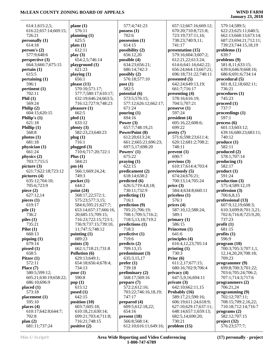### **January 23, 2018**

 614:1;615:2,5; 616:22;657:14;669:15; 726:21 **personally (1)** 614:18 **person's (2)** 577:9;648:6 **perspective (3)** 664:3;666:7;675:15 **pertain (1)** 615:5 **pertaining (1)** 596:1 **pertinent (1)** 702:11 **Phil (1)** 569:24 **Philip (2)** 604:15;620:15 **Philip's (1)** 621:18 **Phillip (1)** 568:8 **photos (1)** 681:18 **physician (1)** 661:24 **physics (2)** 703:7;715:5 **picture (3)** 621:7;622:18;723:12 **pictures (4)** 635:12;704:10; 705:6;723:9 **piece (2)** 627:12,14 **pieces (1)** 619:17 **pile (1)** 736:2 **piles (1)** 735:21 **Pilot (1)** 660:13 **piquing (1)** 679:14 **pissed (1)** 658:5 **Pitzer (1)** 572:11 **Place (7)** 580:5;599:12; 605:21;630:19;658:22; 686:10;696:9 **placed (1)** 573:18 **placement (1)** 595:10 **places (4)** 610:17;642:8;644:7; 702:8 **plan (2)** 681:11;737:24 **pled (1) pm (4) pop (1)**

**plane (1)** 576:11 **planning (1)** 625:5 **plats (1)** 612:11 **play (3)** 654:2,5;746:14 **playground (1)** 621:23 **playing (1)** 656:1 **please (11)** 570:10;571:17; 577:7;580:17;610:17; 632:19;646:24;663:5; 716:12;727:9;748:23 **pleasure (1)** 662:5 633:12 **plenty (3)** 582:23,23;640:23 **plug (1)** 716:1 **plugged (3)** 710:6;717:20;722:1 **Plus (1)** 584:21 566:1;669:24,24; 749:3 **pocket (1)** 644:2 **point (24)** 568:17,22;572:1; 575:23;577:3,15; 584:6;595:21;627:7; 653:14;657:17;666:16, 20;685:15;709:15; 716:23;722:15;723:1; 736:9;737:15;739:10, 11;747:5;748:12 **pointing (1)** 689:23 **points (3)** 662:1;718:21;731:8 **Pollution (6)** 629:13;649:1; 654:18;656:4;678:4; 734:13 **poor (1)** 590:8 615:12 **posed (1)** 642:15 **position (10)** 603:7;605:18; 610:18,21;630:14; 699:21;703:4;711:8; 716:21;748:15 **positive (2)**

 577:4;741:23 **possess (1)** 702:6 **possession (1)** 614:15 **possibility (2)** 656:12,20 **possible (4)** 634:23;656:21; 686:14;742:3 **possibly (2)** 576:18;577:10 **post (1)** 582:5 **potential (6)** 573:5;576:15; 577:12;626:12;662:17; 671:24 **pouring (1)** 694:16 **Power (3)** 657:7;748:19,21 **PowerPoint (8)** 612:20;613:24; 661:2;665:21;696:23; 697:5,17;698:20 **Powers' (1)** 675:22 **praying (1)** 622:15 **predicament (2)** 618:14;638:2 **predicted (6)** 626:5;719:4,8,18; 730:11;732:9 **predicting (1)** 716:1 **prediction (9)** 705:21;706:19; 708:1;709:5;716:2; 718:5,13,18;719:2 **predictions (1)** 718:3 **predictive (1)** 719:6 **predicts (2)** 709:13,15 **predominant (3)** 635:3,15,17 **prefer (1)** 739:18 **preliminary (2)** 568:17;569:16 **prepare (7)** 572:2;612:16; 703:22;746:16,18,19; 747:17 **prepared (4)** 609:5;612:18,22; 654:16 **present (18)** 566:8;568:14; 612:10;616:11;649:16;

 657:12;667:16;669:12; 670:20;710:8;721:8; 723:19;737:11,16; 738:23;740:9,11; 741:17 **presentation (15)** 579:16;604:3;607:2; 612:21,22;613:24; 614:6;641:16;642:22; 656:24;664:13;667:21; 696:18;731:22;740:11 **presented (5)** 642:24;649:13,19; 661:7;716:17 **presenting (4)** 578:16;616:19; 704:5;707:21 **preserve (1)** 597:24 **president (4)** 605:16,22;608:6; 699:22 **pretty (7)** 571:6;598:23;611:4; 620:12;681:2;708:2; 748:11 **prevent (1)** 690:7 **previous (3)** 610:17;614:4;703:4 **previously (5)** 674:24;676:21; 700:13,14;705:24 **price (3)** 584:4;634:8;660:11 **priceless (1)** 576:1 **prices (4)** 587:10,12;588:24; 589:1 **primary (1)** 586:15 **Princeton (1)** 641:6 **principles (4)** 616:4,12,23;705:14 **printing (1)** 730:3 **Prior (6)** 611:2,17;677:15; 680:16;702:9;706:4 **privacy (4)** 647:5,9,16;694:11 **private (3)** 642:10;662:11,15 **Probably (16)** 589:17,21;590:16; 606:19;611:24;618:9; 627:10;629:17;637:11; 648:14;657:1;659:13; 682:5,14;690:20; 730:21 **problem (15)**

 579:14;589:5; 622:23;625:11;640:5; 662:13;668:13;673:14; 687:23;694:21;712:11; 739:23;744:15,18,19 **problemo (1)** 639:7 **problems (9)** 581:8,11;633:15; 639:6;646:9;668:16; 686:6;691:6;734:14 **procedural (5)** 601:8,12,18;602:11; 736:21 **procedures (1)** 745:23 **proceed (1)** 737:7 **proceedings (1)** 597:1 **process (6)** 601:13;603:12; 639:16;680:23;683:11; 740:12 **produce (1)** 582:11 **produced (2)** 578:1;707:14 **producing (1)** 582:17 **product (1)** 591:24 **production (3)** 575:4;589:12,19 **profession (3)** 706:6,8,15 **professional (13)** 607:9,12,19;608:3; 610:3;699:8;701:3,21; 702:6;716:8;725:9,20; 737:23 **profit (1)** 681:15 **profits (1)** 596:9 **program (10)** 700:3;705:3;707:1,1, 12,14,20,20;708:18; 709:23 **programmer (9)** 699:8;700:3;701:22; 703:6;705:24;706:2; 707:1;714:3;717:6 **programmers (2)** 706:21,24 **programming (9)** 702:12;707:11; 708:15;709:2,16,22; 710:18;712:14;716:7 **programs (2)** 582:12;707:15 **project (32)** 576:23;577:7;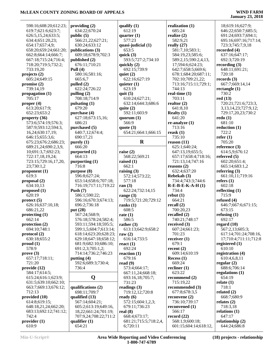18;619:16;627:9;

| 598:16;608:20;612:23;                     | providing $(2)$                      | qualify $(1)$                      | realization $(1)$                      |     |
|-------------------------------------------|--------------------------------------|------------------------------------|----------------------------------------|-----|
| 619:7;621:6;623:7;                        | 634:22;670:24                        | 612:19                             | 685:24                                 |     |
| 626:5,15,24;633:5;                        | public (5)                           | quarter $(1)$                      | realize $(2)$                          |     |
| 634:4;651:20,23;                          | 566:21,22;627:21;                    | 577:23                             | 582:9,21                               |     |
| 654:17;657:4,9;                           | 630:24;633:12                        | quasi-judicial (1)                 | really $(27)$                          |     |
| 658:20;659:24;661:20;                     | publications (3)                     | 653:5                              | 581:7,10;583:1;                        | reo |
| 662:8;664:14;666:7;                       | 609:18;678:9;702:3                   | quick $(3)$                        | 584:19,23;585:6;                       |     |
| 667:18;715:24;716:4;                      | published (2)                        | 593:5;727:2;734:10                 | 589:2,15;590:2,4,13,                   |     |
| 718:20;719:5;732:2;                       | 676:11;710:21<br>Pull $(4)$          | quickly (2)                        | 17;594:6;624:23;<br>642:7;658:5;669:6; | reo |
| 733:19,20<br>projects (2)                 | 580:16;581:16;                       | 692:15;739:9<br>quiet $(2)$        | 678:1;684:20;687:11;                   |     |
| 605:24;649:15                             | 665:6,7                              | 622:16;627:19                      | 702:10;709:21,22;                      | reo |
| promise (2)                               | pulled $(2)$                         | quieter $(1)$                      | 713:16;715:11;729:1;                   |     |
| 739:14,19                                 | 622:24;726:22                        | 623:19                             | 744:13                                 | reo |
| propagation (1)                           | pulling $(2)$                        | quit $(5)$                         | real-time $(1)$                        |     |
| 705:17                                    | 708:18;714:9                         | 610:24;627:21;                     | 703:11                                 | reo |
| proper $(4)$                              | pulsating (1)                        | 632:14;644:3;686:6                 | realtor $(2)$                          |     |
| 613:20;617:9;                             | 679:20                               | quite $(2)$                        | 641:8,10                               |     |
| 652:23;653:2                              | purchase (4)                         | 592:11;603:9                       | Realty $(1)$                           |     |
| property (36)                             | 627:18;673:15,16;                    | quorum (1)                         | 641:20                                 | reo |
| 573:6;574:19;576:3;                       | 686:21                               | 566:9                              | $re$ -analyze $(1)$                    |     |
| 587:9;593:12;594:3,                       | purchased (5)                        | quote $(3)$                        | 713:16                                 | reo |
| 16,24;630:17,19;                          | 640:7,12;674:4;                      | 654:21;664:1;666:15                | reask $(1)$                            |     |
| 646:15;655:3,6;<br>675:23;676:2;686:23;   | 690:17,21<br>purely $(1)$            | $\bf R$                            | 735:10<br>reason (11)                  | ref |
| 689:21,24;690:2,3,9,                      | 666:20                               |                                    | 625:1;640:24;                          | ref |
| 10;691:3,7;692:23;                        | purported (1)                        | raise $(2)$                        | 647:13,19;655:5;                       |     |
| 722:17,18,19,24;                          | 664:13                               | 568:22;569:21                      | 657:17;658:4;718:16;                   | ref |
| 723:15;729:16,17,20,                      | purporting (1)                       | raised $(1)$                       | 721:13,14;747:16                       |     |
| 23;730:1,2                                | 716:8                                | 662:1                              | reasons $(2)$                          |     |
| proponent $(1)$                           | purpose (8)                          | raising $(3)$                      | 632:4;637:20                           | ref |
| 619:3                                     | 596:8;627:24;                        | 572:14;573:22;                     | Rebekah (3)                            |     |
| proposal $(2)$                            | 653:14;658:6;707:18;                 | 577:18                             | 734:4;743:3;744:6                      | ref |
| 634:10,13                                 | 716:19;717:11;719:22                 | ran $(3)$                          | $R-E-B-E-K-A-H(1)$                     |     |
| proposed (1)                              | Push $(7)$                           | 622:24;732:14,15                   | 734:4                                  | ref |
| 620:19                                    | 586:1;590:22;                        | range $(3)$                        | rebut(1)                               |     |
| $\text{protect (5)}$<br>626:16;637:10,18; | 596:16;670:3;674:13;<br>696:2;736:18 | 719:5;721:20;729:12<br>ranks $(1)$ | 664:21<br>recall $(2)$                 | ref |
| 686:21,22                                 | put (28)                             | 608:5                              | 700:20,23                              |     |
| protectting (1)                           | 567:24;568:9;                        | rate $(1)$                         | recalled $(2)$                         | ref |
| 662:14                                    | 576:18;578:24;582:4;                 | 586:5                              | 740:21;748:17                          |     |
| protection $(2)$                          | 593:11;594:18;595:5;                 | rather $(3)$                       | received $(3)$                         | reg |
| 694:10;748:1                              | 599:1,5;604:7;613:14;                | 613:13;642:9;658:2                 | 607:24;661:23;                         |     |
| protocol (2)                              | 618:14;623:20;628:23;                | raw $(2)$                          | 701:23                                 |     |
| 630:18;655:2                              | 629:18;647:18;658:12;                | 616:14;733:5                       | receiver $(1)$                         |     |
| prod(1)                                   | 681:9;682:10;686:10;                 | react $(1)$                        | 679:1                                  | reg |
| 578:9                                     | 691:2,3;705:1,2;                     | 692:24                             | recent $(2)$                           |     |
| prove(3)                                  | 714:14;736:2;746:23                  | reaction $(1)$                     | 609:14;610:19                          | reg |
| 657:17;718:11;                            | putting (4)                          | 679:16                             | Recess $(1)$                           |     |
| 721:20<br>provide (12)                    | 592:6;689:3;730:4;<br>736:4          | read $(9)$<br>573:4;664:17;        | 669:24<br>recliner $(1)$               | reg |
| 584:17;614:5;                             |                                      | 667:11,24;668:18;                  | 623:22                                 |     |
| 615:24;616:1;623:9;                       | Q                                    | 693:16,18;705:7;                   | recommend $(2)$                        | reg |
| 631:5;639:10;662:10;                      |                                      | 731:23                             | 715:19,22                              | rel |
| 663:7;669:13;676:12;                      | qualifications (2)                   | readings $(3)$                     | recommended (3)                        |     |
| 712:13                                    | 698:11;709:7                         | 719:12,12;720:8                    | 677:8;678:3,5                          | rel |
| provided (10)                             | qualified (13)                       | ready $(6)$                        | reconvene $(2)$                        |     |
| 614:8;619:15;                             | 567:14;604:21;                       | 572:15;604:1,2,3;                  | 736:10;739:17                          | rel |
| 648:18,21,24;662:20;                      | 605:2;613:19;649:16,                 | 679:11;736:23                      | reconvened $(1)$                       |     |
| 683:13;692:12;741:12;                     | 18,22;661:24;701:19;                 | real $(8)$                         | 566:17                                 | rel |
| 742:4                                     | 707:9,24;708:22;711:2                | 668:4;673:17;                      | record(22)                             |     |
| provider(1)                               | qualifier $(1)$                      | 681:21;715:5;718:2,4,              | 568:1,9;600:18;                        | rel |
| 610:9                                     | 654:21                               | 6;720:11                           | 601:15;604:14;618:12,                  |     |

 646:22;650:7;685:5; 691:24;693:7;694:1; 695:16;697:16;717:14; 723:3;745:7,9,18 **recorded (4)** 637:16;647:17; 692:3;720:19 **recording (3)** 648:11;691:21; 720:18 **records (3)** 667:7;669:14,14 **rectangle (1)** 730:2 **red (13)** 720:21;721:6;723:3, 3,13,14,23;727:9,12; 729:17,20,23;730:2 **redo (1)** 681:10 **reduction (1)** 722:2 **refer (1)** 705:20 **reference (3)** 614:5,9;676:12 **referred (5)** 602:20;651:4; 665:14;683:1,2 **referring (3)** 661:10,11;719:16 **refers (1)** 602:18 **reflecting (1)** 715:9 **refused (4)** 646:7;667:6;671:15; 673:15 **refusing (1)** 692:17 **regard (10)** 567:2,13;605:3; 617:14;701:24;708:16, 17;710:4;711:11;712:8 **registered (1)** 610:10 **registration (4)** 610:4,6,8,11 **regular (2)** 688:6;706:14 **regulations (1)** 654:19 **relate (1)** 718:1 **related (2)** 668:7;680:9 **relates (2)** 718:3,18 **relations (1)** 647:17 **relationship (2)**

644:24;686:8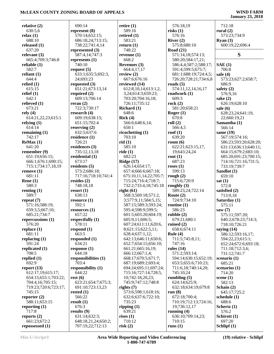### **January 23, 2018**

| relative (2)                             | 690:1              |
|------------------------------------------|--------------------|
| 630:5,6<br>relax(1)                      | represe<br>570:1   |
| 688:10                                   | 686:1              |
| released (1)                             | 738:2              |
| 637:20                                   | represe            |
| relevant (3)<br>665:4;709:3;746:8        | 587:4<br>represe   |
| reliable (1)                             | 740:1              |
| 582:7                                    | request            |
| reliant $(1)$                            | 633:1              |
| 644:4<br>relied $(1)$                    | 24;69<br>request   |
| 615:15                                   | 651:2              |
| relief(1)                                | require            |
| 642:1                                    | 609:1              |
| relieved (1)<br>673:21                   | reran (2<br>722:3  |
| rely(4)                                  | researc            |
| 614:21,22,23;615:1                       | 609:1              |
| relying $(1)$                            | 651:1              |
| 614:14<br>remaining $(1)$                | reservir<br>632:5  |
| 742:17                                   | residen            |
| ReMax(1)                                 | 726:2              |
| 641:20                                   | residen            |
| remember (9)<br>651:19;656:15;           | 735:1<br>residen   |
| 666:1;676:1;690:15;                      | 673:1              |
| 715:1;734:17,18,19                       | residen            |
| remove(1)                                | 573:2              |
| 681:11                                   | 717:1              |
| Rene $(1)$<br>580:3                      | resides<br>748:1   |
| renting $(1)$                            | resort (           |
| 589:7                                    | 638:1              |
| repeat (7)                               | resourc            |
| 571:16;588:19;<br>659:3,5;667:10;        | 592:1<br>resourc   |
| 685:21;734:7                             | 657:2              |
| repercussions (1)                        | respect            |
| 576:20                                   | 578:1              |
| replace $(1)$<br>681:11                  | respond<br>663:5   |
| replacing (1)                            | respond            |
| 591:24                                   | 634:2              |
| replicated (1)                           | respons            |
| 708:5<br>replied $(1)$                   | 644:1<br>respons   |
| 692:9                                    | 703:4              |
| report (13)                              | respons            |
| 612:17,19;615:17;                        | 644:2              |
| 654:15;655:1;703:22;<br>704:4,16;705:15; | rest(6)<br>623:2   |
| 719:23;720:6;723:17;                     | 691:1              |
| 745:15                                   | rested (           |
| reporter $(2)$                           | 566:2              |
| 588:11;653:15                            | result (1<br>676:3 |
| reporting (1)<br>717:8                   | results            |
| reports $(2)$                            | 631:1              |
| 661:23;672:2                             | 648:1              |

| 690:14               | retire $(1)$        |
|----------------------|---------------------|
| present (8)          | 589:16              |
| 570:14;652:15;       | retired (           |
| 686:18,24;713:15;    | 583:21              |
| 738:22;741:4,14      | return (1           |
| presented (3)        | 748:22              |
| 587:4,14;747:3       |                     |
| presents (1)         | revenue<br>668:2    |
| 740:10               |                     |
|                      | Revenue             |
| quest (5)            | 664:4,<br>review (2 |
| 633:1;635:5;692:3,   |                     |
| 24;693:23            | 667:6;              |
| quested (3)          | reviewed            |
| 651:21;673:13,14     | 612:8,              |
| quired (2)           | 3,24;6              |
| 609:13;706:14        | 703:20              |
| ran (2)              | 726:11              |
| 722:3;730:17         | <b>Richard</b>      |
| search (4)           | 648:6               |
| 609:19;638:15;       | Rick(4)             |
| 651:15;702:4         | 566:6;              |
| serving $(2)$        | 650:1               |
| 632:5;637:6          | ricochett           |
| sidence (1)          | 703:10              |
| 726:21               | rid(1)              |
| sidences (3)         | 585:10              |
| 735:12,13,18         | ride(1)             |
| sidential (1)        | 682:23              |
| 673:17               | Ridge (1            |
| sidents (5)          | 626:14              |
| 573:2;686:18;        | 657:4;              |
| 717:16;718:10;741:4  | 675:10              |
| sides (2)            | 715:24              |
| 748:18,18            | 732:2;              |
| sort $(1)$           | right (61           |
| 638:13               | 568:3:              |
| source (1)           | 3;577:              |
| 592:1<br>sources (1) | 587:15<br>595:4;    |
| 657:22               | 601:5;              |
| spectfully (1)       | 605:9,              |
| 578:11               | 607:24              |
| spond (1)            | 8;621:              |
| 663:5                | 628:4;              |
| sponded (1)          | 642:13              |
| 634:21               | 652:7;              |
| sponse (1)           | 661:21              |
| 644:18               | 666:12              |
| sponsibilities (1)   | 668:17              |
| 703:4                | 687:19              |
| sponsibility (1)     | 694:24              |
| 644:22               | 715:16              |
| st (6)               | 10;742              |
| 623:21;654:7;675:3;  | 745:9;              |
| 691:10;723:13,23     | rights (7)          |
| sted (1)             | 573:6;              |
| 566:22               | 632:6;              |
| sult (1)             | 735:23              |
| 676:3                | ripping (           |
| sults (9)            | 639:21              |
| 631:14;632:3;        | rises(1)            |
| 648:18,21,24;650:2;  | 710:12              |
| 707:19,22;712:13     | risk(2)             |

**retire (1)** 589:16 **r**  583:21 **return (1)** 748:22 **revenue (1)** 668:2 **g** (3) 664:4,17,17 **review (2)** 676:16 **r** (14) 612:8,10,14;613:1,2, 3,24;614:3;659:23; 703:20;704:16,18; 726:11;735:12 **Richard (1)** 648:6 **Rick (4)** 648:6,14; 650:1  $\lim g(1)$  703:10 **rid (1)** 585:10 **ride (1)** 682:23 **Ridge (17)**  $:654:17;$  657:4;666:6;667:18; 675:10,11,14,22;705:7;  $:716:4;718:7;$  732:2;733:4,18;745:18 **right (61)** 568:3;569:18;571:2, 3;577:9,11;584:5,15; 587:15;589:3;593:24; 595:4;598:9;599:5; 603:20;604:19; 605:9,11;606:5;  $(611:11;620:6,$ 15;622:5,11; 628:4;637:1,12; 642:13;646:11;650:6; 652:7;654:15;656:10;  $;665:16,19;$  666:12;667:1,4; 668:17;670:5;671:7; 687:19;689:2;693:4; 694:24;695:11;697:24; 715:16;727:14;728:5,  $2:18,20,23$ ; 745:9;747:12;748:8 **rights (7)** 598:1;618:16; 632:6;637:6;722:10; 735:23 **ripping (1)** 639:21 **rises (1)** 710:12 **risk (2)**

 576:18,19 **risks (1)** 576:16 **River (2)** 575:8;680:10 **Road (21)** 571:14,18;574:13; 580:20;584:17,21; 586:4,4;587:2;588:17; 591:4;599:5;675:7; 681:1;688:19;724:4,5; 726:20;728:21;734:6,8 **roads (5)** 574:11,12,14,16,17 **roadwork (1)** 609:3 **rock (2)** 581:20;658:21 **Roger (1)** 670:8 **roll (2)** 566:4,5 **roof (1)** 639:20 **room (6)** 622:21;623:15,17, 19;643:24,24 **root (1)** 687:23 **roses (1)** 599:13 **rough (2)** 715:6;720:9 **roughly (3)** 589:23,24;722:14 **Route (2)** 724:9;734:10 **routine (1)** 586:23 **rubble (2)** 679:21;680:1 **ruined (2)** 658:6;674:11 **Rule (4)** 711:5;745:8,11; 747:16 **rules (14)** 571:2;593:14; 594:14;630:15;652:19; 653:5;655:6;710:23; 711:6,18;740:14,20; 745:10,24 **rumbling (5)** 624:14;625:9; 632:18;634:19;679:8 **run (8)** 672:18;700:4; 710:19;712:13;724:16, 19;736:12,17 **running (4)** 636:10;709:14,23; 710:15 **runs (1)**

 712:18 **rural (2)** 573:23;734:9 **Ryan (3)** 600:19,22;696:4 **S SAE (1)** 706:8 **safe (4)** 573:23;627:2;658:7; 686:9 **safety (2)** 576:9,16 **sake (2)** 626:19;628:10 **sale (6)** 628:23,24;641:19, 22;660:19,21 **Samantha (1)** 566:14 **same (19)** 567:19;574:16; 586:23;593:20;628:20; 631:13;636:13;640:11; 664:15;679:2;683:10; 685:20;691:23;700:15; 714:16;721:16;731:5; 733:19;739:7 **Sandlot (1)** 659:10 **sat (1)** 572:8 **satisfied (2)** 713:9,18 **Saturday (1)** 575:11 **saw (7)** 575:11;597:20; 640:2;678:23;714:3; 718:10;726:21 **saying (14)** 586:12;593:16,17; 594:22,23;615:1; 652:24;672:6;693:18; 711:18;712:3,6; 731:12;741:7 **scenario (1)** 685:21 **scenarios (1)** 714:20 **scene (1)** 582:13 **Schain (2)** 645:17;725:2 **schedule (1)** 688:6 **Schertz (1)** 576:2 **Schirott (1)** 697:20

**repossessed (1)**

**Schlipf (1)**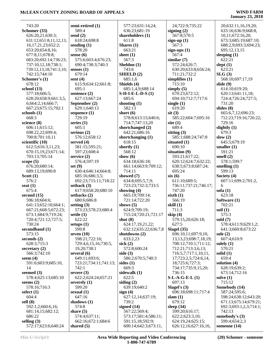| 743:20                  | semi-retired (1)       | 577:23;631:14,24;               | 24;722:9;735:22             | 20;632:11,16,19,20;    |
|-------------------------|------------------------|---------------------------------|-----------------------------|------------------------|
| Schomer (33)            | 589:4                  | 636:23;681:19                   | signing $(2)$               | 633:16;636:9;668:8,    |
| 626:20,21;630:3;        | send $(2)$             | shareholders (1)                | 567:8;570:5                 | 10,11;672:16,20;       |
| 631:12;651:8,11,12,13,  | 618:24;698:8           | 611:8                           | sign-up $(1)$               | 673:3;685:19;687:10;   |
| 16, 17, 21, 23; 652: 2; | sending $(1)$          | Shares $(1)$                    | 567:3                       | 688:2,9;693:3;694:23;  |
| 653:20;654:8,16;        | 578:20                 | 663:21                          | sign-ups $(1)$              | 695:12,13,15           |
| 677:8,11;678:8;         | sense $(6)$            | sheet $(1)$                     | 567:4                       | sleeping $(1)$         |
| 683:20;692:14;736:23;   | 575:6;603:4;676:23;    | 567:3                           | similar(7)                  | 622:21                 |
| 737:10,12,18;738:1;     | 690:4;738:3;740:3      | Sheldon (1)                     | 572:24;626:7;               | slept $(1)$            |
| 739:12,13,18;741:3,10;  | senses $(1)$           | 743:6                           | 630:20;633:8;656:24;        | 623:21                 |
| 742:15;744:10           | 679:14                 | SHIELD(2)                       | 711:21;732:2                | SLG(3)                 |
| Schomer's (1)           | sent $(4)$             | 685:1,6                         | simplifies $(1)$            | 568:10;697:17,19       |
| 678:12                  | 615:9;634:12;661:8;    | Shields (4)                     | 715:10                      | slide $(9)$            |
| school $(13)$           | 695:1                  | 685:1,4,9;688:14                | simply $(5)$                | 614:10;619:20;         |
| 577:18;606:5;           | sentence (2)           | $S-H-I-E-L-D-S(1)$              | 670:23;672:12;              | 620:13;641:11,18;      |
| 628:20;658:9;661:3,5,   | 627:13;667:24          | 685:6                           | 694:10;712:7;717:6          | 724:4;726:24;727:5;    |
| 6;664:2,14;666:7;       | September (2)          | shooting $(1)$                  | single $(1)$                | 731:20                 |
| 667:23;675:15;702:1     | 629:1;640:13           | 582:13                          | 619:20                      | slides $(8)$           |
| schools $(1)$           | sequence $(1)$         | short $(6)$                     | $s$ it $(3)$                | 665:6,7,12;696:23;     |
| 668:3                   | 729:19                 | 578:8;613:15;640:6;             | 585:22;604:7;695:16         | 712:23;719:16;726:22;  |
| science (8)             | series $(1)$           | 714:7;747:13,20                 | site $(1)$                  | 729:16                 |
| 606:11;615:12;          | 605:1                  | shortchanged (2)                | 689:4                       | slightly $(1)$         |
| 698:22,22;699:4;        | serious $(2)$          | 642:21;686:16                   | sitting $(3)$               | 679:3                  |
| 700:8;701:10,11         | 576:12;658:12          | shortchanging $(1)$             | 585:1;688:24;747:8          | slow $(2)$             |
| scientific (10)         | served $(4)$           | 618:15                          | situated (1)                | 645:5;679:19           |
| 612:5;616:3,11,23;      | 581:15;595:21;         | shortly $(1)$                   | 690:10                      | smaller $(1)$          |
| 670:15,19,23;671:14;    | 597:23;608:4           | 568:12                          | situation (9)               | 591:21                 |
| 703:13;705:14           | service $(2)$          | show $(6)$                      | 593:21;617:22;              | smell $(2)$            |
| scope $(5)$             | 576:4;597:19           | 634:18;636:18;                  | 620:12;624:7;632:22;        | 578:1;599:7            |
| 676:20;680:14;          | set $(9)$              | 661:14;663:9;709:12;            | 638:5;673:8;687:24;         | smelling $(1)$         |
| 689:13,19;690:8         | 630:4;646:14;664:8;    | 714:11                          | 695:24                      | 599:13                 |
| Scott $(1)$             | 685:16;686:3,5;        | showed (7)                      | six(6)                      | Society $(4)$          |
| 576:2                   | 692:23;715:11;718:22   | 634:8;695:5,7,9;                | 611:10;689:5;               | 607:11;699:2;701:2,    |
| seat $(1)$              | setback $(3)$          | 723:23;732:3;733:5              | 736:11;737:21;746:17;       | 6                      |
| 675:4                   | 617:9;658:20;680:10    |                                 | 747:20                      |                        |
| second $(15)$           | setbacks (2)           | showing $(4)$<br>665:19;709:14; | sixth $(1)$                 | sofa(1)<br>623:18      |
| 596:18;604:6;           | 680:6;686:8            | 721:14;722:20                   | 566:19                      | Software (1)           |
| 641:13;652:10;664:1;    | setting $(3)$          | shows $(5)$                     | skill $(1)$                 | 702:21                 |
| 667:21;668:5;672:23;    | 573:23;578:23;680:4    | 624:9;709:19;                   | 711:3                       | soil $(1)$             |
|                         |                        |                                 |                             |                        |
| 673:1;684:9;719:24;     | settle $(1)$<br>622:22 | 715:24;720:21;721:17            | skip $(4)$                  | 575:3                  |
| 720:4;721:12;727:5;     |                        | shut $(8)$                      | 579:15,20;626:18;           | sold $(7)$             |
| 730:24                  | setups $(1)$           | 624:17,19,21,22;                | 627:5                       | 578:4;611:9;629:1,2;   |
| secondhand (1)          | 599:8                  | 632:12;635:22;636:7,8           | Slagel $(35)$               | 641:3;660:8;673:22     |
| 573:15                  | seven $(10)$           | shutdowns $(2)$                 | 696:10,11;697:9,10,         | sole $(2)$             |
| seconds $(2)$           | 598:21;722:16;         | 633:2,23                        | 13, 13, 23; 698: 7, 18, 19; | 607:4;610:9            |
| 628:3:715:3             | 729:4,6,15,16;730:5,   | sick $(2)$                      | 708:12;710:1;711:12;        | solely $(1)$           |
| secretary $(2)$         | 19,20;738:1            | 572:8;600:24                    | 712:21;713:3,6,13;          | 570:21                 |
| 566:3;742:10            | several $(6)$          | side $(3)$                      | 716:5,7;717:1,10,11,        | solid $(1)$            |
| seem $(4)$              | 649:11;693:6;          | 586:2;670:5;740:3               | 17;723:2,5;724:6,14,        | 659:4                  |
| 591:6;603:9;685:10,     | 723:21;734:11;741:13;  | sides $(1)$                     | 18;725:6;727:3;             | solution $(4)$         |
| 14                      | 742:1                  | 669:3                           | 734:17;735:9,15,20;         | 628:19;639:2;          |
| seemed $(3)$            | severe $(3)$           | sidewalk (1)                    | 736:15                      | 673:14;712:16          |
| 578:4;625:13;685:10     | 622:2;624:24;657:21    | 622:5                           | $S-L-A-G-E-L(1)$            | solve $(1)$            |
| seems $(2)$             | severely $(1)$         | siding $(2)$                    | 697:13                      | 715:12                 |
| 578:16;716:3            | 599:20                 | 639:19;640:2                    | Slagel's $(3)$              | Somebody (14)          |
| select $(1)$            | sexual $(1)$           | sign(4)                         | 696:18;698:11;717:4         | 587:24;595:6;          |
| 604:4                   | 647:16                 | 627:12,14;637:19;               | slam $(1)$                  | 598:24;638:12;643:20;  |
| sell $(8)$              | shadows $(1)$          | 739:2                           | 679:12                      | 671:13;675:14;679:21;  |
| 592:1,2;660:6,16;       | 574:8                  | signed $(14)$                   | sleep $(34)$                | 692:3;693:1,2,3;714:1; |
| 681:14,15;682:12;       | share $(5)$            | 567:22;569:4;                   | 599:20;616:17;              | 742:13                 |
| 686:22                  | 574:4;637:11;          | 573:17;581:4;586:11;            | 622:2;623:3,10;             | somebody's (3)         |
| selling $(3)$           | 662:16;672:1;684:6     | 591:15,18;592:9;                | 624:19,24;625:15;           | 599:4;654:2,3          |
| 572:17;623:6;640:24     | shared $(5)$           | 600:14;642:3;673:11,            | 626:12,16;627:16,16,        | someone (14)           |
|                         |                        |                                 |                             |                        |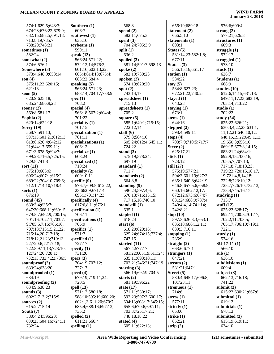### **January 23, 2018**

| 574:1;629:5;643:3;                           | South           |
|----------------------------------------------|-----------------|
| 674:23;676:22;679:9;                         | 606:            |
| 682:15;683:5;691:18;<br>713:8,19;735:7;      | southy<br>635:  |
| 738:20;748:21                                | soybea          |
| sometimes (1)                                | 590:            |
| 582:24                                       | speak           |
| somewhat (2)                                 | 566:            |
| 574:6;576:1                                  | 572:            |
| Somewhere (3)                                | 601:            |
| 573:4;648:9;653:14<br>son $(4)$              | 605:<br>683:    |
| 575:11,23;620:15;                            | speaki          |
| 621:18                                       | 566:            |
| soon $(5)$                                   | 683:            |
| 620:9;625:18;                                | spec (1         |
| 685:24;686:9,23                              | 708:            |
| sooner $(2)$                                 | special         |
| 569:8;581:17                                 | 566:            |
| Sophia (2)<br>620:14;622:18                  | 701:<br>special |
| Sorry $(19)$                                 | 701:            |
| 568:7;591:13;                                | special         |
| 597:15;601:21;612:13;                        | 701:            |
| 613:6;620:4;642:12,                          | special         |
| 21;644:17;659:11;                            | 606:            |
| 671:3;678:6;694:7;                           | special         |
| 699:23;716:5;725:15;<br>729:8;741:8          | 608:<br>special |
| sort (11)                                    | 710:            |
| 575:19;605:6;                                | special         |
| 606:24;607:1;615:2;                          | 609:            |
| 689:22;704:10;709:6;                         | specifi         |
| 712:1;714:10;718:4                           | 576:            |
| sorts (1)<br>676:19                          | 23;6<br>695:    |
| sound $(45)$                                 | specifi         |
| 630:3,4;635:7;                               | 617:            |
| 647:20;668:11;669:15;                        | specifi         |
| 679:5,7;692:9;700:15;                        | 706:            |
| 701:16;702:11;703:7,                         | specifi         |
| 9;705:5,7,16;706:16;<br>707:13;713:15,21,22; | 706:            |
| 715:14,20;717:18;                            | specifi<br>571: |
| 718:12,21,23;719:13,                         | specifi         |
| 22;720:6;721:7,18;                           | 727:            |
| 722:8,9,11,13;723:10,                        | specify         |
| 12;724:20;728:1;                             | 731:            |
| 732:13;733:4,22;736:5                        | specs (         |
| soundproof (2)<br>633:24;638:20              | 704:<br>727:    |
| soundproofed (1)                             | speed           |
| 634:19                                       | 679:            |
| soundproofing (2)                            | 720:            |
| 634:9;638:23                                 | spell (1        |
| sounds (3)                                   | 571:            |
| 602:2;713:2;715:9                            | 588:            |
| sources $(2)$<br>615:2;715:14                | 602:            |
| South (7)                                    | 685:<br>735:    |
| 580:4,24;596:20;                             | spelled         |
| 600:23;604:16;724:11;                        | 611:            |
| 732:24                                       | spellin         |

**(thern (1)** 06:7 **southwest (1)**  $35:16$ **soybeans (1)** 590:11 **speak (13)** 566:24;571:22; 572:12,14;576:2; 601:16;603:13,22; 605:4;614:13;675:4; 683:22;684:4 **speaking (5)** 566:24;571:23; 683:14;704:17;738:9 **c** (1) 08:2 **special (4)** 566:18;567:2;604:4; 01:22 **speciality (1)** 01:15 **specialization (1)** 01:11 **specializations (1)** 06:12 **specialize (1)** 08:24 **specialized (1)** 710:24 **specialty (2)** 609:10,11 **specific (9)** 576:7;609:9;612:22, 23;662:9;671:14; 695:1;701:14,23 **specifically (4)** 617:6,8,11;676:1 **specification (1)** 706:11 **specifications (1)** 706:9 **specifics (1)** 571:7 **specified (1)** 27:17 **specify (1)** 731:20 **specs (3)** 04:19;707:12; 27:17 **speed (4)** 679:19;719:11,24; 720:5 **spell (13)** 571:12;580:18; 588:10;595:19;600:20; 602:1,3;611:20;670:7; 685:4;688:16;697:12; 735:2 **spelled (2)** 611:21;660:4 **spelling (1)**

 568:8 **spend (2)** 582:11;675:3 **spent (3)** 704:24;705:3,9 **split (1)** 636:2 **spoiled (3)** 581:14;591:7;598:13 **spoke (2)** 682:19;730:23 **spoken (2)** 574:13;620:20 **spot (2)** 743:14,17 **spreadsheet (1)** 715:13 **spreadsheets (1)** 705:2 **square (5)** 585:1;640:1;715:15; 722:12,14 **staff (6)** 579:8;584:10; 605:24;612:4;645:11; 724:22 **stand (3)** 575:19;578:24; 697:19 **standard (1)** 711:7 **standards (2)** 664:8,8 **standing (9)** 596:24;597:4,6; 670:13;716:13,15; 717:15,16;740:10 **standstill (1)** 635:1 **stapled (1)** 618:24 **start (6)** 618:20;620:16; 625:24;674:15;727:4; 747:15 **started (11)** 567:4;577:17; 581:22;605:19;611:24; 635:11;693:10,11; 702:21;746:21;747:19 **starting (3)** 566:19;692:9;704:5 **starts (2)** 581:19;596:22 **state (17)** 571:11;580:17; 592:23;597:3;600:17; 604:13;608:17;645:15; 655:6;670:6;697:11; 703:3;725:17,21; 748:18,18,22 **stated (4)** 605:11;622:13;

 656:19;689:18 **statement (2)** 666:5,10 **statements (1)** 603:1 **States (5)** 581:14,23;582:1,8; 677:11 **State's (3)** 566:15,16;661:17 **station (1)** 584:22 **stay (5)** 584:8;627:23; 672:21,22;740:24 **stayed (1)** 643:23 **staying (1)** 673:1 **stems (1)** 644:16 **stepped (2)** 598:4;599:11 **steps (4)** 708:7,9;710:5;717:7 **Steve (2)** 625:17,21 **stick (1)** 728:12 **still (27)** 575:19;577:21; 594:3;601:19;627:3; 635:1;640:8;642:19; 646:8;657:5,6;658:9; 660:16;662:12,17; 672:12;673:6;674:7; 681:24;688:9;737:4; 740:4,4,14;741:14; 742:8,21 **stop (10)** 597:3;626:3,3;653:1; 685:18;686:1,2,11; 689:3;716:11 **stopping (1)** 736:9 **straight (2)** 663:6;677:1 **strangers (1)** 647:21 **stream (2)** 581:21;647:1 **Street (5)** 580:4;645:17;696:8, 10;723:11 **strenuous (1)** 714:6 **stress (1)** 577:11 **strictly (1)** 653:6 **strike (1)** 652:21 **strip (2)**

 576:6;609:4 **strong (2)** 577:21;626:3 **structures (1)** 609:3 **struggle (1)** 572:17 **struggled (1)** 573:10 **stuck (1)** 626:7 **Students (1)** 668:9 **studies (10)** 612:6,14,15;631:18; 649:11,17,23;683:19; 703:14;713:22 **studio (1)** 702:22 **study (54)** 625:23;626:21; 630:3,4,22,23;631:1, 11,12,21;646:10,12; 648:16,19,22;649:1,13, 19;650:3;656:10; 669:15;677:8,14,15; 683:21,24;684:1; 692:9,15;700:16; 705:5,7;707:13; 717:18;718:13,23; 719:23;720:15,16,17, 19;721:4,8,14,18; 722:8;723:10,12; 725:7;726:10;732:13; 733:4;745:16,17 **studying (1)** 713:7 **stuff (12)** 625:23;628:17; 692:11;700:5;701:17; 702:2,11;703:5; 705:17;706:10;719:1; 722:1 **sturdy (1)** 574:16 **SU-17-11 (1)** 566:10 **sub (1)** 636:10 **subdivisions (1)** 609:4 **subject (3)** 662:13;716:18; 741:22 **submit (3)** 615:22;630:21;667:6 **submittal (1)** 619:12 **submittals (1)** 678:13 **submitted (3)** 615:19;619:11;

634:10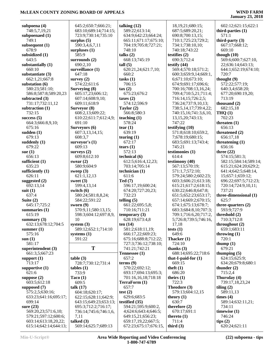| subpoena (4)          | 645:2;650:7;666:21;   | talking $(12)$        | 18, 19, 21; 680: 15;  | 602:12;621:15;622:1   |
|-----------------------|-----------------------|-----------------------|-----------------------|-----------------------|
| 748:5,7,19,21         | 683:10;689:14;714:15; | 589:22;613:14;        | 687:5;689:20,21;      | third-parties $(1)$   |
| subpoenaed (1)        | 723:9;730:14;735:10   | 634:9;642:23;664:24;  | 690:8;700:13,15;      | 571:1                 |
|                       |                       |                       |                       |                       |
| 749:1                 | surplus $(5)$         | 665:11;671:17;675:10; | 710:1;725:23;729:2;   | third-party $(3)$     |
| subsequent (1)        | 590:3,4,6,7,11        | 704:19;705:8;727:21;  | 734:1;738:10,10;      | 667:17;668:12;        |
| 678:9                 | surpluses $(1)$       | 748:10                | 740:18:743:22         | 669:10                |
| subsidized (1)        | 585:9                 | talks $(2)$           | testifies $(2)$       | though $(10)$         |
| 643:5                 | surrounds (2)         | 668:13;745:19         | 690:3;712:4           | 569:6;600:7;627:10,   |
| substantially (1)     | 690:2,10              | tall(5)               | testify $(44)$        | 22;636:14;643:13;     |
| 660:10                | surveillance (1)      | 620:21,24;621:7,10;   | 569:4;570:18;571:2;   | 644:1;652:19;674:10;  |
| substantiate (3)      | 647:18                | 660:2                 | 600:3;659:9,14;669:1, | 720:7                 |
| 662:1,21;667:8        | survey $(2)$          | tasks (1)             | 6;671:10;673:10;      | thought $(9)$         |
|                       |                       |                       |                       |                       |
| substation (6)        | 574:22;611:6          | 706:15                | 674:9;691:17;696:6;   | 572:22;577:19;        |
| 580:23;581:10;        | Surveying (8)         | $\text{tax}(2)$       | 700:16;708:13,16,24;  | 640:3,4;658:20;       |
| 586:8;587:8;589:20,23 | 605:17,23;606:12;     | 675:23;676:2          | 709:4;710:5,21;711:4; | 677:20;690:19,20;     |
| subtracted (3)        | 607:14;608:9,10;      | taxes $(2)$           | 716:14,15;726:2,5;    | 713:19                |
| 731:17;732:11,12      | 609:11;618:9          | 574:12;596:9          | 736:24;737:9,10,13;   | thousand $(2)$        |
| subtraction (1)       | Surveyor (8)          | Taylor (2)            | 738:5,14,17;739:4,22; | 682:15,18             |
| 732:15                | 608:2,13;609:22;      | 566:8;580:3           | 740:15,16;741:3,6,10, | THQ(1)                |
| success $(5)$         | 610:22;611:7;612:4,9; | teaching $(1)$        | 13, 15, 20; 743: 13;  | 702:23                |
| 664:3;666:8,9,10;     | 691:10                | 578:24                | 747:22                | threaten $(1)$        |
|                       |                       |                       |                       |                       |
| 675:16                | Surveyors (6)         | tear $(1)$            | testifying $(10)$     | 656:13                |
| sudden $(1)$          | 607:3,13,14,15;       | 639:19                | 571:8;618:10;659:2,   | threatened (2)        |
| 679:13                | 608:3,7               | tearing $(1)$         | 7;678:19;680:15;      | 656:17,18             |
| suddenly $(1)$        | surveyor's $(1)$      | 672:17                | 683:5;691:13;743:4;   | threatening $(1)$     |
| 679:22                | 609:13                | tears $(1)$           | 745:21                | 656:16                |
| sue $(1)$             | surveys $(2)$         | 572:13                | testimonies (1)       | three $(22)$          |
| 656:13                | 609:8;612:10          | technical $(6)$       | 614:4                 | 574:15;581:3;         |
| sufficient $(1)$      | swear $(2)$           | 612:5;616:4,12,23;    | testimony (40)        | 582:15;584:14;589:14; |
| 635:23                | 580:9;604:9           | 703:14;705:14         | 567:13;570:19;        | 615:21;624:20;629:2;  |
| sufficiently $(1)$    | sweep $(3)$           | technician (1)        | 571:1,7;572:10;       | 641:4;642:5;648:14,   |
|                       |                       |                       |                       |                       |
| 626:11                | 621:1,12,13           | 611:6                 | 579:24;580:2;602:23;  | 15;657:1;659:12;      |
| suggested $(2)$       | sweet $(3)$           | Ted(7)                | 603:3;606:21;613:18;  | 696:22;697:5;712:23;  |
| 692:13,14             | 599:4,13,14           | 596:17,19;600:24;     | 615:21;617:2;618:15;  | 720:14;724:9,10,11;   |
| suit $(1)$            | switch $(6)$          | 674:20;727:20,23;     | 630:22;646:8;647:8;   | 737:21                |
| 637:4                 | 580:24;581:8,8,24;    | 732:23                | 651:5;652:23;653:17;  | three-dimensional (1) |
| Suite $(2)$           | 584:22;591:22         | telling $(5)$         | 657:14;669:2;670:15;  | 625:7                 |
| 645:17;725:2          | sworn $(9)$           | 661:22;695:5,8;       | 674:1;675:13;678:7;   | three-quarters (2)    |
| summaries (1)         | 570:9,11;580:13,15;   | 710:16;711:21         | 683:3;684:8,10;707:3; | 593:9;727:9           |
| 615:19                | 598:3;604:12;697:8,9, | temporary $(3)$       | 709:1;716:6,20;717:2, | threshold (2)         |
|                       | 10                    | 628:19;673:4,8        | 5;726:8;739:5;746:16, | 710:3;712:8           |
| summary $(3)$         |                       |                       |                       |                       |
| 632:13;678:12;704:5   | system $(3)$          | ten $(14)$            | 17,18                 | throughout $(2)$      |
| summer $(1)$          | 589:12;652:1;714:10   | 581:2;618:11,19;      | tests $(1)$           | 659:1;683:11          |
| 575:16                | systems $(1)$         | 666:17,22;669:23;     | 649:6                 | throwing $(1)$        |
| sum(1)                | 591:22                | 675:16;688:8;712:22;  | Thacker (1)           | 720:1                 |
| 581:17                |                       | 727:3;736:12;738:10;  | 724:10                | thump $(1)$           |
| superintendent (3)    | T                     | 741:21;742:21         | thanks $(3)$          | 679:21                |
| 661:3,5;667:23        |                       | Tennessee (1)         | 688:14;695:22;718:6   | thumping $(5)$        |
| support $(1)$         | table(3)              | 657:2                 | that-I-paid-for $(1)$ | 624:15;625:9;         |
| 713:17                | 728:7;730:12;731:4    | terms(9)              | 669:15                | 634:20;679:8;680:1    |
| supportive $(1)$      | $tables (1)$          | 570:22;692:12;        | theft $(1)$           | thunder $(2)$         |
|                       | 733:9                 |                       |                       |                       |
| 621:6                 |                       | 693:17;694:13;695:3;  | 686:20                | 715:2,4               |
| suppose $(2)$         | Taco $(1)$            | 701:16,16,18;718:18   | theirs $(1)$          | Thursday (4)          |
| 603:5;612:18          | 609:5                 | TerraForm (1)         | 722:3                 | 739:17,18,23,24       |
| supposed $(7)$        | talk $(17)$           | 657:7                 | Theodore (3)          | tiling $(2)$          |
| 575:2,5;630:16;       | 604:18;620:17;        | test $(2)$            | 579:13;604:12,15      | 589:11,13             |
| 633:23;641:16;695:17; | 622:15;628:11;642:9;  | 629:6;683:5           | theory $(1)$          | times $(4)$           |
| 699:14                | 643:15;649:23;653:13; | testified (35)        | 630:7                 | 589:14;632:11,21;     |
| sure $(23)$           | 695:3;712:2;716:17;   | 594:21;595:9;600:2,   | therefore $(2)$       | 734:11                |
| 569:20,23;571:6,10;   | 736:14;745:6;746:1,6, | 4;624:6;643:4;646:5;  | 670:17;691:1          | timewise $(1)$        |
| 579:21;597:12;600:6;  | 7,11                  | 649:15,21;656:23;     | thereto $(1)$         | 746:24                |
|                       |                       |                       |                       |                       |
| 603:14;613:18,20,22;  | talked $(3)$          | 659:17,19,22;667:5;   | 711:4                 | tips $(2)$            |
| 615:14;642:14;644:13; | 569:14;625:7;689:13   | 672:23;675:17;676:15, | third $(3)$           | 620:24;621:11         |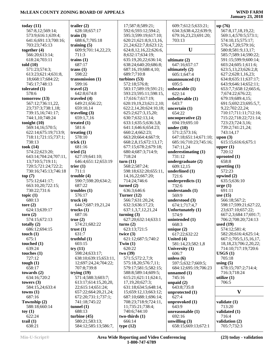| today $(11)$            | trailer $(2)$                       | 17;587:8;589:21;            | 609:7;612:5;633:21;                | up(76)                         |
|-------------------------|-------------------------------------|-----------------------------|------------------------------------|--------------------------------|
| 567:8,12;569:14;        | 628:18;657:17                       | 592:6;593:12;594:2;         | 634:3;638:4,22;639:9;              | 567:8,17,18,19,22;             |
| 573:9;616:1;639:4;      | train $(3)$                         | 595:3;599:19;617:10;        | 679:16,23,23;691:20;               | 569:1,4;570:5;573:1;           |
| 641:6;691:13;700:16;    | 688:6,7;705:18                      | 620:21;621:8,9,13,16,       | 703:13                             | 574:10,15;575:17;              |
| 703:23;745:13           | training $(5)$                      | 21, 24; 622: 7, 8; 623: 12; |                                    | 576:4,7,20;579:16;             |
| together $(4)$          | 609:9;701:14,22,23;                 | 624:8,12,16,22;626:6,       | U                                  | 580:8;581:9,13,17;             |
| 566:20;613:14;          | 711:3                               | 8;632:17;634:19;            |                                    | 585:7;589:14;590:22;           |
| 618:24;703:11           | trains $(1)$                        | 635:19,20,22;636:14;        | ultimate $(2)$                     | 591:15;599:9;600:14;           |
| told $(10)$             | 687:17                              | 638:24;640:20;686:8;        | 647:16;657:17                      | 603:24;605:1;611:6;            |
| 571:23;574:3;           | trans(1)                            | 687:16,19;688:4,10;         | ultimately (2)                     | 623:5,13,23;626:2,8;           |
| 613:23;621:4;631:8,     | 598:22                              | 689:7;710:8                 | 605:1;647:4                        | 627:2;628:1,16,23;             |
| 18;668:17;684:22;       | transmission $(1)$                  | turbines $(53)$             | unannounced (1)                    | 634:8;635:11;637:17;           |
| 745:17;748:13           | 599:16                              | 572:18;576:8;               | 695:5                              | 643:9;646:14;652:11;           |
| tolerated $(1)$         | travel $(2)$                        | 583:17;589:19;591:21;       | unbearable (1)                     | 653:7,7;658:12;665:6,          |
| 578:6                   | 642:8;674:8                         | 593:23;595:11;598:15,       | 622:14                             | 7;674:22;676:22;               |
| tomorrow(13)            | traveled $(4)$                      | 17;616:7;617:19;            | unbelievable (1)                   | 679:19;689:4,15;               |
| 567:12;736:11,22,       | 649:21;656:22;                      | 620:19,19,23;621:2,10;      | 643:7                              | 691:5;692:23;695:5,7,          |
| 23;737:3;738:1,18;      | 659:10,14                           | 622:2,14,20;624:10,18;      | uncertain $(1)$                    | 9,22;702:22,24;                |
| 739:15,16;741:17;       | traveling $(3)$                     | 625:2;627:3,15,20;          | 654:22                             | 710:17;711:11;712:16;          |
| 744:1,10;748:24         | 659:1,7,16                          | 630:7;632:13,14;            | uncooperative $(2)$                | 715:22;718:22;721:14;          |
| tonight $(10)$          | treated $(1)$                       | 633:1;635:5;636:3,8;        | 694:19;695:10                      | 723:23;724:3,16;               |
| 569:14,16;570:5;        | 581:6                               | 641:1;646:6;654:23;         | under $(10)$                       | 739:2;741:21,24;               |
| 622:14;675:19;713:9;    | treating $(1)$                      | 660:2,4;662:23;             | 571:2;573:16;                      | 743:14,17                      |
| 718:11;721:15;737:1;    | 578:10                              | 663:20:664:4:667:9:         | 647:18;651:14;671:10;              | upon $(3)$                     |
| 738:13                  | trick $(1)$                         | 668:2,8,15;672:13,17;       | 685:16;710:23;745:16;              | 615:15;616:6;675:1             |
| took $(14)$             | 681:16                              | 677:15;678:2;679:18;        | 747:11,24                          | upper $(1)$                    |
| 574:22;623:20;          | tried $(5)$                         | 680:4;687:3;714:9;          | underestimating (1)                | 720:12                         |
| 643:14;704:24;707:11,   | 627:19;641:10;                      | 718:24                      | 731:12                             | uprooted $(1)$                 |
| 13;710:5;719:11;        | 646:4;651:12;653:19                 | turn(11)                    | undergraduate (2)                  | 658:8                          |
| 720:5;721:24;722:2;     | trier $(1)$                         | 568:2;587:24;               | 609:12,15                          | upsetting $(1)$                |
| 730:16;745:13;746:18    | 711:1                               | 598:18;632:20;655:11,       | underlined (1)                     | 572:23                         |
| top(7)                  | trouble $(4)$                       | 14, 16, 22; 667: 20;        | 721:6                              | upwind $(2)$                   |
| 575:12;641:17;          | 590:7;598:20;634:2;                 | 714:24;746:6                | underpredicts (1)                  | 635:5;636:10                   |
| 663:10,20;722:15;       | 687:22                              | turned $(2)$                | 732:6                              | $\arg e(1)$                    |
| 730:22;731:6            | troubles $(1)$                      | 636:3;646:6                 | understands (1)                    | 691:11                         |
| topic $(1)$             | 576:17                              | Turner $(12)$               | 569:9                              | use $(15)$                     |
| 680:13                  | truck $(4)$                         | 566:7;631:20,24;            | understood (3)                     | 566:18;567:2;                  |
| tore $(2)$              | 644:7;687:19,21,24                  | 632:3;636:17,23;            | 674:1;717:4,7                      | 598:17;599:21;627:22,          |
| 624:13;639:17           | trucks $(1)$                        | 637:1,3,7,12,21,24          | Unfortunately (1)                  | 23;637:10;657:22;              |
| $\text{torn}(2)$        | 687:16                              | turning $(3)$               | 574:9                              | 667:2,3;684:17;691:7;          |
| 574:15;672:13           | true(2)                             | 627:20;632:14;633:1         | unintended (1)                     | 706:2;708:20;724:13            |
| totally $(2)$           | 574:21;682:22                       | turns $(2)$                 | 668:3                              | used $(19)$                    |
| 686:12;694:15           | trust $(1)$                         | 623:13;721:5                | unique $(2)$                       | 574:12;581:4;                  |
| touch $(1)$             | 631:7                               | twice $(3)$                 | 617:22;632:22                      | 582:20;616:4;625:14;           |
| 675:1                   | truthful $(1)$                      | 621:12;687:5;740:2          | United (4)                         | 667:1;705:5,15,16,17,          |
| touched $(1)$           | 603:15                              | Twin(1)                     | 581:14,23;582:1,8                  | 18, 18, 23; 706: 2, 20, 22;    |
| 639:24<br>touches $(1)$ | try(11)<br>598:24;633:17;           | 620:22<br>two(39)           | University (1)                     | 714:10;717:19;720:6<br>USGS(1) |
| 727:12                  | 638:10;639:15;653:11,               | 571:5;572:2,7,9;            | 606:7                              | 705:18                         |
| tough $(1)$             | 12;697:24,24;704:22;                | 575:18,20;576:7,11;         | unless $(6)$<br>597:5;632:7;669:5; | using $(5)$                    |
| 658:17                  | 707:8;739:8                         | 579:17;581:5;582:15;        | 684:12;695:19;706:23               | 678:15;707:2;714:4;            |
| towards $(2)$           |                                     | 588:8;589:14;609:5;         |                                    | 716:3;718:24                   |
| 634:16;720:2            | trying $(19)$<br>571:4;588:3;603:7; | 615:21;621:11;624:1,        | unnamed $(1)$<br>745:16            | utilize $(1)$                  |
| towers $(3)$            | 613:17;614:15,20,20,                | 17, 19, 20; 627: 3;         | unpaid $(2)$                       | 706:5                          |
| 584:15,24;633:4         | 22;615:14;651:24;                   | 631:18;634:5;648:14,        | 643:8;735:8                        |                                |
| towns(1)                | 657:22;664:20,21,24;                | 15;659:12,13;663:12;        | unprotected $(1)$                  | V                              |
| 687:16                  | 672:20;731:1;737:1;                 | 687:10;688:1;696:14;        | 627:4                              |                                |
| Township (2)            | 741:18;745:22                       | 708:23;718:9;724:11,        | unprovoked (1)                     | validate (1)                   |
| 588:18;660:14           | tunnel $(1)$                        | 11;735:21;738:4;            | 643:9                              | 713:20                         |
| toy(1)                  | 688:13                              | 740:6;744:10                | unreasonable (1)                   | validated (1)                  |
| 622:24                  | turbine $(45)$                      | $two-thirds(1)$             | 692:16                             | 716:4                          |
| trail $(1)$             | 580:21;583:13;                      | 666:14                      | unwilling $(3)$                    | validation (2)                 |
| 638:21                  | 584:12;585:13;586:7,                | type $(12)$                 | 658:15;669:13;672:1                | 705:7;732:3                    |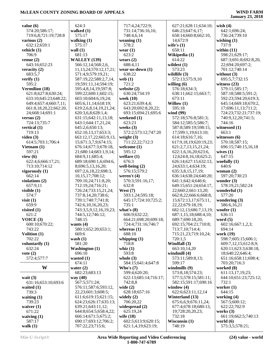| value $(6)$                               | 624:3                                      | 717:4,24;722:9;                             | 627:21;628:11;634:10;                    | wish $(4)$                                   |
|-------------------------------------------|--------------------------------------------|---------------------------------------------|------------------------------------------|----------------------------------------------|
| 574:20;586:17;                            | walked $(1)$                               | 731:14;736:16,16;                           | 646:23;647:6,17;                         | 642:1;696:24;                                |
| 719:6,8;721:19;728:8                      | 575:17                                     | 748:4,6,14                                  | 658:14;660:8;662:10,                     | 736:24;739:10                                |
| various $(2)$                             | walking $(1)$                              | weaning $(1)$                               | 14;672:9                                 | wishing $(1)$                                |
| 632:12:659:1                              | 575:17                                     | 578:2                                       | wife's $(1)$                             | 737:9                                        |
| vehicle (1)                               | wall $(1)$                                 | wear $(1)$                                  | 658:11                                   | within $(11)$                                |
| 706:9                                     | 681:13                                     | 623:2                                       | Wikipedia (1)                            | 598:21;629:17;                               |
| venue $(2)$<br>643:16;652:23              | <b>WALLEY (139)</b><br>566:12,14;568:2,6,  | wears $(2)$<br>688:4,11                     | 614:22<br>wildest $(1)$                  | 687:3;691:8;692:8,20,<br>22;694:20;697:2;    |
| veracity $(2)$                            | 11,13,24;570:12,17,21;                     | wear-us-down (1)                            | 573:23                                   | 701:12:740:14                                |
| 683:5,7                                   | 571:4,9;579:19,21;                         | 638:22                                      | wildlife $(3)$                           | without $(3)$                                |
| verify $(1)$                              | 587:19,22;588:2,7,14,                      | web $(1)$                                   | 572:13;575:9,10                          | 695:5,7;732:15                               |
| 595:2                                     | 19;591:11,14;594:19;                       | 721:2                                       | willing $(6)$                            | witness $(23)$                               |
| Vermilion (18)                            | 595:4,8,14,19;597:8;                       | website (2)                                 | 576:18;634:3;                            | 579:11;585:17;                               |
| 621:8;627:8;630:24;                       | 599:22;600:1;602:15;                       | 630:24;734:19                               | 638:11;662:15;663:7;                     | 587:18;588:5;591:2;                          |
| 633:10;645:23;648:22;                     | 603:10;604:6,19,24;                        | week $(10)$                                 | 673:11                                   | 592:23;594:20;619:3;                         |
| 649:4;657:4;660:7,11;                     | 605:6,11,14;618:19;                        | 623:21;639:4,4;                             | Willow $(1)$                             | 645:14;669:18;670:2,                         |
| 661:8,18,20,22;662:20,<br>24;668:14;691:1 | 619:2,6,8,14,19,21,24;                     | 643:20;692:8,20,22;                         | 595:18<br>wind (99)                      | 17;696:11,13;711:2;<br>724:23;732:21;737:19; |
| versus $(2)$                              | 620:3,6,8;628:1,4;<br>631:15;642:11,13,18; | 693:15;694:21;695:6<br>weekend (1)          | 572:18;576:8;581:3;                      | 740:9,12,20;741:5;                           |
| 724:13;735:7                              | 643:1;644:17,21,24;                        | 623:23                                      | 584:12;585:5;586:7;                      | 744:16                                       |
| vertical $(1)$                            | 645:2,6;650:13;                            | weeks $(3)$                                 | 587:8;589:19;598:15,                     | witnessed (1)                                |
| 719:13                                    | 652:10,13,17;653:3;                        | 572:2;573:12;747:20                         | 17;599:1,19;613:10;                      | 663:1                                        |
| video $(3)$                               | 663:12,17,22;665:9,13,                     | weight $(3)$                                | 614:18;616:7,16;                         | witnesses $(6)$                              |
| 614:5;703:1;706:4                         | 15;671:3,7,9;674:15;                       | 711:22,22;712:3                             | 617:9,18,19;620:19,23;                   | 570:18;587:15;                               |
| Vietnam $(1)$                             | 676:14;677:3;678:18,                       | welcome $(1)$                               | 621:2,7,13,15,21,24;                     | 696:15;740:15,16,18                          |
| 597:21                                    | 21;680:14;683:1,9,14;                      | 595:12                                      | 622:1,6,16,20;623:6,                     | wives $(1)$                                  |
| view $(6)$                                | 684:9,11;685:4;                            | welfare $(1)$                               | 12;624:8,16,18;625:2;                    | 647:15                                       |
| 622:4,6;666:17,21;                        | 689:18;690:1,6;694:6,                      | 676:3                                       | 626:14;627:15;632:13,                    | woefully $(1)$                               |
| 713:10;714:12<br>vigorously $(1)$         | 8;696:5,13,16,20;<br>697:2,6,18,22;698:3,  | well-being $(2)$<br>576:15;579:2            | 24;633:1,4;634:19;<br>635:3,8,15,17,19;  | 640:6<br>woman $(2)$                         |
| 662:14                                    | 10,15,17;708:12;                           | weren't $(4)$                               | 636:14;638:24;640:20;                    | 597:20;730:23                                |
| violations (2)                            | 709:10,24;711:8,20;                        | 570:3;591:16,17;                            | 641:1;642:4;646:6;                       | wonder $(3)$                                 |
| 657:9,11                                  | 712:19,24;716:21;                          | 632:8                                       | 649:15;651:24;654:17,                    | 578:19,21;582:24                             |
| visible $(1)$                             | 726:24;733:15,21,24;                       | West $(7)$                                  | 22;660:2;661:13,20;                      | wonderful (1)                                |
| 574:7                                     | 737:8,14,20;738:6;                         | 593:1,24;595:18;                            | 662:8,22;666:6;668:8,                    | 577:20                                       |
| visit $(1)$                               | 739:1;740:7;741:8;                         | 645:17;724:10;725:2;                        | 15;672:13,17;675:11,                     | wondering $(3)$                              |
| 659:9                                     | 742:6,10,16,20,23;                         | 735:1                                       | 22, 22; 679: 18, 19;                     | 586:6,16,21                                  |
| visited $(1)$                             | 743:3,5,9,12,16,19,23;                     | what's $(8)$                                | 682:12,13;686:7,13,19;                   | woofer $(1)$                                 |
| 621:2                                     | 744:5,12;746:12;                           | 606:9;632:22;                               | 687:1,15,18;688:4,10;                    | 636:11                                       |
| VOICE $(3)$<br>600:10;670:22;             | 748:15<br>wants $(4)$                      | 664:21;698:20;699:18;<br>724:4;731:16;746:7 | 689:7;690:18,20;<br>692:15;704:21;710:8; | word $(5)$<br>602:16;667:1,2,3;              |
| 743:22                                    | 580:1;652:20;653:1;                        | whereas $(1)$                               | 713:7,10;714:4;                          | 694:14                                       |
| Volition $(1)$                            | 669:6                                      | 688:10                                      | 715:21,23;719:10,24;                     | work (19)                                    |
| 702:22                                    | wash $(1)$                                 | whipping $(1)$                              | 720:1,5                                  | 598:7;605:15;606:1;                          |
| voluntarily $(1)$                         | 581:20                                     | 718:8                                       | Windfall (3)                             | 609:7,12,15;612:8,9;                         |
| 632:24                                    | <b>Washington</b> (1)                      | whiz $(1)$                                  | 663:10,14,20                             | 620:11;623:3;638:18,                         |
| vote $(2)$                                | 696:10                                     | 593:8                                       | windmill $(4)$                           | 18;640:22;646:4;                             |
| 572:4;577:7                               | wasted $(1)$                               | whole $(3)$                                 | 573:11;589:8,13;                         | 651:16;658:11;698:4;                         |
|                                           | 674:11                                     | 584:15;641:4;647:8                          | 599:17                                   | 703:20;716:3                                 |
| W                                         | water $(2)$                                | Who's $(7)$                                 | windmills (9)                            | worked (8)                                   |
| wait $(3)$                                | 682:23;683:13<br>way $(40)$                | 599:4;620:20;<br>622:13;685:14;716:17;      | 573:8,18;574:23;<br>577:5;578:15;581:11; | 611:13,17,19,23;<br>644:10;651:23;725:12;    |
| 631:16;653:10;693:6                       | 567:5;571:24;                              | 742:8,8                                     | 582:15;591:17;690:16                     | 732:1                                        |
| waited $(1)$                              | 576:11;587:6;593:12,                       | wide $(2)$                                  | window $(4)$                             | worker $(1)$                                 |
| 739:3                                     | 22, 23; 601: 3; 608: 5;                    | 628:18;657:16                               | 622:6;623:11,12,14                       | 644:15                                       |
| waiting $(1)$                             | 611:6;619:15;621:15;                       | widely $(2)$                                | Winterland (13)                          | working $(4)$                                |
| 739:23                                    | 624:23;626:17;635:13;                      | 706:20,22                                   | 675:6,6,9;676:11,24;                     | 567:5;600:12;                                |
| waiver $(1)$                              | 639:21;643:11,12;                          | widespread (2)                              | 677:4;678:18;680:13,                     | 622:22;702:9                                 |
| 671:22                                    | 644:8;654:5;658:4,22;                      | 625:19,24                                   | 19;728:20,20,23;                         | works $(3)$                                  |
| waiving $(1)$                             | 666:14;671:5;675:2;                        | wife (18)                                   | 732:18                                   | 661:19;662:5;740:13                          |
| 587:17                                    | 690:17;693:12;706:2;                       | 602:5;613:9;620:15;                         | Wisconsin (1)                            | world $(6)$                                  |
| walk $(1)$                                | 707:22,23;715:6;                           | 621:1,4,19;623:19;                          | 748:19                                   | 575:3,5;578:21;                              |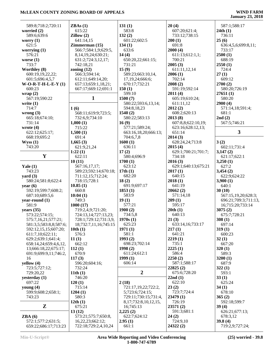## **McLEAN COUNTY ZONING BOARD OF APPEALS WIND FARM**

## **January 23, 2018**

| 589:8;718:2;720:11     | ZBAs(1)                 | 131(1)                     | 20(4)               | 587:1;588:17         |
|------------------------|-------------------------|----------------------------|---------------------|----------------------|
| worried (2)            | 615:22                  | 583:8                      | 607:20;621:4;       | 24th(1)              |
| 589:6;639:6            | Zillow(2)               | 132(2)                     | 733:12;738:15       | 736:11               |
|                        |                         |                            |                     |                      |
| worry $(1)$            | 641:14,15               | 601:22;602:5               | 200(1)              | 25(6)                |
| 621:5                  | Zimmerman(15)           | 134(1)                     | 691:8               | 636:4,5,6;699:8,11;  |
| worrying $(1)$         | 566:7;584:1,9;629:5,    | 633:6                      | 2000(4)             | 733:17               |
| 576:21                 | 8, 14, 19, 24; 630: 21; | 14(4)                      | 611:13;612:1,1;     | 2500(1)              |
| worse $(1)$            | 631:2;724:3,12,17;      | 650:20,22;661:15;          | 700:21              | 688:19               |
| 733:7                  | 742:18,21               | 731:21                     | 2005(3)             | 2550(1)              |
| Worthley (8)           | zoning $(12)$           | 15(9)                      |                     | 724:4                |
|                        |                         |                            | 611:11,12,14        |                      |
| 600:19,19,22,22;       | 566:3;594:14;           | 589:23;663:10,14,          | 2006(1)             | 27(1)                |
| 601:5;696:4,5,7        | 612:11;649:14,20;       | 17,19,24;666:6;            | 702:14              | 609:12               |
| $W-O-R-T-H-L-E-Y(1)$   | 657:13;659:1,18,21;     | 670:17;732:21              | 2008(2)             | 2700(2)              |
| 600:23                 | 667:17;669:12;691:1     | 150(1)                     | 591:19;592:14       | 580:20;726:19        |
| wrap(2)                |                         | 599:10                     | 2011(4)             | 27651(1)             |
| 567:19;590:22          | 1                       | 1500(7)                    | 605:19;610:24;      | 580:20               |
|                        |                         |                            |                     |                      |
| write $(1)$            |                         | 580:22;593:6,13,14;        | 611:11,12           | 2900(4)              |
| 714:7                  | 1(6)                    | 594:8,18,23                | 2012(2)             | 571:14,18;591:4;     |
| wrong $(3)$            | 568:11;619:9;723:5;     | 1540(2)                    | 608:2;620:13        | 681:1                |
| 665:18;674:10;         | 732:6,9;734:10          | 580:22;583:13              | 2013(8)             | 2nd(2)               |
| 731:14                 | 1,000(1)                | 16(9)                      | 607:8,8;622:10,19;  | 567:5;746:21         |
| wrote $(4)$            | 715:22                  | 577:21;589:24;             | 623:16;628:12,13;   |                      |
| 622:12;625:17;         |                         |                            |                     | $\mathbf{3}$         |
|                        | 1,500(1)                | 663:16,18,20;666:13;       | 651:14              |                      |
| 668:19;695:2           | 691:4                   | 704:6,7,8                  | 2014(3)             |                      |
| Wyss(1)                | 1,665(3)                | 1600(1)                    | 628:24,24;713:8     | 3(2)                 |
| 743:20                 | 621:9,21,24             | 636:11                     | 2015(4)             | 602:11;731:4         |
|                        | 1:22(1)                 | 17(2)                      | 629:1;700:21;701:7; | 3,147(2)             |
| $\mathbf Y$            | 622:11                  | 580:4;696:9                | 734:18              | 621:17;622:1         |
|                        | 10(11)                  | 1700(1)                    | 2016(3)             | 3,250(1)             |
|                        |                         | 623:12                     |                     | 627:2                |
| Yale $(1)$             | 567:16,17,17;           |                            | 629:1;640:13;675:21 |                      |
| 743:23                 | 589:23;592:14;670:18;   | 17th(1)                    | 2017(1)             | 3,454(2)             |
| yard $(3)$             | 711:12,15;712:24;       | 682:20                     | 640:15              | 622:9;624:22         |
| 580:24;581:8;622:4     | 718:15;728:1            | 18(2)                      | 2018(1)             | 3,900(1)             |
| year $(6)$             | 10.85(1)                | 691:9;697:17               | 641:19              | 640:1                |
| 592:19;599:7;608:2;    | 660:8                   | 1853(1)                    | 20662(2)            | 30(10)               |
| 687:10;689:5,6         | 10:04(1)                | 583:9                      | 571:14,18           | 567:15,19,20;628:3;  |
| year-round $(1)$       | 749:3                   | 19(1)                      | 209(1)              | 696:21;709:3;711:13, |
|                        |                         |                            |                     |                      |
| 581:9                  | 1000(17)                | 577:21                     | 595:17              | 16;715:20;733:14     |
| years (35)             | 719:2,4,9;721:20;       | 1900(2)                    | 20th(1)             | 3075(2)              |
| 573:22;574:15;         | 724:13,14;727:13,23;    | 734:5,8                    | 640:13              | 675:7;728:21         |
| 575:7,16,21;577:21;    | 728:1;729:12;731:3,9,   | 1970s(1)                   | 21(3)               | 308(1)               |
| 581:3,5;583:8,8;587:6; | 18;732:7,11,16;745:15   | 625:23                     | 633:14,16;733:17    | 697:14               |
| 592:12,15,15;607:20;   | 10th(1)                 | 1971(1)                    | 217(1)              | 319(1)               |
|                        | 576:3                   | 581:1                      | 641:21              | 600:23               |
| 611:7,10;622:11;       |                         |                            |                     |                      |
| 629:2;639:1;641:4;     | 11(1)                   | 1993(2)                    | 2219(1)             | 32(1)                |
| 658:14,24;659:4,6,12,  | 662:12                  | 698:23;702:14              | 735:1               | 667:20               |
| 13;666:18,22;675:17;   | 112(1)                  | 1998 (2)                   | 2225(1)             | 320(1)               |
| 691:9;699:9,11;746:2,  | 670:9                   | 611:24;612:1               | 586:4               | 589:3                |
| 16                     | 117(3)                  | 1999(1)                    | 2250(2)             | 3200(1)              |
| yellow $(4)$           | 596:20;604:16;          | 606:14                     | 587:1;588:17        | 687:9                |
| 723:5;727:12;          | 732:24                  |                            | 22825(2)            | 322(1)               |
|                        |                         | $\boldsymbol{2}$           |                     |                      |
| 729:20,22              | 11th $(1)$              |                            | 675:6;728:20        | 593:1                |
| yesterday $(1)$        | 746:20                  |                            | 22nd(1)             | 33(1)                |
| 697:22                 | 120(1)                  | 2(18)                      | 622:10              | 625:24               |
| young $(4)$            | 715:14                  | 721:17,19,22;722:2,        | 23(2)               | 34(1)                |
| 599:9;608:2;658:1;     | 1204(1)                 | 5;723:6;724:15;            | 723:7;724:4         | 678:10               |
| 743:23                 | 580:3                   | 729:11;730:15;731:4,       | 23479 (1)           | 365(2)               |
|                        | 12th(1)                 | 8, 17; 732: 8, 10, 12, 15, | 726:19              | 592:18;599:7         |
| ${\bf z}$              | 675:21                  |                            |                     |                      |
|                        |                         | 16;745:13                  | 23571(2)            | 39(4)                |
|                        | 13(12)                  | 2,225(2)                   | 591:3;681:1         | 626:21;677:13;       |
| ZBA(6)                 | 573:21;575:7;650:8,     | 622:7;624:12               | 24(2)               | 678:3,12             |
|                        |                         |                            |                     |                      |
| 572:1;577:2;631:5;     | 16,22,23;662:12;        | 2.95(1)                    | 724:9,10            | 39.8(4)              |
| 659:22;686:17;713:23   | 722:18;729:2,4,10,24    | 661:1                      | 24322(2)            | 719:2,9;727:24;      |